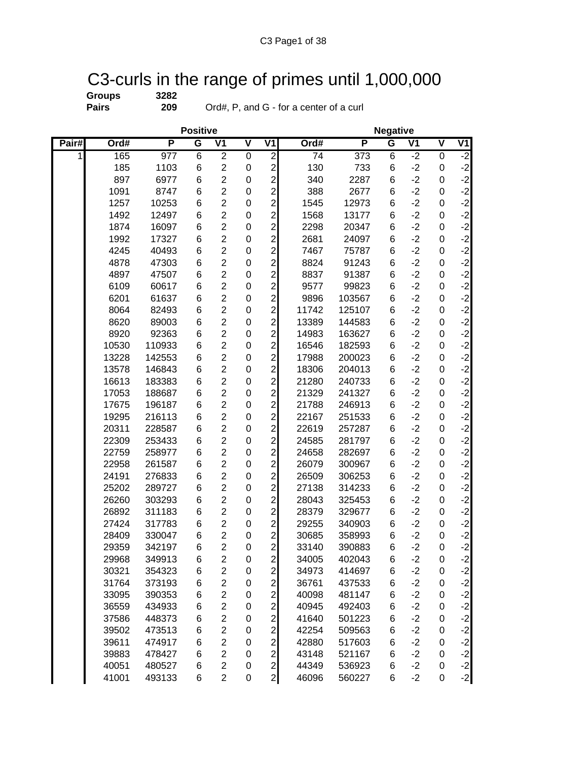## C3-curls in the range of primes until 1,000,000<br>Groups  $3282$ <br>Pairs  $209$  Ord#, P, and G - for a center of a curl

**Groups**<br>Pairs

**Pairs 209** Ord#, P, and G - for a center of a curl

|       | <b>Positive</b> |        |                         |                          |                         |                         |                 | <b>Negative</b>  |                         |                |                         |                                          |  |  |
|-------|-----------------|--------|-------------------------|--------------------------|-------------------------|-------------------------|-----------------|------------------|-------------------------|----------------|-------------------------|------------------------------------------|--|--|
| Pair# | Ord#            | P      | $\overline{\mathsf{G}}$ | $\overline{\mathsf{V1}}$ | $\overline{\mathsf{V}}$ | V <sub>1</sub>          | Ord#            | P                | $\overline{\mathsf{G}}$ | $\overline{V}$ | $\overline{\mathsf{v}}$ | V <sub>1</sub>                           |  |  |
|       | 165             | 977    | $\overline{6}$          | $\overline{2}$           | $\boldsymbol{0}$        | $\overline{2}$          | $\overline{74}$ | $\overline{373}$ | 6                       | $-2$           | 0                       | $-2$                                     |  |  |
|       | 185             | 1103   | 6                       | $\overline{c}$           | 0                       | $\mathbf{2}$            | 130             | 733              | 6                       | $-2$           | 0                       | $-2$                                     |  |  |
|       | 897             | 6977   | 6                       | $\overline{c}$           | 0                       | $\mathbf{2}$            | 340             | 2287             | 6                       | $-2$           | 0                       | $-2$                                     |  |  |
|       | 1091            | 8747   | 6                       | $\overline{2}$           | 0                       | $\overline{c}$          | 388             | 2677             | 6                       | $-2$           | 0                       | $-2$                                     |  |  |
|       | 1257            | 10253  | 6                       | $\overline{c}$           | 0                       | $200$                   | 1545            | 12973            | 6                       | $-2$           | 0                       | $-2$                                     |  |  |
|       | 1492            | 12497  | 6                       | $\overline{2}$           | 0                       |                         | 1568            | 13177            | 6                       | $-2$           | 0                       | $-2$                                     |  |  |
|       | 1874            | 16097  | 6                       | $\overline{c}$           | $\mathbf 0$             |                         | 2298            | 20347            | 6                       | $-2$           | 0                       | $-2$                                     |  |  |
|       | 1992            | 17327  | 6                       | $\overline{2}$           | $\mathbf 0$             |                         | 2681            | 24097            | 6                       | $-2$           | 0                       | $-2$                                     |  |  |
|       | 4245            | 40493  | 6                       | $\overline{c}$           | $\mathsf 0$             | $\overline{2}$          | 7467            | 75787            | 6                       | $-2$           | 0                       | $-2$                                     |  |  |
|       | 4878            | 47303  | 6                       | $\overline{2}$           | $\mathsf 0$             | $\overline{c}$          | 8824            | 91243            | 6                       | $-2$           | 0                       | $-2$                                     |  |  |
|       | 4897            | 47507  | 6                       | $\overline{2}$           | $\mathsf 0$             | $\overline{c}$          | 8837            | 91387            | 6                       | $-2$           | 0                       | $-2$                                     |  |  |
|       | 6109            | 60617  | 6                       | $\overline{2}$           | $\mathsf 0$             | $\overline{a}$          | 9577            | 99823            | 6                       | $-2$           | 0                       | $-2$                                     |  |  |
|       | 6201            | 61637  | 6                       | $\overline{c}$           | $\mathsf 0$             | $\overline{a}$          | 9896            | 103567           | 6                       | $-2$           | 0                       | $-2$                                     |  |  |
|       | 8064            | 82493  | 6                       | $\overline{2}$           | 0                       | $\overline{a}$          | 11742           | 125107           | 6                       | $-2$           | 0                       | $-2$                                     |  |  |
|       | 8620            | 89003  | 6                       | $\overline{c}$           | 0                       | $\overline{a}$          | 13389           | 144583           | 6                       | $-2$           | 0                       | $-2$                                     |  |  |
|       | 8920            | 92363  | 6                       | $\overline{c}$           | 0                       | $\overline{c}$          | 14983           | 163627           | 6                       | $-2$           | 0                       | $-2$                                     |  |  |
|       | 10530           | 110933 | 6                       | $\overline{2}$           | 0                       | $\overline{c}$          | 16546           | 182593           | 6                       | $-2$           | 0                       | $-2$                                     |  |  |
|       | 13228           | 142553 | 6                       | $\overline{2}$           | 0                       | $\overline{2}$          | 17988           | 200023           | 6                       | $-2$           | 0                       | $-2$                                     |  |  |
|       | 13578           | 146843 | 6                       | $\overline{2}$           | 0                       | $\overline{c}$          | 18306           | 204013           | 6                       | $-2$           | 0                       | $-2$                                     |  |  |
|       | 16613           | 183383 | 6                       | $\overline{2}$           | 0                       | $\overline{c}$          | 21280           | 240733           | 6                       | $-2$           | 0                       | $-2$                                     |  |  |
|       | 17053           | 188687 | 6                       | $\overline{c}$           | 0                       | $\overline{\mathbf{c}}$ | 21329           | 241327           | 6                       | $-2$           | 0                       | $-2$                                     |  |  |
|       | 17675           | 196187 | 6                       | $\overline{2}$           | 0                       | $\overline{2}$          | 21788           | 246913           | 6                       | $-2$           | 0                       | $-2$                                     |  |  |
|       | 19295           | 216113 | 6                       | $\overline{c}$           | $\mathbf 0$             | $\overline{a}$          | 22167           | 251533           | 6                       | $-2$           | 0                       | $-2$                                     |  |  |
|       | 20311           | 228587 | 6                       | $\overline{2}$           | 0                       | $\overline{2}$          | 22619           | 257287           | 6                       | $-2$           | 0                       | $-2$                                     |  |  |
|       | 22309           | 253433 | 6                       | $\overline{c}$           | 0                       | $\overline{2}$          | 24585           | 281797           | 6                       | $-2$           | 0                       | $-2$                                     |  |  |
|       | 22759           | 258977 | 6                       | $\overline{2}$           | $\mathbf 0$             | $\overline{c}$          | 24658           | 282697           | 6                       | $-2$           | 0                       | $-2$                                     |  |  |
|       | 22958           | 261587 | 6                       | $\overline{2}$           | 0                       | $\overline{c}$          | 26079           | 300967           | 6                       | $-2$           | 0                       | $-2$                                     |  |  |
|       | 24191           | 276833 | 6                       | $\overline{2}$           | 0                       | $\overline{a}$          | 26509           | 306253           | 6                       | $-2$           | 0                       | $-2$                                     |  |  |
|       | 25202           | 289727 | 6                       | $\overline{2}$           | 0                       | $\overline{a}$          | 27138           | 314233           | 6                       | $-2$           | 0                       | $-2$                                     |  |  |
|       | 26260           | 303293 | 6                       | $\overline{c}$           | 0                       | $\overline{a}$          | 28043           | 325453           | 6                       | $-2$           | 0                       | $-2$                                     |  |  |
|       | 26892           | 311183 | 6                       | $\overline{2}$           | 0                       | $\overline{2}$          | 28379           | 329677           | 6                       | $-2$           | 0                       | $-2$                                     |  |  |
|       | 27424           | 317783 | 6                       | $\overline{c}$           | 0                       | $\overline{2}$          | 29255           | 340903           | 6                       | $-2$           | 0                       | $-2$                                     |  |  |
|       | 28409           | 330047 | 6                       | $\overline{c}$           | 0                       | $\overline{c}$          | 30685           | 358993           | 6                       | $-2$           | 0                       | $-2$                                     |  |  |
|       | 29359           | 342197 | 6                       | $\overline{2}$           | $\mathbf 0$             | $\overline{c}$          | 33140           | 390883           | 6                       | $-2$           | 0                       | $-2$                                     |  |  |
|       | 29968           | 349913 | 6                       | 2                        | 0                       | $\mathbf{2}$            | 34005           | 402043           | 6                       | $-2$           | 0                       | $-2$                                     |  |  |
|       | 30321           | 354323 | 6                       | $\overline{\mathbf{c}}$  | 0                       | $\mathbf{2}$            | 34973           | 414697           | 6                       | $-2$           | 0                       | $\begin{bmatrix} -2 \\ -2 \end{bmatrix}$ |  |  |
|       | 31764           | 373193 | 6                       | $\overline{c}$           | $\mathbf 0$             | $\mathbf{2}$            | 36761           | 437533           | 6                       | $-2$           | 0                       |                                          |  |  |
|       | 33095           | 390353 | 6                       | $\overline{c}$           | 0                       | $\mathbf{2}$            | 40098           | 481147           | 6                       | $-2$           | 0                       | $-2$                                     |  |  |
|       | 36559           | 434933 | 6                       | $\overline{c}$           | 0                       | $\overline{2}$          | 40945           | 492403           | 6                       | $-2$           | 0                       | $-2$                                     |  |  |
|       | 37586           | 448373 | 6                       | $\overline{c}$           | 0                       | $\mathbf{2}$            | 41640           | 501223           | 6                       | $-2$           | $\pmb{0}$               | $-2$                                     |  |  |
|       | 39502           | 473513 | 6                       | $\overline{2}$           | $\boldsymbol{0}$        | $\overline{2}$          | 42254           | 509563           | 6                       | $-2$           | 0                       | $-2$                                     |  |  |
|       | 39611           | 474917 | 6                       | $\overline{2}$           | 0                       | $\overline{2}$          | 42880           | 517603           | 6                       | $-2$           | 0                       | $-2$                                     |  |  |
|       | 39883           | 478427 | 6                       | $\overline{c}$           | $\boldsymbol{0}$        | $\mathbf{2}$            | 43148           | 521167           | 6                       | $-2$           | 0                       | $-2$                                     |  |  |
|       | 40051           | 480527 | $\,6$                   | $\overline{c}$           | $\pmb{0}$               | $\mathbf{2}$            | 44349           | 536923           | 6                       | $-2$           | 0                       | $-2$                                     |  |  |
|       | 41001           | 493133 | 6                       | $\overline{c}$           | $\pmb{0}$               | $\mathbf{z}$            | 46096           | 560227           | 6                       | $-2$           | 0                       | $-2$                                     |  |  |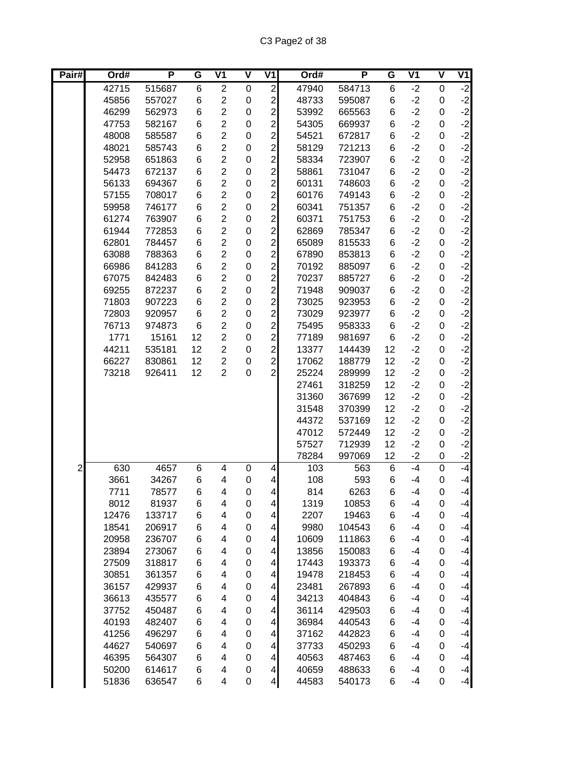C3 Page2 of 38

| Pair#          | Ord#  | P      | G  | $\overline{\mathsf{V}}$ 1 | $\overline{\mathtt{v}}$ | V1                       | Ord#  | P      | G  | $\overline{\mathsf{V}}$ 1 | $\overline{\mathsf{v}}$ | V1   |
|----------------|-------|--------|----|---------------------------|-------------------------|--------------------------|-------|--------|----|---------------------------|-------------------------|------|
|                | 42715 | 515687 | 6  | $\overline{2}$            | $\pmb{0}$               | $\overline{2}$           | 47940 | 584713 | 6  | $-2$                      | $\pmb{0}$               | $-2$ |
|                | 45856 | 557027 | 6  | $\overline{2}$            | 0                       | $\mathbf{z}$             | 48733 | 595087 | 6  | $-2$                      | $\mathbf 0$             | $-2$ |
|                | 46299 | 562973 | 6  | $\overline{2}$            | 0                       | $\mathbf{2}$             | 53992 | 665563 | 6  | $-2$                      | $\pmb{0}$               | $-2$ |
|                | 47753 | 582167 | 6  | $\overline{c}$            | 0                       | $\mathbf{2}$             | 54305 | 669937 | 6  | $-2$                      | $\pmb{0}$               | $-2$ |
|                | 48008 | 585587 | 6  | $\overline{c}$            | $\mathbf 0$             | $\overline{2}$           | 54521 | 672817 | 6  | $-2$                      | $\pmb{0}$               | $-2$ |
|                | 48021 | 585743 | 6  | $\overline{c}$            | 0                       | $\overline{a}$           | 58129 | 721213 | 6  | $-2$                      | $\pmb{0}$               | $-2$ |
|                | 52958 | 651863 | 6  | $\overline{2}$            | $\mathbf 0$             | $\overline{c}$           | 58334 | 723907 | 6  | $-2$                      | $\pmb{0}$               | $-2$ |
|                | 54473 | 672137 | 6  | $\overline{c}$            | 0                       | $\mathbf{z}$             | 58861 | 731047 | 6  | $-2$                      | $\pmb{0}$               | $-2$ |
|                | 56133 | 694367 | 6  | $\overline{2}$            | $\mathbf 0$             | $\mathbf{2}$             | 60131 | 748603 | 6  | $-2$                      | $\pmb{0}$               | $-2$ |
|                | 57155 | 708017 | 6  | $\overline{2}$            | 0                       | $\mathbf{2}$             | 60176 | 749143 | 6  | $-2$                      | $\mathbf 0$             | $-2$ |
|                | 59958 | 746177 | 6  | $\overline{2}$            | 0                       | $\mathbf{z}$             | 60341 | 751357 | 6  | $-2$                      | $\pmb{0}$               | $-2$ |
|                | 61274 | 763907 | 6  | $\overline{c}$            | 0                       | $\mathbf{z}$             | 60371 | 751753 | 6  | $-2$                      | $\mathbf 0$             | $-2$ |
|                | 61944 | 772853 | 6  | $\overline{c}$            | 0                       | $\overline{2}$           | 62869 | 785347 | 6  | $-2$                      | $\pmb{0}$               | $-2$ |
|                | 62801 | 784457 | 6  | $\overline{2}$            | $\mathbf 0$             | $\mathbf{2}$             | 65089 | 815533 | 6  | $-2$                      | $\pmb{0}$               | $-2$ |
|                | 63088 | 788363 | 6  | $\overline{c}$            | $\mathbf 0$             | $\mathbf{2}$             | 67890 | 853813 | 6  | $-2$                      | $\pmb{0}$               | $-2$ |
|                | 66986 | 841283 | 6  | $\overline{2}$            | $\mathbf 0$             | $\overline{2}$           | 70192 | 885097 | 6  | $-2$                      | $\pmb{0}$               | $-2$ |
|                | 67075 | 842483 | 6  | $\overline{c}$            | $\mathbf 0$             | $\overline{2}$           | 70237 | 885727 | 6  | $-2$                      | $\pmb{0}$               | $-2$ |
|                | 69255 | 872237 | 6  | $\overline{c}$            | $\mathbf 0$             | $\overline{2}$           | 71948 | 909037 | 6  | $-2$                      | $\pmb{0}$               | $-2$ |
|                | 71803 | 907223 | 6  | $\overline{c}$            | 0                       | $\mathbf{z}$             | 73025 | 923953 | 6  | $-2$                      | $\pmb{0}$               | $-2$ |
|                | 72803 | 920957 | 6  | $\overline{2}$            | 0                       | $\mathbf{z}$             | 73029 | 923977 | 6  | $-2$                      | $\mathbf 0$             | $-2$ |
|                | 76713 | 974873 | 6  | $\overline{c}$            | 0                       | $\overline{2}$           | 75495 | 958333 | 6  | $-2$                      | $\mathbf 0$             | $-2$ |
|                | 1771  | 15161  | 12 | $\overline{c}$            | $\mathbf 0$             | $\overline{2}$           | 77189 | 981697 | 6  | $-2$                      | $\pmb{0}$               | $-2$ |
|                | 44211 | 535181 | 12 | $\overline{c}$            | 0                       | $\overline{a}$           | 13377 | 144439 | 12 | $-2$                      | $\pmb{0}$               | $-2$ |
|                | 66227 | 830861 | 12 | $\overline{2}$            | 0                       | $\overline{c}$           | 17062 | 188779 | 12 | $-2$                      | $\pmb{0}$               | $-2$ |
|                | 73218 | 926411 | 12 | $\overline{2}$            | $\mathbf 0$             | $\overline{2}$           | 25224 | 289999 | 12 | $-2$                      | $\pmb{0}$               | $-2$ |
|                |       |        |    |                           |                         |                          | 27461 | 318259 | 12 | $-2$                      | $\mathbf 0$             | $-2$ |
|                |       |        |    |                           |                         |                          | 31360 | 367699 | 12 | $-2$                      | $\mathbf 0$             | $-2$ |
|                |       |        |    |                           |                         |                          | 31548 | 370399 | 12 | $-2$                      | $\mathbf 0$             | $-2$ |
|                |       |        |    |                           |                         |                          | 44372 | 537169 | 12 | $-2$                      | $\mathbf 0$             | $-2$ |
|                |       |        |    |                           |                         |                          | 47012 | 572449 | 12 | $-2$                      | $\mathbf 0$             | $-2$ |
|                |       |        |    |                           |                         |                          | 57527 | 712939 | 12 | $-2$                      | $\pmb{0}$               | $-2$ |
|                |       |        |    |                           |                         |                          | 78284 | 997069 | 12 | $-2$                      | 0                       | $-2$ |
| $\overline{c}$ | 630   | 4657   | 6  | 4                         | $\mathbf 0$             | $\overline{4}$           | 103   | 563    | 6  | $-4$                      | $\mathbf 0$             | $-4$ |
|                | 3661  | 34267  | 6  | 4                         | 0                       | $\overline{4}$           | 108   | 593    | 6  | -4                        | $\pmb{0}$               | $-4$ |
|                | 7711  | 78577  | 6  | 4                         | $\mathbf 0$             | $\overline{4}$           | 814   | 6263   | 6  | $-4$                      | $\mathbf 0$             | $-4$ |
|                | 8012  | 81937  | 6  | 4                         | $\pmb{0}$               | $\vert 4 \vert$          | 1319  | 10853  | 6  | $-4$                      | 0                       | $-4$ |
|                | 12476 | 133717 | 6  | 4                         | 0                       | $\overline{4}$           | 2207  | 19463  | 6  | $-4$                      | $\pmb{0}$               | $-4$ |
|                | 18541 | 206917 | 6  | 4                         | 0                       | $\overline{4}$           | 9980  | 104543 | 6  | -4                        | $\pmb{0}$               | $-4$ |
|                | 20958 | 236707 | 6  | 4                         | $\mathbf 0$             | $\overline{4}$           | 10609 | 111863 | 6  | $-4$                      | 0                       | $-4$ |
|                | 23894 | 273067 | 6  | 4                         | $\mathbf 0$             | $\overline{4}$           | 13856 | 150083 | 6  | -4                        | 0                       | $-4$ |
|                | 27509 | 318817 | 6  | 4                         | $\mathbf 0$             | $\overline{4}$           | 17443 | 193373 | 6  | -4                        | 0                       | $-4$ |
|                | 30851 | 361357 | 6  | 4                         | $\mathbf 0$             | $\overline{\mathcal{A}}$ | 19478 | 218453 | 6  | $-4$                      | 0                       | $-4$ |
|                | 36157 | 429937 | 6  | 4                         | 0                       | $\overline{\mathbf{4}}$  | 23481 | 267893 | 6  | $-4$                      | 0                       | $-4$ |
|                | 36613 | 435577 | 6  | 4                         | 0                       | $\overline{\mathcal{L}}$ | 34213 | 404843 | 6  | -4                        | $\pmb{0}$               | $-4$ |
|                | 37752 | 450487 | 6  | 4                         | 0                       | $\overline{\mathcal{A}}$ | 36114 | 429503 | 6  | $-4$                      | 0                       | $-4$ |
|                | 40193 | 482407 | 6  | 4                         | 0                       | $\overline{\mathbf{4}}$  | 36984 | 440543 | 6  | -4                        | $\boldsymbol{0}$        | $-4$ |
|                | 41256 | 496297 | 6  | 4                         | 0                       | $\overline{4}$           | 37162 | 442823 | 6  | $-4$                      | $\boldsymbol{0}$        | $-4$ |
|                | 44627 | 540697 | 6  | 4                         | 0                       | $\overline{4}$           | 37733 | 450293 | 6  | -4                        | $\boldsymbol{0}$        | $-4$ |
|                | 46395 | 564307 | 6  | 4                         | 0                       | $\overline{4}$           | 40563 | 487463 | 6  | -4                        | $\pmb{0}$               | $-4$ |
|                | 50200 | 614617 | 6  | 4                         | 0                       | $\overline{4}$           | 40659 | 488633 | 6  | $-4$                      | $\pmb{0}$               | $-4$ |
|                | 51836 | 636547 | 6  | 4                         | 0                       | $\overline{4}$           | 44583 | 540173 | 6  | -4                        | 0                       | $-4$ |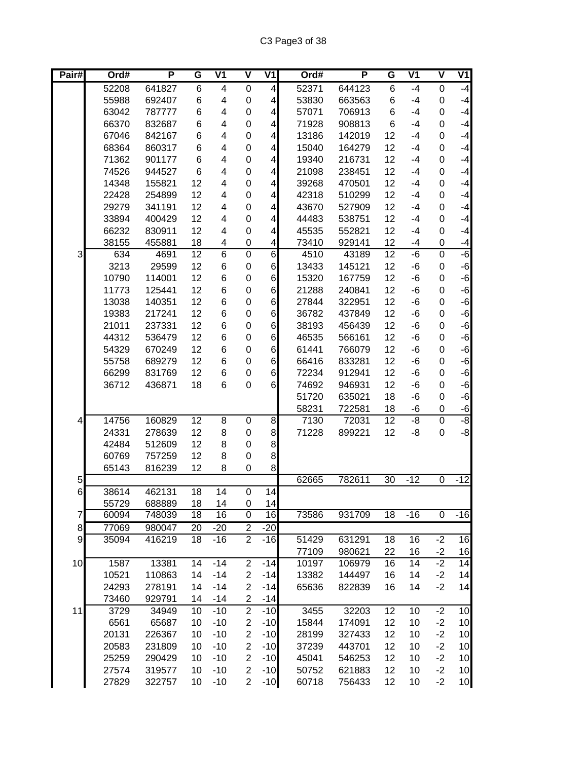C3 Page3 of 38

| Pair#          | Ord#  | P      | G     | $\overline{\mathsf{v}}$ 1 | V                       | V1                       | Ord#  | P      | G               | V <sub>1</sub>  | V              | V1              |
|----------------|-------|--------|-------|---------------------------|-------------------------|--------------------------|-------|--------|-----------------|-----------------|----------------|-----------------|
|                | 52208 | 641827 | $\,6$ | 4                         | $\mathbf 0$             | $\overline{4}$           | 52371 | 644123 | 6               | $-4$            | 0              | $-4$            |
|                | 55988 | 692407 | $\,6$ | 4                         | 0                       | $\overline{4}$           | 53830 | 663563 | 6               | $-4$            | 0              | $-4$            |
|                | 63042 | 787777 | $\,6$ | 4                         | 0                       | $\vert 4 \vert$          | 57071 | 706913 | 6               | $-4$            | 0              | $-4$            |
|                | 66370 | 832687 | 6     | 4                         | 0                       | $\overline{4}$           | 71928 | 908813 | $\,6$           | $-4$            | 0              | $-4$            |
|                | 67046 | 842167 | 6     | 4                         | 0                       | $\overline{4}$           | 13186 | 142019 | 12              | $-4$            | 0              | $-4$            |
|                | 68364 | 860317 | 6     | 4                         | 0                       | $\overline{4}$           | 15040 | 164279 | 12              | $-4$            | 0              | $-4$            |
|                | 71362 | 901177 | 6     | $\overline{\mathbf{4}}$   | 0                       | $\overline{4}$           | 19340 | 216731 | 12              | $-4$            | 0              | $-4$            |
|                | 74526 | 944527 | 6     | $\overline{\mathbf{4}}$   | 0                       | $\overline{\mathcal{A}}$ | 21098 | 238451 | 12              | $-4$            | 0              | $-4$            |
|                | 14348 | 155821 | 12    | 4                         | 0                       | $\overline{\mathbf{4}}$  | 39268 | 470501 | 12              | $-4$            | 0              | $-4$            |
|                | 22428 | 254899 | 12    | 4                         | 0                       | $\overline{4}$           | 42318 | 510299 | 12              | -4              | 0              | $-4$            |
|                | 29279 | 341191 | 12    | 4                         | 0                       | 4                        | 43670 | 527909 | 12              | $-4$            | 0              | $-4$            |
|                | 33894 | 400429 | 12    | 4                         | 0                       | 4                        | 44483 | 538751 | 12              | $-4$            | 0              | $-4$            |
|                | 66232 | 830911 | 12    | 4                         | 0                       | $\overline{\mathbf{4}}$  | 45535 | 552821 | 12              | $-4$            | 0              | $-4$            |
|                | 38155 | 455881 | 18    | 4                         | 0                       | $\overline{\mathbf{4}}$  | 73410 | 929141 | 12              | -4              | 0              | $-4$            |
| 3              | 634   | 4691   | 12    | $\overline{6}$            | $\overline{0}$          | 6                        | 4510  | 43189  | $\overline{12}$ | $-\overline{6}$ | $\overline{0}$ | $-6$            |
|                | 3213  | 29599  | 12    | 6                         | 0                       | 6                        | 13433 | 145121 | 12              | -6              | 0              | $-6$            |
|                | 10790 | 114001 | 12    | 6                         | 0                       | 6                        | 15320 | 167759 | 12              | -6              | 0              | $-6$            |
|                | 11773 | 125441 | 12    | 6                         | 0                       | 6                        | 21288 | 240841 | 12              | -6              | 0              | $-6$            |
|                | 13038 | 140351 | 12    | 6                         | 0                       | 6                        | 27844 | 322951 | 12              | -6              | 0              | $-6$            |
|                | 19383 | 217241 | 12    | 6                         | 0                       | 6                        | 36782 | 437849 | 12              | -6              | 0              | $-6$            |
|                | 21011 | 237331 | 12    | 6                         | 0                       | 6                        | 38193 | 456439 | 12              | -6              | 0              | $-6$            |
|                | 44312 | 536479 | 12    | 6                         | 0                       | 6                        | 46535 | 566161 | 12              | -6              | 0              | $-6$            |
|                | 54329 | 670249 | 12    | 6                         | 0                       | 6                        | 61441 | 766079 | 12              | -6              | 0              | $-6$            |
|                | 55758 | 689279 | 12    | 6                         | 0                       | 6                        | 66416 | 833281 | 12              | -6              | 0              | $-6$            |
|                | 66299 | 831769 | 12    | 6                         | 0                       | 6                        | 72234 | 912941 | 12              | -6              | 0              | $-6$            |
|                | 36712 | 436871 | 18    | 6                         | 0                       | 6                        | 74692 | 946931 | 12              | -6              | 0              | $-6$            |
|                |       |        |       |                           |                         |                          | 51720 | 635021 | 18              | -6              | 0              | $-6$            |
|                |       |        |       |                           |                         |                          | 58231 | 722581 | 18              | -6              | 0              | $\frac{-6}{-8}$ |
| 4              | 14756 | 160829 | 12    | 8                         | $\boldsymbol{0}$        | $\bf{8}$                 | 7130  | 72031  | 12              | -8              | 0              |                 |
|                | 24331 | 278639 | 12    | 8                         | 0                       | $\bf{8}$                 | 71228 | 899221 | 12              | -8              | 0              | $-8$            |
|                | 42484 | 512609 | 12    | 8                         | 0                       | $\bf{8}$                 |       |        |                 |                 |                |                 |
|                | 60769 | 757259 | 12    | 8                         | 0                       | 8                        |       |        |                 |                 |                |                 |
|                | 65143 | 816239 | 12    | 8                         | 0                       | 8 <sup>1</sup>           |       |        |                 |                 |                |                 |
| 5              |       |        |       |                           |                         |                          | 62665 | 782611 | 30              | $-12$           | $\mathbf 0$    | $-12$           |
| $6 \,$         | 38614 | 462131 | 18    | 14                        | $\mathbf 0$             | 14                       |       |        |                 |                 |                |                 |
|                | 55729 | 688889 | 18    | 14                        | 0                       | 14                       |       |        |                 |                 |                |                 |
| $\overline{7}$ | 60094 | 748039 | 18    | $\overline{16}$           | $\overline{0}$          | 16                       | 73586 | 931709 | $\overline{18}$ | $-16$           | 0              | $-16$           |
| $\bf{8}$       | 77069 | 980047 | 20    | $-20$                     | $\overline{\mathbf{c}}$ | $-20$                    |       |        |                 |                 |                |                 |
| $\overline{9}$ | 35094 | 416219 | 18    | $-16$                     | $\overline{2}$          | $-16$                    | 51429 | 631291 | 18              | 16              | $-2$           | 16              |
|                |       |        |       |                           |                         |                          | 77109 | 980621 | 22              | 16              | $-2$           | 16              |
| 10             | 1587  | 13381  | 14    | $-14$                     | $\overline{2}$          | $-14$                    | 10197 | 106979 | 16              | 14              | $-2$           | 14              |
|                | 10521 | 110863 | 14    | $-14$                     | 2                       | $-14$                    | 13382 | 144497 | 16              | 14              | $-2$           | 14              |
|                | 24293 | 278191 | 14    | $-14$                     | $\overline{2}$          | $-14$                    | 65636 | 822839 | 16              | 14              | $-2$           | 14              |
|                | 73460 | 929791 | 14    | $-14$                     | 2                       | $-14$                    |       |        |                 |                 |                |                 |
| 11             | 3729  | 34949  | 10    | $-10$                     | $\overline{2}$          | $-10$                    | 3455  | 32203  | 12              | 10              | $-2$           | 10              |
|                | 6561  | 65687  | 10    | $-10$                     | 2                       | $-10$                    | 15844 | 174091 | 12              | 10              | $-2$           | 10              |
|                | 20131 | 226367 | 10    | $-10$                     | $\overline{\mathbf{c}}$ | $-10$                    | 28199 | 327433 | 12              | 10              | $-2$           | 10              |
|                | 20583 | 231809 | 10    | $-10$                     | $\overline{\mathbf{c}}$ | $-10$                    | 37239 | 443701 | 12              | 10              | $-2$           | 10              |
|                | 25259 | 290429 | 10    | $-10$                     | $\overline{2}$          | $-10$                    | 45041 | 546253 | 12              | 10              | $-2$           | 10              |
|                | 27574 | 319577 | 10    | $-10$                     | $\overline{c}$          | $-10$                    | 50752 | 621883 | 12              | 10              | $-2$           | 10              |
|                | 27829 | 322757 | 10    | $-10$                     | $\overline{2}$          | $-10$                    | 60718 | 756433 | 12              | 10              | $-2$           | 10              |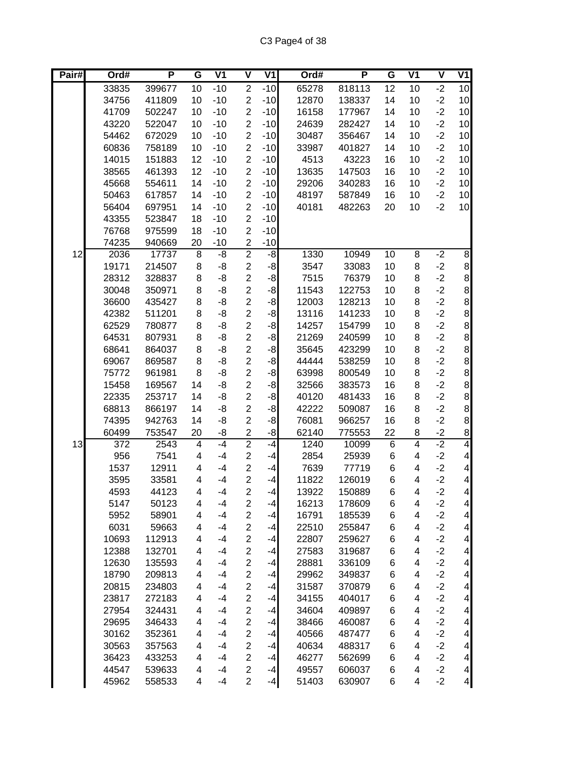| C3 Page4 of 38 |  |
|----------------|--|
|                |  |

| Pair# | Ord#  | P      | G              | V <sub>1</sub> | $\overline{\mathsf{v}}$ | V1    | Ord#  | P      | G               | V <sub>1</sub> | V    | V1                       |
|-------|-------|--------|----------------|----------------|-------------------------|-------|-------|--------|-----------------|----------------|------|--------------------------|
|       | 33835 | 399677 | 10             | $-10$          | $\overline{2}$          | $-10$ | 65278 | 818113 | 12              | 10             | $-2$ | $\overline{10}$          |
|       | 34756 | 411809 | 10             | $-10$          | $\overline{2}$          | $-10$ | 12870 | 138337 | 14              | 10             | $-2$ | 10                       |
|       | 41709 | 502247 | 10             | $-10$          | $\overline{2}$          | $-10$ | 16158 | 177967 | 14              | 10             | $-2$ | 10                       |
|       | 43220 | 522047 | 10             | $-10$          | $\overline{2}$          | $-10$ | 24639 | 282427 | 14              | 10             | $-2$ | 10                       |
|       | 54462 | 672029 | 10             | $-10$          | $\overline{2}$          | $-10$ | 30487 | 356467 | 14              | 10             | $-2$ | 10                       |
|       | 60836 | 758189 | 10             | $-10$          | $\overline{2}$          | $-10$ | 33987 | 401827 | 14              | 10             | $-2$ | 10                       |
|       | 14015 | 151883 | 12             | $-10$          | $\overline{2}$          | $-10$ | 4513  | 43223  | 16              | 10             | $-2$ | 10                       |
|       | 38565 | 461393 | 12             | $-10$          | $\overline{2}$          | $-10$ | 13635 | 147503 | 16              | 10             | $-2$ | 10                       |
|       | 45668 | 554611 | 14             | $-10$          | $\overline{2}$          | $-10$ | 29206 | 340283 | 16              | 10             | $-2$ | 10                       |
|       | 50463 | 617857 | 14             | $-10$          | $\overline{2}$          | $-10$ | 48197 | 587849 | 16              | 10             | $-2$ | 10                       |
|       | 56404 | 697951 | 14             | $-10$          | $\overline{2}$          | $-10$ | 40181 | 482263 | 20              | 10             | $-2$ | 10                       |
|       | 43355 | 523847 | 18             | $-10$          | $\overline{2}$          | $-10$ |       |        |                 |                |      |                          |
|       | 76768 | 975599 | 18             | $-10$          | $\overline{2}$          | $-10$ |       |        |                 |                |      |                          |
|       | 74235 | 940669 | 20             | $-10$          | $\overline{c}$          | $-10$ |       |        |                 |                |      |                          |
| 12    | 2036  | 17737  | $\overline{8}$ | -8             | $\overline{2}$          | -8    | 1330  | 10949  | $\overline{10}$ | $\overline{8}$ | $-2$ | $\infty$                 |
|       | 19171 | 214507 | 8              | -8             | $\overline{c}$          | $-8$  | 3547  | 33083  | 10              | 8              | $-2$ | 8                        |
|       | 28312 | 328837 | 8              | -8             | $\overline{2}$          | $-8$  | 7515  | 76379  | 10              | 8              | $-2$ | 8                        |
|       | 30048 | 350971 | 8              | -8             | $\overline{c}$          | $-8$  | 11543 | 122753 | 10              | 8              | $-2$ | 8                        |
|       | 36600 | 435427 | 8              | -8             | $\overline{2}$          | $-8$  | 12003 | 128213 | 10              | 8              | $-2$ | $\bf{8}$                 |
|       | 42382 | 511201 | 8              | -8             | $\overline{2}$          | $-8$  | 13116 | 141233 | 10              | 8              | $-2$ | $\bf{8}$                 |
|       | 62529 | 780877 | 8              | -8             | $\overline{2}$          | $-8$  | 14257 | 154799 | 10              | 8              | $-2$ | $\bf{8}$                 |
|       | 64531 | 807931 | 8              | -8             | $\overline{c}$          | $-8$  | 21269 | 240599 | 10              | 8              | $-2$ | $\bf{8}$                 |
|       | 68641 | 864037 | 8              | -8             | $\overline{2}$          | -8    | 35645 | 423299 | 10              | 8              | $-2$ | $\,8\,$                  |
|       | 69067 | 869587 | 8              | -8             | $\overline{c}$          | -8    | 44444 | 538259 | 10              | 8              | $-2$ | 8                        |
|       | 75772 | 961981 | 8              | -8             | $\overline{2}$          | -8    | 63998 | 800549 | 10              | 8              | $-2$ | 8                        |
|       | 15458 | 169567 | 14             | -8             | $\overline{2}$          | -8    | 32566 | 383573 | 16              | 8              | $-2$ | 8                        |
|       | 22335 | 253717 | 14             | -8             | $\overline{2}$          | -8    | 40120 | 481433 | 16              | 8              | $-2$ | 8                        |
|       | 68813 | 866197 | 14             | -8             | $\overline{2}$          | $-8$  | 42222 | 509087 | 16              | 8              | $-2$ | 8                        |
|       | 74395 | 942763 | 14             | -8             | $\overline{2}$          | $-8$  | 76081 | 966257 | 16              | 8              | $-2$ | 8                        |
|       | 60499 | 753547 | 20             | -8             | $\overline{c}$          | $-8$  | 62140 | 775553 | 22              | 8              | $-2$ | $\frac{8}{4}$            |
| 13    | 372   | 2543   | 4              | $-4$           | $\overline{2}$          | $-4$  | 1240  | 10099  | 6               | $\overline{4}$ | $-2$ |                          |
|       | 956   | 7541   | 4              | $-4$           | $\overline{2}$          | $-4$  | 2854  | 25939  | 6               | 4              | $-2$ | $\overline{\mathcal{A}}$ |
|       | 1537  | 12911  | 4              | $-4$           | $\overline{2}$          | $-4$  | 7639  | 77719  | 6               | 4              | $-2$ | $\overline{\mathcal{A}}$ |
|       | 3595  | 33581  | 4              | $-4$           | $\overline{c}$          | $-4$  | 11822 | 126019 | 6               | 4              | $-2$ | $\overline{4}$           |
|       | 4593  | 44123  | 4              | $-4$           | $\overline{2}$          | $-4$  | 13922 | 150889 | 6               | 4              | $-2$ | $\overline{4}$           |
|       | 5147  | 50123  | 4              | $-4$           | $\overline{\mathbf{c}}$ | $-4$  | 16213 | 178609 | 6               | 4              | $-2$ | $\vert 4 \vert$          |
|       | 5952  | 58901  | 4              | $-4$           | $\overline{2}$          | $-4$  | 16791 | 185539 | 6               | 4              | $-2$ | $\vert 4 \vert$          |
|       | 6031  | 59663  | 4              | $-4$           | $\overline{2}$          | $-4$  | 22510 | 255847 | 6               | 4              | $-2$ | $\vert 4 \vert$          |
|       | 10693 | 112913 | 4              | $-4$           | $\overline{2}$          | $-4$  | 22807 | 259627 | 6               | 4              | $-2$ | 4                        |
|       | 12388 | 132701 | 4              | $-4$           | $\overline{2}$          | $-4$  | 27583 | 319687 | 6               | 4              | $-2$ | $\overline{\mathbf{4}}$  |
|       | 12630 | 135593 | 4              | $-4$           | $\overline{2}$          | $-4$  | 28881 | 336109 | 6               | 4              | $-2$ | $\overline{\mathbf{4}}$  |
|       | 18790 | 209813 | 4              | $-4$           | $\overline{2}$          | $-4$  | 29962 | 349837 | 6               | 4              | $-2$ | $\overline{\mathbf{4}}$  |
|       | 20815 | 234803 | 4              | $-4$           | $\overline{\mathbf{c}}$ | $-4$  | 31587 | 370879 | 6               | 4              | $-2$ | $\overline{\mathbf{4}}$  |
|       | 23817 | 272183 | 4              | $-4$           | $\overline{c}$          | $-4$  | 34155 | 404017 | 6               | 4              | $-2$ | $\overline{\mathcal{A}}$ |
|       | 27954 | 324431 | 4              | $-4$           | $\overline{2}$          | $-4$  | 34604 | 409897 | 6               | 4              | $-2$ | 4                        |
|       | 29695 | 346433 | 4              | $-4$           | $\overline{2}$          | $-4$  | 38466 | 460087 | 6               | 4              | $-2$ | $\overline{\mathbf{4}}$  |
|       | 30162 | 352361 | 4              | $-4$           | $\overline{2}$          | $-4$  | 40566 | 487477 | 6               | 4              | $-2$ | 4                        |
|       | 30563 | 357563 | 4              | $-4$           | $\overline{c}$          | $-4$  | 40634 | 488317 | 6               | 4              | $-2$ | $\overline{4}$           |
|       | 36423 | 433253 | 4              | $-4$           | $\overline{c}$          | $-4$  | 46277 | 562699 | 6               | 4              | $-2$ | $\overline{4}$           |
|       | 44547 | 539633 | 4              | $-4$           | $\overline{2}$          | $-4$  | 49557 | 606037 | 6               | 4              | $-2$ | $\overline{4}$           |
|       | 45962 | 558533 | 4              | $-4$           | $\overline{2}$          | $-4$  | 51403 | 630907 | 6               | 4              | $-2$ | $\overline{4}$           |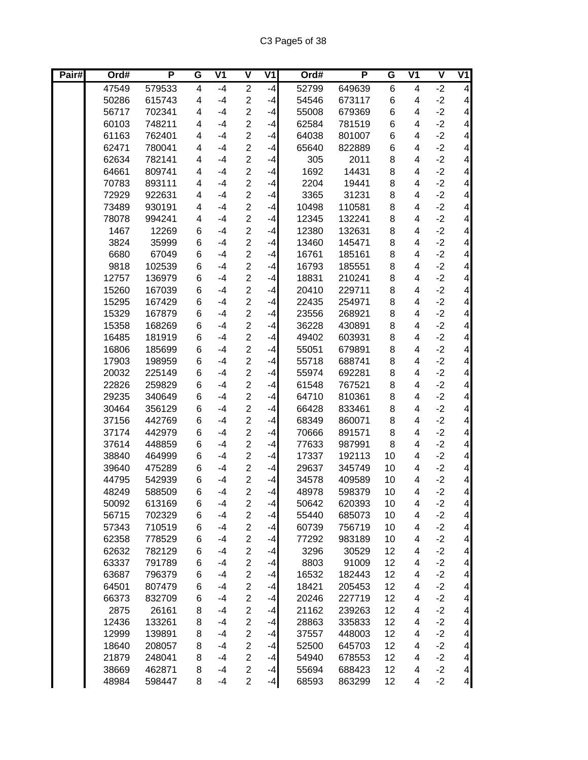C3 Page5 of 38

| Pair# | Ord#  | P      | G | V <sub>1</sub> | V                       | $\overline{\mathsf{V1}}$ | Ord#  | P      | G  | V <sub>1</sub>          | $\overline{\mathsf{V}}$ | V1                       |
|-------|-------|--------|---|----------------|-------------------------|--------------------------|-------|--------|----|-------------------------|-------------------------|--------------------------|
|       | 47549 | 579533 | 4 | $-4$           | $\overline{2}$          | -4                       | 52799 | 649639 | 6  | 4                       | $-2$                    | $\overline{4}$           |
|       | 50286 | 615743 | 4 | $-4$           | $\overline{2}$          | $-4$                     | 54546 | 673117 | 6  | 4                       | $-2$                    | $\vert 4 \vert$          |
|       | 56717 | 702341 | 4 | $-4$           | $\overline{2}$          | $-4$                     | 55008 | 679369 | 6  | 4                       | $-2$                    | $\overline{\mathcal{A}}$ |
|       | 60103 | 748211 | 4 | $-4$           | $\overline{2}$          | $-4$                     | 62584 | 781519 | 6  | $\overline{\mathbf{4}}$ | $-2$                    | $\overline{\mathcal{A}}$ |
|       | 61163 | 762401 | 4 | $-4$           | $\overline{2}$          | $-4$                     | 64038 | 801007 | 6  | 4                       | $-2$                    | $\overline{\mathcal{A}}$ |
|       | 62471 | 780041 | 4 | $-4$           | $\overline{2}$          | $-4$                     | 65640 | 822889 | 6  | 4                       | $-2$                    | $\overline{\mathcal{A}}$ |
|       | 62634 | 782141 | 4 | $-4$           | $\overline{2}$          | $-4$                     | 305   | 2011   | 8  | 4                       | $-2$                    | $\overline{\mathbf{4}}$  |
|       | 64661 | 809741 | 4 | $-4$           | $\overline{2}$          | $-4$                     | 1692  | 14431  | 8  | 4                       | $-2$                    | $\overline{\mathcal{A}}$ |
|       | 70783 | 893111 | 4 | $-4$           | $\overline{2}$          | $-4$                     | 2204  | 19441  | 8  | 4                       | $-2$                    | $\overline{\mathcal{A}}$ |
|       | 72929 | 922631 | 4 | $-4$           | $\overline{2}$          | $-4$                     | 3365  | 31231  | 8  | 4                       | $-2$                    | $\overline{\mathcal{A}}$ |
|       | 73489 | 930191 | 4 | -4             | $\overline{c}$          | $-4$                     | 10498 | 110581 | 8  | 4                       | $-2$                    | 4                        |
|       | 78078 | 994241 | 4 | $-4$           | $\overline{2}$          | $-4$                     | 12345 | 132241 | 8  | 4                       | $-2$                    | $\overline{\mathbf{4}}$  |
|       | 1467  | 12269  | 6 | $-4$           | $\overline{2}$          | $-4$                     | 12380 | 132631 | 8  | 4                       | $-2$                    | $\overline{\mathbf{4}}$  |
|       | 3824  | 35999  | 6 | $-4$           | $\overline{2}$          | $-4$                     | 13460 | 145471 | 8  | $\overline{4}$          | $-2$                    | $\overline{\mathbf{4}}$  |
|       | 6680  | 67049  | 6 | $-4$           | $\overline{2}$          | $-4$                     | 16761 | 185161 | 8  | 4                       | $-2$                    | $\overline{\mathcal{A}}$ |
|       | 9818  | 102539 | 6 | $-4$           | $\overline{2}$          | $-4$                     | 16793 | 185551 | 8  | 4                       | $-2$                    | $\overline{\mathbf{4}}$  |
|       | 12757 | 136979 | 6 | $-4$           | $\overline{2}$          | $-4$                     | 18831 | 210241 | 8  | 4                       | $-2$                    | $\overline{\mathbf{4}}$  |
|       | 15260 | 167039 | 6 | $-4$           | $\overline{2}$          | $-4$                     | 20410 | 229711 | 8  | 4                       | $-2$                    | $\overline{\mathcal{A}}$ |
|       | 15295 | 167429 | 6 | $-4$           | $\overline{2}$          | $-4$                     | 22435 | 254971 | 8  | 4                       | $-2$                    | 4                        |
|       | 15329 | 167879 | 6 | $-4$           | $\overline{2}$          | $-4$                     | 23556 | 268921 | 8  | 4                       | $-2$                    | 4                        |
|       | 15358 | 168269 | 6 | $-4$           | $\overline{2}$          | $-4$                     | 36228 | 430891 | 8  | $\overline{4}$          | $-2$                    | 4                        |
|       | 16485 | 181919 | 6 | $-4$           | $\overline{2}$          | $-4$                     | 49402 | 603931 | 8  | $\overline{4}$          | $-2$                    | 4                        |
|       | 16806 | 185699 | 6 | $-4$           | $\overline{2}$          | $-4$                     | 55051 | 679891 | 8  | $\overline{4}$          | $-2$                    | $\overline{\mathcal{A}}$ |
|       | 17903 | 198959 | 6 | $-4$           | $\overline{2}$          | $-4$                     | 55718 | 688741 | 8  | 4                       | $-2$                    | $\overline{\mathcal{A}}$ |
|       | 20032 | 225149 | 6 | $-4$           | $\overline{2}$          | $-4$                     | 55974 | 692281 | 8  | 4                       | $-2$                    | $\overline{\mathcal{A}}$ |
|       | 22826 | 259829 | 6 | $-4$           | $\overline{2}$          | $-4$                     | 61548 | 767521 | 8  | 4                       | $-2$                    | 4                        |
|       | 29235 | 340649 | 6 | $-4$           | $\overline{c}$          | $-4$                     | 64710 | 810361 | 8  | 4                       | $-2$                    | 4                        |
|       | 30464 | 356129 | 6 | $-4$           | $\overline{c}$          | $-4$                     | 66428 | 833461 | 8  | 4                       | $-2$                    | 4                        |
|       | 37156 | 442769 | 6 | $-4$           | $\overline{2}$          | $-4$                     | 68349 | 860071 | 8  | 4                       | $-2$                    | 4                        |
|       | 37174 | 442979 | 6 | $-4$           | $\overline{2}$          | $-4$                     | 70666 | 891571 | 8  | 4                       | $-2$                    | 4                        |
|       | 37614 | 448859 | 6 | $-4$           | $\overline{2}$          | $-4$                     | 77633 | 987991 | 8  | 4                       | $-2$                    | $\overline{\mathcal{A}}$ |
|       | 38840 | 464999 | 6 | $-4$           | $\overline{2}$          | $-4$                     | 17337 | 192113 | 10 | 4                       | $-2$                    | $\overline{\mathbf{4}}$  |
|       | 39640 | 475289 | 6 | $-4$           | $\overline{2}$          | $-4$                     | 29637 | 345749 | 10 | 4                       | $-2$                    | $\overline{\mathbf{4}}$  |
|       | 44795 | 542939 | 6 | -4             | $\overline{2}$          | $-4$                     | 34578 | 409589 | 10 | 4                       | $-2$                    | $\vert 4 \vert$          |
|       | 48249 | 588509 | 6 | -4             | $\overline{2}$          | $-4$                     | 48978 | 598379 | 10 | $\overline{4}$          | $-2$                    | $\overline{4}$           |
|       | 50092 | 613169 | 6 | $-4$           | $\overline{\mathbf{c}}$ | $-4$                     | 50642 | 620393 | 10 | 4                       | $-2$                    | $\vert 4 \vert$          |
|       | 56715 | 702329 | 6 | $-4$           | $\overline{c}$          | $-4$                     | 55440 | 685073 | 10 | $\overline{\mathbf{4}}$ | $-2$                    | $\vert 4 \vert$          |
|       | 57343 | 710519 | 6 | $-4$           | $\overline{\mathbf{c}}$ | $-4$                     | 60739 | 756719 | 10 | $\overline{\mathbf{4}}$ | $-2$                    | $\overline{\mathbf{4}}$  |
|       | 62358 | 778529 | 6 | $-4$           | $\overline{2}$          | $-4$                     | 77292 | 983189 | 10 | $\overline{\mathbf{4}}$ | $-2$                    | $\overline{\mathbf{4}}$  |
|       | 62632 | 782129 | 6 | $-4$           | $\overline{2}$          | $-4$                     | 3296  | 30529  | 12 | 4                       | $-2$                    | $\overline{\mathbf{4}}$  |
|       | 63337 | 791789 | 6 | $-4$           | $\overline{\mathbf{c}}$ | $-4$                     | 8803  | 91009  | 12 | 4                       | $-2$                    | 4                        |
|       | 63687 | 796379 | 6 | $-4$           | $\overline{2}$          | $-4$                     | 16532 | 182443 | 12 | $\overline{\mathbf{4}}$ | $-2$                    | 4                        |
|       | 64501 | 807479 | 6 | $-4$           | $\overline{\mathbf{c}}$ | $-4$                     | 18421 | 205453 | 12 | $\overline{\mathbf{4}}$ | $-2$                    | $\overline{\mathcal{A}}$ |
|       | 66373 | 832709 | 6 | $-4$           | $\overline{\mathbf{c}}$ | $-4$                     | 20246 | 227719 | 12 | 4                       | $-2$                    | $\overline{\mathcal{A}}$ |
|       | 2875  | 26161  | 8 | $-4$           | $\overline{c}$          | $-4$                     | 21162 | 239263 | 12 | 4                       | $-2$                    | 4                        |
|       | 12436 | 133261 | 8 | $-4$           | $\overline{2}$          | $-4$                     | 28863 | 335833 | 12 | 4                       | $-2$                    | 4                        |
|       | 12999 | 139891 | 8 | $-4$           | $\overline{\mathbf{c}}$ | $-4$                     | 37557 | 448003 | 12 | 4                       | $-2$                    | $\overline{\mathbf{4}}$  |
|       | 18640 | 208057 | 8 | $-4$           | $\overline{c}$          | $-4$                     | 52500 | 645703 | 12 | 4                       | $-2$                    | $\overline{\mathbf{4}}$  |
|       | 21879 | 248041 | 8 | $-4$           | $\overline{\mathbf{c}}$ | $-4$                     | 54940 | 678553 | 12 | 4                       | $-2$                    | $\vert 4 \vert$          |
|       | 38669 | 462871 | 8 | $-4$           | $\overline{c}$          | $-4$                     | 55694 | 688423 | 12 | 4                       | $-2$                    | $\overline{4}$           |
|       | 48984 | 598447 | 8 | $-4$           | $\overline{c}$          | $-4$                     | 68593 | 863299 | 12 | 4                       | $-2$                    | $\overline{4}$           |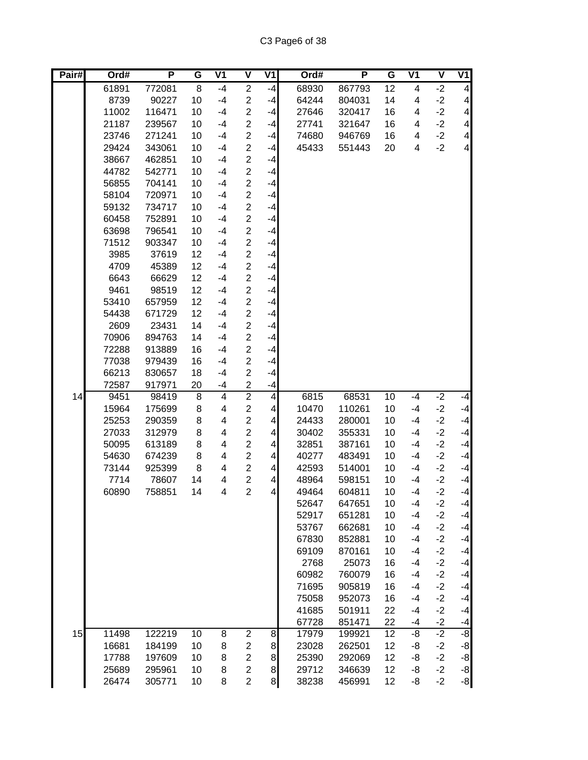C3 Page6 of 38

| Pair# | Ord#  | P      | G  | $\overline{V}$ | $\overline{\mathsf{V}}$ | V <sub>1</sub>           | Ord#  | P      | G               | $\overline{\mathsf{V1}}$ | $\overline{\mathsf{V}}$ | V1                      |
|-------|-------|--------|----|----------------|-------------------------|--------------------------|-------|--------|-----------------|--------------------------|-------------------------|-------------------------|
|       | 61891 | 772081 | 8  | $-4$           | $\overline{2}$          | $-4$                     | 68930 | 867793 | 12              | $\overline{\mathbf{4}}$  | $-2$                    | $\overline{\mathbf{4}}$ |
|       | 8739  | 90227  | 10 | $-4$           | $\overline{c}$          | $-4$                     | 64244 | 804031 | 14              | 4                        | $-2$                    | $\overline{\mathbf{4}}$ |
|       | 11002 | 116471 | 10 | $-4$           | $\overline{c}$          | $-4$                     | 27646 | 320417 | 16              | 4                        | $-2$                    | $\overline{\mathbf{4}}$ |
|       | 21187 | 239567 | 10 | $-4$           | $\overline{c}$          | $-4$                     | 27741 | 321647 | 16              | 4                        | $-2$                    | $\overline{\mathbf{4}}$ |
|       | 23746 | 271241 | 10 | $-4$           | $\overline{c}$          | $-4$                     | 74680 | 946769 | 16              | 4                        | $-2$                    | $\overline{\mathbf{4}}$ |
|       | 29424 | 343061 | 10 | $-4$           | $\overline{\mathbf{c}}$ | $-4$                     | 45433 | 551443 | 20              | 4                        | $-2$                    | $\overline{\mathbf{4}}$ |
|       | 38667 | 462851 | 10 | $-4$           | $\overline{\mathbf{c}}$ | $-4$                     |       |        |                 |                          |                         |                         |
|       | 44782 | 542771 | 10 | $-4$           | $\overline{\mathbf{c}}$ | $-4$                     |       |        |                 |                          |                         |                         |
|       | 56855 | 704141 | 10 | $-4$           | $\overline{2}$          | $-4$                     |       |        |                 |                          |                         |                         |
|       | 58104 | 720971 | 10 | $-4$           | $\overline{c}$          | $-4$                     |       |        |                 |                          |                         |                         |
|       | 59132 | 734717 | 10 | $-4$           | $\overline{c}$          | $-4$                     |       |        |                 |                          |                         |                         |
|       | 60458 | 752891 | 10 | $-4$           | $\overline{c}$          | $-4$                     |       |        |                 |                          |                         |                         |
|       | 63698 | 796541 | 10 | $-4$           | $\overline{c}$          | $-4$                     |       |        |                 |                          |                         |                         |
|       | 71512 | 903347 | 10 | $-4$           | $\overline{c}$          | $-4$                     |       |        |                 |                          |                         |                         |
|       | 3985  | 37619  | 12 | $-4$           | $\overline{c}$          | $-4$                     |       |        |                 |                          |                         |                         |
|       | 4709  | 45389  | 12 | $-4$           | $\overline{c}$          | $-4$                     |       |        |                 |                          |                         |                         |
|       | 6643  | 66629  | 12 | $-4$           | $\overline{c}$          | $-4$                     |       |        |                 |                          |                         |                         |
|       | 9461  | 98519  | 12 | $-4$           | $\overline{c}$          | $-4$                     |       |        |                 |                          |                         |                         |
|       | 53410 | 657959 | 12 | $-4$           | $\overline{c}$          | $-4$                     |       |        |                 |                          |                         |                         |
|       | 54438 | 671729 | 12 | $-4$           | $\overline{c}$          | $-4$                     |       |        |                 |                          |                         |                         |
|       | 2609  | 23431  | 14 | $-4$           | $\overline{c}$          | $-4$                     |       |        |                 |                          |                         |                         |
|       | 70906 | 894763 | 14 | $-4$           | $\overline{2}$          | $-4$                     |       |        |                 |                          |                         |                         |
|       | 72288 | 913889 | 16 | $-4$           | $\overline{\mathbf{c}}$ | $-4$                     |       |        |                 |                          |                         |                         |
|       | 77038 | 979439 | 16 | $-4$           | $\overline{\mathbf{c}}$ | $-4$                     |       |        |                 |                          |                         |                         |
|       | 66213 | 830657 | 18 | $-4$           | $\overline{2}$          | $-4$                     |       |        |                 |                          |                         |                         |
|       | 72587 | 917971 | 20 | $-4$           | $\overline{\mathbf{c}}$ | -4                       |       |        |                 |                          |                         |                         |
| 14    | 9451  | 98419  | 8  | 4              | $\overline{2}$          | $\overline{\mathcal{A}}$ | 6815  | 68531  | 10              | $-4$                     | $-2$                    | $-4$                    |
|       | 15964 | 175699 | 8  | 4              | $\overline{c}$          | $\vert 4 \vert$          | 10470 | 110261 | 10              | $-4$                     | $-2$                    | $-4$                    |
|       | 25253 | 290359 | 8  | 4              | $\overline{c}$          | $\vert 4 \vert$          | 24433 | 280001 | 10              | -4                       | $-2$                    | $-4$                    |
|       | 27033 | 312979 | 8  | 4              | $\overline{c}$          | $\overline{\mathbf{4}}$  | 30402 | 355331 | 10              | $-4$                     | $-2$                    | $-4$                    |
|       | 50095 | 613189 | 8  | 4              | $\overline{c}$          | 4                        | 32851 | 387161 | 10              | -4                       | $-2$                    | $-4$                    |
|       | 54630 | 674239 | 8  | 4              | $\overline{c}$          | 4                        | 40277 | 483491 | 10              | -4                       | $-2$                    | $-4$                    |
|       | 73144 | 925399 | 8  | 4              | $\overline{2}$          | 4                        | 42593 | 514001 | 10              | -4                       | $-2$                    | $-4$                    |
|       | 7714  | 78607  | 14 | 4              | $\overline{2}$          | 4                        | 48964 | 598151 | 10              | -4                       | $-2$                    | $-4$                    |
|       | 60890 | 758851 | 14 | 4              | $\overline{2}$          | $\overline{4}$           | 49464 | 604811 | 10              | $-4$                     | $-2$                    | $-4$                    |
|       |       |        |    |                |                         |                          | 52647 | 647651 | 10              | -4                       | $-2$                    | -4                      |
|       |       |        |    |                |                         |                          | 52917 | 651281 | 10              | -4                       | $-2$                    | $-4$                    |
|       |       |        |    |                |                         |                          | 53767 | 662681 | 10              | -4                       | $-2$                    | $-4$                    |
|       |       |        |    |                |                         |                          | 67830 | 852881 | 10              | $-4$                     | $-2$                    | $-4$                    |
|       |       |        |    |                |                         |                          | 69109 | 870161 | 10              | $-4$                     | $-2$                    | $-4$                    |
|       |       |        |    |                |                         |                          | 2768  | 25073  | 16              | $-4$                     | $-2$                    | $-4$                    |
|       |       |        |    |                |                         |                          | 60982 | 760079 | 16              | -4                       | $-2$                    | $-4$                    |
|       |       |        |    |                |                         |                          | 71695 | 905819 | 16              | $-4$                     | $-2$                    | $-4$                    |
|       |       |        |    |                |                         |                          | 75058 | 952073 | 16              | -4                       | $-2$                    | $-4$                    |
|       |       |        |    |                |                         |                          | 41685 | 501911 | 22              | $-4$                     | $-2$                    | $-4$                    |
|       |       |        |    |                |                         |                          | 67728 | 851471 | 22              | -4                       | $-2$                    | -4                      |
| 15    | 11498 | 122219 | 10 | 8              | $\overline{2}$          | 8                        | 17979 | 199921 | $\overline{12}$ | -8                       | $-2$                    | $-8$                    |
|       | 16681 | 184199 | 10 | 8              | $\overline{c}$          | 8                        | 23028 | 262501 | 12              | -8                       | $-2$                    | $-8$                    |
|       | 17788 | 197609 | 10 | 8              | $\overline{2}$          | 8                        | 25390 | 292069 | 12              | -8                       | $-2$                    | $-8$                    |
|       | 25689 | 295961 | 10 | 8              | $\overline{2}$          | 8                        | 29712 | 346639 | 12              | -8                       | $-2$                    | $-8$                    |
|       | 26474 | 305771 | 10 | 8              | $\overline{2}$          | $\bf{8}$                 | 38238 | 456991 | 12              | -8                       | $-2$                    | $-8$                    |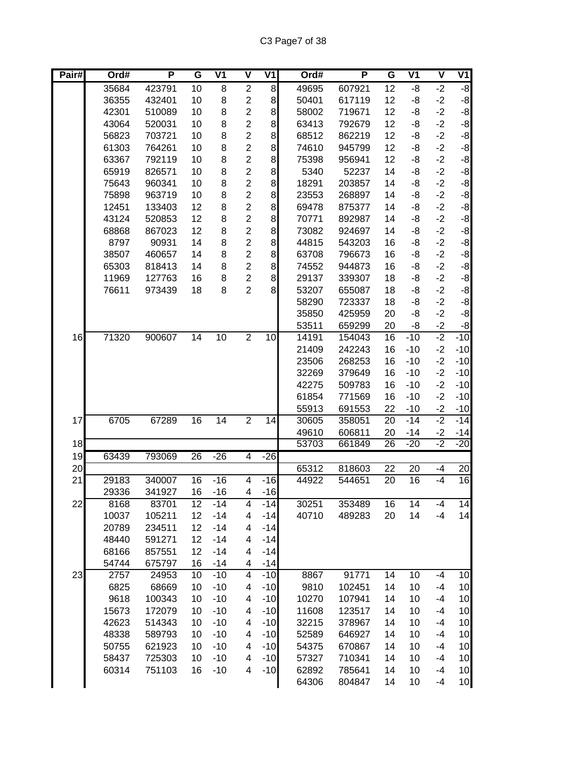C3 Page7 of 38

| Pair# | Ord#  | P      | G  | V <sub>1</sub>  | V                       | $\overline{\mathsf{V1}}$ | Ord#           | P                | G               | V <sub>1</sub>  | $\overline{\mathtt{v}}$ | V1              |
|-------|-------|--------|----|-----------------|-------------------------|--------------------------|----------------|------------------|-----------------|-----------------|-------------------------|-----------------|
|       | 35684 | 423791 | 10 | 8               | $\overline{2}$          | $\bf{8}$                 | 49695          | 607921           | 12              | -8              | $-2$                    | $-8$            |
|       | 36355 | 432401 | 10 | 8               | $\overline{2}$          | 8                        | 50401          | 617119           | 12              | -8              | $-2$                    | $-8$            |
|       | 42301 | 510089 | 10 | 8               | $\overline{2}$          | 8                        | 58002          | 719671           | 12              | -8              | $-2$                    | $-8$            |
|       | 43064 | 520031 | 10 | 8               | $\overline{c}$          | 8                        | 63413          | 792679           | 12              | -8              | $-2$                    | $-8$            |
|       | 56823 | 703721 | 10 | 8               | $\overline{2}$          | 8                        | 68512          | 862219           | 12              | -8              | $-2$                    | $-8$            |
|       | 61303 | 764261 | 10 | 8               | $\overline{c}$          | 8                        | 74610          | 945799           | 12              | -8              | $-2$                    | $-8$            |
|       | 63367 | 792119 | 10 | 8               | $\overline{2}$          | 8                        | 75398          | 956941           | 12              | -8              | $-2$                    | $-8$            |
|       | 65919 | 826571 | 10 | 8               | $\overline{2}$          | 8                        | 5340           | 52237            | 14              | -8              | $-2$                    | $-8$            |
|       | 75643 | 960341 | 10 | 8               | $\overline{2}$          | 8                        | 18291          | 203857           | 14              | -8              | $-2$                    | $-8$            |
|       | 75898 | 963719 | 10 | 8               | $\overline{2}$          | 8                        | 23553          | 268897           | 14              | -8              | $-2$                    | $-8$            |
|       | 12451 | 133403 | 12 | 8               | $\overline{2}$          | 8                        | 69478          | 875377           | 14              | -8              | $-2$                    | $-8$            |
|       | 43124 | 520853 | 12 | 8               | $\overline{2}$          | 8                        | 70771          | 892987           | 14              | -8              | $-2$                    | $-8$            |
|       | 68868 | 867023 | 12 | 8               | $\overline{c}$          | 8                        | 73082          | 924697           | 14              | -8              | $-2$                    | $-8$            |
|       | 8797  | 90931  | 14 | 8               | $\overline{2}$          | 8                        | 44815          | 543203           | 16              | -8              | $-2$                    | $-8$            |
|       | 38507 | 460657 | 14 | 8               | $\overline{2}$          | 8                        | 63708          | 796673           | 16              | -8              | $-2$                    | $-8$            |
|       | 65303 | 818413 | 14 | 8               | $\overline{2}$          | 8                        | 74552          | 944873           | 16              | -8              | $-2$                    | $-8$            |
|       | 11969 | 127763 | 16 | 8               | $\overline{2}$          | 8                        | 29137          | 339307           | 18              | -8              | $-2$                    | $-8$            |
|       | 76611 | 973439 | 18 | 8               | $\overline{2}$          | 8                        | 53207          | 655087           | 18              | -8              | $-2$                    | $-8$            |
|       |       |        |    |                 |                         |                          | 58290          | 723337           | 18              | -8              | $-2$                    | $-8$            |
|       |       |        |    |                 |                         |                          | 35850          | 425959           | 20              | -8              | $-2$                    | $-8$            |
|       |       |        |    |                 |                         |                          | 53511          | 659299           | 20              | -8              | $-2$                    | $-8$            |
| 16    | 71320 | 900607 | 14 | $\overline{10}$ | $\overline{2}$          | 10                       | 14191          | 154043           | 16              | $-10$           | $-2$                    | $-10$           |
|       |       |        |    |                 |                         |                          | 21409          | 242243           | 16              | $-10$           | $-2$                    | $-10$           |
|       |       |        |    |                 |                         |                          | 23506          | 268253           | 16              | $-10$           | $-2$                    | $-10$           |
|       |       |        |    |                 |                         |                          | 32269          | 379649           | 16              | $-10$           | $-2$                    | $-10$           |
|       |       |        |    |                 |                         |                          | 42275          | 509783           | 16              | $-10$           | $-2$                    | $-10$           |
|       |       |        |    |                 |                         |                          | 61854          | 771569           | 16              | $-10$           | $-2$                    | $-10$           |
|       |       |        |    |                 |                         |                          | 55913          | 691553           | 22              | $-10$           | $-2$                    | $-10$           |
| 17    | 6705  | 67289  | 16 | 14              | $\overline{2}$          | 14                       | 30605          | 358051           | 20              | $-14$           | $-2$                    | $-14$           |
|       |       |        |    |                 |                         |                          | 49610          | 606811           | 20              | $-14$           | $-2$                    | $-14$           |
| 18    |       |        |    |                 |                         |                          | 53703          | 661849           | $\overline{26}$ | $-20$           | $-2$                    | $-20$           |
| 19    | 63439 | 793069 | 26 | $-26$           | 4                       | $-26$                    |                |                  |                 |                 |                         |                 |
| 20    |       |        |    |                 |                         |                          | 65312          | 818603           | 22              | 20              | -4                      | $\overline{20}$ |
| 21    | 29183 | 340007 | 16 | $-16$           | 4                       | $-16$                    | 44922          | 544651           | 20              | $\overline{16}$ | $-4$                    | $\overline{16}$ |
|       | 29336 | 341927 | 16 | $-16$           | $\overline{\mathbf{4}}$ | $-16$                    |                |                  |                 |                 |                         |                 |
| 22    | 8168  | 83701  | 12 | $-14$           | 4                       | $-14$                    | 30251          | 353489           | 16              | 14              | $-4$                    | 14              |
|       | 10037 | 105211 | 12 | $-14$           | 4                       | $-14$                    | 40710          | 489283           | 20              | 14              | $-4$                    | 14              |
|       | 20789 | 234511 | 12 | $-14$           | 4                       | $-14$                    |                |                  |                 |                 |                         |                 |
|       | 48440 | 591271 | 12 | $-14$           | 4                       | $-14$                    |                |                  |                 |                 |                         |                 |
|       | 68166 | 857551 | 12 | $-14$           | 4                       | $-14$                    |                |                  |                 |                 |                         |                 |
|       | 54744 | 675797 | 16 | $-14$           | 4                       | $-14$                    |                |                  |                 |                 |                         |                 |
| 23    | 2757  | 24953  | 10 | $-10$           | 4                       | $-10$                    | 8867           | 91771            | 14              | 10              | $-4$                    | 10              |
|       | 6825  | 68669  | 10 | $-10$           | 4                       | $-10$                    | 9810           | 102451           | 14              | 10              | $-4$                    | 10              |
|       | 9618  | 100343 | 10 | $-10$           | 4                       | $-10$                    | 10270          | 107941           | 14              | 10              | $-4$                    | 10              |
|       | 15673 | 172079 | 10 | $-10$           | 4                       | $-10$                    | 11608          | 123517           | 14              | 10              | $-4$                    | 10              |
|       | 42623 | 514343 | 10 | $-10$           | 4                       | $-10$                    | 32215          | 378967           | 14              | 10              | $-4$                    | 10              |
|       | 48338 | 589793 | 10 | $-10$           | 4                       | $-10$                    | 52589          | 646927           | 14              | 10              | $-4$                    | 10              |
|       | 50755 | 621923 | 10 | $-10$           | 4                       | $-10$                    | 54375          | 670867           | 14              | 10              | $-4$                    | 10              |
|       |       |        |    |                 |                         |                          |                |                  |                 |                 |                         |                 |
|       | 58437 | 725303 | 10 | $-10$           | 4                       | $-10$                    | 57327          | 710341           | 14              | 10              | $-4$                    | 10              |
|       | 60314 | 751103 | 16 | $-10$           | 4                       | $-10$                    | 62892<br>64306 | 785641<br>804847 | 14<br>14        | 10<br>10        | $-4$                    | 10<br>10        |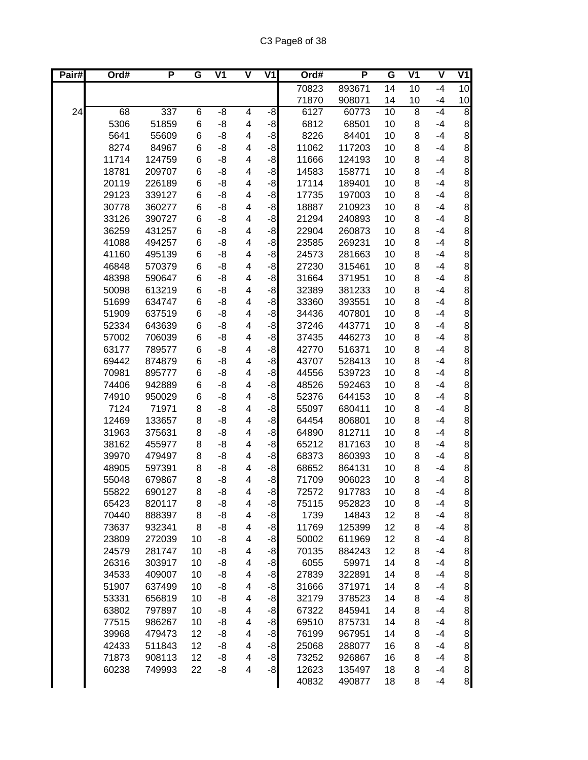| Pair# | Ord#  | Ρ      | G     | V <sub>1</sub> | V                       | $\overline{\mathsf{V1}}$ | Ord#  | P      | G  | V <sub>1</sub> | $\overline{\mathsf{v}}$ | V1             |
|-------|-------|--------|-------|----------------|-------------------------|--------------------------|-------|--------|----|----------------|-------------------------|----------------|
|       |       |        |       |                |                         |                          | 70823 | 893671 | 14 | 10             | $-4$                    | 10             |
|       |       |        |       |                |                         |                          | 71870 | 908071 | 14 | 10             | -4                      | 10             |
| 24    | 68    | 337    | 6     | -8             | $\overline{\mathbf{4}}$ | $-8$                     | 6127  | 60773  | 10 | 8              | $-4$                    | $\overline{8}$ |
|       | 5306  | 51859  | 6     | -8             | 4                       | $-8$                     | 6812  | 68501  | 10 | 8              | $-4$                    | 8              |
|       | 5641  | 55609  | 6     | -8             | 4                       | $-8$                     | 8226  | 84401  | 10 | 8              | $-4$                    | 8              |
|       | 8274  | 84967  | 6     | -8             | 4                       | $-8$                     | 11062 | 117203 | 10 | 8              | $-4$                    | $\bf{8}$       |
|       | 11714 | 124759 | 6     | -8             | 4                       | $-8$                     | 11666 | 124193 | 10 | 8              | $-4$                    | $\bf{8}$       |
|       | 18781 | 209707 | 6     | -8             | 4                       | -8                       | 14583 | 158771 | 10 | 8              | $-4$                    | $\bf{8}$       |
|       | 20119 | 226189 | 6     | -8             | 4                       | $-8$                     | 17114 | 189401 | 10 | 8              | $-4$                    | 8              |
|       | 29123 | 339127 | 6     | -8             | 4                       | $-8$                     | 17735 | 197003 | 10 | 8              | $-4$                    | 8              |
|       | 30778 | 360277 | 6     | -8             | 4                       | -8                       | 18887 | 210923 | 10 | 8              | $-4$                    | 8              |
|       | 33126 | 390727 | 6     | -8             | 4                       | $-8$                     | 21294 | 240893 | 10 | 8              | $-4$                    | 8              |
|       | 36259 | 431257 | 6     | -8             | 4                       | $-8$                     | 22904 | 260873 | 10 | 8              | $-4$                    | 8              |
|       | 41088 | 494257 | 6     | -8             | 4                       | -8                       | 23585 | 269231 | 10 | 8              | -4                      | 8              |
|       | 41160 | 495139 | 6     | -8             | 4                       | $-8$                     | 24573 | 281663 | 10 | 8              | -4                      | 8              |
|       | 46848 | 570379 | 6     | -8             | 4                       | $-8$                     | 27230 | 315461 | 10 | 8              | $-4$                    | 8              |
|       | 48398 | 590647 | 6     | -8             | 4                       | $-8$                     | 31664 | 371951 | 10 | 8              | $-4$                    | 8              |
|       | 50098 | 613219 | 6     | -8             | 4                       | $-8$                     | 32389 | 381233 | 10 | 8              | $-4$                    | 8              |
|       | 51699 | 634747 | 6     | -8             | 4                       | $-8$                     | 33360 | 393551 | 10 | 8              | -4                      | 8              |
|       | 51909 | 637519 | 6     | -8             | 4                       | $-8$                     | 34436 | 407801 | 10 | 8              | -4                      | 8              |
|       | 52334 | 643639 | $\,6$ | -8             | 4                       | $-8$                     | 37246 | 443771 | 10 | 8              | $-4$                    | 8              |
|       | 57002 | 706039 | 6     | -8             | 4                       | $-8$                     | 37435 | 446273 | 10 | 8              | $-4$                    | 8              |
|       | 63177 | 789577 | 6     | -8             | 4                       | $-8$                     | 42770 | 516371 | 10 | 8              | $-4$                    | $\bf{8}$       |
|       | 69442 | 874879 | 6     | -8             | 4                       | $-8$                     | 43707 | 528413 | 10 | 8              | $-4$                    | $\bf{8}$       |
|       | 70981 | 895777 | 6     | -8             | 4                       | $-8$                     | 44556 | 539723 | 10 | 8              | $-4$                    | $\bf{8}$       |
|       | 74406 | 942889 | 6     | -8             | 4                       | $-8$                     | 48526 | 592463 | 10 | 8              | $-4$                    | $\bf{8}$       |
|       | 74910 | 950029 | 6     | -8             | 4                       | $-8$                     | 52376 | 644153 | 10 | 8              | $-4$                    | 8              |
|       | 7124  | 71971  | 8     | -8             | 4                       | $-8$                     | 55097 | 680411 | 10 | 8              | $-4$                    | 8              |
|       | 12469 | 133657 | 8     | -8             | 4                       | $-8$                     | 64454 | 806801 | 10 | 8              | $-4$                    | 8              |
|       | 31963 | 375631 | 8     | -8             | 4                       | $-8$                     | 64890 | 812711 | 10 | 8              | $-4$                    | 8              |
|       | 38162 | 455977 | 8     | -8             | 4                       | $-8$                     | 65212 | 817163 | 10 | 8              | -4                      | 8              |
|       | 39970 | 479497 | 8     | -8             | 4                       | $-8$                     | 68373 | 860393 | 10 | 8              | $-4$                    | 8              |
|       | 48905 | 597391 | 8     | -8             | 4                       | $-8$                     | 68652 | 864131 | 10 | 8              | $-4$                    | 8              |
|       | 55048 | 679867 | 8     | -8             | 4                       | $-8$                     | 71709 | 906023 | 10 | 8              | -4                      | $\bf{8}$       |
|       | 55822 | 690127 | 8     | -8             | 4                       | $-8$                     | 72572 | 917783 | 10 | 8              | $-4$                    | $\bf{8}$       |
|       | 65423 | 820117 | 8     | -8             | 4                       | $-8$                     | 75115 | 952823 | 10 | 8              | -4                      | 8 <sup>0</sup> |
|       | 70440 | 888397 | 8     | -8             | 4                       | $-8$                     | 1739  | 14843  | 12 | 8              | $-4$                    | $\bf{8}$       |
|       | 73637 | 932341 | 8     | -8             | 4                       | $-8$                     | 11769 | 125399 | 12 | 8              | $-4$                    | $\bf{8}$       |
|       | 23809 | 272039 | 10    | -8             | $\overline{\mathbf{4}}$ | $-8$                     | 50002 | 611969 | 12 | 8              | $-4$                    | $\bf{8}$       |
|       | 24579 | 281747 | 10    | -8             | $\overline{\mathbf{4}}$ | $-8$                     | 70135 | 884243 | 12 | 8              | $-4$                    | $\bf{8}$       |
|       | 26316 | 303917 | 10    | $-8$           | $\overline{\mathbf{4}}$ | $-8$                     | 6055  | 59971  | 14 | 8              | $-4$                    | $\bf{8}$       |
|       | 34533 | 409007 | 10    | -8             | $\overline{\mathbf{4}}$ | $-8$                     | 27839 | 322891 | 14 | 8              | $-4$                    | $\bf{8}$       |
|       | 51907 | 637499 | 10    | -8             | $\overline{\mathbf{4}}$ | $-8$                     | 31666 | 371971 | 14 | 8              | $-4$                    | $\bf{8}$       |
|       | 53331 | 656819 | 10    | -8             | $\overline{\mathbf{4}}$ | $-8$                     | 32179 | 378523 | 14 | 8              | $-4$                    | 8              |
|       | 63802 | 797897 | 10    | -8             | $\overline{\mathbf{4}}$ | $-8$                     | 67322 | 845941 | 14 | 8              | $-4$                    | 8              |
|       | 77515 | 986267 | 10    | -8             | $\overline{\mathbf{4}}$ | $-8$                     | 69510 | 875731 | 14 | 8              | $-4$                    | 8              |
|       | 39968 | 479473 | 12    | -8             | 4                       | $-8$                     | 76199 | 967951 | 14 | 8              | $-4$                    | 8              |
|       | 42433 | 511843 | 12    | -8             | 4                       | $-8$                     | 25068 | 288077 | 16 | 8              | $-4$                    | 8              |
|       | 71873 | 908113 | 12    | -8             | 4                       | $-8$                     | 73252 | 926867 | 16 | 8              | $-4$                    | $\bf 8$        |
|       | 60238 | 749993 | 22    | -8             | 4                       | $-8$                     | 12623 | 135497 | 18 | 8              | $-4$                    | $\bf{8}$       |
|       |       |        |       |                |                         |                          | 40832 | 490877 | 18 | 8              | $-4$                    | $\bf{8}$       |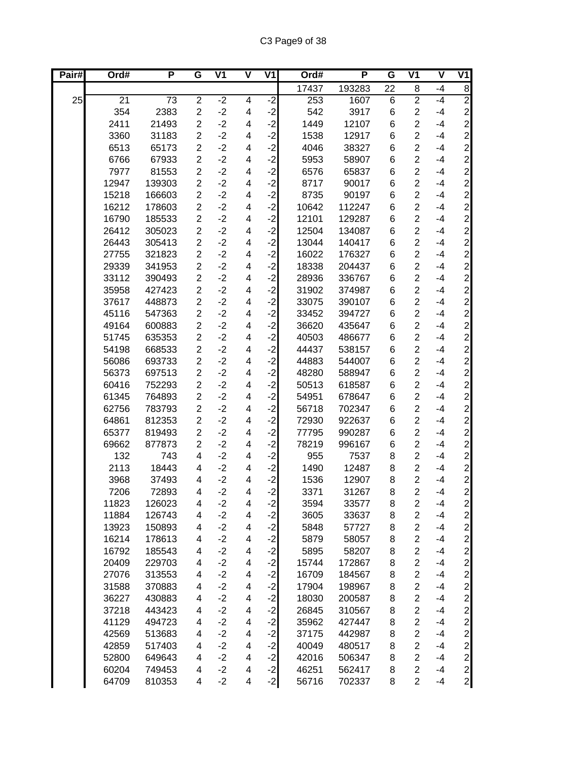| ∞ ט ט ט ט ט ט<br>17437<br>22<br>193283<br>8<br>$-4$<br>$\overline{2}$<br>25<br>$\overline{73}$<br>$\overline{2}$<br>$-2$<br>21<br>$\overline{4}$<br>$-2$<br>253<br>1607<br>6<br>$-4$<br>$\overline{2}$<br>$-2$<br>354<br>$\overline{2}$<br>2383<br>$-2$<br>542<br>4<br>3917<br>6<br>$-4$<br>$-2$<br>$\overline{2}$<br>$-2$<br>$\overline{2}$<br>1449<br>$\,6$<br>2411<br>21493<br>4<br>12107<br>$-4$<br>$-2$<br>$\overline{2}$<br>$-2$<br>$\overline{2}$<br>1538<br>$\,6$<br>3360<br>31183<br>4<br>12917<br>$-4$<br>$-2$<br>$\overline{2}$<br>$-2$<br>$\overline{2}$<br>6<br>6513<br>65173<br>4<br>4046<br>38327<br>$-4$<br>$-2$<br>$\overline{2}$<br>$\overline{2}$<br>$-2$<br>6766<br>67933<br>4<br>5953<br>58907<br>6<br>$-4$<br>ט ט ט ט ט ט ט ט ט ט ט ט ט ט ט ט<br>$-2$<br>$\overline{2}$<br>$-2$<br>$\overline{2}$<br>7977<br>$\,6$<br>81553<br>4<br>6576<br>65837<br>$-4$<br>$-2$<br>$\overline{2}$<br>$-2$<br>$\overline{2}$<br>6<br>12947<br>139303<br>4<br>8717<br>90017<br>$-4$<br>$-2$<br>$\overline{c}$<br>$\overline{2}$<br>$-2$<br>$\,6$<br>15218<br>166603<br>4<br>8735<br>90197<br>$-4$<br>$-2$<br>$\overline{2}$<br>$\overline{2}$<br>$-2$<br>10642<br>$\,6$<br>16212<br>178603<br>4<br>112247<br>$-4$<br>$\overline{2}$<br>$-2$<br>$\overline{c}$<br>$-2$<br>12101<br>$\,6$<br>16790<br>185533<br>129287<br>4<br>$-4$<br>$\overline{2}$<br>$-2$<br>305023<br>$-2$<br>6<br>$\overline{2}$<br>26412<br>12504<br>134087<br>4<br>-4<br>$\overline{2}$<br>$-2$<br>$-2$<br>6<br>$\overline{2}$<br>26443<br>305413<br>4<br>13044<br>140417<br>$-4$<br>$\overline{2}$<br>$-2$<br>$-2$<br>6<br>$\overline{2}$<br>27755<br>321823<br>4<br>16022<br>176327<br>$-4$<br>$\overline{2}$<br>$-2$<br>$-2$<br>$\overline{2}$<br>29339<br>341953<br>4<br>18338<br>204437<br>6<br>$-4$<br>$\overline{2}$<br>$-2$<br>390493<br>$-2$<br>6<br>$\overline{2}$<br>33112<br>4<br>28936<br>336767<br>$-4$<br>$\overline{2}$<br>$-2$<br>$\overline{2}$<br>$-2$<br>31902<br>6<br>35958<br>427423<br>4<br>374987<br>$-4$<br>$\overline{c}$<br>$-2$<br>$-2$<br>$\overline{2}$<br>6<br>37617<br>448873<br>4<br>33075<br>390107<br>$-4$<br>$\overline{2}$<br>$\overline{2}$<br>$-2$<br>$-2$<br>33452<br>6<br>45116<br>547363<br>4<br>394727<br>$-4$<br>$\overline{2}$<br>$-2$<br>$\overline{2}$<br>$-2$<br>36620<br>6<br>49164<br>600883<br>4<br>435647<br>$-4$<br>$-2$<br>$\overline{2}$<br>$-2$<br>$\overline{2}$<br>635353<br>40503<br>6<br>51745<br>4<br>486677<br>$-4$<br>$-2$<br>$-2$<br>$\overline{2}$<br>$\overline{2}$<br>54198<br>668533<br>44437<br>6<br>4<br>538157<br>$-4$<br>$\overline{a}$<br>$-2$<br>$-2$<br>$\overline{2}$<br>$\overline{2}$<br>693733<br>$\overline{\mathbf{4}}$<br>56086<br>44883<br>544007<br>6<br>$-4$<br>ט ט ט ט ט ט ט ט ט ט<br>$-2$<br>$\overline{2}$<br>$\overline{2}$<br>$-2$<br>56373<br>697513<br>48280<br>6<br>4<br>588947<br>$-4$<br>$-2$<br>$\overline{2}$<br>$\overline{2}$<br>$-2$<br>60416<br>752293<br>50513<br>6<br>$-4$<br>4<br>618587<br>$\overline{2}$<br>$\overline{2}$<br>$-2$<br>$-2$<br>764893<br>54951<br>61345<br>4<br>678647<br>6<br>$-4$<br>$\overline{2}$<br>$\overline{2}$<br>$-2$<br>783793<br>$-2$<br>62756<br>4<br>56718<br>702347<br>6<br>$-4$<br>$\overline{2}$<br>$-2$<br>$\overline{2}$<br>$-2$<br>64861<br>812353<br>72930<br>922637<br>6<br>$-4$<br>4<br>$\overline{2}$<br>$-2$<br>$-2$<br>$\overline{2}$<br>65377<br>819493<br>77795<br>990287<br>6<br>4<br>$-4$<br>$-2$<br>$\overline{2}$<br>$-2$<br>$\overline{2}$<br>69662<br>877873<br>4<br>78219<br>996167<br>6<br>$-4$<br>$-2$<br>4<br>$-2$<br>$\overline{2}$<br>132<br>743<br>4<br>955<br>7537<br>8<br>$-4$<br>$-2$<br>$-2$<br>1490<br>$\overline{2}$<br>2113<br>18443<br>4<br>12487<br>8<br>4<br>$-4$<br>$-2$<br>$-2$<br>$\overline{2}$<br>3968<br>37493<br>4<br>1536<br>12907<br>8<br>4<br>-4<br>$-2$<br>$\overline{2}$<br>$-2$<br>7206<br>4<br>4<br>3371<br>8<br>72893<br>31267<br>-4<br>3594<br>11823<br>126023<br>$-2$<br>$\boldsymbol{2}$<br>4<br>$-2$<br>8<br>-4<br>4<br>33577<br>$\mathbf{2}$<br>$\mathbf{2}$<br>$-2$<br>$-2$<br>$\overline{c}$<br>11884<br>126743<br>4<br>3605<br>33637<br>8<br>$-4$<br>4<br>$\overline{a}$<br>$-2$<br>$-2$<br>$\overline{2}$<br>8<br>13923<br>4<br>4<br>5848<br>$-4$<br>150893<br>57727<br>$\frac{2}{2}$<br>$-2$<br>$-2$<br>$\overline{2}$<br>5879<br>16214<br>178613<br>4<br>4<br>58057<br>8<br>$-4$<br>$-2$<br>$-2$<br>$\overline{2}$<br>5895<br>16792<br>185543<br>4<br>4<br>58207<br>8<br>$-4$<br>$\overline{c}$<br>$-2$<br>$-2$<br>$\overline{2}$<br>20409<br>229703<br>4<br>4<br>15744<br>172867<br>$-4$<br>8<br>2 2 2 2 2 2 2 2 2 2 2 2<br>$-2$<br>$-2$<br>$\overline{c}$<br>27076<br>313553<br>4<br>4<br>16709<br>8<br>$-4$<br>184567<br>$-2$<br>$-2$<br>$\overline{2}$<br>$-4$<br>31588<br>370883<br>4<br>4<br>17904<br>198967<br>8<br>$-2$<br>$\overline{c}$<br>$-2$<br>36227<br>430883<br>4<br>4<br>18030<br>200587<br>8<br>$-4$<br>$-2$<br>$\overline{2}$<br>$-2$<br>37218<br>443423<br>4<br>4<br>26845<br>310567<br>8<br>$-4$<br>$-2$<br>$\overline{2}$<br>$-2$<br>41129<br>494723<br>4<br>35962<br>8<br>$-4$<br>4<br>427447<br>$-2$<br>$-2$<br>$\overline{c}$<br>42569<br>513683<br>4<br>37175<br>8<br>$-4$<br>4<br>442987<br>$-2$<br>$-2$<br>$\overline{c}$<br>42859<br>517403<br>4<br>4<br>$-4$<br>40049<br>480517<br>8<br>$-2$<br>$-2$<br>$\overline{2}$<br>52800<br>4<br>4<br>42016<br>506347<br>$-4$<br>649643<br>8<br>$-2$<br>$-2$<br>$\overline{c}$<br>60204<br>749453<br>4<br>46251<br>562417<br>$-4$<br>4<br>8 | Pair# | Ord#  | P      | G | $\overline{\mathsf{V1}}$ | $\overline{\mathsf{V}}$ | V1   | Ord#  | P      | G | V <sub>1</sub> | $\overline{\mathsf{v}}$ | $\overline{V1}$ |
|----------------------------------------------------------------------------------------------------------------------------------------------------------------------------------------------------------------------------------------------------------------------------------------------------------------------------------------------------------------------------------------------------------------------------------------------------------------------------------------------------------------------------------------------------------------------------------------------------------------------------------------------------------------------------------------------------------------------------------------------------------------------------------------------------------------------------------------------------------------------------------------------------------------------------------------------------------------------------------------------------------------------------------------------------------------------------------------------------------------------------------------------------------------------------------------------------------------------------------------------------------------------------------------------------------------------------------------------------------------------------------------------------------------------------------------------------------------------------------------------------------------------------------------------------------------------------------------------------------------------------------------------------------------------------------------------------------------------------------------------------------------------------------------------------------------------------------------------------------------------------------------------------------------------------------------------------------------------------------------------------------------------------------------------------------------------------------------------------------------------------------------------------------------------------------------------------------------------------------------------------------------------------------------------------------------------------------------------------------------------------------------------------------------------------------------------------------------------------------------------------------------------------------------------------------------------------------------------------------------------------------------------------------------------------------------------------------------------------------------------------------------------------------------------------------------------------------------------------------------------------------------------------------------------------------------------------------------------------------------------------------------------------------------------------------------------------------------------------------------------------------------------------------------------------------------------------------------------------------------------------------------------------------------------------------------------------------------------------------------------------------------------------------------------------------------------------------------------------------------------------------------------------------------------------------------------------------------------------------------------------------------------------------------------------------------------------------------------------------------------------------------------------------------------------------------------------------------------------------------------------------------------------------------------------------------------------------------------------------------------------------------------------------------------------------------------------------------------------------------------------------------------------------------------------------------------------------------------------------------------------------------------------------------------------------------------------------------------------------------------------------------------------------------------------------------------------------------------------------------------------------------------------------------------------------------------------------------------------------------------------------------------------------------------------------------------------------------------------------------------------------------------------------------------------------------------------------------------------------------------------------------------------------------------------------------------------------------------------------------------------------------------------------------------------------------------------------------------------------------------------------------------------------------------------------------------------------------------------------------------------------------------------------------------------------------------------------------------------------------------------------------------------------------------------------------------------------------------------------------------------|-------|-------|--------|---|--------------------------|-------------------------|------|-------|--------|---|----------------|-------------------------|-----------------|
|                                                                                                                                                                                                                                                                                                                                                                                                                                                                                                                                                                                                                                                                                                                                                                                                                                                                                                                                                                                                                                                                                                                                                                                                                                                                                                                                                                                                                                                                                                                                                                                                                                                                                                                                                                                                                                                                                                                                                                                                                                                                                                                                                                                                                                                                                                                                                                                                                                                                                                                                                                                                                                                                                                                                                                                                                                                                                                                                                                                                                                                                                                                                                                                                                                                                                                                                                                                                                                                                                                                                                                                                                                                                                                                                                                                                                                                                                                                                                                                                                                                                                                                                                                                                                                                                                                                                                                                                                                                                                                                                                                                                                                                                                                                                                                                                                                                                                                                                                                                                                                                                                                                                                                                                                                                                                                                                                                                                                                                                                                    |       |       |        |   |                          |                         |      |       |        |   |                |                         |                 |
|                                                                                                                                                                                                                                                                                                                                                                                                                                                                                                                                                                                                                                                                                                                                                                                                                                                                                                                                                                                                                                                                                                                                                                                                                                                                                                                                                                                                                                                                                                                                                                                                                                                                                                                                                                                                                                                                                                                                                                                                                                                                                                                                                                                                                                                                                                                                                                                                                                                                                                                                                                                                                                                                                                                                                                                                                                                                                                                                                                                                                                                                                                                                                                                                                                                                                                                                                                                                                                                                                                                                                                                                                                                                                                                                                                                                                                                                                                                                                                                                                                                                                                                                                                                                                                                                                                                                                                                                                                                                                                                                                                                                                                                                                                                                                                                                                                                                                                                                                                                                                                                                                                                                                                                                                                                                                                                                                                                                                                                                                                    |       |       |        |   |                          |                         |      |       |        |   |                |                         |                 |
|                                                                                                                                                                                                                                                                                                                                                                                                                                                                                                                                                                                                                                                                                                                                                                                                                                                                                                                                                                                                                                                                                                                                                                                                                                                                                                                                                                                                                                                                                                                                                                                                                                                                                                                                                                                                                                                                                                                                                                                                                                                                                                                                                                                                                                                                                                                                                                                                                                                                                                                                                                                                                                                                                                                                                                                                                                                                                                                                                                                                                                                                                                                                                                                                                                                                                                                                                                                                                                                                                                                                                                                                                                                                                                                                                                                                                                                                                                                                                                                                                                                                                                                                                                                                                                                                                                                                                                                                                                                                                                                                                                                                                                                                                                                                                                                                                                                                                                                                                                                                                                                                                                                                                                                                                                                                                                                                                                                                                                                                                                    |       |       |        |   |                          |                         |      |       |        |   |                |                         |                 |
|                                                                                                                                                                                                                                                                                                                                                                                                                                                                                                                                                                                                                                                                                                                                                                                                                                                                                                                                                                                                                                                                                                                                                                                                                                                                                                                                                                                                                                                                                                                                                                                                                                                                                                                                                                                                                                                                                                                                                                                                                                                                                                                                                                                                                                                                                                                                                                                                                                                                                                                                                                                                                                                                                                                                                                                                                                                                                                                                                                                                                                                                                                                                                                                                                                                                                                                                                                                                                                                                                                                                                                                                                                                                                                                                                                                                                                                                                                                                                                                                                                                                                                                                                                                                                                                                                                                                                                                                                                                                                                                                                                                                                                                                                                                                                                                                                                                                                                                                                                                                                                                                                                                                                                                                                                                                                                                                                                                                                                                                                                    |       |       |        |   |                          |                         |      |       |        |   |                |                         |                 |
|                                                                                                                                                                                                                                                                                                                                                                                                                                                                                                                                                                                                                                                                                                                                                                                                                                                                                                                                                                                                                                                                                                                                                                                                                                                                                                                                                                                                                                                                                                                                                                                                                                                                                                                                                                                                                                                                                                                                                                                                                                                                                                                                                                                                                                                                                                                                                                                                                                                                                                                                                                                                                                                                                                                                                                                                                                                                                                                                                                                                                                                                                                                                                                                                                                                                                                                                                                                                                                                                                                                                                                                                                                                                                                                                                                                                                                                                                                                                                                                                                                                                                                                                                                                                                                                                                                                                                                                                                                                                                                                                                                                                                                                                                                                                                                                                                                                                                                                                                                                                                                                                                                                                                                                                                                                                                                                                                                                                                                                                                                    |       |       |        |   |                          |                         |      |       |        |   |                |                         |                 |
|                                                                                                                                                                                                                                                                                                                                                                                                                                                                                                                                                                                                                                                                                                                                                                                                                                                                                                                                                                                                                                                                                                                                                                                                                                                                                                                                                                                                                                                                                                                                                                                                                                                                                                                                                                                                                                                                                                                                                                                                                                                                                                                                                                                                                                                                                                                                                                                                                                                                                                                                                                                                                                                                                                                                                                                                                                                                                                                                                                                                                                                                                                                                                                                                                                                                                                                                                                                                                                                                                                                                                                                                                                                                                                                                                                                                                                                                                                                                                                                                                                                                                                                                                                                                                                                                                                                                                                                                                                                                                                                                                                                                                                                                                                                                                                                                                                                                                                                                                                                                                                                                                                                                                                                                                                                                                                                                                                                                                                                                                                    |       |       |        |   |                          |                         |      |       |        |   |                |                         |                 |
|                                                                                                                                                                                                                                                                                                                                                                                                                                                                                                                                                                                                                                                                                                                                                                                                                                                                                                                                                                                                                                                                                                                                                                                                                                                                                                                                                                                                                                                                                                                                                                                                                                                                                                                                                                                                                                                                                                                                                                                                                                                                                                                                                                                                                                                                                                                                                                                                                                                                                                                                                                                                                                                                                                                                                                                                                                                                                                                                                                                                                                                                                                                                                                                                                                                                                                                                                                                                                                                                                                                                                                                                                                                                                                                                                                                                                                                                                                                                                                                                                                                                                                                                                                                                                                                                                                                                                                                                                                                                                                                                                                                                                                                                                                                                                                                                                                                                                                                                                                                                                                                                                                                                                                                                                                                                                                                                                                                                                                                                                                    |       |       |        |   |                          |                         |      |       |        |   |                |                         |                 |
|                                                                                                                                                                                                                                                                                                                                                                                                                                                                                                                                                                                                                                                                                                                                                                                                                                                                                                                                                                                                                                                                                                                                                                                                                                                                                                                                                                                                                                                                                                                                                                                                                                                                                                                                                                                                                                                                                                                                                                                                                                                                                                                                                                                                                                                                                                                                                                                                                                                                                                                                                                                                                                                                                                                                                                                                                                                                                                                                                                                                                                                                                                                                                                                                                                                                                                                                                                                                                                                                                                                                                                                                                                                                                                                                                                                                                                                                                                                                                                                                                                                                                                                                                                                                                                                                                                                                                                                                                                                                                                                                                                                                                                                                                                                                                                                                                                                                                                                                                                                                                                                                                                                                                                                                                                                                                                                                                                                                                                                                                                    |       |       |        |   |                          |                         |      |       |        |   |                |                         |                 |
|                                                                                                                                                                                                                                                                                                                                                                                                                                                                                                                                                                                                                                                                                                                                                                                                                                                                                                                                                                                                                                                                                                                                                                                                                                                                                                                                                                                                                                                                                                                                                                                                                                                                                                                                                                                                                                                                                                                                                                                                                                                                                                                                                                                                                                                                                                                                                                                                                                                                                                                                                                                                                                                                                                                                                                                                                                                                                                                                                                                                                                                                                                                                                                                                                                                                                                                                                                                                                                                                                                                                                                                                                                                                                                                                                                                                                                                                                                                                                                                                                                                                                                                                                                                                                                                                                                                                                                                                                                                                                                                                                                                                                                                                                                                                                                                                                                                                                                                                                                                                                                                                                                                                                                                                                                                                                                                                                                                                                                                                                                    |       |       |        |   |                          |                         |      |       |        |   |                |                         |                 |
|                                                                                                                                                                                                                                                                                                                                                                                                                                                                                                                                                                                                                                                                                                                                                                                                                                                                                                                                                                                                                                                                                                                                                                                                                                                                                                                                                                                                                                                                                                                                                                                                                                                                                                                                                                                                                                                                                                                                                                                                                                                                                                                                                                                                                                                                                                                                                                                                                                                                                                                                                                                                                                                                                                                                                                                                                                                                                                                                                                                                                                                                                                                                                                                                                                                                                                                                                                                                                                                                                                                                                                                                                                                                                                                                                                                                                                                                                                                                                                                                                                                                                                                                                                                                                                                                                                                                                                                                                                                                                                                                                                                                                                                                                                                                                                                                                                                                                                                                                                                                                                                                                                                                                                                                                                                                                                                                                                                                                                                                                                    |       |       |        |   |                          |                         |      |       |        |   |                |                         |                 |
|                                                                                                                                                                                                                                                                                                                                                                                                                                                                                                                                                                                                                                                                                                                                                                                                                                                                                                                                                                                                                                                                                                                                                                                                                                                                                                                                                                                                                                                                                                                                                                                                                                                                                                                                                                                                                                                                                                                                                                                                                                                                                                                                                                                                                                                                                                                                                                                                                                                                                                                                                                                                                                                                                                                                                                                                                                                                                                                                                                                                                                                                                                                                                                                                                                                                                                                                                                                                                                                                                                                                                                                                                                                                                                                                                                                                                                                                                                                                                                                                                                                                                                                                                                                                                                                                                                                                                                                                                                                                                                                                                                                                                                                                                                                                                                                                                                                                                                                                                                                                                                                                                                                                                                                                                                                                                                                                                                                                                                                                                                    |       |       |        |   |                          |                         |      |       |        |   |                |                         |                 |
|                                                                                                                                                                                                                                                                                                                                                                                                                                                                                                                                                                                                                                                                                                                                                                                                                                                                                                                                                                                                                                                                                                                                                                                                                                                                                                                                                                                                                                                                                                                                                                                                                                                                                                                                                                                                                                                                                                                                                                                                                                                                                                                                                                                                                                                                                                                                                                                                                                                                                                                                                                                                                                                                                                                                                                                                                                                                                                                                                                                                                                                                                                                                                                                                                                                                                                                                                                                                                                                                                                                                                                                                                                                                                                                                                                                                                                                                                                                                                                                                                                                                                                                                                                                                                                                                                                                                                                                                                                                                                                                                                                                                                                                                                                                                                                                                                                                                                                                                                                                                                                                                                                                                                                                                                                                                                                                                                                                                                                                                                                    |       |       |        |   |                          |                         |      |       |        |   |                |                         |                 |
|                                                                                                                                                                                                                                                                                                                                                                                                                                                                                                                                                                                                                                                                                                                                                                                                                                                                                                                                                                                                                                                                                                                                                                                                                                                                                                                                                                                                                                                                                                                                                                                                                                                                                                                                                                                                                                                                                                                                                                                                                                                                                                                                                                                                                                                                                                                                                                                                                                                                                                                                                                                                                                                                                                                                                                                                                                                                                                                                                                                                                                                                                                                                                                                                                                                                                                                                                                                                                                                                                                                                                                                                                                                                                                                                                                                                                                                                                                                                                                                                                                                                                                                                                                                                                                                                                                                                                                                                                                                                                                                                                                                                                                                                                                                                                                                                                                                                                                                                                                                                                                                                                                                                                                                                                                                                                                                                                                                                                                                                                                    |       |       |        |   |                          |                         |      |       |        |   |                |                         |                 |
|                                                                                                                                                                                                                                                                                                                                                                                                                                                                                                                                                                                                                                                                                                                                                                                                                                                                                                                                                                                                                                                                                                                                                                                                                                                                                                                                                                                                                                                                                                                                                                                                                                                                                                                                                                                                                                                                                                                                                                                                                                                                                                                                                                                                                                                                                                                                                                                                                                                                                                                                                                                                                                                                                                                                                                                                                                                                                                                                                                                                                                                                                                                                                                                                                                                                                                                                                                                                                                                                                                                                                                                                                                                                                                                                                                                                                                                                                                                                                                                                                                                                                                                                                                                                                                                                                                                                                                                                                                                                                                                                                                                                                                                                                                                                                                                                                                                                                                                                                                                                                                                                                                                                                                                                                                                                                                                                                                                                                                                                                                    |       |       |        |   |                          |                         |      |       |        |   |                |                         |                 |
|                                                                                                                                                                                                                                                                                                                                                                                                                                                                                                                                                                                                                                                                                                                                                                                                                                                                                                                                                                                                                                                                                                                                                                                                                                                                                                                                                                                                                                                                                                                                                                                                                                                                                                                                                                                                                                                                                                                                                                                                                                                                                                                                                                                                                                                                                                                                                                                                                                                                                                                                                                                                                                                                                                                                                                                                                                                                                                                                                                                                                                                                                                                                                                                                                                                                                                                                                                                                                                                                                                                                                                                                                                                                                                                                                                                                                                                                                                                                                                                                                                                                                                                                                                                                                                                                                                                                                                                                                                                                                                                                                                                                                                                                                                                                                                                                                                                                                                                                                                                                                                                                                                                                                                                                                                                                                                                                                                                                                                                                                                    |       |       |        |   |                          |                         |      |       |        |   |                |                         |                 |
|                                                                                                                                                                                                                                                                                                                                                                                                                                                                                                                                                                                                                                                                                                                                                                                                                                                                                                                                                                                                                                                                                                                                                                                                                                                                                                                                                                                                                                                                                                                                                                                                                                                                                                                                                                                                                                                                                                                                                                                                                                                                                                                                                                                                                                                                                                                                                                                                                                                                                                                                                                                                                                                                                                                                                                                                                                                                                                                                                                                                                                                                                                                                                                                                                                                                                                                                                                                                                                                                                                                                                                                                                                                                                                                                                                                                                                                                                                                                                                                                                                                                                                                                                                                                                                                                                                                                                                                                                                                                                                                                                                                                                                                                                                                                                                                                                                                                                                                                                                                                                                                                                                                                                                                                                                                                                                                                                                                                                                                                                                    |       |       |        |   |                          |                         |      |       |        |   |                |                         |                 |
|                                                                                                                                                                                                                                                                                                                                                                                                                                                                                                                                                                                                                                                                                                                                                                                                                                                                                                                                                                                                                                                                                                                                                                                                                                                                                                                                                                                                                                                                                                                                                                                                                                                                                                                                                                                                                                                                                                                                                                                                                                                                                                                                                                                                                                                                                                                                                                                                                                                                                                                                                                                                                                                                                                                                                                                                                                                                                                                                                                                                                                                                                                                                                                                                                                                                                                                                                                                                                                                                                                                                                                                                                                                                                                                                                                                                                                                                                                                                                                                                                                                                                                                                                                                                                                                                                                                                                                                                                                                                                                                                                                                                                                                                                                                                                                                                                                                                                                                                                                                                                                                                                                                                                                                                                                                                                                                                                                                                                                                                                                    |       |       |        |   |                          |                         |      |       |        |   |                |                         |                 |
|                                                                                                                                                                                                                                                                                                                                                                                                                                                                                                                                                                                                                                                                                                                                                                                                                                                                                                                                                                                                                                                                                                                                                                                                                                                                                                                                                                                                                                                                                                                                                                                                                                                                                                                                                                                                                                                                                                                                                                                                                                                                                                                                                                                                                                                                                                                                                                                                                                                                                                                                                                                                                                                                                                                                                                                                                                                                                                                                                                                                                                                                                                                                                                                                                                                                                                                                                                                                                                                                                                                                                                                                                                                                                                                                                                                                                                                                                                                                                                                                                                                                                                                                                                                                                                                                                                                                                                                                                                                                                                                                                                                                                                                                                                                                                                                                                                                                                                                                                                                                                                                                                                                                                                                                                                                                                                                                                                                                                                                                                                    |       |       |        |   |                          |                         |      |       |        |   |                |                         |                 |
|                                                                                                                                                                                                                                                                                                                                                                                                                                                                                                                                                                                                                                                                                                                                                                                                                                                                                                                                                                                                                                                                                                                                                                                                                                                                                                                                                                                                                                                                                                                                                                                                                                                                                                                                                                                                                                                                                                                                                                                                                                                                                                                                                                                                                                                                                                                                                                                                                                                                                                                                                                                                                                                                                                                                                                                                                                                                                                                                                                                                                                                                                                                                                                                                                                                                                                                                                                                                                                                                                                                                                                                                                                                                                                                                                                                                                                                                                                                                                                                                                                                                                                                                                                                                                                                                                                                                                                                                                                                                                                                                                                                                                                                                                                                                                                                                                                                                                                                                                                                                                                                                                                                                                                                                                                                                                                                                                                                                                                                                                                    |       |       |        |   |                          |                         |      |       |        |   |                |                         |                 |
|                                                                                                                                                                                                                                                                                                                                                                                                                                                                                                                                                                                                                                                                                                                                                                                                                                                                                                                                                                                                                                                                                                                                                                                                                                                                                                                                                                                                                                                                                                                                                                                                                                                                                                                                                                                                                                                                                                                                                                                                                                                                                                                                                                                                                                                                                                                                                                                                                                                                                                                                                                                                                                                                                                                                                                                                                                                                                                                                                                                                                                                                                                                                                                                                                                                                                                                                                                                                                                                                                                                                                                                                                                                                                                                                                                                                                                                                                                                                                                                                                                                                                                                                                                                                                                                                                                                                                                                                                                                                                                                                                                                                                                                                                                                                                                                                                                                                                                                                                                                                                                                                                                                                                                                                                                                                                                                                                                                                                                                                                                    |       |       |        |   |                          |                         |      |       |        |   |                |                         |                 |
|                                                                                                                                                                                                                                                                                                                                                                                                                                                                                                                                                                                                                                                                                                                                                                                                                                                                                                                                                                                                                                                                                                                                                                                                                                                                                                                                                                                                                                                                                                                                                                                                                                                                                                                                                                                                                                                                                                                                                                                                                                                                                                                                                                                                                                                                                                                                                                                                                                                                                                                                                                                                                                                                                                                                                                                                                                                                                                                                                                                                                                                                                                                                                                                                                                                                                                                                                                                                                                                                                                                                                                                                                                                                                                                                                                                                                                                                                                                                                                                                                                                                                                                                                                                                                                                                                                                                                                                                                                                                                                                                                                                                                                                                                                                                                                                                                                                                                                                                                                                                                                                                                                                                                                                                                                                                                                                                                                                                                                                                                                    |       |       |        |   |                          |                         |      |       |        |   |                |                         |                 |
|                                                                                                                                                                                                                                                                                                                                                                                                                                                                                                                                                                                                                                                                                                                                                                                                                                                                                                                                                                                                                                                                                                                                                                                                                                                                                                                                                                                                                                                                                                                                                                                                                                                                                                                                                                                                                                                                                                                                                                                                                                                                                                                                                                                                                                                                                                                                                                                                                                                                                                                                                                                                                                                                                                                                                                                                                                                                                                                                                                                                                                                                                                                                                                                                                                                                                                                                                                                                                                                                                                                                                                                                                                                                                                                                                                                                                                                                                                                                                                                                                                                                                                                                                                                                                                                                                                                                                                                                                                                                                                                                                                                                                                                                                                                                                                                                                                                                                                                                                                                                                                                                                                                                                                                                                                                                                                                                                                                                                                                                                                    |       |       |        |   |                          |                         |      |       |        |   |                |                         |                 |
|                                                                                                                                                                                                                                                                                                                                                                                                                                                                                                                                                                                                                                                                                                                                                                                                                                                                                                                                                                                                                                                                                                                                                                                                                                                                                                                                                                                                                                                                                                                                                                                                                                                                                                                                                                                                                                                                                                                                                                                                                                                                                                                                                                                                                                                                                                                                                                                                                                                                                                                                                                                                                                                                                                                                                                                                                                                                                                                                                                                                                                                                                                                                                                                                                                                                                                                                                                                                                                                                                                                                                                                                                                                                                                                                                                                                                                                                                                                                                                                                                                                                                                                                                                                                                                                                                                                                                                                                                                                                                                                                                                                                                                                                                                                                                                                                                                                                                                                                                                                                                                                                                                                                                                                                                                                                                                                                                                                                                                                                                                    |       |       |        |   |                          |                         |      |       |        |   |                |                         |                 |
|                                                                                                                                                                                                                                                                                                                                                                                                                                                                                                                                                                                                                                                                                                                                                                                                                                                                                                                                                                                                                                                                                                                                                                                                                                                                                                                                                                                                                                                                                                                                                                                                                                                                                                                                                                                                                                                                                                                                                                                                                                                                                                                                                                                                                                                                                                                                                                                                                                                                                                                                                                                                                                                                                                                                                                                                                                                                                                                                                                                                                                                                                                                                                                                                                                                                                                                                                                                                                                                                                                                                                                                                                                                                                                                                                                                                                                                                                                                                                                                                                                                                                                                                                                                                                                                                                                                                                                                                                                                                                                                                                                                                                                                                                                                                                                                                                                                                                                                                                                                                                                                                                                                                                                                                                                                                                                                                                                                                                                                                                                    |       |       |        |   |                          |                         |      |       |        |   |                |                         |                 |
|                                                                                                                                                                                                                                                                                                                                                                                                                                                                                                                                                                                                                                                                                                                                                                                                                                                                                                                                                                                                                                                                                                                                                                                                                                                                                                                                                                                                                                                                                                                                                                                                                                                                                                                                                                                                                                                                                                                                                                                                                                                                                                                                                                                                                                                                                                                                                                                                                                                                                                                                                                                                                                                                                                                                                                                                                                                                                                                                                                                                                                                                                                                                                                                                                                                                                                                                                                                                                                                                                                                                                                                                                                                                                                                                                                                                                                                                                                                                                                                                                                                                                                                                                                                                                                                                                                                                                                                                                                                                                                                                                                                                                                                                                                                                                                                                                                                                                                                                                                                                                                                                                                                                                                                                                                                                                                                                                                                                                                                                                                    |       |       |        |   |                          |                         |      |       |        |   |                |                         |                 |
|                                                                                                                                                                                                                                                                                                                                                                                                                                                                                                                                                                                                                                                                                                                                                                                                                                                                                                                                                                                                                                                                                                                                                                                                                                                                                                                                                                                                                                                                                                                                                                                                                                                                                                                                                                                                                                                                                                                                                                                                                                                                                                                                                                                                                                                                                                                                                                                                                                                                                                                                                                                                                                                                                                                                                                                                                                                                                                                                                                                                                                                                                                                                                                                                                                                                                                                                                                                                                                                                                                                                                                                                                                                                                                                                                                                                                                                                                                                                                                                                                                                                                                                                                                                                                                                                                                                                                                                                                                                                                                                                                                                                                                                                                                                                                                                                                                                                                                                                                                                                                                                                                                                                                                                                                                                                                                                                                                                                                                                                                                    |       |       |        |   |                          |                         |      |       |        |   |                |                         |                 |
|                                                                                                                                                                                                                                                                                                                                                                                                                                                                                                                                                                                                                                                                                                                                                                                                                                                                                                                                                                                                                                                                                                                                                                                                                                                                                                                                                                                                                                                                                                                                                                                                                                                                                                                                                                                                                                                                                                                                                                                                                                                                                                                                                                                                                                                                                                                                                                                                                                                                                                                                                                                                                                                                                                                                                                                                                                                                                                                                                                                                                                                                                                                                                                                                                                                                                                                                                                                                                                                                                                                                                                                                                                                                                                                                                                                                                                                                                                                                                                                                                                                                                                                                                                                                                                                                                                                                                                                                                                                                                                                                                                                                                                                                                                                                                                                                                                                                                                                                                                                                                                                                                                                                                                                                                                                                                                                                                                                                                                                                                                    |       |       |        |   |                          |                         |      |       |        |   |                |                         |                 |
|                                                                                                                                                                                                                                                                                                                                                                                                                                                                                                                                                                                                                                                                                                                                                                                                                                                                                                                                                                                                                                                                                                                                                                                                                                                                                                                                                                                                                                                                                                                                                                                                                                                                                                                                                                                                                                                                                                                                                                                                                                                                                                                                                                                                                                                                                                                                                                                                                                                                                                                                                                                                                                                                                                                                                                                                                                                                                                                                                                                                                                                                                                                                                                                                                                                                                                                                                                                                                                                                                                                                                                                                                                                                                                                                                                                                                                                                                                                                                                                                                                                                                                                                                                                                                                                                                                                                                                                                                                                                                                                                                                                                                                                                                                                                                                                                                                                                                                                                                                                                                                                                                                                                                                                                                                                                                                                                                                                                                                                                                                    |       |       |        |   |                          |                         |      |       |        |   |                |                         |                 |
|                                                                                                                                                                                                                                                                                                                                                                                                                                                                                                                                                                                                                                                                                                                                                                                                                                                                                                                                                                                                                                                                                                                                                                                                                                                                                                                                                                                                                                                                                                                                                                                                                                                                                                                                                                                                                                                                                                                                                                                                                                                                                                                                                                                                                                                                                                                                                                                                                                                                                                                                                                                                                                                                                                                                                                                                                                                                                                                                                                                                                                                                                                                                                                                                                                                                                                                                                                                                                                                                                                                                                                                                                                                                                                                                                                                                                                                                                                                                                                                                                                                                                                                                                                                                                                                                                                                                                                                                                                                                                                                                                                                                                                                                                                                                                                                                                                                                                                                                                                                                                                                                                                                                                                                                                                                                                                                                                                                                                                                                                                    |       |       |        |   |                          |                         |      |       |        |   |                |                         |                 |
|                                                                                                                                                                                                                                                                                                                                                                                                                                                                                                                                                                                                                                                                                                                                                                                                                                                                                                                                                                                                                                                                                                                                                                                                                                                                                                                                                                                                                                                                                                                                                                                                                                                                                                                                                                                                                                                                                                                                                                                                                                                                                                                                                                                                                                                                                                                                                                                                                                                                                                                                                                                                                                                                                                                                                                                                                                                                                                                                                                                                                                                                                                                                                                                                                                                                                                                                                                                                                                                                                                                                                                                                                                                                                                                                                                                                                                                                                                                                                                                                                                                                                                                                                                                                                                                                                                                                                                                                                                                                                                                                                                                                                                                                                                                                                                                                                                                                                                                                                                                                                                                                                                                                                                                                                                                                                                                                                                                                                                                                                                    |       |       |        |   |                          |                         |      |       |        |   |                |                         |                 |
|                                                                                                                                                                                                                                                                                                                                                                                                                                                                                                                                                                                                                                                                                                                                                                                                                                                                                                                                                                                                                                                                                                                                                                                                                                                                                                                                                                                                                                                                                                                                                                                                                                                                                                                                                                                                                                                                                                                                                                                                                                                                                                                                                                                                                                                                                                                                                                                                                                                                                                                                                                                                                                                                                                                                                                                                                                                                                                                                                                                                                                                                                                                                                                                                                                                                                                                                                                                                                                                                                                                                                                                                                                                                                                                                                                                                                                                                                                                                                                                                                                                                                                                                                                                                                                                                                                                                                                                                                                                                                                                                                                                                                                                                                                                                                                                                                                                                                                                                                                                                                                                                                                                                                                                                                                                                                                                                                                                                                                                                                                    |       |       |        |   |                          |                         |      |       |        |   |                |                         |                 |
|                                                                                                                                                                                                                                                                                                                                                                                                                                                                                                                                                                                                                                                                                                                                                                                                                                                                                                                                                                                                                                                                                                                                                                                                                                                                                                                                                                                                                                                                                                                                                                                                                                                                                                                                                                                                                                                                                                                                                                                                                                                                                                                                                                                                                                                                                                                                                                                                                                                                                                                                                                                                                                                                                                                                                                                                                                                                                                                                                                                                                                                                                                                                                                                                                                                                                                                                                                                                                                                                                                                                                                                                                                                                                                                                                                                                                                                                                                                                                                                                                                                                                                                                                                                                                                                                                                                                                                                                                                                                                                                                                                                                                                                                                                                                                                                                                                                                                                                                                                                                                                                                                                                                                                                                                                                                                                                                                                                                                                                                                                    |       |       |        |   |                          |                         |      |       |        |   |                |                         |                 |
|                                                                                                                                                                                                                                                                                                                                                                                                                                                                                                                                                                                                                                                                                                                                                                                                                                                                                                                                                                                                                                                                                                                                                                                                                                                                                                                                                                                                                                                                                                                                                                                                                                                                                                                                                                                                                                                                                                                                                                                                                                                                                                                                                                                                                                                                                                                                                                                                                                                                                                                                                                                                                                                                                                                                                                                                                                                                                                                                                                                                                                                                                                                                                                                                                                                                                                                                                                                                                                                                                                                                                                                                                                                                                                                                                                                                                                                                                                                                                                                                                                                                                                                                                                                                                                                                                                                                                                                                                                                                                                                                                                                                                                                                                                                                                                                                                                                                                                                                                                                                                                                                                                                                                                                                                                                                                                                                                                                                                                                                                                    |       |       |        |   |                          |                         |      |       |        |   |                |                         |                 |
|                                                                                                                                                                                                                                                                                                                                                                                                                                                                                                                                                                                                                                                                                                                                                                                                                                                                                                                                                                                                                                                                                                                                                                                                                                                                                                                                                                                                                                                                                                                                                                                                                                                                                                                                                                                                                                                                                                                                                                                                                                                                                                                                                                                                                                                                                                                                                                                                                                                                                                                                                                                                                                                                                                                                                                                                                                                                                                                                                                                                                                                                                                                                                                                                                                                                                                                                                                                                                                                                                                                                                                                                                                                                                                                                                                                                                                                                                                                                                                                                                                                                                                                                                                                                                                                                                                                                                                                                                                                                                                                                                                                                                                                                                                                                                                                                                                                                                                                                                                                                                                                                                                                                                                                                                                                                                                                                                                                                                                                                                                    |       |       |        |   |                          |                         |      |       |        |   |                |                         |                 |
|                                                                                                                                                                                                                                                                                                                                                                                                                                                                                                                                                                                                                                                                                                                                                                                                                                                                                                                                                                                                                                                                                                                                                                                                                                                                                                                                                                                                                                                                                                                                                                                                                                                                                                                                                                                                                                                                                                                                                                                                                                                                                                                                                                                                                                                                                                                                                                                                                                                                                                                                                                                                                                                                                                                                                                                                                                                                                                                                                                                                                                                                                                                                                                                                                                                                                                                                                                                                                                                                                                                                                                                                                                                                                                                                                                                                                                                                                                                                                                                                                                                                                                                                                                                                                                                                                                                                                                                                                                                                                                                                                                                                                                                                                                                                                                                                                                                                                                                                                                                                                                                                                                                                                                                                                                                                                                                                                                                                                                                                                                    |       |       |        |   |                          |                         |      |       |        |   |                |                         |                 |
|                                                                                                                                                                                                                                                                                                                                                                                                                                                                                                                                                                                                                                                                                                                                                                                                                                                                                                                                                                                                                                                                                                                                                                                                                                                                                                                                                                                                                                                                                                                                                                                                                                                                                                                                                                                                                                                                                                                                                                                                                                                                                                                                                                                                                                                                                                                                                                                                                                                                                                                                                                                                                                                                                                                                                                                                                                                                                                                                                                                                                                                                                                                                                                                                                                                                                                                                                                                                                                                                                                                                                                                                                                                                                                                                                                                                                                                                                                                                                                                                                                                                                                                                                                                                                                                                                                                                                                                                                                                                                                                                                                                                                                                                                                                                                                                                                                                                                                                                                                                                                                                                                                                                                                                                                                                                                                                                                                                                                                                                                                    |       |       |        |   |                          |                         |      |       |        |   |                |                         |                 |
|                                                                                                                                                                                                                                                                                                                                                                                                                                                                                                                                                                                                                                                                                                                                                                                                                                                                                                                                                                                                                                                                                                                                                                                                                                                                                                                                                                                                                                                                                                                                                                                                                                                                                                                                                                                                                                                                                                                                                                                                                                                                                                                                                                                                                                                                                                                                                                                                                                                                                                                                                                                                                                                                                                                                                                                                                                                                                                                                                                                                                                                                                                                                                                                                                                                                                                                                                                                                                                                                                                                                                                                                                                                                                                                                                                                                                                                                                                                                                                                                                                                                                                                                                                                                                                                                                                                                                                                                                                                                                                                                                                                                                                                                                                                                                                                                                                                                                                                                                                                                                                                                                                                                                                                                                                                                                                                                                                                                                                                                                                    |       |       |        |   |                          |                         |      |       |        |   |                |                         |                 |
|                                                                                                                                                                                                                                                                                                                                                                                                                                                                                                                                                                                                                                                                                                                                                                                                                                                                                                                                                                                                                                                                                                                                                                                                                                                                                                                                                                                                                                                                                                                                                                                                                                                                                                                                                                                                                                                                                                                                                                                                                                                                                                                                                                                                                                                                                                                                                                                                                                                                                                                                                                                                                                                                                                                                                                                                                                                                                                                                                                                                                                                                                                                                                                                                                                                                                                                                                                                                                                                                                                                                                                                                                                                                                                                                                                                                                                                                                                                                                                                                                                                                                                                                                                                                                                                                                                                                                                                                                                                                                                                                                                                                                                                                                                                                                                                                                                                                                                                                                                                                                                                                                                                                                                                                                                                                                                                                                                                                                                                                                                    |       |       |        |   |                          |                         |      |       |        |   |                |                         |                 |
|                                                                                                                                                                                                                                                                                                                                                                                                                                                                                                                                                                                                                                                                                                                                                                                                                                                                                                                                                                                                                                                                                                                                                                                                                                                                                                                                                                                                                                                                                                                                                                                                                                                                                                                                                                                                                                                                                                                                                                                                                                                                                                                                                                                                                                                                                                                                                                                                                                                                                                                                                                                                                                                                                                                                                                                                                                                                                                                                                                                                                                                                                                                                                                                                                                                                                                                                                                                                                                                                                                                                                                                                                                                                                                                                                                                                                                                                                                                                                                                                                                                                                                                                                                                                                                                                                                                                                                                                                                                                                                                                                                                                                                                                                                                                                                                                                                                                                                                                                                                                                                                                                                                                                                                                                                                                                                                                                                                                                                                                                                    |       |       |        |   |                          |                         |      |       |        |   |                |                         |                 |
|                                                                                                                                                                                                                                                                                                                                                                                                                                                                                                                                                                                                                                                                                                                                                                                                                                                                                                                                                                                                                                                                                                                                                                                                                                                                                                                                                                                                                                                                                                                                                                                                                                                                                                                                                                                                                                                                                                                                                                                                                                                                                                                                                                                                                                                                                                                                                                                                                                                                                                                                                                                                                                                                                                                                                                                                                                                                                                                                                                                                                                                                                                                                                                                                                                                                                                                                                                                                                                                                                                                                                                                                                                                                                                                                                                                                                                                                                                                                                                                                                                                                                                                                                                                                                                                                                                                                                                                                                                                                                                                                                                                                                                                                                                                                                                                                                                                                                                                                                                                                                                                                                                                                                                                                                                                                                                                                                                                                                                                                                                    |       |       |        |   |                          |                         |      |       |        |   |                |                         |                 |
|                                                                                                                                                                                                                                                                                                                                                                                                                                                                                                                                                                                                                                                                                                                                                                                                                                                                                                                                                                                                                                                                                                                                                                                                                                                                                                                                                                                                                                                                                                                                                                                                                                                                                                                                                                                                                                                                                                                                                                                                                                                                                                                                                                                                                                                                                                                                                                                                                                                                                                                                                                                                                                                                                                                                                                                                                                                                                                                                                                                                                                                                                                                                                                                                                                                                                                                                                                                                                                                                                                                                                                                                                                                                                                                                                                                                                                                                                                                                                                                                                                                                                                                                                                                                                                                                                                                                                                                                                                                                                                                                                                                                                                                                                                                                                                                                                                                                                                                                                                                                                                                                                                                                                                                                                                                                                                                                                                                                                                                                                                    |       |       |        |   |                          |                         |      |       |        |   |                |                         |                 |
|                                                                                                                                                                                                                                                                                                                                                                                                                                                                                                                                                                                                                                                                                                                                                                                                                                                                                                                                                                                                                                                                                                                                                                                                                                                                                                                                                                                                                                                                                                                                                                                                                                                                                                                                                                                                                                                                                                                                                                                                                                                                                                                                                                                                                                                                                                                                                                                                                                                                                                                                                                                                                                                                                                                                                                                                                                                                                                                                                                                                                                                                                                                                                                                                                                                                                                                                                                                                                                                                                                                                                                                                                                                                                                                                                                                                                                                                                                                                                                                                                                                                                                                                                                                                                                                                                                                                                                                                                                                                                                                                                                                                                                                                                                                                                                                                                                                                                                                                                                                                                                                                                                                                                                                                                                                                                                                                                                                                                                                                                                    |       |       |        |   |                          |                         |      |       |        |   |                |                         |                 |
|                                                                                                                                                                                                                                                                                                                                                                                                                                                                                                                                                                                                                                                                                                                                                                                                                                                                                                                                                                                                                                                                                                                                                                                                                                                                                                                                                                                                                                                                                                                                                                                                                                                                                                                                                                                                                                                                                                                                                                                                                                                                                                                                                                                                                                                                                                                                                                                                                                                                                                                                                                                                                                                                                                                                                                                                                                                                                                                                                                                                                                                                                                                                                                                                                                                                                                                                                                                                                                                                                                                                                                                                                                                                                                                                                                                                                                                                                                                                                                                                                                                                                                                                                                                                                                                                                                                                                                                                                                                                                                                                                                                                                                                                                                                                                                                                                                                                                                                                                                                                                                                                                                                                                                                                                                                                                                                                                                                                                                                                                                    |       |       |        |   |                          |                         |      |       |        |   |                |                         |                 |
|                                                                                                                                                                                                                                                                                                                                                                                                                                                                                                                                                                                                                                                                                                                                                                                                                                                                                                                                                                                                                                                                                                                                                                                                                                                                                                                                                                                                                                                                                                                                                                                                                                                                                                                                                                                                                                                                                                                                                                                                                                                                                                                                                                                                                                                                                                                                                                                                                                                                                                                                                                                                                                                                                                                                                                                                                                                                                                                                                                                                                                                                                                                                                                                                                                                                                                                                                                                                                                                                                                                                                                                                                                                                                                                                                                                                                                                                                                                                                                                                                                                                                                                                                                                                                                                                                                                                                                                                                                                                                                                                                                                                                                                                                                                                                                                                                                                                                                                                                                                                                                                                                                                                                                                                                                                                                                                                                                                                                                                                                                    |       |       |        |   |                          |                         |      |       |        |   |                |                         |                 |
|                                                                                                                                                                                                                                                                                                                                                                                                                                                                                                                                                                                                                                                                                                                                                                                                                                                                                                                                                                                                                                                                                                                                                                                                                                                                                                                                                                                                                                                                                                                                                                                                                                                                                                                                                                                                                                                                                                                                                                                                                                                                                                                                                                                                                                                                                                                                                                                                                                                                                                                                                                                                                                                                                                                                                                                                                                                                                                                                                                                                                                                                                                                                                                                                                                                                                                                                                                                                                                                                                                                                                                                                                                                                                                                                                                                                                                                                                                                                                                                                                                                                                                                                                                                                                                                                                                                                                                                                                                                                                                                                                                                                                                                                                                                                                                                                                                                                                                                                                                                                                                                                                                                                                                                                                                                                                                                                                                                                                                                                                                    |       |       |        |   |                          |                         |      |       |        |   |                |                         |                 |
|                                                                                                                                                                                                                                                                                                                                                                                                                                                                                                                                                                                                                                                                                                                                                                                                                                                                                                                                                                                                                                                                                                                                                                                                                                                                                                                                                                                                                                                                                                                                                                                                                                                                                                                                                                                                                                                                                                                                                                                                                                                                                                                                                                                                                                                                                                                                                                                                                                                                                                                                                                                                                                                                                                                                                                                                                                                                                                                                                                                                                                                                                                                                                                                                                                                                                                                                                                                                                                                                                                                                                                                                                                                                                                                                                                                                                                                                                                                                                                                                                                                                                                                                                                                                                                                                                                                                                                                                                                                                                                                                                                                                                                                                                                                                                                                                                                                                                                                                                                                                                                                                                                                                                                                                                                                                                                                                                                                                                                                                                                    |       |       |        |   |                          |                         |      |       |        |   |                |                         |                 |
|                                                                                                                                                                                                                                                                                                                                                                                                                                                                                                                                                                                                                                                                                                                                                                                                                                                                                                                                                                                                                                                                                                                                                                                                                                                                                                                                                                                                                                                                                                                                                                                                                                                                                                                                                                                                                                                                                                                                                                                                                                                                                                                                                                                                                                                                                                                                                                                                                                                                                                                                                                                                                                                                                                                                                                                                                                                                                                                                                                                                                                                                                                                                                                                                                                                                                                                                                                                                                                                                                                                                                                                                                                                                                                                                                                                                                                                                                                                                                                                                                                                                                                                                                                                                                                                                                                                                                                                                                                                                                                                                                                                                                                                                                                                                                                                                                                                                                                                                                                                                                                                                                                                                                                                                                                                                                                                                                                                                                                                                                                    |       |       |        |   |                          |                         |      |       |        |   |                |                         |                 |
|                                                                                                                                                                                                                                                                                                                                                                                                                                                                                                                                                                                                                                                                                                                                                                                                                                                                                                                                                                                                                                                                                                                                                                                                                                                                                                                                                                                                                                                                                                                                                                                                                                                                                                                                                                                                                                                                                                                                                                                                                                                                                                                                                                                                                                                                                                                                                                                                                                                                                                                                                                                                                                                                                                                                                                                                                                                                                                                                                                                                                                                                                                                                                                                                                                                                                                                                                                                                                                                                                                                                                                                                                                                                                                                                                                                                                                                                                                                                                                                                                                                                                                                                                                                                                                                                                                                                                                                                                                                                                                                                                                                                                                                                                                                                                                                                                                                                                                                                                                                                                                                                                                                                                                                                                                                                                                                                                                                                                                                                                                    |       |       |        |   |                          |                         |      |       |        |   |                |                         |                 |
|                                                                                                                                                                                                                                                                                                                                                                                                                                                                                                                                                                                                                                                                                                                                                                                                                                                                                                                                                                                                                                                                                                                                                                                                                                                                                                                                                                                                                                                                                                                                                                                                                                                                                                                                                                                                                                                                                                                                                                                                                                                                                                                                                                                                                                                                                                                                                                                                                                                                                                                                                                                                                                                                                                                                                                                                                                                                                                                                                                                                                                                                                                                                                                                                                                                                                                                                                                                                                                                                                                                                                                                                                                                                                                                                                                                                                                                                                                                                                                                                                                                                                                                                                                                                                                                                                                                                                                                                                                                                                                                                                                                                                                                                                                                                                                                                                                                                                                                                                                                                                                                                                                                                                                                                                                                                                                                                                                                                                                                                                                    |       |       |        |   |                          |                         |      |       |        |   |                |                         |                 |
|                                                                                                                                                                                                                                                                                                                                                                                                                                                                                                                                                                                                                                                                                                                                                                                                                                                                                                                                                                                                                                                                                                                                                                                                                                                                                                                                                                                                                                                                                                                                                                                                                                                                                                                                                                                                                                                                                                                                                                                                                                                                                                                                                                                                                                                                                                                                                                                                                                                                                                                                                                                                                                                                                                                                                                                                                                                                                                                                                                                                                                                                                                                                                                                                                                                                                                                                                                                                                                                                                                                                                                                                                                                                                                                                                                                                                                                                                                                                                                                                                                                                                                                                                                                                                                                                                                                                                                                                                                                                                                                                                                                                                                                                                                                                                                                                                                                                                                                                                                                                                                                                                                                                                                                                                                                                                                                                                                                                                                                                                                    |       |       |        |   |                          |                         |      |       |        |   |                |                         |                 |
|                                                                                                                                                                                                                                                                                                                                                                                                                                                                                                                                                                                                                                                                                                                                                                                                                                                                                                                                                                                                                                                                                                                                                                                                                                                                                                                                                                                                                                                                                                                                                                                                                                                                                                                                                                                                                                                                                                                                                                                                                                                                                                                                                                                                                                                                                                                                                                                                                                                                                                                                                                                                                                                                                                                                                                                                                                                                                                                                                                                                                                                                                                                                                                                                                                                                                                                                                                                                                                                                                                                                                                                                                                                                                                                                                                                                                                                                                                                                                                                                                                                                                                                                                                                                                                                                                                                                                                                                                                                                                                                                                                                                                                                                                                                                                                                                                                                                                                                                                                                                                                                                                                                                                                                                                                                                                                                                                                                                                                                                                                    |       | 64709 | 810353 | 4 | $-2$                     | $\overline{\mathbf{4}}$ | $-2$ | 56716 | 702337 | 8 | $\overline{2}$ | $-4$                    |                 |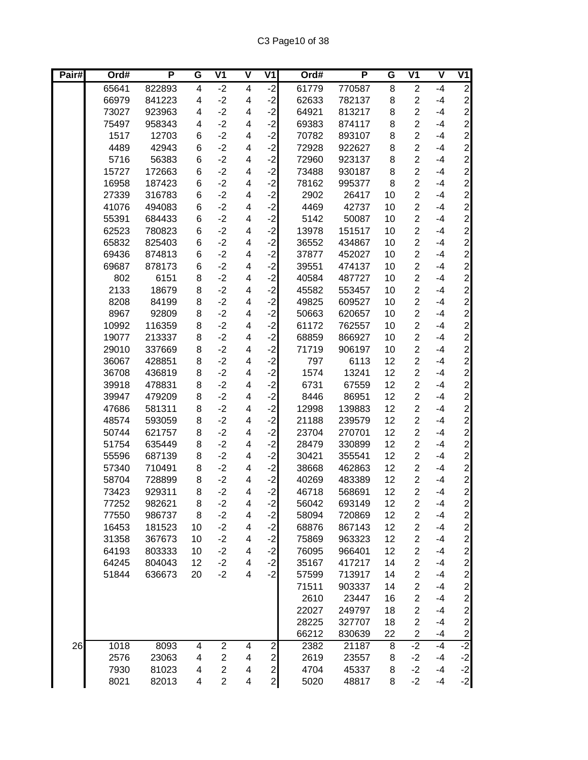C3 Page10 of 38

| Pair# | Ord#  | P      | G                       | V <sub>1</sub> | $\overline{\mathsf{V}}$ | V1             | Ord#  | P      | G  | $\overline{\mathsf{V}}$ 1 | $\overline{\mathsf{v}}$ | V1                         |
|-------|-------|--------|-------------------------|----------------|-------------------------|----------------|-------|--------|----|---------------------------|-------------------------|----------------------------|
|       | 65641 | 822893 | $\overline{\mathbf{4}}$ | $-2$           | $\overline{\mathbf{4}}$ | $-2$           | 61779 | 770587 | 8  | $\overline{2}$            | $-4$                    | $\overline{2}$             |
|       | 66979 | 841223 | 4                       | $-2$           | $\overline{\mathbf{4}}$ | $-2$           | 62633 | 782137 | 8  | $\overline{2}$            | $-4$                    | $\overline{c}$             |
|       | 73027 | 923963 | 4                       | $-2$           | 4                       | $-2$           | 64921 | 813217 | 8  | $\overline{2}$            | $-4$                    | $\overline{a}$             |
|       | 75497 | 958343 | 4                       | $-2$           | 4                       | $-2$           | 69383 | 874117 | 8  | $\overline{2}$            | $-4$                    | $\overline{c}$             |
|       | 1517  | 12703  | 6                       | $-2$           | 4                       | $-2$           | 70782 | 893107 | 8  | $\overline{2}$            | $-4$                    | $\overline{c}$             |
|       | 4489  | 42943  | 6                       | $-2$           | 4                       | $-2$           | 72928 | 922627 | 8  | $\overline{c}$            | $-4$                    |                            |
|       | 5716  | 56383  | 6                       | $-2$           | 4                       | $-2$           | 72960 | 923137 | 8  | $\overline{c}$            | $-4$                    |                            |
|       | 15727 | 172663 | 6                       | $-2$           | 4                       | $-2$           | 73488 | 930187 | 8  | $\overline{2}$            | $-4$                    |                            |
|       | 16958 | 187423 | 6                       | $-2$           | 4                       | $-2$           | 78162 | 995377 | 8  | $\overline{2}$            | $-4$                    |                            |
|       | 27339 | 316783 | 6                       | $-2$           | 4                       | $-2$           | 2902  | 26417  | 10 | $\overline{2}$            | $-4$                    |                            |
|       | 41076 | 494083 | 6                       | $-2$           | 4                       | $-2$           | 4469  | 42737  | 10 | $\overline{2}$            | $-4$                    | ט ט ט ט ט ט ט ט ט ט ט ט    |
|       | 55391 | 684433 | 6                       | $-2$           | 4                       | $-2$           | 5142  | 50087  | 10 | $\overline{2}$            | $-4$                    |                            |
|       | 62523 | 780823 | 6                       | $-2$           | 4                       | $-2$           | 13978 | 151517 | 10 | $\overline{2}$            | $-4$                    |                            |
|       | 65832 | 825403 | 6                       | $-2$           | 4                       | $-2$           | 36552 | 434867 | 10 | $\overline{2}$            | $-4$                    |                            |
|       | 69436 | 874813 | 6                       | $-2$           | 4                       | $-2$           | 37877 | 452027 | 10 | $\overline{2}$            | $-4$                    |                            |
|       | 69687 | 878173 | 6                       | $-2$           | 4                       | $-2$           | 39551 | 474137 | 10 | $\overline{2}$            | $-4$                    |                            |
|       | 802   | 6151   | 8                       | $-2$           | 4                       | $-2$           | 40584 | 487727 | 10 | $\overline{2}$            | $-4$                    |                            |
|       | 2133  | 18679  | 8                       | $-2$           | 4                       | $-2$           | 45582 | 553457 | 10 | $\overline{2}$            | $-4$                    |                            |
|       | 8208  | 84199  | 8                       | $-2$           | 4                       | $-2$           | 49825 | 609527 | 10 | $\overline{2}$            | $-4$                    |                            |
|       | 8967  | 92809  | 8                       | $-2$           | 4                       | $-2$           | 50663 | 620657 | 10 | $\overline{2}$            | $-4$                    |                            |
|       | 10992 | 116359 | 8                       | $-2$           | 4                       | $-2$           | 61172 | 762557 | 10 | $\overline{2}$            | $-4$                    | $\overline{c}$             |
|       | 19077 | 213337 | 8                       | $-2$           | 4                       | $-2$           | 68859 | 866927 | 10 | $\overline{2}$            | $-4$                    | $\overline{c}$             |
|       | 29010 | 337669 | 8                       | $-2$           | 4                       | $-2$           | 71719 | 906197 | 10 | $\overline{2}$            | $-4$                    |                            |
|       | 36067 | 428851 | 8                       | $-2$           | 4                       | $-2$           | 797   | 6113   | 12 | $\overline{2}$            | $-4$                    | ט ט ט ט ט ט ט ט ט ט ט      |
|       | 36708 | 436819 | 8                       | $-2$           | 4                       | $-2$           | 1574  | 13241  | 12 | $\overline{c}$            | $-4$                    |                            |
|       | 39918 | 478831 | 8                       | $-2$           | 4                       | $-2$           | 6731  | 67559  | 12 | $\overline{2}$            | $-4$                    |                            |
|       | 39947 | 479209 | 8                       | $-2$           | 4                       | $-2$           | 8446  | 86951  | 12 | $\overline{2}$            | $-4$                    |                            |
|       | 47686 | 581311 | 8                       | $-2$           | 4                       | $-2$           | 12998 | 139883 | 12 | $\overline{2}$            | $-4$                    |                            |
|       | 48574 | 593059 | 8                       | $-2$           | 4                       | $-2$           | 21188 | 239579 | 12 | $\overline{2}$            | $-4$                    |                            |
|       | 50744 | 621757 | 8                       | $-2$           | 4                       | $-2$           | 23704 | 270701 | 12 | $\overline{2}$            | $-4$                    |                            |
|       | 51754 | 635449 | 8                       | $-2$           | 4                       | $-2$           | 28479 | 330899 | 12 | $\overline{2}$            | $-4$                    |                            |
|       | 55596 | 687139 | 8                       | $-2$           | 4                       | $-2$           | 30421 | 355541 | 12 | $\overline{2}$            | $-4$                    |                            |
|       | 57340 | 710491 | 8                       | $-2$           | 4                       | $-2$           | 38668 | 462863 | 12 | $\overline{2}$            | $-4$                    |                            |
|       | 58704 | 728899 | 8                       | $-2$           | 4                       | $-2$           | 40269 | 483389 | 12 | $\overline{2}$            | $-4$                    |                            |
|       | 73423 | 929311 | 8                       | $-2$           | 4                       | $-2$           | 46718 | 568691 | 12 | $\overline{2}$            | $-4$                    | $\mathbf{2}$               |
|       | 77252 | 982621 | 8                       | $-2$           | 4                       | $-2$           | 56042 | 693149 | 12 | $\overline{c}$            | $-4$                    | $\mathbf{2}$               |
|       | 77550 | 986737 | 8                       | $-2$           | $\overline{\mathbf{4}}$ | $-2$           | 58094 | 720869 | 12 | $\overline{c}$            | $-4$                    | $\overline{2}$             |
|       | 16453 | 181523 | 10                      | $-2$           | $\overline{\mathbf{4}}$ | $-2$           | 68876 | 867143 | 12 | $\overline{2}$            | $-4$                    | $\overline{a}$             |
|       | 31358 | 367673 | 10                      | $-2$           | $\overline{\mathbf{4}}$ | $-2$           | 75869 | 963323 | 12 | $\overline{c}$            | $-4$                    |                            |
|       | 64193 | 803333 | 10                      | $-2$           | $\overline{\mathbf{4}}$ | $-2$           | 76095 | 966401 | 12 | $\overline{c}$            | $-4$                    |                            |
|       | 64245 | 804043 | 12                      | $-2$           | $\overline{\mathbf{4}}$ | $-2$           | 35167 | 417217 | 14 | $\overline{2}$            | $-4$                    |                            |
|       | 51844 | 636673 | 20                      | $-2$           | $\overline{4}$          | $-2$           | 57599 | 713917 | 14 | $\overline{c}$            | $-4$                    |                            |
|       |       |        |                         |                |                         |                | 71511 | 903337 | 14 | $\overline{2}$            | $-4$                    |                            |
|       |       |        |                         |                |                         |                | 2610  | 23447  | 16 | $\overline{c}$            | $-4$                    |                            |
|       |       |        |                         |                |                         |                | 22027 | 249797 | 18 | 2                         | $-4$                    |                            |
|       |       |        |                         |                |                         |                | 28225 | 327707 | 18 | $\overline{2}$            | $-4$                    |                            |
|       |       |        |                         |                |                         |                | 66212 | 830639 | 22 | $\overline{2}$            | $-4$                    |                            |
| 26    | 1018  | 8093   | 4                       | $\overline{c}$ | 4                       | $\overline{2}$ | 2382  | 21187  | 8  | $-2$                      | $-4$                    | <u>u u u u u u u u u u</u> |
|       | 2576  | 23063  | 4                       | $\overline{c}$ | $\overline{\mathbf{4}}$ | $\mathbf{2}$   | 2619  | 23557  | 8  | $-2$                      | $-4$                    | $-2$<br>$-2$<br>$-2$       |
|       | 7930  | 81023  | 4                       | $\overline{c}$ | $\overline{\mathbf{4}}$ | $\mathbf{Z}$   | 4704  | 45337  | 8  | $-2$                      | $-4$                    |                            |
|       | 8021  | 82013  | 4                       | $\overline{2}$ | $\overline{\mathbf{4}}$ | $\mathbf{2}$   | 5020  | 48817  | 8  | $-2$                      | $-4$                    |                            |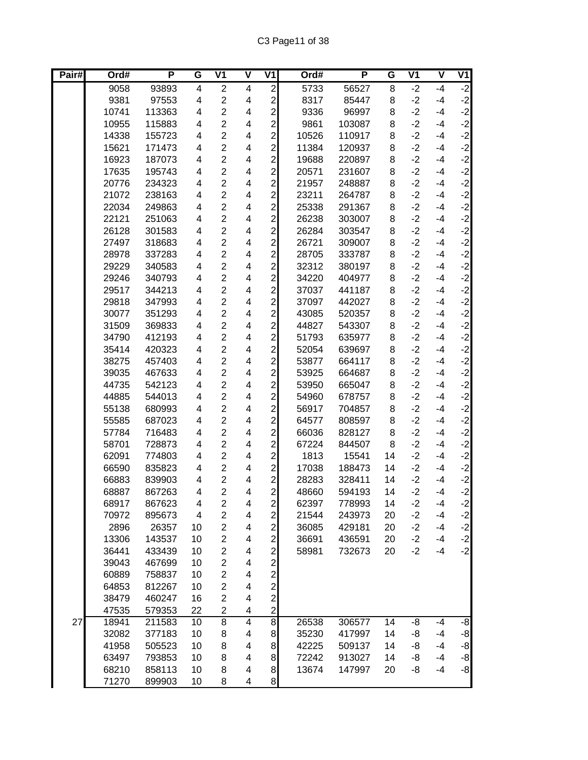C3 Page11 of 38

| Pair# | Ord#  | P      | G                       | $\overline{\mathsf{V1}}$ | $\overline{\mathsf{v}}$ | V <sub>1</sub>          | Ord#  | P      | G  | V <sub>1</sub> | $\overline{\mathtt{v}}$ | V <sub>1</sub> |
|-------|-------|--------|-------------------------|--------------------------|-------------------------|-------------------------|-------|--------|----|----------------|-------------------------|----------------|
|       | 9058  | 93893  | 4                       | $\overline{2}$           | $\overline{\mathbf{4}}$ | $\overline{2}$          | 5733  | 56527  | 8  | $-2$           | $-4$                    | $-2$           |
|       | 9381  | 97553  | 4                       | $\overline{2}$           | $\overline{\mathbf{4}}$ | $\overline{a}$          | 8317  | 85447  | 8  | $-2$           | $-4$                    | $-2$           |
|       | 10741 | 113363 | 4                       | $\overline{c}$           | $\overline{\mathbf{4}}$ | $\overline{2}$          | 9336  | 96997  | 8  | $-2$           | -4                      | $-2$           |
|       | 10955 | 115883 | 4                       | $\overline{c}$           | $\overline{\mathbf{4}}$ | $\overline{2}$          | 9861  | 103087 | 8  | $-2$           | $-4$                    | $-2$           |
|       | 14338 | 155723 | 4                       | $\overline{c}$           | 4                       | $\overline{c}$          | 10526 | 110917 | 8  | $-2$           | $-4$                    | $-2$           |
|       | 15621 | 171473 | 4                       | $\overline{2}$           | $\overline{\mathbf{4}}$ | $\overline{2}$          | 11384 | 120937 | 8  | $-2$           | $-4$                    | $-2$           |
|       | 16923 | 187073 | $\overline{\mathbf{4}}$ | $\overline{c}$           | $\overline{\mathbf{4}}$ | $\overline{c}$          | 19688 | 220897 | 8  | $-2$           | $-4$                    | $-2$           |
|       | 17635 | 195743 | $\overline{\mathbf{4}}$ | $\overline{c}$           | $\overline{\mathbf{4}}$ | $\overline{2}$          | 20571 | 231607 | 8  | $-2$           | $-4$                    | $-2$           |
|       | 20776 | 234323 | 4                       | $\overline{c}$           | $\overline{4}$          | $\overline{c}$          | 21957 | 248887 | 8  | $-2$           | $-4$                    | $-2$           |
|       | 21072 | 238163 | 4                       | $\overline{2}$           | $\overline{4}$          | $\overline{2}$          | 23211 | 264787 | 8  | $-2$           | $-4$                    | $-2$           |
|       | 22034 | 249863 | 4                       | $\overline{c}$           | $\overline{\mathbf{4}}$ | $\overline{c}$          | 25338 | 291367 | 8  | $-2$           | $-4$                    | $-2$           |
|       | 22121 | 251063 | 4                       | $\overline{c}$           | 4                       | $\overline{c}$          | 26238 | 303007 | 8  | $-2$           | $-4$                    | $-2$           |
|       | 26128 | 301583 | 4                       | $\overline{2}$           | $\overline{4}$          | $\overline{\mathbf{c}}$ | 26284 | 303547 | 8  | $-2$           | $-4$                    | $-2$           |
|       | 27497 | 318683 | 4                       | $\overline{2}$           | $\overline{4}$          | $\overline{c}$          | 26721 | 309007 | 8  | $-2$           | $-4$                    | $-2$           |
|       | 28978 | 337283 | 4                       | $\overline{c}$           | $\overline{4}$          | $\overline{c}$          | 28705 | 333787 | 8  | $-2$           | $-4$                    | $-2$           |
|       | 29229 | 340583 | 4                       | $\overline{c}$           | $\overline{4}$          | $\overline{c}$          | 32312 | 380197 | 8  | $-2$           | $-4$                    |                |
|       | 29246 | 340793 | 4                       | $\overline{c}$           | 4                       | $\overline{2}$          | 34220 | 404977 | 8  | $-2$           | $-4$                    | $-2$<br>$-2$   |
|       | 29517 | 344213 | 4                       | $\overline{c}$           | $\overline{4}$          | $\overline{c}$          | 37037 | 441187 | 8  | $-2$           | $-4$                    | $-2$           |
|       | 29818 | 347993 | 4                       | $\overline{2}$           | $\overline{4}$          | $\overline{2}$          | 37097 | 442027 | 8  | $-2$           | $-4$                    | $-2$           |
|       | 30077 | 351293 | 4                       | $\overline{c}$           | $\overline{\mathbf{4}}$ | $\overline{2}$          | 43085 | 520357 | 8  | $-2$           | $-4$                    | $-2$           |
|       | 31509 | 369833 | 4                       | $\overline{c}$           | 4                       | $\overline{2}$          | 44827 | 543307 | 8  | $-2$           | $-4$                    | $-2$           |
|       | 34790 | 412193 | 4                       | $\overline{c}$           | 4                       | $\overline{c}$          | 51793 | 635977 | 8  | $-2$           | $-4$                    | $-2$           |
|       | 35414 | 420323 | 4                       | $\overline{2}$           | $\overline{\mathbf{4}}$ | $\overline{2}$          | 52054 | 639697 | 8  | $-2$           | $-4$                    | $-2$           |
|       | 38275 | 457403 | $\overline{\mathbf{4}}$ | $\overline{2}$           | $\overline{\mathbf{4}}$ | $\overline{c}$          | 53877 | 664117 | 8  | $-2$           | $-4$                    | $-2$           |
|       | 39035 | 467633 | $\overline{\mathbf{4}}$ | $\overline{2}$           | $\overline{4}$          | $\overline{2}$          | 53925 | 664687 | 8  | $-2$           | $-4$                    | $-2$           |
|       | 44735 | 542123 | 4                       | $\overline{c}$           | $\overline{4}$          | $\overline{c}$          | 53950 | 665047 | 8  | $-2$           | $-4$                    | $-2$           |
|       | 44885 | 544013 | 4                       | $\overline{2}$           | $\overline{4}$          | $\overline{2}$          | 54960 | 678757 | 8  | $-2$           | $-4$                    | $-2$           |
|       | 55138 | 680993 | 4                       | $\overline{c}$           | $\overline{\mathbf{4}}$ | $\overline{c}$          | 56917 | 704857 | 8  | $-2$           | $-4$                    | $-2$           |
|       | 55585 | 687023 | 4                       | $\overline{2}$           | 4                       | $\overline{c}$          | 64577 | 808597 | 8  | $-2$           | $-4$                    | $-2$           |
|       | 57784 | 716483 | 4                       | $\overline{2}$           | $\overline{4}$          | $\overline{c}$          | 66036 | 828127 | 8  | $-2$           | $-4$                    | $-2$           |
|       | 58701 | 728873 | 4                       | $\overline{c}$           | $\overline{4}$          | $\overline{c}$          | 67224 | 844507 | 8  | $-2$           | $-4$                    | $-2$           |
|       | 62091 | 774803 | 4                       | $\overline{c}$           | $\overline{4}$          | $\overline{c}$          | 1813  | 15541  | 14 | $-2$           | $-4$                    | $-2$           |
|       | 66590 | 835823 | 4                       | $\overline{2}$           | 4                       | $\overline{c}$          | 17038 | 188473 | 14 | $-2$           | -4                      | $-2$           |
|       | 66883 | 839903 | 4                       | $\overline{c}$           | 4                       | $\overline{c}$          | 28283 | 328411 | 14 | $-2$           | -4                      | $-2$           |
|       | 68887 | 867263 | 4                       | $\overline{2}$           | $\overline{4}$          | $\overline{2}$          | 48660 | 594193 | 14 | $-2$           | $-4$                    | $-2$           |
|       | 68917 | 867623 | 4                       | $\overline{c}$           | 4                       | $\mathbf{2}$            | 62397 | 778993 | 14 | $-2$           | -4                      | $-2$           |
|       | 70972 | 895673 | 4                       | $\overline{2}$           | 4                       | $\overline{c}$          | 21544 | 243973 | 20 | $-2$           | $-4$                    | $-2$           |
|       | 2896  | 26357  | 10                      | $\overline{2}$           | $\overline{\mathbf{4}}$ | $\overline{c}$          | 36085 | 429181 | 20 | $-2$           | $-4$                    | $-2$           |
|       | 13306 | 143537 | 10                      | $\overline{2}$           | $\overline{\mathbf{4}}$ | $\overline{a}$          | 36691 | 436591 | 20 | $-2$           | $-4$                    | $-2$           |
|       | 36441 | 433439 | 10                      | $\overline{2}$           | $\overline{\mathbf{4}}$ | $\overline{c}$          | 58981 | 732673 | 20 | $-2$           | $-4$                    | $-2$           |
|       | 39043 | 467699 | 10                      | $\overline{c}$           | 4                       | $\overline{c}$          |       |        |    |                |                         |                |
|       | 60889 | 758837 | 10                      | $\overline{2}$           | 4                       | $\overline{c}$          |       |        |    |                |                         |                |
|       | 64853 | 812267 | 10                      | $\overline{c}$           | 4                       | $\overline{c}$          |       |        |    |                |                         |                |
|       | 38479 | 460247 | 16                      | $\overline{2}$           | 4                       | $\overline{2}$          |       |        |    |                |                         |                |
|       | 47535 | 579353 | 22                      | $\overline{c}$           | 4                       | $\overline{c}$          |       |        |    |                |                         |                |
| 27    | 18941 | 211583 | 10                      | 8                        | 4                       | $\overline{8}$          | 26538 | 306577 | 14 | -8             | -4                      | $-8$           |
|       | 32082 | 377183 | 10                      | 8                        | 4                       | 8                       | 35230 | 417997 | 14 | -8             | -4                      | $-8$           |
|       | 41958 | 505523 | 10                      | 8                        | 4                       | 8                       | 42225 | 509137 | 14 | -8             | $-4$                    | $-8$           |
|       | 63497 | 793853 | 10                      | 8                        | $\overline{\mathbf{4}}$ | 8                       | 72242 | 913027 | 14 | -8             | -4                      | $-8$           |
|       | 68210 | 858113 | 10                      | 8                        | $\overline{\mathbf{4}}$ | 8                       | 13674 | 147997 | 20 | -8             | -4                      | $-8$           |
|       | 71270 | 899903 | 10                      | 8                        | 4                       | 8                       |       |        |    |                |                         |                |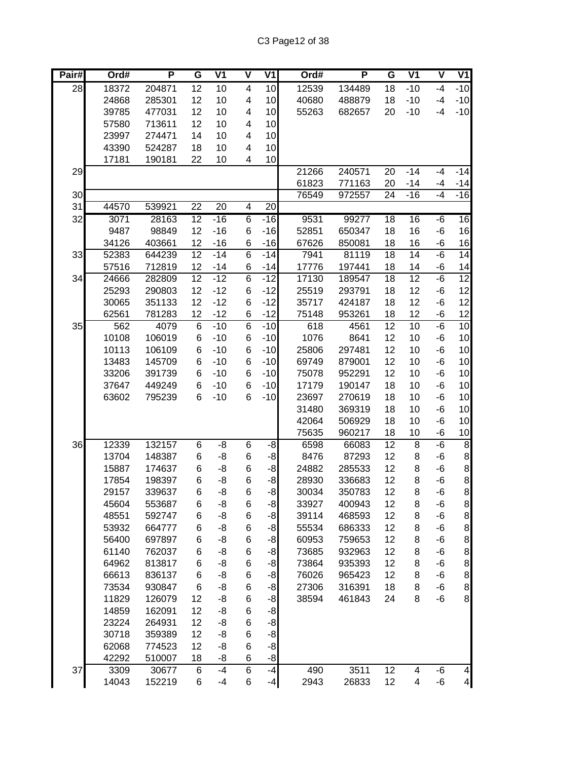| Pair# | Ord#  | P      | G               | $\overline{\mathsf{V1}}$ | $\overline{\mathsf{v}}$ | $\overline{\mathsf{V1}}$ | Ord#  | P      | G               | V <sub>1</sub> | $\overline{\mathsf{v}}$ | V <sub>1</sub>   |
|-------|-------|--------|-----------------|--------------------------|-------------------------|--------------------------|-------|--------|-----------------|----------------|-------------------------|------------------|
| 28    | 18372 | 204871 | 12              | 10                       | $\overline{\mathbf{4}}$ | 10                       | 12539 | 134489 | 18              | $-10$          | $-4$                    | $-10$            |
|       | 24868 | 285301 | 12              | 10                       | $\overline{\mathbf{4}}$ | 10                       | 40680 | 488879 | 18              | $-10$          | $-4$                    | $-10$            |
|       | 39785 | 477031 | 12              | 10                       | 4                       | 10                       | 55263 | 682657 | 20              | $-10$          | $-4$                    | $-10$            |
|       | 57580 | 713611 | 12              | 10                       | 4                       | 10                       |       |        |                 |                |                         |                  |
|       | 23997 | 274471 | 14              | 10                       | 4                       | 10                       |       |        |                 |                |                         |                  |
|       | 43390 | 524287 | 18              | 10                       | 4                       | 10                       |       |        |                 |                |                         |                  |
|       | 17181 | 190181 | 22              | 10                       | 4                       | 10                       |       |        |                 |                |                         |                  |
| 29    |       |        |                 |                          |                         |                          | 21266 | 240571 | 20              | $-14$          | $-4$                    | $-14$            |
|       |       |        |                 |                          |                         |                          | 61823 | 771163 | 20              | $-14$          | $-4$                    | $-14$            |
| 30    |       |        |                 |                          |                         |                          | 76549 | 972557 | 24              | $-16$          | $-4$                    | $-16$            |
| 31    | 44570 | 539921 | $\overline{22}$ | 20                       | $\overline{4}$          | 20                       |       |        |                 |                |                         |                  |
| 32    | 3071  | 28163  | $\overline{12}$ | $-16$                    | 6                       | $-16$                    | 9531  | 99277  | $\overline{18}$ | 16             | -6                      | 16               |
|       | 9487  | 98849  | 12              | $-16$                    | 6                       | $-16$                    | 52851 | 650347 | 18              | 16             | -6                      | 16               |
|       | 34126 | 403661 | 12              | $-16$                    | 6                       | $-16$                    | 67626 | 850081 | 18              | 16             | -6                      | 16               |
| 33    | 52383 | 644239 | 12              | $-14$                    | $\overline{6}$          | $-14$                    | 7941  | 81119  | 18              | 14             | -6                      | $\overline{14}$  |
|       | 57516 | 712819 | 12              | $-14$                    | 6                       | $-14$                    | 17776 | 197441 | 18              | 14             | -6                      | 14               |
| 34    | 24666 | 282809 | 12              | $-12$                    | $\overline{6}$          | $-12$                    | 17130 | 189547 | 18              | 12             | $-\overline{6}$         | 12               |
|       | 25293 | 290803 | 12              | $-12$                    | 6                       | $-12$                    | 25519 | 293791 | 18              | 12             | -6                      | 12               |
|       | 30065 | 351133 | 12              | $-12$                    | 6                       | $-12$                    | 35717 | 424187 | 18              | 12             | $-6$                    | 12               |
|       | 62561 | 781283 | 12              | $-12$                    | 6                       | $-12$                    | 75148 | 953261 | 18              | 12             | $-6$                    | 12               |
| 35    | 562   | 4079   | 6               | $-10$                    | 6                       | $-10$                    | 618   | 4561   | 12              | 10             | $-6$                    | $\overline{10}$  |
|       | 10108 | 106019 | 6               | $-10$                    | 6                       | $-10$                    | 1076  | 8641   | 12              | 10             | -6                      | 10 <sup>1</sup>  |
|       | 10113 | 106109 | 6               | $-10$                    | 6                       | $-10$                    | 25806 | 297481 | 12              | 10             | $-6$                    | 10               |
|       | 13483 | 145709 | 6               | $-10$                    | 6                       | $-10$                    | 69749 | 879001 | 12              | 10             | $-6$                    | 10               |
|       | 33206 | 391739 | 6               | $-10$                    | 6                       | $-10$                    | 75078 | 952291 | 12              | 10             | $-6$                    | 10               |
|       | 37647 | 449249 | 6               | $-10$                    | 6                       | $-10$                    | 17179 | 190147 | 18              | 10             | -6                      | 10 <sup>1</sup>  |
|       | 63602 | 795239 | 6               | $-10$                    | 6                       | $-10$                    | 23697 | 270619 | 18              | 10             | -6                      | 10               |
|       |       |        |                 |                          |                         |                          | 31480 | 369319 | 18              | 10             | -6                      | 10               |
|       |       |        |                 |                          |                         |                          | 42064 | 506929 | 18              | 10             | -6                      | 10               |
|       |       |        |                 |                          |                         |                          | 75635 | 960217 | 18              | 10             | -6                      | 10               |
| 36    | 12339 | 132157 | 6               | -8                       | 6                       | غ<br>8                   | 6598  | 66083  | $\overline{12}$ | $\overline{8}$ | $-\overline{6}$         | $\overline{8}$   |
|       | 13704 | 148387 | 6               | -8                       | 6                       | $-8$                     | 8476  | 87293  | 12              | 8              | -6                      | 8                |
|       | 15887 | 174637 | 6               | -8                       | 6                       | $-8$                     | 24882 | 285533 | 12              | 8              | -6                      | 8 <sup>1</sup>   |
|       | 17854 | 198397 | 6               | -8                       | 6                       | $-8$                     | 28930 | 336683 | 12              | 8              | -6                      | $\bf{8}$         |
|       | 29157 | 339637 | 6               | -8                       | 6                       | $-8$                     | 30034 | 350783 | 12              | 8              | $-6$                    | $\bf{8}$         |
|       | 45604 | 553687 | 6               | -8                       | 6                       | $-8$                     | 33927 | 400943 | 12              | 8              | -6                      | 8                |
|       | 48551 | 592747 | 6               | -8                       | 6                       | $-8$                     | 39114 | 468593 | 12              | 8              | -6                      | $\boldsymbol{8}$ |
|       | 53932 | 664777 | 6               | -8                       | 6                       | $-8$                     | 55534 | 686333 | 12              | 8              | -6                      | 8                |
|       | 56400 | 697897 | 6               | -8                       | 6                       | $-8$                     | 60953 | 759653 | 12              | 8              | -6                      | $\bf{8}$         |
|       | 61140 | 762037 | 6               | -8                       | 6                       | $-8$                     | 73685 | 932963 | 12              | 8              | -6                      | $\bf{8}$         |
|       | 64962 | 813817 | 6               | -8                       | 6                       | $-8$                     | 73864 | 935393 | 12              | 8              | -6                      | $\bf{8}$         |
|       | 66613 | 836137 | 6               | -8                       | 6                       | $-8$                     | 76026 | 965423 | 12              | 8              | -6                      | 8 <sup>1</sup>   |
|       | 73534 | 930847 | 6               | -8                       | 6                       | $-8$                     | 27306 | 316391 | 18              | 8              | -6                      | $\bf{8}$         |
|       | 11829 | 126079 | 12              | -8                       | 6                       | $-8$                     | 38594 | 461843 | 24              | 8              | $-6$                    | $\bf{8}$         |
|       | 14859 | 162091 | 12              | -8                       | 6                       | -8                       |       |        |                 |                |                         |                  |
|       | 23224 | 264931 | 12              | -8                       | 6                       | -8                       |       |        |                 |                |                         |                  |
|       | 30718 | 359389 | 12              | -8                       | 6                       | $-8$                     |       |        |                 |                |                         |                  |
|       | 62068 | 774523 | 12              | -8                       | 6                       | $-8$                     |       |        |                 |                |                         |                  |
|       | 42292 | 510007 | 18              | -8                       | 6                       | $-8$                     |       |        |                 |                |                         |                  |
| 37    | 3309  | 30677  | $\overline{6}$  | $-4$                     | $\overline{6}$          | $-4$                     | 490   | 3511   | $\overline{12}$ | 4              | $-\overline{6}$         | $\overline{4}$   |
|       | 14043 | 152219 | 6               | $-4$                     | 6                       | $-4$                     | 2943  | 26833  | 12              | 4              | $-6$                    | 4                |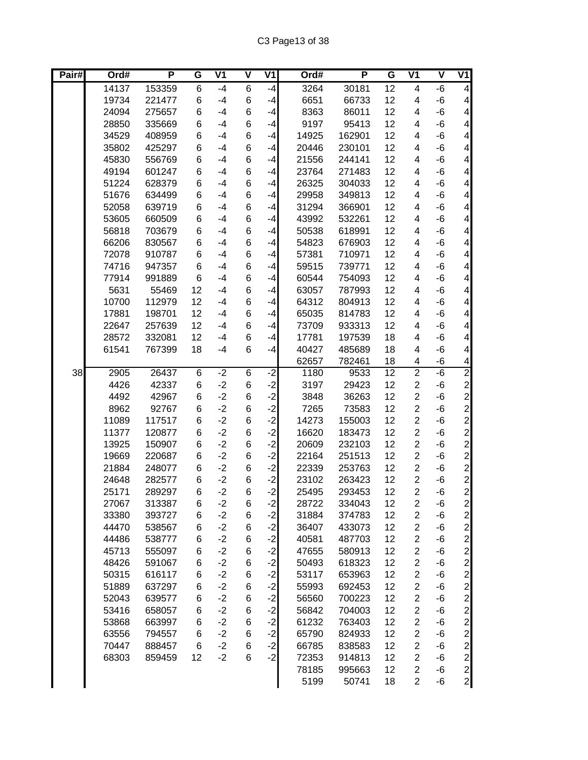C3 Page13 of 38

| Pair# | Ord#  | P      | G     | V <sub>1</sub> | $\overline{\mathsf{V}}$ | $\overline{\mathsf{V1}}$ | Ord#  | P      | G  | $\overline{\mathsf{V}}$ 1 | $\overline{\mathsf{v}}$ | V1                       |
|-------|-------|--------|-------|----------------|-------------------------|--------------------------|-------|--------|----|---------------------------|-------------------------|--------------------------|
|       | 14137 | 153359 | 6     | $-4$           | 6                       | $-4$                     | 3264  | 30181  | 12 | 4                         | $-6$                    | $\overline{\mathbf{4}}$  |
|       | 19734 | 221477 | 6     | $-4$           | 6                       | $-4$                     | 6651  | 66733  | 12 | 4                         | $-6$                    | $\overline{\mathbf{4}}$  |
|       | 24094 | 275657 | 6     | $-4$           | 6                       | $-4$                     | 8363  | 86011  | 12 | 4                         | $-6$                    | $\overline{\mathbf{4}}$  |
|       | 28850 | 335669 | 6     | $-4$           | 6                       | $-4$                     | 9197  | 95413  | 12 | 4                         | $-6$                    | $\overline{\mathbf{4}}$  |
|       | 34529 | 408959 | 6     | $-4$           | 6                       | $-4$                     | 14925 | 162901 | 12 | 4                         | $-6$                    | $\overline{\mathbf{4}}$  |
|       | 35802 | 425297 | 6     | $-4$           | 6                       | $-4$                     | 20446 | 230101 | 12 | 4                         | -6                      | $\overline{\mathbf{4}}$  |
|       | 45830 | 556769 | 6     | $-4$           | 6                       | $-4$                     | 21556 | 244141 | 12 | 4                         | -6                      | $\overline{\mathbf{4}}$  |
|       | 49194 | 601247 | 6     | $-4$           | 6                       | $-4$                     | 23764 | 271483 | 12 | 4                         | $-6$                    | $\overline{\mathbf{4}}$  |
|       | 51224 | 628379 | 6     | $-4$           | 6                       | $-4$                     | 26325 | 304033 | 12 | 4                         | -6                      | 4                        |
|       | 51676 | 634499 | 6     | $-4$           | 6                       | $-4$                     | 29958 | 349813 | 12 | 4                         | -6                      | $\overline{\mathbf{4}}$  |
|       | 52058 | 639719 | 6     | $-4$           | 6                       | $-4$                     | 31294 | 366901 | 12 | 4                         | -6                      | $\overline{\mathbf{4}}$  |
|       | 53605 | 660509 | 6     | $-4$           | 6                       | $-4$                     | 43992 | 532261 | 12 | 4                         | -6                      | 4                        |
|       | 56818 | 703679 | 6     | $-4$           | 6                       | $-4$                     | 50538 | 618991 | 12 | 4                         | -6                      | $\overline{\mathbf{4}}$  |
|       | 66206 | 830567 | 6     | $-4$           | 6                       | $-4$                     | 54823 | 676903 | 12 | 4                         | -6                      | $\overline{\mathbf{4}}$  |
|       | 72078 | 910787 | 6     | $-4$           | 6                       | $-4$                     | 57381 | 710971 | 12 | 4                         | -6                      | $\overline{\mathbf{4}}$  |
|       | 74716 | 947357 | 6     | $-4$           | 6                       | $-4$                     | 59515 | 739771 | 12 | 4                         | -6                      | $\overline{\mathcal{L}}$ |
|       | 77914 | 991889 | 6     | $-4$           | 6                       | $-4$                     | 60544 | 754093 | 12 | 4                         | $-6$                    | $\overline{\mathbf{4}}$  |
|       | 5631  | 55469  | 12    | $-4$           | 6                       | $-4$                     | 63057 | 787993 | 12 | 4                         | $-6$                    | $\overline{\mathbf{4}}$  |
|       | 10700 | 112979 | 12    | $-4$           | 6                       | $-4$                     | 64312 | 804913 | 12 | 4                         | $-6$                    | $\overline{\mathbf{4}}$  |
|       | 17881 | 198701 | 12    | $-4$           | 6                       | $-4$                     | 65035 | 814783 | 12 | 4                         | -6                      | $\overline{\mathbf{4}}$  |
|       | 22647 | 257639 | 12    | $-4$           | 6                       | $-4$                     | 73709 | 933313 | 12 | 4                         | $-6$                    | $\overline{\mathbf{4}}$  |
|       | 28572 | 332081 | 12    | $-4$           | 6                       | $-4$                     | 17781 | 197539 | 18 | 4                         | $-6$                    | $\overline{\mathbf{4}}$  |
|       | 61541 | 767399 | 18    | $-4$           | 6                       | $-4$                     | 40427 | 485689 | 18 | 4                         | $-6$                    | $\overline{\mathbf{4}}$  |
|       |       |        |       |                |                         |                          | 62657 | 782461 | 18 | 4                         | -6                      | $\overline{\mathcal{L}}$ |
| 38    | 2905  | 26437  | 6     | $-2$           | 6                       | $-2$                     | 1180  | 9533   | 12 | $\overline{2}$            | $-\overline{6}$         | מטמטמטמט                 |
|       | 4426  | 42337  | 6     | $-2$           | 6                       | $-2$                     | 3197  | 29423  | 12 | $\overline{2}$            | $-6$                    |                          |
|       | 4492  | 42967  | 6     | $-2$           | 6                       | $-2$                     | 3848  | 36263  | 12 | $\overline{2}$            | -6                      |                          |
|       | 8962  | 92767  | 6     | $-2$           | 6                       | $-2$                     | 7265  | 73583  | 12 | $\overline{2}$            | -6                      |                          |
|       | 11089 | 117517 | 6     | $-2$           | 6                       | $-2$                     | 14273 | 155003 | 12 | $\overline{2}$            | -6                      |                          |
|       | 11377 | 120877 | 6     | $-2$           | 6                       | $-2$                     | 16620 | 183473 | 12 | $\overline{2}$            | -6                      |                          |
|       | 13925 | 150907 | 6     | $-2$           | 6                       | $-2$                     | 20609 | 232103 | 12 | $\overline{2}$            | -6                      |                          |
|       | 19669 | 220687 | 6     | $-2$           | 6                       | $-2$                     | 22164 | 251513 | 12 | $\overline{2}$            | -6                      |                          |
|       | 21884 | 248077 | 6     | $-2$           | 6                       | $-2$                     | 22339 | 253763 | 12 | $\overline{c}$            | -6                      |                          |
|       | 24648 | 282577 | 6     | $-2$           | 6                       | $-2$                     | 23102 | 263423 | 12 | $\overline{2}$            | -6                      |                          |
|       | 25171 | 289297 | 6     | $-2$           | 6                       | $-2$                     | 25495 | 293453 | 12 | $\overline{2}$            | $-6$                    | $\overline{2}$           |
|       | 27067 | 313387 | 6     | $-2$           | 6                       | $-2$                     | 28722 | 334043 | 12 | $\overline{c}$            | -6                      | $\mathbf{2}$             |
|       | 33380 | 393727 | $\,6$ | $-2$           | 6                       | $-2$                     | 31884 | 374783 | 12 | $\overline{c}$            | $-6$                    | $\overline{2}$           |
|       | 44470 | 538567 | 6     | $-2$           | 6                       | $-2$                     | 36407 | 433073 | 12 | $\overline{2}$            | -6                      | $\overline{c}$           |
|       | 44486 | 538777 | 6     | $-2$           | 6                       | $-2$                     | 40581 | 487703 | 12 | $\overline{c}$            | -6                      |                          |
|       | 45713 | 555097 | 6     | $-2$           | 6                       | $-2$                     | 47655 | 580913 | 12 | $\overline{c}$            | $-6$                    |                          |
|       | 48426 | 591067 | 6     | $-2$           | 6                       | $-2$                     | 50493 | 618323 | 12 | $\overline{2}$            | $-6$                    |                          |
|       | 50315 | 616117 | 6     | $-2$           | 6                       | $-2$                     | 53117 | 653963 | 12 | $\overline{c}$            | $-6$                    |                          |
|       | 51889 | 637297 | 6     | $-2$           | 6                       | $-2$                     | 55993 | 692453 | 12 | $\overline{2}$            | -6                      |                          |
|       | 52043 | 639577 | 6     | $-2$           | 6                       | $-2$                     | 56560 | 700223 | 12 | $\overline{c}$            | -6                      |                          |
|       | 53416 | 658057 | 6     | $-2$           | 6                       | $-2$                     | 56842 | 704003 | 12 | $\overline{2}$            | -6                      |                          |
|       | 53868 | 663997 | 6     | $-2$           | 6                       | $-2$                     | 61232 | 763403 | 12 | $\overline{2}$            | $-6$                    |                          |
|       | 63556 | 794557 | 6     | $-2$           | 6                       | $-2$                     | 65790 | 824933 | 12 | $\overline{2}$            | $-6$                    |                          |
|       | 70447 | 888457 | 6     | $-2$           | 6                       | $-2$                     | 66785 | 838583 | 12 | $\overline{c}$            | $-6$                    |                          |
|       | 68303 | 859459 | 12    | $-2$           | 6                       | $-2$                     | 72353 | 914813 | 12 | $\overline{2}$            | -6                      |                          |
|       |       |        |       |                |                         |                          | 78185 | 995663 | 12 | $\overline{2}$            | -6                      |                          |
|       |       |        |       |                |                         |                          | 5199  | 50741  | 18 | $\overline{2}$            | -6                      |                          |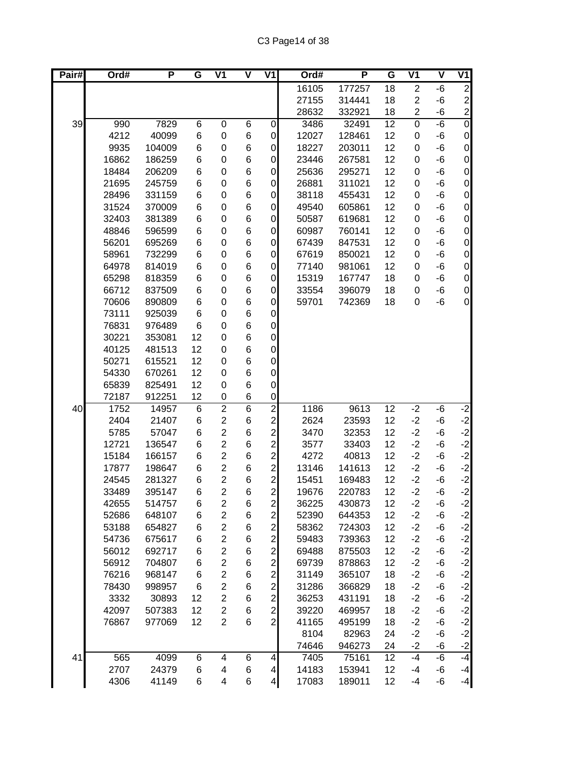| Pair# | Ord#  | Ρ      | G  | V <sub>1</sub>   | V               | V1                       | Ord#  | P      | G  | V <sub>1</sub> | $\overline{\mathsf{V}}$ | V1             |
|-------|-------|--------|----|------------------|-----------------|--------------------------|-------|--------|----|----------------|-------------------------|----------------|
|       |       |        |    |                  |                 |                          | 16105 | 177257 | 18 | $\overline{2}$ | -6                      | $\overline{2}$ |
|       |       |        |    |                  |                 |                          | 27155 | 314441 | 18 | $\overline{2}$ | -6                      | $\mathbf{2}$   |
|       |       |        |    |                  |                 |                          | 28632 | 332921 | 18 | $\overline{2}$ | -6                      | $\overline{2}$ |
| 39    | 990   | 7829   | 6  | 0                | $6\phantom{1}6$ | $\overline{0}$           | 3486  | 32491  | 12 | $\mathbf 0$    | $-6$                    | $\overline{0}$ |
|       | 4212  | 40099  | 6  | 0                | 6               | $\overline{0}$           | 12027 | 128461 | 12 | 0              | -6                      | $\overline{0}$ |
|       | 9935  | 104009 | 6  | 0                | 6               | $\overline{0}$           | 18227 | 203011 | 12 | 0              | -6                      | $\overline{0}$ |
|       | 16862 | 186259 | 6  | 0                | 6               | $\overline{0}$           | 23446 | 267581 | 12 | 0              | -6                      | $\overline{0}$ |
|       | 18484 | 206209 | 6  | 0                | 6               | $\overline{0}$           | 25636 | 295271 | 12 | 0              | -6                      | $\overline{0}$ |
|       | 21695 | 245759 | 6  | 0                | 6               | $\overline{0}$           | 26881 | 311021 | 12 | 0              | -6                      | $\overline{0}$ |
|       | 28496 | 331159 | 6  | 0                | 6               | $\overline{0}$           | 38118 | 455431 | 12 | 0              | -6                      | $\overline{0}$ |
|       | 31524 | 370009 | 6  | 0                | 6               | $\overline{0}$           | 49540 | 605861 | 12 | 0              | -6                      | $\overline{0}$ |
|       | 32403 | 381389 | 6  | 0                | 6               | $\overline{0}$           | 50587 | 619681 | 12 | 0              | -6                      | $\overline{0}$ |
|       | 48846 | 596599 | 6  | 0                | 6               | $\mathbf 0$              | 60987 | 760141 | 12 | 0              | -6                      | $\overline{0}$ |
|       | 56201 | 695269 | 6  | 0                | 6               | $\mathbf 0$              | 67439 | 847531 | 12 | 0              | -6                      | $\mathbf 0$    |
|       | 58961 | 732299 | 6  | 0                | 6               | $\mathbf 0$              | 67619 | 850021 | 12 | 0              | -6                      | $\mathbf 0$    |
|       | 64978 | 814019 | 6  | 0                | 6               | $\mathbf 0$              | 77140 | 981061 | 12 | 0              | -6                      | $\mathbf 0$    |
|       | 65298 | 818359 | 6  | 0                | 6               | $\overline{0}$           | 15319 | 167747 | 18 | 0              | -6                      | $\overline{0}$ |
|       | 66712 | 837509 | 6  | 0                | 6               | $\overline{0}$           | 33554 | 396079 | 18 | 0              | -6                      | $\overline{0}$ |
|       | 70606 | 890809 | 6  | 0                | 6               | $\overline{0}$           | 59701 | 742369 | 18 | 0              | -6                      | $\overline{0}$ |
|       | 73111 | 925039 | 6  | 0                | 6               | $\overline{0}$           |       |        |    |                |                         |                |
|       | 76831 | 976489 | 6  | 0                | 6               | $\overline{0}$           |       |        |    |                |                         |                |
|       | 30221 | 353081 | 12 | 0                | 6               | $\overline{0}$           |       |        |    |                |                         |                |
|       | 40125 | 481513 | 12 | 0                | 6               | $\overline{0}$           |       |        |    |                |                         |                |
|       | 50271 | 615521 | 12 | 0                | 6               | $\overline{0}$           |       |        |    |                |                         |                |
|       | 54330 | 670261 | 12 | 0                | 6               | $\overline{0}$           |       |        |    |                |                         |                |
|       | 65839 | 825491 | 12 | 0                | 6               | $\overline{0}$           |       |        |    |                |                         |                |
|       | 72187 | 912251 | 12 | 0                | 6               | $\overline{0}$           |       |        |    |                |                         |                |
| 40    | 1752  | 14957  | 6  | $\overline{2}$   | $\overline{6}$  | $\overline{2}$           | 1186  | 9613   | 12 | $-2$           | -6                      | $-2$           |
|       | 2404  | 21407  | 6  | $\overline{c}$   | 6               | $\overline{a}$           | 2624  | 23593  | 12 | $-2$           | -6                      | $-2$           |
|       | 5785  | 57047  | 6  | $\overline{c}$   | 6               | $\overline{2}$           | 3470  | 32353  | 12 | $-2$           | -6                      | $-2$           |
|       | 12721 | 136547 | 6  | $\overline{2}$   | 6               | $\overline{2}$           | 3577  | 33403  | 12 | $-2$           | -6                      | $-2$           |
|       | 15184 | 166157 | 6  | $\overline{c}$   | 6               | $\overline{c}$           | 4272  | 40813  | 12 | $-2$           | -6                      | $-2$           |
|       | 17877 | 198647 | 6  | $\overline{2}$   | 6               | $\mathbf{z}$             | 13146 | 141613 | 12 | $-2$           | -6                      | $-2$           |
|       | 24545 | 281327 | 6  | $\overline{c}$   | 6               | $\overline{c}$           | 15451 | 169483 | 12 | $-2$           | -6                      | $-2$           |
|       | 33489 | 395147 | 6  | $\overline{2}$   | 6               | $\overline{2}$           | 19676 | 220783 | 12 | $-2$           | -6                      | $-2$           |
|       | 42655 | 514757 | 6  | $\boldsymbol{2}$ | 6               | $\mathbf{2}$             | 36225 | 430873 | 12 | $-2$           | -6                      | $-2$           |
|       | 52686 | 648107 | 6  | $\overline{c}$   | 6               | $\mathbf{z}$             | 52390 | 644353 | 12 | $-2$           | -6                      | $-2$           |
|       | 53188 | 654827 | 6  | $\overline{2}$   | 6               | $\overline{2}$           | 58362 | 724303 | 12 | $-2$           | -6                      | $-2$           |
|       | 54736 | 675617 | 6  | $\overline{2}$   | 6               | $\mathbf{2}$             | 59483 | 739363 | 12 | $-2$           | -6                      | $-2$           |
|       | 56012 | 692717 | 6  | $\overline{2}$   | 6               | $\mathbf{z}$             | 69488 | 875503 | 12 | $-2$           | -6                      | $-2$           |
|       | 56912 | 704807 | 6  | $\overline{2}$   | 6               | $\mathbf{2}$             | 69739 | 878863 | 12 | $-2$           | $-6$                    | $-2$           |
|       | 76216 | 968147 | 6  | $\overline{2}$   | 6               | $\mathbf{2}$             | 31149 | 365107 | 18 | $-2$           | $-6$                    | $-2$           |
|       | 78430 | 998957 | 6  | $\overline{2}$   | 6               | $\mathbf{2}$             | 31286 | 366829 | 18 | $-2$           | $-6$                    | $-2$           |
|       | 3332  | 30893  | 12 | $\overline{2}$   | 6               | $\mathbf{z}$             | 36253 | 431191 | 18 | $-2$           | -6                      | $-2$           |
|       | 42097 | 507383 | 12 | $\overline{c}$   | 6               | $\mathbf{2}$             | 39220 | 469957 | 18 | $-2$           | -6                      | $-2$           |
|       | 76867 | 977069 | 12 | $\overline{2}$   | 6               | $\overline{2}$           | 41165 | 495199 | 18 | $-2$           | -6                      | $-2$           |
|       |       |        |    |                  |                 |                          | 8104  | 82963  | 24 | $-2$           | -6                      | $-2$           |
|       |       |        |    |                  |                 |                          | 74646 | 946273 | 24 | $-2$           | -6                      | $-2$           |
| 41    | 565   | 4099   | 6  | 4                | 6               | $\overline{\mathcal{A}}$ | 7405  | 75161  | 12 | $-4$           | $-6$                    | $-4$           |
|       | 2707  | 24379  | 6  | 4                | 6               | $\vert 4 \vert$          | 14183 | 153941 | 12 | $-4$           | -6                      | $-4$           |
|       | 4306  | 41149  | 6  | 4                | 6               | $\overline{4}$           | 17083 | 189011 | 12 | $-4$           | -6                      | $-4$           |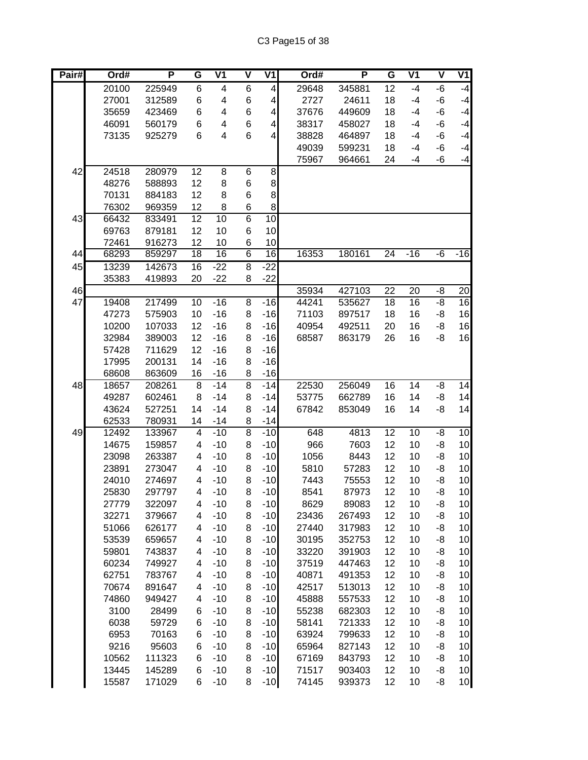| Pair# | Ord#           | P                | G               | $\overline{\mathsf{V}}$ 1 | $\overline{\mathsf{v}}$ | V <sub>1</sub>  | Ord#           | P                | G               | V <sub>1</sub>  | $\overline{\mathsf{v}}$ | V1       |
|-------|----------------|------------------|-----------------|---------------------------|-------------------------|-----------------|----------------|------------------|-----------------|-----------------|-------------------------|----------|
|       | 20100          | 225949           | 6               | 4                         | 6                       | $\overline{4}$  | 29648          | 345881           | 12              | $-4$            | -6                      | $-4$     |
|       | 27001          | 312589           | 6               | 4                         | 6                       | $\overline{4}$  | 2727           | 24611            | 18              | $-4$            | -6                      | $-4$     |
|       | 35659          | 423469           | 6               | 4                         | 6                       | $\overline{4}$  | 37676          | 449609           | 18              | $-4$            | -6                      | $-4$     |
|       | 46091          | 560179           | 6               | 4                         | 6                       | $\overline{4}$  | 38317          | 458027           | 18              | -4              | -6                      | $-4$     |
|       | 73135          | 925279           | 6               | 4                         | 6                       | 4               | 38828          | 464897           | 18              | $-4$            | -6                      | $-4$     |
|       |                |                  |                 |                           |                         |                 | 49039          | 599231           | 18              | $-4$            | -6                      | $-4$     |
|       |                |                  |                 |                           |                         |                 | 75967          | 964661           | 24              | $-4$            | -6                      | $-4$     |
| 42    | 24518          | 280979           | 12              | 8                         | 6                       | $\bf{8}$        |                |                  |                 |                 |                         |          |
|       | 48276          | 588893           | 12              | 8                         | 6                       | $\bf{8}$        |                |                  |                 |                 |                         |          |
|       | 70131          | 884183           | 12              | 8                         | 6                       | $\bf{8}$        |                |                  |                 |                 |                         |          |
|       | 76302          | 969359           | 12              | 8                         | $\,6$                   | $\bf{8}$        |                |                  |                 |                 |                         |          |
| 43    | 66432          | 833491           | 12              | 10                        | $\overline{6}$          | 10 <sup>1</sup> |                |                  |                 |                 |                         |          |
|       | 69763          | 879181           | 12              | 10                        | 6                       | 10              |                |                  |                 |                 |                         |          |
|       | 72461          | 916273           | 12              | 10                        | 6                       | 10              |                |                  |                 |                 |                         |          |
| 44    | 68293          | 859297           | $\overline{18}$ | 16                        | $\overline{6}$          | 16              | 16353          | 180161           | $\overline{24}$ | $-16$           | $-\overline{6}$         | $-16$    |
| 45    | 13239          | 142673           | 16              | $-22$                     | $\overline{8}$          | $-22$           |                |                  |                 |                 |                         |          |
|       | 35383          | 419893           | 20              | $-22$                     | 8                       | $-22$           |                |                  |                 |                 |                         |          |
| 46    |                |                  |                 |                           |                         |                 | 35934          | 427103           | 22              | 20              | -8                      | 20       |
| 47    | 19408          | 217499           | 10              | $-16$                     | 8                       | $-16$           | 44241          | 535627           | 18              | 16              | -8                      | 16       |
|       | 47273          | 575903           | 10              | $-16$                     | 8                       | $-16$           | 71103          | 897517           | 18              | 16              | -8                      | 16       |
|       | 10200          | 107033           | 12              | $-16$                     | 8                       | $-16$           | 40954          | 492511           | 20              | 16              | -8                      | 16       |
|       | 32984          | 389003           | 12              | $-16$                     | 8                       | $-16$           | 68587          | 863179           | 26              | 16              | -8                      | 16       |
|       | 57428          | 711629           | 12              | $-16$                     | 8                       | $-16$           |                |                  |                 |                 |                         |          |
|       | 17995          | 200131           | 14              | $-16$                     | 8                       | $-16$           |                |                  |                 |                 |                         |          |
|       | 68608          | 863609           | 16              | $-16$                     | 8                       | $-16$           |                |                  |                 |                 |                         |          |
| 48    | 18657          | 208261           | 8               | $-14$                     | $\overline{8}$          | $-14$           | 22530          | 256049           | $\overline{16}$ | $\overline{14}$ | $-\frac{8}{3}$          | 14       |
|       | 49287          | 602461           | 8               | $-14$                     | 8                       | $-14$           | 53775          | 662789           | 16              | 14              | -8                      | 14       |
|       | 43624          | 527251           | 14              | $-14$                     | 8                       | $-14$           | 67842          | 853049           | 16              | 14              | -8                      | 14       |
|       | 62533          | 780931           | 14              | $-14$                     | 8                       | $-14$           |                |                  |                 |                 |                         |          |
| 49    | 12492          | 133967           | 4               | $-10$                     | $\overline{8}$          | $-10$           | 648            | 4813             | 12              | 10              | -8                      | 10       |
|       | 14675          | 159857           | 4               | $-10$                     | 8                       | $-10$           | 966            | 7603             | 12              | 10              | -8                      | 10       |
|       | 23098          | 263387           | 4               | $-10$                     | 8                       | $-10$           | 1056           | 8443             | 12              | 10              | -8                      | 10       |
|       | 23891          | 273047           | 4               | $-10$                     | 8                       | $-10$           | 5810           | 57283            | 12              | 10              | -8                      | 10       |
|       | 24010          | 274697           | 4               | $-10$                     | 8                       | $-10$           | 7443           | 75553            | 12              | 10              | -8<br>-8                | 10       |
|       | 25830          | 297797<br>322097 | 4               | $-10$                     | 8                       | $-10$           | 8541<br>8629   | 87973<br>89083   | 12              | 10              |                         | 10       |
|       | 27779          |                  | 4<br>4          | $-10$<br>$-10$            | 8                       | $-10$<br>$-10$  |                |                  | 12<br>12        | 10<br>10        | -8<br>-8                | 10       |
|       | 32271<br>51066 | 379667<br>626177 | 4               | $-10$                     | 8<br>8                  | $-10$           | 23436<br>27440 | 267493<br>317983 | 12              | 10              | -8                      | 10<br>10 |
|       | 53539          | 659657           | 4               | $-10$                     | 8                       | $-10$           | 30195          | 352753           | 12              | 10              | -8                      | 10       |
|       | 59801          | 743837           | 4               | $-10$                     | 8                       | $-10$           | 33220          | 391903           | 12              | 10              | -8                      | 10       |
|       | 60234          | 749927           | 4               | $-10$                     | 8                       | $-10$           | 37519          | 447463           | 12              | 10              | -8                      | 10       |
|       | 62751          | 783767           | 4               | $-10$                     | 8                       | $-10$           | 40871          | 491353           | 12              | 10              | -8                      | 10       |
|       | 70674          | 891647           | 4               | $-10$                     | 8                       | $-10$           | 42517          | 513013           | 12              | 10              | -8                      | 10       |
|       | 74860          | 949427           | 4               | $-10$                     | 8                       | $-10$           | 45888          | 557533           | 12              | 10              | -8                      | 10       |
|       | 3100           | 28499            | 6               | $-10$                     | 8                       | $-10$           | 55238          | 682303           | 12              | 10              | -8                      | 10       |
|       | 6038           | 59729            | 6               | $-10$                     | 8                       | $-10$           | 58141          | 721333           | 12              | 10              | -8                      | 10       |
|       | 6953           | 70163            | 6               | $-10$                     | 8                       | $-10$           | 63924          | 799633           | 12              | 10              | -8                      | 10       |
|       | 9216           | 95603            | 6               | $-10$                     | 8                       | $-10$           | 65964          | 827143           | 12              | 10              | -8                      | 10       |
|       | 10562          | 111323           | 6               | $-10$                     | 8                       | $-10$           | 67169          | 843793           | 12              | 10              | -8                      | 10       |
|       | 13445          | 145289           | 6               | $-10$                     | 8                       | $-10$           | 71517          | 903403           | 12              | 10              | -8                      | 10       |
|       | 15587          | 171029           | 6               | $-10$                     | 8                       | $-10$           | 74145          | 939373           | 12              | 10              | -8                      | 10       |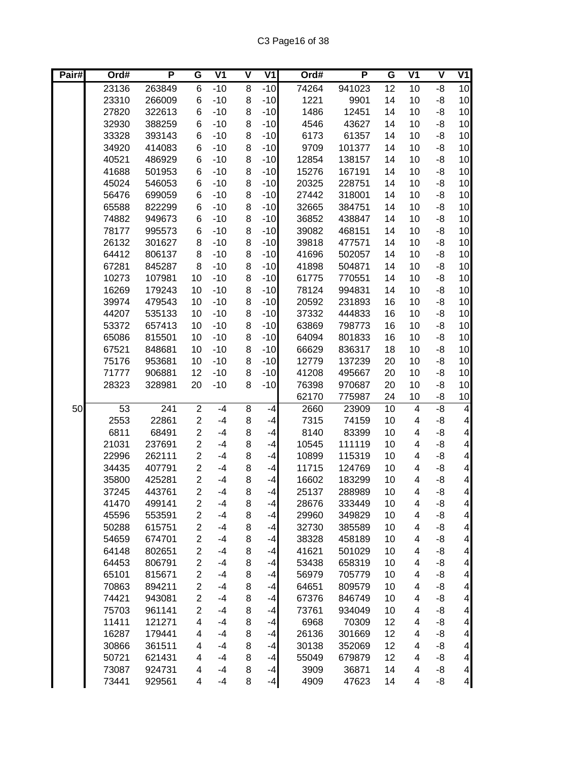C3 Page16 of 38

| Pair# | Ord#  | P      | G                       | V <sub>1</sub> | $\overline{\mathsf{v}}$ | V1    | Ord#  | P      | G  | V <sub>1</sub> | $\overline{\mathsf{v}}$ | V1                       |
|-------|-------|--------|-------------------------|----------------|-------------------------|-------|-------|--------|----|----------------|-------------------------|--------------------------|
|       | 23136 | 263849 | 6                       | $-10$          | 8                       | $-10$ | 74264 | 941023 | 12 | 10             | -8                      | 10                       |
|       | 23310 | 266009 | 6                       | $-10$          | 8                       | $-10$ | 1221  | 9901   | 14 | 10             | -8                      | 10                       |
|       | 27820 | 322613 | 6                       | $-10$          | 8                       | $-10$ | 1486  | 12451  | 14 | 10             | -8                      | 10                       |
|       | 32930 | 388259 | 6                       | $-10$          | 8                       | $-10$ | 4546  | 43627  | 14 | 10             | -8                      | 10                       |
|       | 33328 | 393143 | 6                       | $-10$          | 8                       | $-10$ | 6173  | 61357  | 14 | 10             | -8                      | 10                       |
|       | 34920 | 414083 | 6                       | $-10$          | 8                       | $-10$ | 9709  | 101377 | 14 | 10             | -8                      | 10                       |
|       | 40521 | 486929 | 6                       | $-10$          | 8                       | $-10$ | 12854 | 138157 | 14 | 10             | -8                      | 10                       |
|       | 41688 | 501953 | 6                       | $-10$          | 8                       | $-10$ | 15276 | 167191 | 14 | 10             | -8                      | 10                       |
|       | 45024 | 546053 | 6                       | $-10$          | 8                       | $-10$ | 20325 | 228751 | 14 | 10             | -8                      | 10                       |
|       | 56476 | 699059 | 6                       | $-10$          | 8                       | $-10$ | 27442 | 318001 | 14 | 10             | -8                      | 10                       |
|       | 65588 | 822299 | 6                       | $-10$          | 8                       | $-10$ | 32665 | 384751 | 14 | 10             | -8                      | 10                       |
|       | 74882 | 949673 | 6                       | $-10$          | 8                       | $-10$ | 36852 | 438847 | 14 | 10             | -8                      | 10                       |
|       | 78177 | 995573 | 6                       | $-10$          | 8                       | $-10$ | 39082 | 468151 | 14 | 10             | -8                      | 10                       |
|       | 26132 | 301627 | 8                       | $-10$          | 8                       | $-10$ | 39818 | 477571 | 14 | 10             | -8                      | 10                       |
|       | 64412 | 806137 | 8                       | $-10$          | 8                       | $-10$ | 41696 | 502057 | 14 | 10             | -8                      | 10                       |
|       | 67281 | 845287 | 8                       | $-10$          | 8                       | $-10$ | 41898 | 504871 | 14 | 10             | -8                      | 10                       |
|       | 10273 | 107981 | 10                      | $-10$          | 8                       | $-10$ | 61775 | 770551 | 14 | 10             | -8                      | 10                       |
|       | 16269 | 179243 | 10                      | $-10$          | 8                       | $-10$ | 78124 | 994831 | 14 | 10             | -8                      | 10                       |
|       | 39974 | 479543 | 10                      | $-10$          | 8                       | $-10$ | 20592 | 231893 | 16 | 10             | -8                      | 10                       |
|       | 44207 | 535133 | 10                      | $-10$          | 8                       | $-10$ | 37332 | 444833 | 16 | 10             | -8                      | 10                       |
|       | 53372 | 657413 | 10                      | $-10$          | 8                       | $-10$ | 63869 | 798773 | 16 | 10             | -8                      | 10                       |
|       | 65086 | 815501 | 10                      | $-10$          | 8                       | $-10$ | 64094 | 801833 | 16 | 10             | -8                      | 10                       |
|       | 67521 | 848681 | 10                      | $-10$          | 8                       | $-10$ | 66629 | 836317 | 18 | 10             | -8                      | 10                       |
|       | 75176 | 953681 | 10                      | $-10$          | 8                       | $-10$ | 12779 | 137239 | 20 | 10             | -8                      | 10                       |
|       | 71777 | 906881 | 12                      | $-10$          | 8                       | $-10$ | 41208 | 495667 | 20 | 10             | -8                      | 10                       |
|       | 28323 | 328981 | 20                      | $-10$          | 8                       | $-10$ | 76398 | 970687 | 20 | 10             | -8                      | 10                       |
|       |       |        |                         |                |                         |       | 62170 | 775987 | 24 | 10             | -8                      | 10                       |
| 50    | 53    | 241    | $\overline{2}$          | $-4$           | 8                       | $-4$  | 2660  | 23909  | 10 | 4              | -8                      | 4                        |
|       | 2553  | 22861  | $\overline{\mathbf{c}}$ | $-4$           | 8                       | $-4$  | 7315  | 74159  | 10 | 4              | -8                      | 4                        |
|       | 6811  | 68491  | $\overline{2}$          | $-4$           | 8                       | $-4$  | 8140  | 83399  | 10 | 4              | -8                      | 4                        |
|       | 21031 | 237691 | $\overline{c}$          | $-4$           | 8                       | $-4$  | 10545 | 111119 | 10 | 4              | -8                      | $\overline{\mathbf{4}}$  |
|       | 22996 | 262111 | $\overline{2}$          | $-4$           | 8                       | $-4$  | 10899 | 115319 | 10 | 4              | -8                      | $\overline{\mathcal{L}}$ |
|       | 34435 | 407791 | $\overline{2}$          | $-4$           | 8                       | $-4$  | 11715 | 124769 | 10 | 4              | -8                      | $\overline{\mathbf{4}}$  |
|       | 35800 | 425281 | $\overline{2}$          | $-4$           | 8                       | $-4$  | 16602 | 183299 | 10 | 4              | -8                      | $\overline{4}$           |
|       | 37245 | 443761 | $\overline{2}$          | $-4$           | 8                       | $-4$  | 25137 | 288989 | 10 | 4              | -8                      | $\overline{4}$           |
|       | 41470 | 499141 | $\overline{\mathbf{c}}$ | $-4$           | 8                       | $-4$  | 28676 | 333449 | 10 | 4              | -8                      | $\vert 4 \vert$          |
|       | 45596 | 553591 | $\overline{c}$          | $-4$           | 8                       | $-4$  | 29960 | 349829 | 10 | 4              | -8                      | $\vert 4 \vert$          |
|       | 50288 | 615751 | $\overline{c}$          | $-4$           | 8                       | $-4$  | 32730 | 385589 | 10 | 4              | -8                      | $\overline{\mathbf{4}}$  |
|       | 54659 | 674701 | $\overline{c}$          | $-4$           | 8                       | $-4$  | 38328 | 458189 | 10 | 4              | -8                      | $\overline{\mathbf{4}}$  |
|       | 64148 | 802651 | $\overline{c}$          | $-4$           | 8                       | $-4$  | 41621 | 501029 | 10 | 4              | -8                      | $\overline{\mathbf{4}}$  |
|       | 64453 | 806791 | $\overline{c}$          | $-4$           | 8                       | $-4$  | 53438 | 658319 | 10 | 4              | -8                      | $\overline{\mathbf{4}}$  |
|       | 65101 | 815671 | $\overline{c}$          | $-4$           | 8                       | $-4$  | 56979 | 705779 | 10 | 4              | -8                      | 4                        |
|       | 70863 | 894211 | $\overline{c}$          | $-4$           | 8                       | $-4$  | 64651 | 809579 | 10 | 4              | -8                      | $\overline{\mathbf{4}}$  |
|       | 74421 | 943081 | $\overline{c}$          | $-4$           | 8                       | $-4$  | 67376 | 846749 | 10 | 4              | -8                      | 4                        |
|       | 75703 | 961141 | $\overline{c}$          | $-4$           | 8                       | $-4$  | 73761 | 934049 | 10 | 4              | -8                      | 4                        |
|       | 11411 | 121271 | 4                       | $-4$           | 8                       | $-4$  | 6968  | 70309  | 12 | 4              | -8                      | 4                        |
|       | 16287 | 179441 | 4                       | $-4$           | 8                       | $-4$  | 26136 | 301669 | 12 | 4              | -8                      | 4                        |
|       | 30866 | 361511 | 4                       | $-4$           | 8                       | $-4$  | 30138 | 352069 | 12 | 4              | -8                      | $\overline{\mathcal{L}}$ |
|       | 50721 | 621431 | 4                       | $-4$           | 8                       | $-4$  | 55049 | 679879 | 12 | 4              | -8                      | $\overline{4}$           |
|       | 73087 | 924731 | 4                       | $-4$           | 8                       | $-4$  | 3909  | 36871  | 14 | 4              | -8                      | $\overline{4}$           |
|       | 73441 | 929561 | 4                       | $-4$           | 8                       | $-4$  | 4909  | 47623  | 14 | 4              | -8                      | $\overline{4}$           |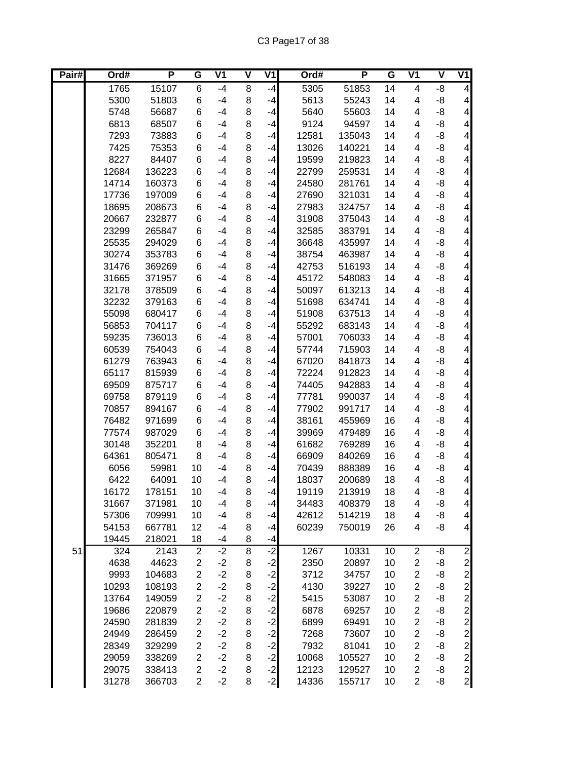C3 Page17 of 38

| Pair# | Ord#  | P      | G              | V <sub>1</sub> | $\overline{\mathsf{v}}$ | $\overline{\mathsf{V1}}$ | Ord#  | P      | G  | $\overline{\mathsf{V}}$ 1 | $\overline{\mathsf{v}}$ | V1                                                |
|-------|-------|--------|----------------|----------------|-------------------------|--------------------------|-------|--------|----|---------------------------|-------------------------|---------------------------------------------------|
|       | 1765  | 15107  | 6              | $-4$           | 8                       | $-4$                     | 5305  | 51853  | 14 | 4                         | -8                      | $\overline{4}$                                    |
|       | 5300  | 51803  | 6              | $-4$           | 8                       | $-4$                     | 5613  | 55243  | 14 | 4                         | -8                      | $\overline{4}$                                    |
|       | 5748  | 56687  | 6              | $-4$           | 8                       | $-4$                     | 5640  | 55603  | 14 | 4                         | -8                      | $\overline{4}$                                    |
|       | 6813  | 68507  | 6              | $-4$           | 8                       | $-4$                     | 9124  | 94597  | 14 | 4                         | -8                      | $\overline{4}$                                    |
|       | 7293  | 73883  | 6              | $-4$           | 8                       | $-4$                     | 12581 | 135043 | 14 | 4                         | -8                      | $\overline{4}$                                    |
|       | 7425  | 75353  | 6              | $-4$           | 8                       | $-4$                     | 13026 | 140221 | 14 | 4                         | -8                      | $\overline{4}$                                    |
|       | 8227  | 84407  | 6              | $-4$           | 8                       | $-4$                     | 19599 | 219823 | 14 | 4                         | -8                      | $\overline{4}$                                    |
|       | 12684 | 136223 | 6              | $-4$           | 8                       | $-4$                     | 22799 | 259531 | 14 | 4                         | -8                      | $\overline{4}$                                    |
|       | 14714 | 160373 | 6              | $-4$           | 8                       | $-4$                     | 24580 | 281761 | 14 | 4                         | -8                      | $\overline{4}$                                    |
|       | 17736 | 197009 | 6              | $-4$           | 8                       | $-4$                     | 27690 | 321031 | 14 | 4                         | -8                      | $\overline{4}$                                    |
|       | 18695 | 208673 | 6              | $-4$           | 8                       | $-4$                     | 27983 | 324757 | 14 | 4                         | -8                      | $\overline{4}$                                    |
|       | 20667 | 232877 | 6              | $-4$           | 8                       | $-4$                     | 31908 | 375043 | 14 | 4                         | -8                      | $\overline{4}$                                    |
|       | 23299 | 265847 | 6              | $-4$           | 8                       | $-4$                     | 32585 | 383791 | 14 | 4                         | -8                      | $\overline{\mathbf{4}}$                           |
|       | 25535 | 294029 | 6              | $-4$           | 8                       | $-4$                     | 36648 | 435997 | 14 | 4                         | -8                      | $\vert 4 \vert$                                   |
|       | 30274 | 353783 | 6              | $-4$           | 8                       | $-4$                     | 38754 | 463987 | 14 | 4                         | -8                      | $\vert 4 \vert$                                   |
|       | 31476 | 369269 | 6              | $-4$           | 8                       | $-4$                     | 42753 | 516193 | 14 | 4                         | -8                      | $\overline{4}$                                    |
|       | 31665 | 371957 | 6              | $-4$           | 8                       | $-4$                     | 45172 | 548083 | 14 | 4                         | -8                      | $\overline{4}$                                    |
|       | 32178 | 378509 | 6              | $-4$           | 8                       | $-4$                     | 50097 | 613213 | 14 | 4                         | -8                      | $\overline{4}$                                    |
|       | 32232 | 379163 | 6              | $-4$           | 8                       | $-4$                     | 51698 | 634741 | 14 | 4                         | -8                      | $\overline{4}$                                    |
|       | 55098 | 680417 | 6              | $-4$           | 8                       | $-4$                     | 51908 | 637513 | 14 | 4                         | -8                      | $\overline{4}$                                    |
|       | 56853 | 704117 | 6              | $-4$           | 8                       | $-4$                     | 55292 | 683143 | 14 | 4                         | -8                      | $\overline{4}$                                    |
|       | 59235 | 736013 | 6              | $-4$           | 8                       | $-4$                     | 57001 | 706033 | 14 | 4                         | -8                      | $\overline{4}$                                    |
|       | 60539 | 754043 | 6              | $-4$           | 8                       | $-4$                     | 57744 | 715903 | 14 | 4                         | -8                      | $\overline{4}$                                    |
|       | 61279 | 763943 | 6              | $-4$           | 8                       | $-4$                     | 67020 | 841873 | 14 | 4                         | -8                      | $\overline{4}$                                    |
|       | 65117 | 815939 | 6              | $-4$           | 8                       | $-4$                     | 72224 | 912823 | 14 | 4                         | -8                      | $\overline{4}$                                    |
|       | 69509 | 875717 | 6              | $-4$           | 8                       | $-4$                     | 74405 | 942883 | 14 | 4                         | -8                      | $\overline{4}$                                    |
|       | 69758 | 879119 | 6              | $-4$           | 8                       | $-4$                     | 77781 | 990037 | 14 | 4                         | -8                      | $\overline{4}$                                    |
|       | 70857 | 894167 | 6              | $-4$           | 8                       | $-4$                     | 77902 | 991717 | 14 | 4                         | -8                      | $\overline{4}$                                    |
|       | 76482 | 971699 | 6              | $-4$           | 8                       | $-4$                     | 38161 | 455969 | 16 | 4                         | -8                      | $\overline{\mathbf{4}}$                           |
|       | 77574 | 987029 | 6              | $-4$           | 8                       | $-4$                     | 39969 | 479489 | 16 | 4                         | -8                      | $\overline{\mathbf{4}}$                           |
|       | 30148 | 352201 | 8              | $-4$           | 8                       | $-4$                     | 61682 | 769289 | 16 | 4                         | -8                      | $\vert 4 \vert$                                   |
|       | 64361 | 805471 | 8              | $-4$           | 8                       | $-4$                     | 66909 | 840269 | 16 | 4                         | -8                      | $\overline{4}$                                    |
|       | 6056  | 59981  | 10             | $-4$           | 8                       | $-4$                     | 70439 | 888389 | 16 | 4                         | -8                      | $\overline{4}$                                    |
|       | 6422  | 64091  | 10             | $-4$           | 8                       | $-4$                     | 18037 | 200689 | 18 | 4                         | -8                      | $\overline{4}$                                    |
|       | 16172 | 178151 | 10             | $-4$           | 8                       | $-4$                     | 19119 | 213919 | 18 | 4                         | -8                      | $\overline{4}$                                    |
|       | 31667 | 371981 | 10             | $-4$           | 8                       | $-4$                     | 34483 | 408379 | 18 | 4                         | -8                      | $\overline{4}$                                    |
|       | 57306 | 709991 | 10             | $-4$           | 8                       | $-4$                     | 42612 | 514219 | 18 | 4                         | -8                      | $\overline{4}$                                    |
|       | 54153 | 667781 | 12             | $-4$           | 8                       | $-4$                     | 60239 | 750019 | 26 | 4                         | -8                      | $\overline{4}$                                    |
|       | 19445 | 218021 | 18             | $-4$           | 8                       | $-4$                     |       |        |    |                           |                         |                                                   |
| 51    | 324   | 2143   | $\overline{2}$ | $-2$           | $\overline{8}$          | $-2$                     | 1267  | 10331  | 10 | $\overline{c}$            | -8                      | $\overline{2}$                                    |
|       | 4638  | 44623  | $\overline{c}$ | $-2$           | 8                       | $-2$                     | 2350  | 20897  | 10 | $\overline{2}$            | -8                      | $\overline{2}$                                    |
|       | 9993  | 104683 | $\overline{c}$ | $-2$           | 8                       | $-2$                     | 3712  | 34757  | 10 | $\overline{c}$            | -8                      | $\overline{2}$                                    |
|       | 10293 | 108193 | $\overline{2}$ | $-2$           | 8                       | $-2$                     | 4130  | 39227  | 10 | $\overline{2}$            | -8                      | $\overline{2}$                                    |
|       | 13764 | 149059 | $\overline{c}$ | $-2$           | 8                       | $-2$                     | 5415  | 53087  | 10 | $\overline{c}$            | -8                      | $\begin{array}{c}\n 2 \\  2 \\  2\n \end{array}$  |
|       | 19686 | 220879 | $\overline{2}$ | $-2$           | 8                       | $-2$                     | 6878  | 69257  | 10 | $\overline{c}$            | -8                      |                                                   |
|       | 24590 | 281839 | $\overline{2}$ | $-2$           | 8                       | $-2$                     | 6899  | 69491  | 10 | $\overline{c}$            | -8                      |                                                   |
|       | 24949 | 286459 | $\overline{c}$ | $-2$           | 8                       | $-2$                     | 7268  | 73607  | 10 | $\overline{2}$            | -8                      |                                                   |
|       | 28349 | 329299 | $\overline{c}$ | $-2$           | 8                       | $-2$                     | 7932  | 81041  | 10 | $\overline{c}$            | -8                      | $\begin{array}{c}\n2 \\ 2 \\ 2 \\ 2\n\end{array}$ |
|       | 29059 | 338269 | $\overline{c}$ | $-2$           | 8                       | $-2$                     | 10068 | 105527 | 10 | $\overline{2}$            | -8                      |                                                   |
|       | 29075 | 338413 | $\overline{c}$ | $-2$           | 8                       | $-2$                     | 12123 | 129527 | 10 | $\overline{2}$            | -8                      |                                                   |
|       | 31278 | 366703 | $\overline{2}$ | $-2$           | 8                       | $-2$                     | 14336 | 155717 | 10 | $\overline{2}$            | -8                      |                                                   |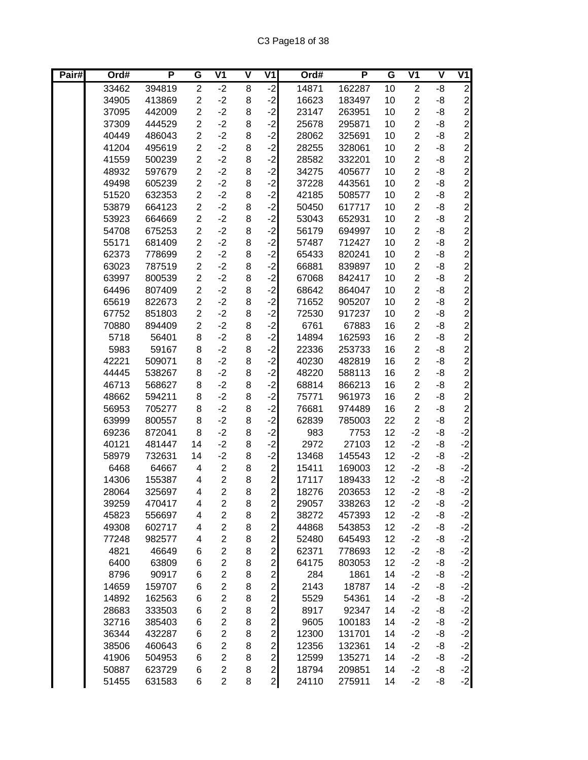C3 Page18 of 38

| Pair# | Ord#  | P      | G              | $\overline{V}$          | V | V <sub>1</sub> | Ord#  | P      | G  | V <sub>1</sub> | $\overline{\mathtt{v}}$ | V1             |
|-------|-------|--------|----------------|-------------------------|---|----------------|-------|--------|----|----------------|-------------------------|----------------|
|       | 33462 | 394819 | $\overline{2}$ | $-2$                    | 8 | ٠J             | 14871 | 162287 | 10 | $\overline{2}$ | -8                      | $\overline{c}$ |
|       | 34905 | 413869 | $\overline{2}$ | $-2$                    | 8 | $-2$           | 16623 | 183497 | 10 | $\overline{2}$ | -8                      | $\mathbf{2}$   |
|       | 37095 | 442009 | $\overline{c}$ | $-2$                    | 8 | $-2$           | 23147 | 263951 | 10 | $\overline{2}$ | -8                      | $\mathbf{2}$   |
|       | 37309 | 444529 | $\overline{c}$ | $-2$                    | 8 | $-2$           | 25678 | 295871 | 10 | $\overline{2}$ | -8                      | $\mathbf{2}$   |
|       | 40449 | 486043 | $\overline{2}$ | $-2$                    | 8 | $-2$           | 28062 | 325691 | 10 | $\overline{2}$ | -8                      | $\mathbf{z}$   |
|       | 41204 | 495619 | $\overline{2}$ | $-2$                    | 8 | $-2$           | 28255 | 328061 | 10 | $\overline{2}$ | -8                      | $\mathbf{2}$   |
|       | 41559 | 500239 | $\overline{2}$ | $-2$                    | 8 | $-2$           | 28582 | 332201 | 10 | $\overline{2}$ | -8                      | $\overline{a}$ |
|       | 48932 | 597679 | $\overline{2}$ | $-2$                    | 8 | $-2$           | 34275 | 405677 | 10 | $\overline{c}$ | -8                      | $\overline{a}$ |
|       | 49498 | 605239 | $\overline{2}$ | $-2$                    | 8 | $-2$           | 37228 | 443561 | 10 | $\overline{2}$ | -8                      | $\overline{a}$ |
|       | 51520 | 632353 | $\overline{2}$ | $-2$                    | 8 | $-2$           | 42185 | 508577 | 10 | $\overline{2}$ | -8                      | $\mathbf{2}$   |
|       | 53879 | 664123 | $\overline{2}$ | $-2$                    | 8 | $-2$           | 50450 | 617717 | 10 | $\overline{2}$ | -8                      | $\overline{a}$ |
|       | 53923 | 664669 | $\overline{2}$ | $-2$                    | 8 | $-2$           | 53043 | 652931 | 10 | $\overline{2}$ | -8                      | $\overline{c}$ |
|       | 54708 | 675253 | $\overline{c}$ | $-2$                    | 8 | $-2$           | 56179 | 694997 | 10 | $\overline{2}$ | -8                      | $\overline{c}$ |
|       | 55171 | 681409 | $\overline{2}$ | $-2$                    | 8 | $-2$           | 57487 | 712427 | 10 | $\overline{2}$ | -8                      |                |
|       | 62373 | 778699 | $\overline{2}$ | $-2$                    | 8 | $-2$           | 65433 | 820241 | 10 | $\overline{2}$ | -8                      |                |
|       | 63023 | 787519 | $\overline{2}$ | $-2$                    | 8 | $-2$           | 66881 | 839897 | 10 | $\overline{2}$ | -8                      | $20000$        |
|       | 63997 | 800539 | $\overline{2}$ | $-2$                    | 8 | $-2$           | 67068 | 842417 | 10 | $\overline{2}$ | -8                      |                |
|       | 64496 | 807409 | $\overline{2}$ | $-2$                    | 8 | $-2$           | 68642 | 864047 | 10 | $\overline{2}$ | -8                      |                |
|       | 65619 | 822673 | $\overline{2}$ | $-2$                    | 8 | $-2$           | 71652 | 905207 | 10 | $\overline{2}$ | -8                      |                |
|       | 67752 | 851803 | $\overline{c}$ | $-2$                    | 8 | $-2$           | 72530 | 917237 | 10 | $\overline{2}$ | -8                      | $\mathbf{2}$   |
|       | 70880 | 894409 | $\overline{c}$ | $-2$                    | 8 | $-2$           | 6761  | 67883  | 16 | $\overline{2}$ | -8                      | $\mathbf{2}$   |
|       | 5718  | 56401  | 8              | $-2$                    | 8 | $-2$           | 14894 | 162593 | 16 | $\overline{2}$ | -8                      | $\mathbf{z}$   |
|       | 5983  | 59167  | 8              | $-2$                    | 8 | $-2$           | 22336 | 253733 | 16 | $\overline{2}$ | -8                      | $\mathbf{2}$   |
|       | 42221 | 509071 | 8              | $-2$                    | 8 | $-2$           | 40230 | 482819 | 16 | $\overline{2}$ | -8                      | $\overline{2}$ |
|       | 44445 | 538267 | 8              | $-2$                    | 8 | $-2$           | 48220 | 588113 | 16 | $\overline{2}$ | -8                      | $\overline{a}$ |
|       | 46713 | 568627 | 8              | $-2$                    | 8 | $-2$           | 68814 | 866213 | 16 | $\overline{2}$ | -8                      | $\overline{2}$ |
|       | 48662 | 594211 | 8              | $-2$                    | 8 | $-2$           | 75771 | 961973 | 16 | $\overline{2}$ | -8                      | $\mathbf{2}$   |
|       | 56953 | 705277 | 8              | $-2$                    | 8 | $-2$           | 76681 | 974489 | 16 | $\overline{2}$ | -8                      | $\overline{a}$ |
|       | 63999 | 800557 | 8              | $-2$                    | 8 | $-2$           | 62839 | 785003 | 22 | $\overline{2}$ | -8                      | $\mathbf{2}$   |
|       | 69236 | 872041 | 8              | $-2$                    | 8 | $-2$           | 983   | 7753   | 12 | $-2$           | -8                      | $-2$           |
|       | 40121 | 481447 | 14             | $-2$                    | 8 | $-2$           | 2972  | 27103  | 12 | $-2$           | -8                      | $-2$           |
|       | 58979 | 732631 | 14             | $-2$                    | 8 | $-2$           | 13468 | 145543 | 12 | $-2$           | -8                      | $-2$           |
|       | 6468  | 64667  | 4              | $\mathbf 2$             | 8 | $\overline{c}$ | 15411 | 169003 | 12 | $-2$           | -8                      | $-2$           |
|       | 14306 | 155387 | 4              | $\overline{2}$          | 8 | $\overline{2}$ | 17117 | 189433 | 12 | $-2$           | -8                      | $-2$           |
|       | 28064 | 325697 | 4              | $\overline{2}$          | 8 | $\overline{2}$ | 18276 | 203653 | 12 | $-2$           | -8                      | $-2$           |
|       | 39259 | 470417 | 4              | $\mathbf 2$             | 8 | $\mathbf{2}$   | 29057 | 338263 | 12 | $-2$           | -8                      | $-2$           |
|       | 45823 | 556697 | 4              | $\overline{c}$          | 8 | $\overline{2}$ | 38272 | 457393 | 12 | $-2$           | -8                      | $-2$           |
|       | 49308 | 602717 | 4              | $\overline{c}$          | 8 | $\overline{2}$ | 44868 | 543853 | 12 | $-2$           | -8                      | $-2$           |
|       | 77248 | 982577 | 4              | $\overline{c}$          | 8 | $\mathbf{2}$   | 52480 | 645493 | 12 | $-2$           | -8                      | $-2$           |
|       | 4821  | 46649  | 6              | $\overline{c}$          | 8 | $\mathbf{2}$   | 62371 | 778693 | 12 | $-2$           | -8                      | $-2$           |
|       | 6400  | 63809  | 6              | $\overline{c}$          | 8 | $\mathbf{2}$   | 64175 | 803053 | 12 | $-2$           | -8                      | $-2$           |
|       | 8796  | 90917  | 6              | $\overline{c}$          | 8 | $\overline{a}$ | 284   | 1861   | 14 | $-2$           | -8                      | $-2$           |
|       | 14659 | 159707 | 6              | $\overline{c}$          | 8 | $\mathbf{2}$   | 2143  | 18787  | 14 | $-2$           | -8                      | $-2$           |
|       | 14892 | 162563 | 6              | $\overline{\mathbf{c}}$ | 8 | $\mathbf{2}$   | 5529  | 54361  | 14 | $-2$           | -8                      | $-2$           |
|       | 28683 | 333503 | 6              | $\overline{c}$          | 8 | $\overline{2}$ | 8917  | 92347  | 14 | $-2$           | -8                      | $-2$           |
|       | 32716 | 385403 | 6              | $\overline{\mathbf{c}}$ | 8 | $\frac{2}{2}$  | 9605  | 100183 | 14 | $-2$           | -8                      | $-2$           |
|       | 36344 | 432287 | 6              | $\overline{c}$          | 8 |                | 12300 | 131701 | 14 | $-2$           | -8                      | $-2$           |
|       | 38506 | 460643 | 6              | $\overline{c}$          | 8 | $\mathbf{2}$   | 12356 | 132361 | 14 | $-2$           | -8                      | $-2$           |
|       | 41906 | 504953 | 6              | $\overline{c}$          | 8 | $\mathbf{2}$   | 12599 | 135271 | 14 | $-2$           | -8                      | $-2$           |
|       | 50887 | 623729 | 6              | $\overline{\mathbf{c}}$ | 8 | $\frac{2}{2}$  | 18794 | 209851 | 14 | $-2$           | -8                      | $-2$           |
|       | 51455 | 631583 | 6              | $\overline{2}$          | 8 |                | 24110 | 275911 | 14 | $-2$           | -8                      | $-2$           |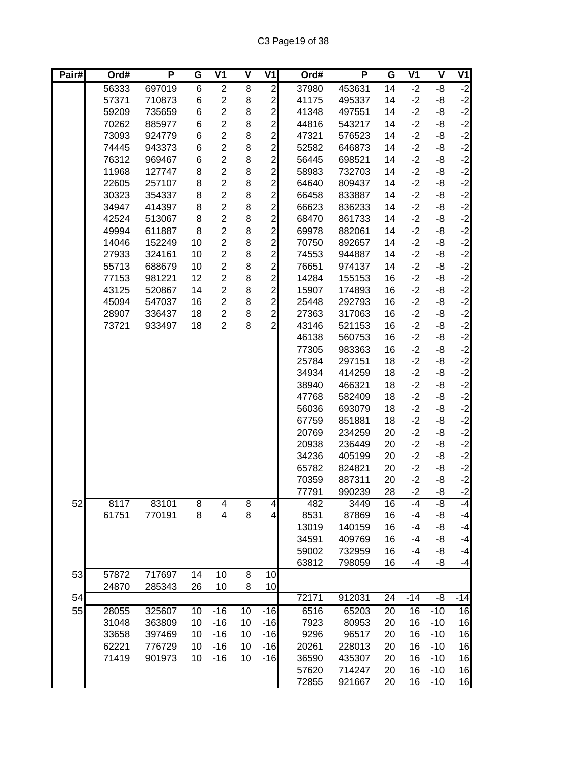C3 Page19 of 38

| Pair# | Ord#  | P      | G     | V <sub>1</sub> | $\overline{\mathtt{v}}$ | V <sub>1</sub>  | Ord#  | P      | G  | V <sub>1</sub> | $\overline{\mathtt{v}}$ | V <sub>1</sub> |
|-------|-------|--------|-------|----------------|-------------------------|-----------------|-------|--------|----|----------------|-------------------------|----------------|
|       | 56333 | 697019 | 6     | $\overline{c}$ | 8                       | $\overline{c}$  | 37980 | 453631 | 14 | $-2$           | -8                      | $-2$           |
|       | 57371 | 710873 | 6     | $\overline{c}$ | 8                       | $\mathbf{2}$    | 41175 | 495337 | 14 | $-2$           | -8                      | $-2$           |
|       | 59209 | 735659 | 6     | $\overline{c}$ | 8                       | $\mathbf{2}$    | 41348 | 497551 | 14 | $-2$           | -8                      | $-2$           |
|       | 70262 | 885977 | $\,6$ | $\overline{2}$ | 8                       | $\overline{c}$  | 44816 | 543217 | 14 | $-2$           | -8                      | $-2$           |
|       | 73093 | 924779 | $\,6$ | $\overline{2}$ | 8                       | $\overline{c}$  | 47321 | 576523 | 14 | $-2$           | -8                      | $-2$           |
|       | 74445 | 943373 | $\,6$ | $\overline{c}$ | 8                       | $\overline{c}$  | 52582 | 646873 | 14 | $-2$           | -8                      | $-2$           |
|       | 76312 | 969467 | 6     | $\overline{2}$ | 8                       | $\overline{c}$  | 56445 | 698521 | 14 | $-2$           | -8                      | $-2$           |
|       | 11968 | 127747 | 8     | $\overline{c}$ | 8                       | $\overline{c}$  | 58983 | 732703 | 14 | $-2$           | -8                      | $-2$           |
|       | 22605 | 257107 | 8     | $\overline{c}$ | 8                       | $\overline{2}$  | 64640 | 809437 | 14 | $-2$           | -8                      | $-2$           |
|       | 30323 | 354337 | 8     | $\overline{c}$ | 8                       | $\overline{c}$  | 66458 | 833887 | 14 | $-2$           | -8                      | $-2$           |
|       | 34947 | 414397 | 8     | $\overline{2}$ | 8                       | $\overline{2}$  | 66623 | 836233 | 14 | $-2$           | -8                      | $-2$           |
|       | 42524 | 513067 | 8     | $\overline{2}$ | 8                       | $\overline{c}$  | 68470 | 861733 | 14 | $-2$           | -8                      | ر<br>2-<br>2-  |
|       | 49994 | 611887 | 8     | $\overline{2}$ | 8                       | $\overline{c}$  | 69978 | 882061 | 14 | $-2$           | -8                      |                |
|       | 14046 | 152249 | 10    | $\overline{2}$ | 8                       | $\overline{c}$  | 70750 | 892657 | 14 | $-2$           | -8                      | د<br>2- د      |
|       | 27933 | 324161 | 10    | $\overline{2}$ | 8                       | $\overline{c}$  | 74553 | 944887 | 14 | $-2$           | -8                      |                |
|       | 55713 | 688679 | 10    | $\overline{2}$ | 8                       | $\overline{c}$  | 76651 | 974137 | 14 | $-2$           | -8                      |                |
|       | 77153 | 981221 | 12    | $\overline{c}$ | 8                       | $\overline{c}$  | 14284 | 155153 | 16 | $-2$           | -8                      | $-2$           |
|       | 43125 | 520867 | 14    | $\overline{c}$ | 8                       | $\overline{a}$  | 15907 | 174893 | 16 | $-2$           | -8                      | $-2$           |
|       | 45094 | 547037 | 16    | $\overline{c}$ | 8                       | $\mathbf{z}$    | 25448 | 292793 | 16 | $-2$           | -8                      | $-2$           |
|       | 28907 | 336437 | 18    | $\overline{2}$ | 8                       | $\mathbf{2}$    | 27363 | 317063 | 16 | $-2$           | -8                      | $-2$           |
|       | 73721 | 933497 | 18    | $\overline{2}$ | 8                       | $\overline{2}$  | 43146 | 521153 | 16 | $-2$           | -8                      | $-2$           |
|       |       |        |       |                |                         |                 | 46138 | 560753 | 16 | $-2$           | -8                      | $-2$           |
|       |       |        |       |                |                         |                 | 77305 | 983363 | 16 | $-2$           | -8                      | $-2$           |
|       |       |        |       |                |                         |                 | 25784 | 297151 | 18 | $-2$           | -8                      | $-2$           |
|       |       |        |       |                |                         |                 | 34934 | 414259 | 18 | $-2$           | -8                      | $-2$           |
|       |       |        |       |                |                         |                 | 38940 | 466321 | 18 | $-2$           | -8                      | $-2$           |
|       |       |        |       |                |                         |                 | 47768 | 582409 | 18 | $-2$           | -8                      | $-2$           |
|       |       |        |       |                |                         |                 | 56036 | 693079 | 18 | $-2$           | -8                      | $-2$           |
|       |       |        |       |                |                         |                 | 67759 | 851881 | 18 | $-2$           | -8                      | $-2$           |
|       |       |        |       |                |                         |                 | 20769 | 234259 | 20 | $-2$           | -8                      | $-2$           |
|       |       |        |       |                |                         |                 | 20938 | 236449 | 20 | $-2$           | -8                      | $-2$           |
|       |       |        |       |                |                         |                 | 34236 | 405199 | 20 | $-2$           | -8                      | $-2$           |
|       |       |        |       |                |                         |                 | 65782 | 824821 | 20 | $-2$           | -8                      | $-2$           |
|       |       |        |       |                |                         |                 | 70359 | 887311 | 20 | $-2$           | -8                      | $-2$           |
|       |       |        |       |                |                         |                 | 77791 | 990239 | 28 | $-2$           | -8                      | $-2$           |
| 52    | 8117  | 83101  | 8     | 4              | 8                       | 4               | 482   | 3449   | 16 | -4             | -8                      | $-4$           |
|       | 61751 | 770191 | 8     | 4              | 8                       | $\vert 4 \vert$ | 8531  | 87869  | 16 | $-4$           | -8                      | $-4$           |
|       |       |        |       |                |                         |                 | 13019 | 140159 | 16 | $-4$           | -8                      | $-4$           |
|       |       |        |       |                |                         |                 | 34591 | 409769 | 16 | $-4$           | -8                      | $-4$           |
|       |       |        |       |                |                         |                 | 59002 | 732959 | 16 | $-4$           | -8                      | $-4$           |
|       |       |        |       |                |                         |                 | 63812 | 798059 | 16 | $-4$           | -8                      | $-4$           |
| 53    | 57872 | 717697 | 14    | 10             | 8                       | 10              |       |        |    |                |                         |                |
|       | 24870 | 285343 | 26    | 10             | 8                       | 10              |       |        |    |                |                         |                |
| 54    |       |        |       |                |                         |                 | 72171 | 912031 | 24 | $-14$          | -8                      | $-14$          |
| 55    | 28055 | 325607 | 10    | $-16$          | 10                      | $-16$           | 6516  | 65203  | 20 | 16             | $-10$                   | 16             |
|       | 31048 | 363809 | 10    | $-16$          | 10                      | $-16$           | 7923  | 80953  | 20 | 16             | $-10$                   | 16             |
|       | 33658 | 397469 | 10    | $-16$          | 10                      | $-16$           | 9296  | 96517  | 20 | 16             | $-10$                   | 16             |
|       | 62221 | 776729 | 10    | $-16$          | 10                      | $-16$           | 20261 | 228013 | 20 | 16             | $-10$                   | 16             |
|       | 71419 | 901973 | 10    | $-16$          | 10                      | $-16$           | 36590 | 435307 | 20 | 16             | $-10$                   | 16             |
|       |       |        |       |                |                         |                 | 57620 | 714247 | 20 | 16             | $-10$                   | 16             |
|       |       |        |       |                |                         |                 | 72855 | 921667 | 20 | 16             | $-10$                   | 16             |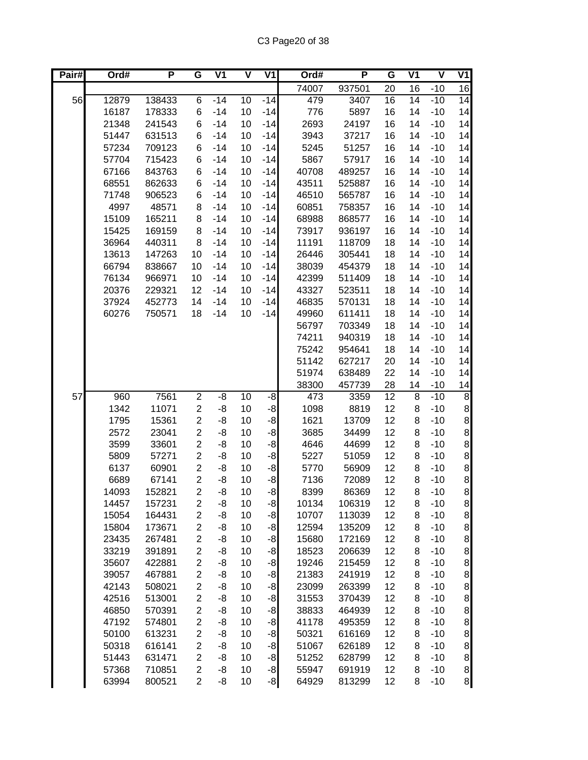| Pair# | Ord#  | P      | G                       | V <sub>1</sub> | $\overline{\mathsf{v}}$ | $\overline{\mathsf{V1}}$ | Ord#  | P      | G               | V <sub>1</sub>  | $\overline{\mathsf{v}}$ | V1                                         |
|-------|-------|--------|-------------------------|----------------|-------------------------|--------------------------|-------|--------|-----------------|-----------------|-------------------------|--------------------------------------------|
|       |       |        |                         |                |                         |                          | 74007 | 937501 | 20              | 16              | $-10$                   | 16                                         |
| 56    | 12879 | 138433 | $\overline{6}$          | $-14$          | 10                      | $-14$                    | 479   | 3407   | $\overline{16}$ | $\overline{14}$ | $-10$                   | $\overline{14}$                            |
|       | 16187 | 178333 | 6                       | $-14$          | 10                      | $-14$                    | 776   | 5897   | 16              | 14              | $-10$                   | 14                                         |
|       | 21348 | 241543 | 6                       | $-14$          | 10                      | $-14$                    | 2693  | 24197  | 16              | 14              | $-10$                   | 14                                         |
|       | 51447 | 631513 | 6                       | $-14$          | 10                      | $-14$                    | 3943  | 37217  | 16              | 14              | $-10$                   | 14                                         |
|       | 57234 | 709123 | 6                       | $-14$          | 10                      | $-14$                    | 5245  | 51257  | 16              | 14              | $-10$                   | 14                                         |
|       | 57704 | 715423 | 6                       | $-14$          | 10                      | $-14$                    | 5867  | 57917  | 16              | 14              | $-10$                   | 14                                         |
|       | 67166 | 843763 | 6                       | $-14$          | 10                      | $-14$                    | 40708 | 489257 | 16              | 14              | $-10$                   | 14                                         |
|       | 68551 | 862633 | 6                       | $-14$          | 10                      | $-14$                    | 43511 | 525887 | 16              | 14              | $-10$                   | 14                                         |
|       | 71748 | 906523 | 6                       | $-14$          | 10                      | $-14$                    | 46510 | 565787 | 16              | 14              | $-10$                   | 14                                         |
|       | 4997  | 48571  | 8                       | $-14$          | 10                      | $-14$                    | 60851 | 758357 | 16              | 14              | $-10$                   | 14                                         |
|       | 15109 | 165211 | 8                       | $-14$          | 10                      | $-14$                    | 68988 | 868577 | 16              | 14              | $-10$                   | 14                                         |
|       | 15425 | 169159 | 8                       | $-14$          | 10                      | $-14$                    | 73917 | 936197 | 16              | 14              | $-10$                   | 14                                         |
|       | 36964 | 440311 | 8                       | $-14$          | 10                      | $-14$                    | 11191 | 118709 | 18              | 14              | $-10$                   | 14                                         |
|       | 13613 | 147263 | 10                      | $-14$          | 10                      | $-14$                    | 26446 | 305441 | 18              | 14              | $-10$                   | 14                                         |
|       | 66794 | 838667 | 10                      | $-14$          | 10                      | $-14$                    | 38039 | 454379 | 18              | 14              | $-10$                   | 14                                         |
|       | 76134 | 966971 | 10                      | $-14$          | 10                      | $-14$                    | 42399 | 511409 | 18              | 14              | $-10$                   | 14                                         |
|       | 20376 | 229321 | 12                      | $-14$          | 10                      | $-14$                    | 43327 | 523511 | 18              | 14              | $-10$                   | 14                                         |
|       | 37924 | 452773 | 14                      | $-14$          | 10                      | $-14$                    | 46835 | 570131 | 18              | 14              | $-10$                   | 14                                         |
|       | 60276 | 750571 | 18                      | $-14$          | 10                      | $-14$                    | 49960 | 611411 | 18              | 14              | $-10$                   | 14                                         |
|       |       |        |                         |                |                         |                          | 56797 | 703349 | 18              | 14              | $-10$                   | 14                                         |
|       |       |        |                         |                |                         |                          | 74211 | 940319 | 18              | 14              | $-10$                   | 14                                         |
|       |       |        |                         |                |                         |                          | 75242 | 954641 | 18              | 14              | $-10$                   | 14                                         |
|       |       |        |                         |                |                         |                          | 51142 | 627217 | 20              | 14              | $-10$                   | 14                                         |
|       |       |        |                         |                |                         |                          | 51974 | 638489 | 22              | 14              | $-10$                   | 14                                         |
|       |       |        |                         |                |                         |                          | 38300 | 457739 | 28              | 14              | $-10$                   | 14                                         |
| 57    | 960   | 7561   | $\overline{2}$          | -8             | 10                      | $-8$                     | 473   | 3359   | 12              | 8               | $-10$                   | $\overline{8}$                             |
|       | 1342  | 11071  | $\overline{c}$          | -8             | 10                      | $-8$                     | 1098  | 8819   | 12              | 8               | $-10$                   | 8                                          |
|       | 1795  | 15361  | $\overline{c}$          | -8             | 10                      | $-8$                     | 1621  | 13709  | 12              | 8               | $-10$                   | 8                                          |
|       | 2572  | 23041  | $\overline{c}$          | -8             | 10                      | $-8$                     | 3685  | 34499  | 12              | 8               | $-10$                   | 8                                          |
|       | 3599  | 33601  | $\overline{2}$          | -8             | 10                      | $-8$                     | 4646  | 44699  | 12              | 8               | $-10$                   | 8                                          |
|       | 5809  | 57271  | $\mathbf 2$             | -8             | 10                      | $-8$                     | 5227  | 51059  | 12              | 8               | $-10$                   | $\begin{matrix}8\\8\end{matrix}$           |
|       | 6137  | 60901  | $\overline{2}$          | -8             | 10                      | $-8$                     | 5770  | 56909  | 12              | 8               | $-10$                   |                                            |
|       | 6689  | 67141  | $\overline{2}$          | -8             | 10                      | $-8$                     | 7136  | 72089  | 12              | 8               | $-10$                   | $\mathbf{8}$                               |
|       | 14093 | 152821 | $\overline{2}$          | -8             | 10                      | $-8$                     | 8399  | 86369  | 12              | 8               | $-10$                   | 8 <sup>1</sup>                             |
|       | 14457 | 157231 | $\overline{c}$          | -8             | 10                      | $-8$                     | 10134 | 106319 | 12              | 8               | $-10$                   | 8                                          |
|       | 15054 | 164431 | $\overline{c}$          | -8             | 10                      | $-8$                     | 10707 | 113039 | 12              | 8               | $-10$                   | $\bf 8$                                    |
|       | 15804 | 173671 | $\boldsymbol{2}$        | -8             | 10                      | $-8$                     | 12594 | 135209 | 12              | 8               | $-10$                   | 8 <sup>1</sup>                             |
|       | 23435 | 267481 | $\overline{\mathbf{c}}$ | -8             | 10                      | $-8$                     | 15680 | 172169 | 12              | 8               | $-10$                   | $\bf{8}$                                   |
|       | 33219 | 391891 | $\boldsymbol{2}$        | -8             | 10                      | $-8$                     | 18523 | 206639 | 12              | 8               | $-10$                   | $\bf{8}$                                   |
|       | 35607 | 422881 | $\boldsymbol{2}$        | -8             | 10                      | $-8$                     | 19246 | 215459 | 12              | 8               | $-10$                   | $\bf{8}$                                   |
|       | 39057 | 467881 | $\overline{c}$          | -8             | 10                      | $-8$                     | 21383 | 241919 | 12              | 8               | $-10$                   | $\bf{8}$                                   |
|       | 42143 | 508021 | $\boldsymbol{2}$        | -8             | 10                      | $-8$                     | 23099 | 263399 | 12              | 8               | $-10$                   | $\bf{8}$                                   |
|       | 42516 | 513001 | $\overline{c}$          | -8             | 10                      | $-8$                     | 31553 | 370439 | 12              | 8               | $-10$                   | 8                                          |
|       | 46850 | 570391 | $\boldsymbol{2}$        | -8             | 10                      | $-8$                     | 38833 | 464939 | 12              | 8               | $-10$                   | 8                                          |
|       | 47192 | 574801 | $\overline{2}$          | -8             | 10                      | $-8$                     | 41178 | 495359 | 12              | 8               | $-10$                   | 8                                          |
|       | 50100 | 613231 | $\overline{2}$          | -8             | 10                      | $-8$                     | 50321 | 616169 | 12              | 8               | $-10$                   | $\bf 8$                                    |
|       | 50318 | 616141 | $\overline{2}$          | -8             | 10                      | $-8$                     | 51067 | 626189 | 12              | 8               | $-10$                   | $\mathbf{8}$                               |
|       | 51443 | 631471 | $\overline{c}$          | -8             | 10                      | $-8$                     | 51252 | 628799 | 12              | 8               | $-10$                   | $\begin{array}{c} 8 \\ 8 \\ 8 \end{array}$ |
|       | 57368 | 710851 | $\overline{c}$          | -8             | 10                      | $-8$                     | 55947 | 691919 | 12              | 8               | $-10$                   |                                            |
|       | 63994 | 800521 | $\overline{c}$          | -8             | 10                      | $-8$                     | 64929 | 813299 | 12              | 8               | $-10$                   |                                            |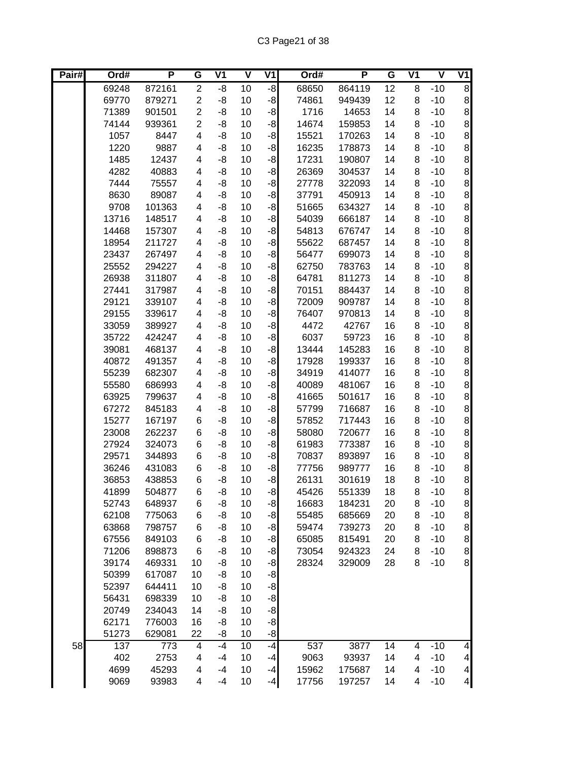C3 Page21 of 38

| Pair# | Ord#  | P      | G                       | V <sub>1</sub> | $\overline{\mathtt{v}}$ | $\overline{\mathsf{V1}}$ | Ord#  | P      | G  | V <sub>1</sub> | $\overline{\mathsf{v}}$ | V1             |
|-------|-------|--------|-------------------------|----------------|-------------------------|--------------------------|-------|--------|----|----------------|-------------------------|----------------|
|       | 69248 | 872161 | $\overline{2}$          | -8             | 10                      | $-8$                     | 68650 | 864119 | 12 | 8              | $-10$                   | 8 <sup>1</sup> |
|       | 69770 | 879271 | $\overline{2}$          | -8             | 10                      | $-8$                     | 74861 | 949439 | 12 | 8              | $-10$                   | 8 <sup>1</sup> |
|       | 71389 | 901501 | $\overline{2}$          | -8             | 10                      | $-8$                     | 1716  | 14653  | 14 | 8              | $-10$                   | $\bf{8}$       |
|       | 74144 | 939361 | $\overline{c}$          | -8             | 10                      | $-8$                     | 14674 | 159853 | 14 | 8              | $-10$                   | $\bf{8}$       |
|       | 1057  | 8447   | $\overline{4}$          | -8             | 10                      | $-8$                     | 15521 | 170263 | 14 | 8              | $-10$                   | $\bf{8}$       |
|       | 1220  | 9887   | $\overline{\mathbf{4}}$ | -8             | 10                      | $-8$                     | 16235 | 178873 | 14 | 8              | $-10$                   | $\bf{8}$       |
|       | 1485  | 12437  | $\overline{\mathbf{4}}$ | -8             | 10                      | $-8$                     | 17231 | 190807 | 14 | 8              | $-10$                   | $\bf{8}$       |
|       | 4282  | 40883  | $\overline{\mathbf{4}}$ | -8             | 10                      | $-8$                     | 26369 | 304537 | 14 | 8              | $-10$                   | $\bf{8}$       |
|       | 7444  | 75557  | 4                       | -8             | 10                      | $-8$                     | 27778 | 322093 | 14 | 8              | $-10$                   | $\bf{8}$       |
|       | 8630  | 89087  | 4                       | -8             | 10                      | $-8$                     | 37791 | 450913 | 14 | 8              | $-10$                   | $\bf{8}$       |
|       | 9708  | 101363 | $\overline{4}$          | -8             | 10                      | $-8$                     | 51665 | 634327 | 14 | 8              | $-10$                   | $\bf{8}$       |
|       | 13716 | 148517 | $\overline{4}$          | -8             | 10                      | $-8$                     | 54039 | 666187 | 14 | 8              | $-10$                   | $\bf{8}$       |
|       | 14468 | 157307 | $\overline{4}$          | -8             | 10                      | $-8$                     | 54813 | 676747 | 14 | 8              | $-10$                   | $\bf{8}$       |
|       | 18954 | 211727 | $\overline{\mathbf{4}}$ | -8             | 10                      | $-8$                     | 55622 | 687457 | 14 | 8              | $-10$                   | $\bf{8}$       |
|       | 23437 | 267497 | 4                       | -8             | 10                      | $-8$                     | 56477 | 699073 | 14 | 8              | $-10$                   | $\bf{8}$       |
|       | 25552 | 294227 | $\overline{4}$          | -8             | 10                      | $-8$                     | 62750 | 783763 | 14 | 8              | $-10$                   | $\bf{8}$       |
|       | 26938 | 311807 | 4                       | -8             | 10                      | $-8$                     | 64781 | 811273 | 14 | 8              | $-10$                   | $\bf{8}$       |
|       | 27441 | 317987 | 4                       | -8             | 10                      | $-8$                     | 70151 | 884437 | 14 | 8              | $-10$                   | $\bf{8}$       |
|       | 29121 | 339107 | 4                       | -8             | 10                      | $-8$                     | 72009 | 909787 | 14 | 8              | $-10$                   | $\bf{8}$       |
|       | 29155 | 339617 | $\overline{\mathbf{4}}$ | -8             | 10                      | $-8$                     | 76407 | 970813 | 14 | 8              | $-10$                   | $\bf{8}$       |
|       | 33059 | 389927 | $\overline{4}$          | -8             | 10                      | $-8$                     | 4472  | 42767  | 16 | 8              | $-10$                   | $\bf{8}$       |
|       | 35722 | 424247 | 4                       | -8             | 10                      | $-8$                     | 6037  | 59723  | 16 | 8              | $-10$                   | $\bf{8}$       |
|       | 39081 | 468137 | 4                       | -8             | 10                      | $-8$                     | 13444 | 145283 | 16 | 8              | $-10$                   | $\bf{8}$       |
|       | 40872 | 491357 | $\overline{4}$          | -8             | 10                      | $-8$                     | 17928 | 199337 | 16 | 8              | $-10$                   | $\bf{8}$       |
|       | 55239 | 682307 | 4                       | -8             | 10                      | $-8$                     | 34919 | 414077 | 16 | 8              | $-10$                   | $\bf{8}$       |
|       | 55580 | 686993 | 4                       | -8             | 10                      | $-8$                     | 40089 | 481067 | 16 | 8              | $-10$                   | $\bf{8}$       |
|       | 63925 | 799637 | 4                       | -8             | 10                      | -8                       | 41665 | 501617 | 16 | 8              | $-10$                   | $\bf{8}$       |
|       | 67272 | 845183 | $\overline{4}$          | -8             | 10                      | $-8$                     | 57799 | 716687 | 16 | 8              | $-10$                   | $\bf{8}$       |
|       | 15277 | 167197 | 6                       | -8             | 10                      | $-8$                     | 57852 | 717443 | 16 | 8              | $-10$                   | $\bf{8}$       |
|       | 23008 | 262237 | 6                       | -8             | 10                      | $-8$                     | 58080 | 720677 | 16 | 8              | $-10$                   | $\bf{8}$       |
|       | 27924 | 324073 | 6                       | -8             | 10                      | $-8$                     | 61983 | 773387 | 16 | 8              | $-10$                   | $\bf{8}$       |
|       | 29571 | 344893 | 6                       | -8             | 10                      | $-8$                     | 70837 | 893897 | 16 | 8              | $-10$                   | $\bf{8}$       |
|       | 36246 | 431083 | 6                       | -8             | 10                      | $-8$                     | 77756 | 989777 | 16 | 8              | $-10$                   | $\bf{8}$       |
|       | 36853 | 438853 | 6                       | -8             | 10                      | $-8$                     | 26131 | 301619 | 18 | 8              | $-10$                   | $\bf{8}$       |
|       | 41899 | 504877 | 6                       | -8             | 10                      | $-8$                     | 45426 | 551339 | 18 | 8              | $-10$                   | 8 <sup>1</sup> |
|       | 52743 | 648937 | 6                       | -8             | 10                      | $-8$                     | 16683 | 184231 | 20 | 8              | $-10$                   | 8 <sup>1</sup> |
|       | 62108 | 775063 | 6                       | -8             | 10                      | $-8$                     | 55485 | 685669 | 20 | 8              | $-10$                   | 8 <sup>1</sup> |
|       | 63868 | 798757 | 6                       | -8             | 10                      | $-8$                     | 59474 | 739273 | 20 | 8              | $-10$                   | 8 <sup>1</sup> |
|       | 67556 | 849103 | 6                       | -8             | 10                      | -8                       | 65085 | 815491 | 20 | 8              | $-10$                   | 8 <sup>1</sup> |
|       | 71206 | 898873 | 6                       | -8             | 10                      | $-8$                     | 73054 | 924323 | 24 | 8              | $-10$                   | 8 <sup>1</sup> |
|       | 39174 | 469331 | 10                      | -8             | 10                      | $-8$                     | 28324 | 329009 | 28 | 8              | $-10$                   | $\bf{8}$       |
|       | 50399 | 617087 | 10                      | -8             | 10                      | $-8$                     |       |        |    |                |                         |                |
|       | 52397 | 644411 | 10                      | -8             | 10                      | -8                       |       |        |    |                |                         |                |
|       | 56431 | 698339 | 10                      | -8             | 10                      | -8                       |       |        |    |                |                         |                |
|       | 20749 | 234043 | 14                      | -8             | 10                      | -8                       |       |        |    |                |                         |                |
|       | 62171 | 776003 | 16                      | -8             | 10                      | -8                       |       |        |    |                |                         |                |
|       | 51273 | 629081 | 22                      | -8             | 10                      | -8                       |       |        |    |                |                         |                |
| 58    | 137   | 773    | $\overline{\mathbf{4}}$ | $-4$           | 10                      | $-4$                     | 537   | 3877   | 14 | 4              | $-10$                   | $\overline{a}$ |
|       | 402   | 2753   | 4                       | $-4$           | 10                      | $-4$                     | 9063  | 93937  | 14 | 4              | $-10$                   | $\overline{4}$ |
|       | 4699  | 45293  | 4                       | $-4$           | 10                      | $-4$                     | 15962 | 175687 | 14 | 4              | $-10$                   | $\overline{4}$ |
|       | 9069  | 93983  | 4                       | $-4$           | 10                      | $-4$                     | 17756 | 197257 | 14 | 4              | $-10$                   | $\overline{4}$ |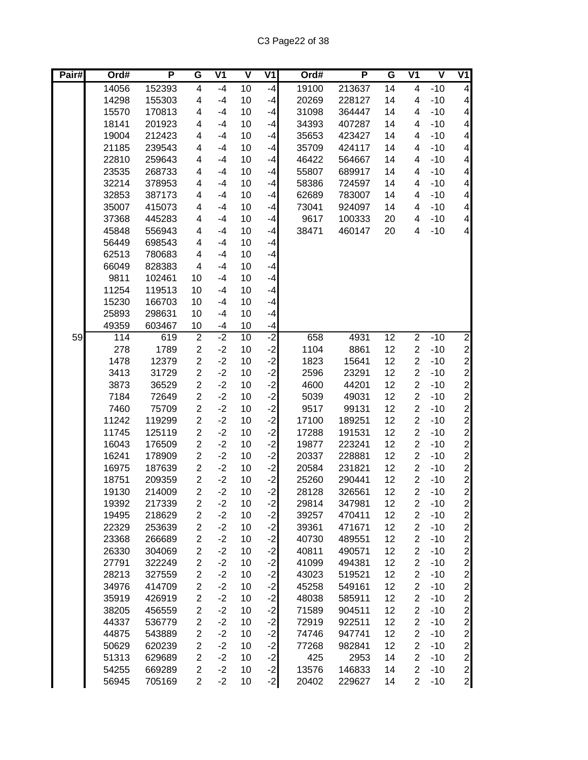C3 Page22 of 38

| Pair# | Ord#  | P      | G                       | $\overline{\mathsf{V}}$ 1 | $\overline{\mathsf{v}}$ | V1   | Ord#  | P      | G  | $\overline{\mathsf{V}}$ 1 | $\overline{\mathsf{v}}$ | V1                                         |
|-------|-------|--------|-------------------------|---------------------------|-------------------------|------|-------|--------|----|---------------------------|-------------------------|--------------------------------------------|
|       | 14056 | 152393 | 4                       | $-4$                      | 10                      | $-4$ | 19100 | 213637 | 14 | $\overline{\mathbf{4}}$   | $-10$                   | $\overline{4}$                             |
|       | 14298 | 155303 | 4                       | $-4$                      | 10                      | $-4$ | 20269 | 228127 | 14 | 4                         | $-10$                   | $\overline{4}$                             |
|       | 15570 | 170813 | 4                       | $-4$                      | 10                      | $-4$ | 31098 | 364447 | 14 | 4                         | $-10$                   | $\overline{4}$                             |
|       | 18141 | 201923 | 4                       | $-4$                      | 10                      | $-4$ | 34393 | 407287 | 14 | 4                         | $-10$                   | $\overline{4}$                             |
|       | 19004 | 212423 | 4                       | $-4$                      | 10                      | $-4$ | 35653 | 423427 | 14 | 4                         | $-10$                   | $\overline{4}$                             |
|       | 21185 | 239543 | 4                       | $-4$                      | 10                      | $-4$ | 35709 | 424117 | 14 | 4                         | $-10$                   | $\overline{4}$                             |
|       | 22810 | 259643 | 4                       | $-4$                      | 10                      | $-4$ | 46422 | 564667 | 14 | 4                         | $-10$                   | $\overline{4}$                             |
|       | 23535 | 268733 | 4                       | $-4$                      | 10                      | $-4$ | 55807 | 689917 | 14 | 4                         | $-10$                   | $\overline{4}$                             |
|       | 32214 | 378953 | 4                       | $-4$                      | 10                      | $-4$ | 58386 | 724597 | 14 | 4                         | $-10$                   | $\overline{4}$                             |
|       | 32853 | 387173 | 4                       | $-4$                      | 10                      | $-4$ | 62689 | 783007 | 14 | 4                         | $-10$                   | $\overline{4}$                             |
|       | 35007 | 415073 | 4                       | $-4$                      | 10                      | $-4$ | 73041 | 924097 | 14 | 4                         | $-10$                   | $\overline{4}$                             |
|       | 37368 | 445283 | 4                       | $-4$                      | 10                      | $-4$ | 9617  | 100333 | 20 | 4                         | $-10$                   | $\overline{4}$                             |
|       | 45848 | 556943 | 4                       | $-4$                      | 10                      | $-4$ | 38471 | 460147 | 20 | 4                         | $-10$                   | $\overline{4}$                             |
|       | 56449 | 698543 | 4                       | $-4$                      | 10                      | $-4$ |       |        |    |                           |                         |                                            |
|       | 62513 | 780683 | 4                       | $-4$                      | 10                      | $-4$ |       |        |    |                           |                         |                                            |
|       | 66049 | 828383 | 4                       | $-4$                      | 10                      | $-4$ |       |        |    |                           |                         |                                            |
|       | 9811  | 102461 | 10                      | $-4$                      | 10                      | $-4$ |       |        |    |                           |                         |                                            |
|       | 11254 | 119513 | 10                      | $-4$                      | 10                      | $-4$ |       |        |    |                           |                         |                                            |
|       | 15230 | 166703 | 10                      | $-4$                      | 10                      | $-4$ |       |        |    |                           |                         |                                            |
|       | 25893 | 298631 | 10                      | $-4$                      | 10                      | $-4$ |       |        |    |                           |                         |                                            |
|       | 49359 | 603467 | 10                      | $-4$                      | 10                      | $-4$ |       |        |    |                           |                         |                                            |
| 59    | 114   | 619    | $\overline{2}$          | $-2$                      | 10                      | $-2$ | 658   | 4931   | 12 | $\overline{2}$            | $-10$                   | $\overline{2}$                             |
|       | 278   | 1789   | $\overline{2}$          | $-2$                      | 10                      | $-2$ | 1104  | 8861   | 12 | $\overline{2}$            | $-10$                   | $\begin{array}{c} 2 \\ 2 \\ 2 \end{array}$ |
|       | 1478  | 12379  | 2                       | $-2$                      | 10                      | $-2$ | 1823  | 15641  | 12 | $\overline{2}$            | $-10$                   |                                            |
|       | 3413  | 31729  | $\overline{2}$          | $-2$                      | 10                      | $-2$ | 2596  | 23291  | 12 | $\overline{2}$            | $-10$                   |                                            |
|       | 3873  | 36529  | 2                       | $-2$                      | 10                      | $-2$ | 4600  | 44201  | 12 | $\overline{2}$            | $-10$                   | $\begin{array}{c} 2 \\ 2 \\ 2 \end{array}$ |
|       | 7184  | 72649  | $\overline{2}$          | $-2$                      | 10                      | $-2$ | 5039  | 49031  | 12 | $\overline{2}$            | $-10$                   |                                            |
|       | 7460  | 75709  | $\overline{c}$          | $-2$                      | 10                      | $-2$ | 9517  | 99131  | 12 | $\overline{2}$            | $-10$                   |                                            |
|       | 11242 | 119299 | $\overline{2}$          | $-2$                      | 10                      | $-2$ | 17100 | 189251 | 12 | $\overline{2}$            | $-10$                   |                                            |
|       | 11745 | 125119 | $\overline{c}$          | $-2$                      | 10                      | $-2$ | 17288 | 191531 | 12 | $\overline{2}$            | $-10$                   | $\overline{2}$                             |
|       | 16043 | 176509 | $\overline{2}$          | $-2$                      | 10                      | $-2$ | 19877 | 223241 | 12 | $\overline{2}$            | $-10$                   | $\overline{2}$                             |
|       | 16241 | 178909 | 2                       | $-2$                      | 10                      | $-2$ | 20337 | 228881 | 12 | $\overline{2}$            | $-10$                   | $\overline{2}$                             |
|       | 16975 | 187639 | 2                       | $-2$                      | 10                      | $-2$ | 20584 | 231821 | 12 | $\overline{2}$            | $-10$                   | $\overline{2}$                             |
|       | 18751 | 209359 | $\overline{2}$          | $-2$                      | 10                      | $-2$ | 25260 | 290441 | 12 | $\overline{c}$            | $-10$                   | $\mathbf{z}$                               |
|       | 19130 | 214009 | $\overline{2}$          | $-2$                      | 10                      | $-2$ | 28128 | 326561 | 12 | $\overline{2}$            | $-10$                   | $\overline{2}$                             |
|       | 19392 | 217339 | $\overline{\mathbf{c}}$ | $-2$                      | 10                      | $-2$ | 29814 | 347981 | 12 | $\mathbf{2}$              | $-10$                   | $\mathbf{2}$                               |
|       | 19495 | 218629 | $\overline{c}$          | $-2$                      | 10                      | $-2$ | 39257 | 470411 | 12 | $\overline{2}$            | $-10$                   | $\overline{c}$                             |
|       | 22329 | 253639 | $\overline{c}$          | $-2$                      | 10                      | $-2$ | 39361 | 471671 | 12 | $\overline{2}$            | $-10$                   |                                            |
|       | 23368 | 266689 | $\overline{c}$          | $-2$                      | 10                      | $-2$ | 40730 | 489551 | 12 | $\overline{2}$            | $-10$                   |                                            |
|       | 26330 | 304069 | $\overline{c}$          | $-2$                      | 10                      | $-2$ | 40811 | 490571 | 12 | $\overline{2}$            | $-10$                   |                                            |
|       | 27791 | 322249 | $\overline{c}$          | $-2$                      | 10                      | $-2$ | 41099 | 494381 | 12 | $\overline{2}$            | $-10$                   |                                            |
|       | 28213 | 327559 | $\overline{c}$          | $-2$                      | 10                      | $-2$ | 43023 | 519521 | 12 | $\overline{2}$            | $-10$                   |                                            |
|       | 34976 | 414709 | $\overline{\mathbf{c}}$ | $-2$                      | 10                      | $-2$ | 45258 | 549161 | 12 | $\overline{2}$            | $-10$                   | <b>NNNNNNNNN</b>                           |
|       | 35919 | 426919 | $\overline{2}$          | $-2$                      | 10                      | $-2$ | 48038 | 585911 | 12 | $\overline{2}$            | $-10$                   |                                            |
|       | 38205 | 456559 | $\overline{2}$          | $-2$                      | 10                      | $-2$ | 71589 | 904511 | 12 | $\overline{2}$            | $-10$                   |                                            |
|       | 44337 | 536779 | $\overline{c}$          | $-2$                      | 10                      | $-2$ | 72919 | 922511 | 12 | $\overline{2}$            | $-10$                   |                                            |
|       | 44875 | 543889 | $\overline{2}$          | $-2$                      | 10                      | $-2$ | 74746 | 947741 | 12 | $\overline{2}$            | $-10$                   | $\overline{2}$                             |
|       | 50629 | 620239 | $\overline{2}$          | $-2$                      | 10                      | $-2$ | 77268 | 982841 | 12 | $\overline{2}$            | $-10$                   | $\overline{2}$                             |
|       | 51313 | 629689 | $\overline{c}$          | $-2$                      | 10                      | $-2$ | 425   | 2953   | 14 | $\overline{2}$            | $-10$                   | $\overline{2}$                             |
|       | 54255 | 669289 | $\overline{c}$          | $-2$                      | 10                      | $-2$ | 13576 | 146833 | 14 | $\overline{2}$            | $-10$                   | $\frac{2}{2}$                              |
|       | 56945 | 705169 | $\overline{c}$          | $-2$                      | 10                      | $-2$ | 20402 | 229627 | 14 | $\overline{2}$            | $-10$                   |                                            |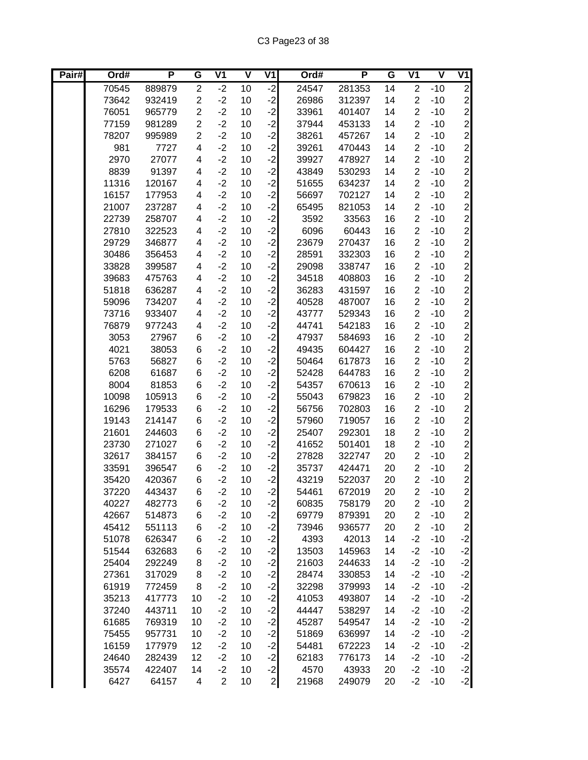C3 Page23 of 38

| Pair# | Ord#  | P      | G              | V <sub>1</sub> | V  | V <sub>1</sub> | Ord#  | P      | G  | $\overline{V}$ | $\overline{\mathsf{v}}$ | V1                                               |
|-------|-------|--------|----------------|----------------|----|----------------|-------|--------|----|----------------|-------------------------|--------------------------------------------------|
|       | 70545 | 889879 | $\overline{2}$ | $-2$           | 10 | ٠J             | 24547 | 281353 | 14 | $\overline{2}$ | $-10$                   | $\overline{2}$                                   |
|       | 73642 | 932419 | $\overline{2}$ | $-2$           | 10 | $-2$           | 26986 | 312397 | 14 | $\overline{2}$ | $-10$                   | $\overline{c}$                                   |
|       | 76051 | 965779 | $\overline{2}$ | $-2$           | 10 | $-2$           | 33961 | 401407 | 14 | $\overline{2}$ | $-10$                   | $\mathbf{2}$                                     |
|       | 77159 | 981289 | $\overline{2}$ | $-2$           | 10 | $-2$           | 37944 | 453133 | 14 | $\overline{2}$ | $-10$                   | $\mathbf{2}$                                     |
|       | 78207 | 995989 | $\overline{2}$ | $-2$           | 10 | $-2$           | 38261 | 457267 | 14 | $\overline{2}$ | $-10$                   | $\mathbf{2}$                                     |
|       | 981   | 7727   | 4              | $-2$           | 10 | $-2$           | 39261 | 470443 | 14 | $\overline{2}$ | $-10$                   | $\mathbf{2}$                                     |
|       | 2970  | 27077  | 4              | $-2$           | 10 | $-2$           | 39927 | 478927 | 14 | $\overline{2}$ | $-10$                   | $\mathbf{2}$                                     |
|       | 8839  | 91397  | 4              | $-2$           | 10 | $-2$           | 43849 | 530293 | 14 | $\overline{2}$ | $-10$                   | $\mathbf{2}$                                     |
|       | 11316 | 120167 | 4              | $-2$           | 10 | $-2$           | 51655 | 634237 | 14 | $\overline{2}$ | $-10$                   | $\mathbf{2}$                                     |
|       | 16157 | 177953 | 4              | $-2$           | 10 | $-2$           | 56697 | 702127 | 14 | $\overline{2}$ | $-10$                   | $\overline{c}$                                   |
|       | 21007 | 237287 | 4              | $-2$           | 10 | $-2$           | 65495 | 821053 | 14 | $\overline{2}$ | $-10$                   | $\mathbf{2}$                                     |
|       | 22739 | 258707 | 4              | $-2$           | 10 | $-2$           | 3592  | 33563  | 16 | $\overline{2}$ | $-10$                   | $\mathbf{2}$                                     |
|       | 27810 | 322523 | 4              | $-2$           | 10 | $-2$           | 6096  | 60443  | 16 | $\overline{2}$ | $-10$                   | $\mathbf{2}$                                     |
|       | 29729 | 346877 | 4              | $-2$           | 10 | $-2$           | 23679 | 270437 | 16 | $\overline{2}$ | $-10$                   |                                                  |
|       | 30486 | 356453 | 4              | $-2$           | 10 | $-2$           | 28591 | 332303 | 16 | $\overline{2}$ | $-10$                   |                                                  |
|       | 33828 | 399587 | 4              | $-2$           | 10 | $-2$           | 29098 | 338747 | 16 | $\overline{2}$ | $-10$                   | $\begin{array}{c}\n 2 \\  2 \\  3\n \end{array}$ |
|       | 39683 | 475763 | 4              | $-2$           | 10 | $-2$           | 34518 | 408803 | 16 | $\overline{2}$ | $-10$                   |                                                  |
|       | 51818 | 636287 | 4              | $-2$           | 10 | $-2$           | 36283 | 431597 | 16 | $\overline{2}$ | $-10$                   |                                                  |
|       | 59096 | 734207 | 4              | $-2$           | 10 | $-2$           | 40528 | 487007 | 16 | $\overline{2}$ | $-10$                   | $\mathbf{2}$                                     |
|       | 73716 | 933407 | 4              | $-2$           | 10 | $-2$           | 43777 | 529343 | 16 | $\overline{2}$ | $-10$                   | $\mathbf{2}$                                     |
|       | 76879 | 977243 | 4              | $-2$           | 10 | $-2$           | 44741 | 542183 | 16 | $\overline{2}$ | $-10$                   | $\mathbf{2}$                                     |
|       | 3053  | 27967  | 6              | $-2$           | 10 | $-2$           | 47937 | 584693 | 16 | $\overline{2}$ | $-10$                   | $\mathbf{2}$                                     |
|       | 4021  | 38053  | 6              | $-2$           | 10 | $-2$           | 49435 | 604427 | 16 | $\overline{2}$ | $-10$                   | $\mathbf{2}$                                     |
|       | 5763  | 56827  | 6              | $-2$           | 10 | $-2$           | 50464 | 617873 | 16 | $\overline{2}$ | $-10$                   | $\mathbf{2}$                                     |
|       | 6208  | 61687  | 6              | $-2$           | 10 | $-2$           | 52428 | 644783 | 16 | $\overline{2}$ | $-10$                   | $\mathbf{2}$                                     |
|       | 8004  | 81853  | 6              | $-2$           | 10 | $-2$           | 54357 | 670613 | 16 | $\overline{2}$ | $-10$                   | $\mathbf{2}$                                     |
|       | 10098 | 105913 | 6              | $-2$           | 10 | $-2$           | 55043 | 679823 | 16 | $\overline{2}$ | $-10$                   | $\overline{c}$                                   |
|       | 16296 | 179533 | 6              | $-2$           | 10 | $-2$           | 56756 | 702803 | 16 | $\overline{2}$ | $-10$                   | $\mathbf{2}$                                     |
|       | 19143 | 214147 | 6              | $-2$           | 10 | $-2$           | 57960 | 719057 | 16 | $\overline{2}$ | $-10$                   | $\mathbf{2}$                                     |
|       | 21601 | 244603 | 6              | $-2$           | 10 | $-2$           | 25407 | 292301 | 18 | $\overline{2}$ | $-10$                   | $\mathbf{2}$                                     |
|       | 23730 | 271027 | 6              | $-2$           | 10 | $-2$           | 41652 | 501401 | 18 | $\overline{2}$ | $-10$                   | $\begin{array}{c} 2 \\ 2 \\ 2 \end{array}$       |
|       | 32617 | 384157 | 6              | $-2$           | 10 | $-2$           | 27828 | 322747 | 20 | $\overline{2}$ | $-10$                   |                                                  |
|       | 33591 | 396547 | 6              | $-2$           | 10 | $-2$           | 35737 | 424471 | 20 | $\overline{2}$ | $-10$                   |                                                  |
|       | 35420 | 420367 | 6              | $-2$           | 10 | $-2$           | 43219 | 522037 | 20 | $\overline{2}$ | $-10$                   |                                                  |
|       | 37220 | 443437 | 6              | $-2$           | 10 | $-2$           | 54461 | 672019 | 20 | $\overline{2}$ | $-10$                   | $\overline{2}$                                   |
|       | 40227 | 482773 | 6              | $-2$           | 10 | $-2$           | 60835 | 758179 | 20 | $\overline{2}$ | $-10$                   | $\mathbf{2}$                                     |
|       | 42667 | 514873 | 6              | $-2$           | 10 | $-2$           | 69779 | 879391 | 20 | $\overline{c}$ | $-10$                   | $\mathbf{z}$                                     |
|       | 45412 | 551113 | 6              | $-2$           | 10 | $-2$           | 73946 | 936577 | 20 | $\overline{c}$ | $-10$                   | 2                                                |
|       | 51078 | 626347 | 6              | $-2$           | 10 | $-2$           | 4393  | 42013  | 14 | $-2$           | $-10$                   | $-2$                                             |
|       | 51544 | 632683 | 6              | $-2$           | 10 | $-2$           | 13503 | 145963 | 14 | $-2$           | $-10$                   | $-2$                                             |
|       | 25404 | 292249 | 8              | $-2$           | 10 | $-2$           | 21603 | 244633 | 14 | $-2$           | $-10$                   | $-2$                                             |
|       | 27361 | 317029 | 8              | $-2$           | 10 | $-2$           | 28474 | 330853 | 14 | $-2$           | $-10$                   | $-2$                                             |
|       | 61919 | 772459 | 8              | $-2$           | 10 | $-2$           | 32298 | 379993 | 14 | $-2$           | $-10$                   | $-2$                                             |
|       | 35213 | 417773 | 10             | $-2$           | 10 | $-2$           | 41053 | 493807 | 14 | $-2$           | $-10$                   | $-2$                                             |
|       | 37240 | 443711 | 10             | $-2$           | 10 | $-2$           | 44447 | 538297 | 14 | $-2$           | $-10$                   | $-2$                                             |
|       | 61685 | 769319 | 10             | $-2$           | 10 | $-2$           | 45287 | 549547 | 14 | $-2$           | $-10$                   | $-2$                                             |
|       | 75455 | 957731 | 10             | $-2$           | 10 | $-2$           | 51869 | 636997 | 14 | $-2$           | $-10$                   | $-2$                                             |
|       | 16159 | 177979 | 12             | $-2$           | 10 | $-2$           | 54481 | 672223 | 14 | $-2$           | $-10$                   | $-2$                                             |
|       | 24640 | 282439 | 12             | $-2$           | 10 | $-2$           | 62183 | 776173 | 14 | $-2$           | $-10$                   | $-2$                                             |
|       | 35574 | 422407 | 14             | $-2$           | 10 | $-2$           | 4570  | 43933  | 20 | $-2$           | $-10$                   | $-2$                                             |
|       | 6427  | 64157  | 4              | $\mathbf 2$    | 10 | $2 \mid$       | 21968 | 249079 | 20 | $-2$           | $-10$                   | $-2$                                             |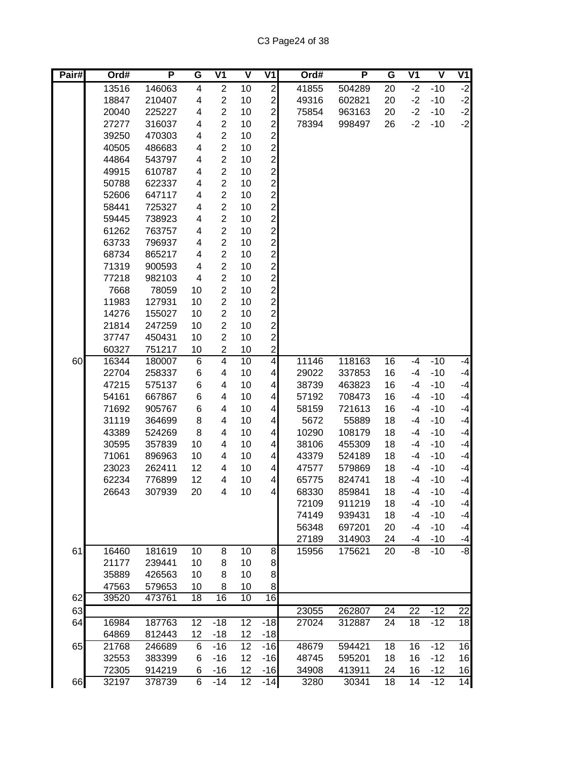C3 Page24 of 38

| Pair# | Ord#  | P      | G                       | V <sub>1</sub>  | $\overline{\mathsf{V}}$ | $\overline{\mathsf{V1}}$              | Ord#  | P      | G  | V <sub>1</sub>  | $\overline{\mathsf{V}}$ | V1              |
|-------|-------|--------|-------------------------|-----------------|-------------------------|---------------------------------------|-------|--------|----|-----------------|-------------------------|-----------------|
|       | 13516 | 146063 | 4                       | $\overline{2}$  | 10                      | $\mathbf{2}$                          | 41855 | 504289 | 20 | $-2$            | $-10$                   | $-2$            |
|       | 18847 | 210407 | 4                       | $\overline{2}$  | 10                      | $\mathbf{2}$                          | 49316 | 602821 | 20 | $-2$            | $-10$                   | $-2$            |
|       | 20040 | 225227 | 4                       | $\overline{2}$  | 10                      | $\mathbf{z}$                          | 75854 | 963163 | 20 | $-2$            | $-10$                   | $-2$            |
|       | 27277 | 316037 | 4                       | $\overline{2}$  | 10                      | $\mathbf{z}$                          | 78394 | 998497 | 26 | $-2$            | $-10$                   | $-2$            |
|       | 39250 | 470303 | 4                       | $\overline{2}$  | 10                      | $\overline{c}$                        |       |        |    |                 |                         |                 |
|       | 40505 | 486683 | 4                       | $\overline{c}$  | 10                      |                                       |       |        |    |                 |                         |                 |
|       | 44864 | 543797 | 4                       | $\overline{c}$  | 10                      | $\begin{array}{c} 2 \\ 2 \end{array}$ |       |        |    |                 |                         |                 |
|       | 49915 | 610787 | 4                       | $\overline{c}$  | 10                      |                                       |       |        |    |                 |                         |                 |
|       | 50788 | 622337 | 4                       | $\overline{2}$  | 10                      | $\overline{a}$                        |       |        |    |                 |                         |                 |
|       | 52606 | 647117 | 4                       | $\overline{2}$  | 10                      | $\overline{c}$                        |       |        |    |                 |                         |                 |
|       | 58441 | 725327 | 4                       | $\overline{2}$  | 10                      | $\overline{a}$                        |       |        |    |                 |                         |                 |
|       | 59445 | 738923 | 4                       | $\mathbf 2$     | 10                      |                                       |       |        |    |                 |                         |                 |
|       | 61262 | 763757 | 4                       | $\overline{2}$  | 10                      | 22222                                 |       |        |    |                 |                         |                 |
|       | 63733 | 796937 | 4                       | $\overline{2}$  | 10                      |                                       |       |        |    |                 |                         |                 |
|       | 68734 | 865217 | 4                       | $\overline{2}$  | 10                      |                                       |       |        |    |                 |                         |                 |
|       | 71319 | 900593 | 4                       | $\overline{2}$  | 10                      |                                       |       |        |    |                 |                         |                 |
|       | 77218 | 982103 | $\overline{\mathbf{4}}$ | $\overline{2}$  | 10                      |                                       |       |        |    |                 |                         |                 |
|       | 7668  | 78059  | 10                      | $\overline{2}$  | 10                      | $\mathbf{2}$                          |       |        |    |                 |                         |                 |
|       | 11983 | 127931 | 10                      | $\overline{2}$  | 10                      | $\mathbf{2}$                          |       |        |    |                 |                         |                 |
|       | 14276 | 155027 | 10                      | $\overline{2}$  | 10                      | $\mathbf{2}$                          |       |        |    |                 |                         |                 |
|       | 21814 | 247259 | 10                      | $\overline{c}$  | 10                      | $\mathbf{2}$                          |       |        |    |                 |                         |                 |
|       | 37747 | 450431 | 10                      | $\overline{2}$  | 10                      | $\mathbf{2}$                          |       |        |    |                 |                         |                 |
|       | 60327 | 751217 | 10                      | $\mathbf 2$     | 10                      | $\overline{2}$                        |       |        |    |                 |                         |                 |
| 60    | 16344 | 180007 | 6                       | $\overline{4}$  | 10                      | $\overline{\mathbf{4}}$               | 11146 | 118163 | 16 | $-4$            | $-10$                   | $-4$            |
|       | 22704 | 258337 | 6                       | 4               | 10                      | $\overline{\mathcal{A}}$              | 29022 | 337853 | 16 | $-4$            | $-10$                   | $-4$            |
|       | 47215 | 575137 | 6                       | 4               | 10                      | $\overline{\mathbf{4}}$               | 38739 | 463823 | 16 | -4              | $-10$                   | $-4$            |
|       | 54161 | 667867 | 6                       | 4               | 10                      | 4                                     | 57192 | 708473 | 16 | -4              | $-10$                   | $-4$            |
|       | 71692 | 905767 | 6                       | 4               | 10                      | $\overline{\mathbf{4}}$               | 58159 | 721613 | 16 | $-4$            | $-10$                   | $-4$            |
|       | 31119 | 364699 | 8                       | 4               | 10                      | $\overline{\mathbf{4}}$               | 5672  | 55889  | 18 | $-4$            | $-10$                   | $-4$            |
|       | 43389 | 524269 | 8                       | 4               | 10                      | $\overline{\mathcal{A}}$              | 10290 | 108179 | 18 | $-4$            | $-10$                   | $-4$            |
|       | 30595 | 357839 | 10                      | 4               | 10                      | $\overline{4}$                        | 38106 | 455309 | 18 | -4              | $-10$                   | $-4$            |
|       | 71061 | 896963 | 10                      | 4               | 10                      | $\overline{4}$                        | 43379 | 524189 | 18 | -4              | $-10$                   | $-4$            |
|       | 23023 | 262411 | 12                      | 4               | 10                      | $\vert 4 \vert$                       | 47577 | 579869 | 18 | -4              | $-10$                   | $-4$            |
|       | 62234 | 776899 | 12                      | 4               | 10                      | $\overline{4}$                        | 65775 | 824741 | 18 | -4              | $-10$                   | $-4$            |
|       | 26643 | 307939 | 20                      | 4               | 10                      | $\overline{4}$                        | 68330 | 859841 | 18 | $-4$            | $-10$                   | $-4$            |
|       |       |        |                         |                 |                         |                                       | 72109 | 911219 | 18 | -4              | $-10$                   | $-4$            |
|       |       |        |                         |                 |                         |                                       | 74149 | 939431 | 18 | $-4$            | $-10$                   | $-4$            |
|       |       |        |                         |                 |                         |                                       | 56348 | 697201 | 20 | -4              | $-10$                   | $-4$            |
|       |       |        |                         |                 |                         |                                       | 27189 | 314903 | 24 | $-4$            | $-10$                   | $-4$            |
| 61    | 16460 | 181619 | 10                      | 8               | 10                      | 8                                     | 15956 | 175621 | 20 | -8              | $-10$                   | $-8$            |
|       | 21177 | 239441 | 10                      | 8               | 10                      | 8                                     |       |        |    |                 |                         |                 |
|       | 35889 | 426563 | 10                      | 8               | 10                      | $\bf8$                                |       |        |    |                 |                         |                 |
|       | 47563 | 579653 | 10                      | 8               | 10                      | 8                                     |       |        |    |                 |                         |                 |
| 62    | 39520 | 473761 | $\overline{18}$         | $\overline{16}$ | 10                      | 16                                    |       |        |    |                 |                         |                 |
| 63    |       |        |                         |                 |                         |                                       | 23055 | 262807 | 24 | $\overline{22}$ | $-12$                   | $\overline{22}$ |
| 64    | 16984 | 187763 | 12                      | $-18$           | 12                      | $-18$                                 | 27024 | 312887 | 24 | 18              | $-12$                   | 18              |
|       | 64869 | 812443 | 12                      | $-18$           | 12                      | $-18$                                 |       |        |    |                 |                         |                 |
| 65    | 21768 | 246689 | 6                       | $-16$           | 12                      | $-16$                                 | 48679 | 594421 | 18 | 16              | $-12$                   | 16              |
|       | 32553 | 383399 | 6                       | $-16$           | 12                      | $-16$                                 | 48745 | 595201 | 18 | 16              | $-12$                   | 16              |
|       | 72305 | 914219 | 6                       | $-16$           | 12                      | $-16$                                 | 34908 | 413911 | 24 | 16              | $-12$                   | 16              |
| 66    | 32197 | 378739 | $\overline{6}$          | $-14$           | $\overline{12}$         | $-14$                                 | 3280  | 30341  | 18 | $\overline{14}$ | $-12$                   | 14              |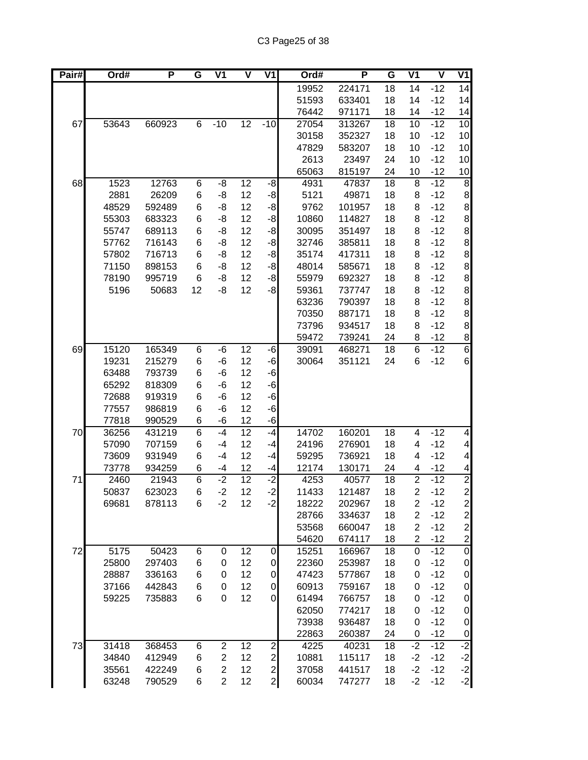| Pair# | Ord#           | P                | G                   | V <sub>1</sub>          | $\overline{\mathsf{v}}$ | V <sub>1</sub>          | Ord#  | P      | G  | V <sub>1</sub> | $\overline{\mathsf{v}}$ | V <sub>1</sub>                                       |
|-------|----------------|------------------|---------------------|-------------------------|-------------------------|-------------------------|-------|--------|----|----------------|-------------------------|------------------------------------------------------|
|       |                |                  |                     |                         |                         |                         | 19952 | 224171 | 18 | 14             | $-12$                   | 14                                                   |
|       |                |                  |                     |                         |                         |                         | 51593 | 633401 | 18 | 14             | $-12$                   | 14                                                   |
|       |                |                  |                     |                         |                         |                         | 76442 | 971171 | 18 | 14             | $-12$                   | 14                                                   |
| 67    | 53643          | 660923           | 6                   | $-10$                   | 12                      | $-10$                   | 27054 | 313267 | 18 | 10             | $-12$                   | 10                                                   |
|       |                |                  |                     |                         |                         |                         | 30158 | 352327 | 18 | 10             | $-12$                   | 10                                                   |
|       |                |                  |                     |                         |                         |                         | 47829 | 583207 | 18 | 10             | $-12$                   | 10                                                   |
|       |                |                  |                     |                         |                         |                         | 2613  | 23497  | 24 | 10             | $-12$                   | 10                                                   |
|       |                |                  |                     |                         |                         |                         | 65063 | 815197 | 24 | 10             | $-12$                   | 10                                                   |
| 68    | 1523           | 12763            | 6                   | -8                      | 12                      | $-8$                    | 4931  | 47837  | 18 | 8              | $-12$                   | $\bf 8$                                              |
|       | 2881           | 26209            | 6                   | -8                      | 12                      | $-8$                    | 5121  | 49871  | 18 | 8              | $-12$                   | $\bf{8}$                                             |
|       | 48529          | 592489           | 6                   | -8                      | 12                      | $-8$                    | 9762  | 101957 | 18 | 8              | $-12$                   | $\boldsymbol{8}$                                     |
|       | 55303          | 683323           | 6                   | -8                      | 12                      | $-8$                    | 10860 | 114827 | 18 | 8              | $-12$                   | $\bf8$                                               |
|       | 55747          | 689113           | 6                   | -8                      | 12                      | $-8$                    | 30095 | 351497 | 18 | 8              | $-12$                   | 8                                                    |
|       | 57762          | 716143           | 6                   | -8                      | 12                      | $-8$                    | 32746 | 385811 | 18 | 8              | $-12$                   | 8                                                    |
|       | 57802          | 716713           | 6                   | -8                      | 12                      | $-8$                    | 35174 | 417311 | 18 | 8              | $-12$                   | 8                                                    |
|       | 71150          | 898153           | 6                   | -8                      | 12                      | $-8$                    | 48014 | 585671 | 18 | 8              | $-12$                   | 8                                                    |
|       | 78190          | 995719           | 6                   | -8                      | 12                      | $-8$                    | 55979 | 692327 | 18 | 8              | $-12$                   | 8                                                    |
|       | 5196           | 50683            | 12                  | -8                      | 12                      | $-8$                    | 59361 | 737747 | 18 | 8              | $-12$                   | 8                                                    |
|       |                |                  |                     |                         |                         |                         | 63236 | 790397 | 18 | 8              | $-12$                   | 8                                                    |
|       |                |                  |                     |                         |                         |                         | 70350 | 887171 | 18 | 8              | $-12$                   | 8                                                    |
|       |                |                  |                     |                         |                         |                         | 73796 | 934517 | 18 | 8              | $-12$                   | 8                                                    |
|       |                |                  |                     |                         |                         |                         | 59472 | 739241 | 24 | 8              | $-12$                   | $\overline{8}$                                       |
| 69    | 15120          | 165349           | 6                   | $-6$                    | 12                      | $-6$                    | 39091 | 468271 | 18 | $\overline{6}$ | $-12$                   | $6\overline{6}$                                      |
|       | 19231          | 215279           | 6                   | -6                      | 12                      | $-6$                    | 30064 | 351121 | 24 | 6              | $-12$                   | 6                                                    |
|       | 63488          | 793739           | 6                   | -6                      | 12                      | $-6$                    |       |        |    |                |                         |                                                      |
|       | 65292          | 818309           | 6                   | -6                      | 12                      | $-6$                    |       |        |    |                |                         |                                                      |
|       | 72688          | 919319           | 6                   | -6                      | 12                      | $-6$                    |       |        |    |                |                         |                                                      |
|       | 77557          | 986819           | 6                   | -6                      | 12                      | $-6$                    |       |        |    |                |                         |                                                      |
| 70    | 77818<br>36256 | 990529<br>431219 | 6<br>$\overline{6}$ | -6<br>$-4$              | 12<br>12                | $-6$<br>$-4$            | 14702 | 160201 | 18 | 4              | $-12$                   |                                                      |
|       | 57090          | 707159           | 6                   | $-4$                    | 12                      | $-4$                    | 24196 | 276901 | 18 | 4              | $-12$                   | $\overline{\mathcal{A}}$<br>$\overline{\mathcal{A}}$ |
|       | 73609          | 931949           | 6                   | $-4$                    | 12                      | $-4$                    | 59295 | 736921 | 18 | 4              | $-12$                   | $\overline{\mathbf{4}}$                              |
|       | 73778          | 934259           | 6                   | $-4$                    | 12                      | $-4$                    | 12174 | 130171 | 24 | 4              | $-12$                   | 4                                                    |
| 71    | 2460           | 21943            | 6                   | $-2$                    | 12                      | $-2$                    | 4253  | 40577  | 18 | $\overline{c}$ | $-12$                   | $\overline{2}$                                       |
|       | 50837          | 623023           | 6                   | $-2$                    | 12                      | $-2$                    | 11433 | 121487 | 18 | $\overline{2}$ | $-12$                   | $\overline{c}$                                       |
|       | 69681          | 878113           | 6                   | $-2$                    | 12                      | $-2$                    | 18222 | 202967 | 18 | $\overline{2}$ | $-12$                   | $\mathbf{2}$                                         |
|       |                |                  |                     |                         |                         |                         | 28766 | 334637 | 18 | $\mathbf{2}$   | $-12$                   |                                                      |
|       |                |                  |                     |                         |                         |                         | 53568 | 660047 | 18 | $\overline{2}$ | $-12$                   |                                                      |
|       |                |                  |                     |                         |                         |                         | 54620 | 674117 | 18 | $\overline{c}$ | $-12$                   | $\begin{array}{c} 2 \\ 2 \end{array}$                |
| 72    | 5175           | 50423            | 6                   | $\mathbf 0$             | 12                      | $\overline{0}$          | 15251 | 166967 | 18 | $\overline{0}$ | $-12$                   | $\overline{0}$                                       |
|       | 25800          | 297403           | 6                   | 0                       | 12                      | $\overline{0}$          | 22360 | 253987 | 18 | 0              | $-12$                   | $\mathbf 0$                                          |
|       | 28887          | 336163           | 6                   | 0                       | 12                      | $\overline{0}$          | 47423 | 577867 | 18 | 0              | $-12$                   | $\mathbf 0$                                          |
|       | 37166          | 442843           | 6                   | $\boldsymbol{0}$        | 12                      | $\overline{0}$          | 60913 | 759167 | 18 | 0              | $-12$                   | $\pmb{0}$                                            |
|       | 59225          | 735883           | 6                   | 0                       | 12                      | $\overline{0}$          | 61494 | 766757 | 18 | 0              | $-12$                   | $\pmb{0}$                                            |
|       |                |                  |                     |                         |                         |                         | 62050 | 774217 | 18 | 0              | $-12$                   | $\overline{0}$                                       |
|       |                |                  |                     |                         |                         |                         | 73938 | 936487 | 18 | 0              | $-12$                   | $\pmb{0}$                                            |
|       |                |                  |                     |                         |                         |                         | 22863 | 260387 | 24 | $\pmb{0}$      | $-12$                   | $\boldsymbol{0}$                                     |
| 73    | 31418          | 368453           | 6                   | $\overline{\mathbf{c}}$ | 12                      | $\overline{\mathbf{c}}$ | 4225  | 40231  | 18 | $-2$           | $-12$                   | $-2$                                                 |
|       | 34840          | 412949           | 6                   | $\overline{c}$          | 12                      | $\mathbf{2}$            | 10881 | 115117 | 18 | $-2$           | $-12$                   | $-2$                                                 |
|       | 35561          | 422249           | 6                   | $\overline{c}$          | 12                      | $\mathbf{2}$            | 37058 | 441517 | 18 | $-2$           | $-12$                   | $-2$                                                 |
|       | 63248          | 790529           | 6                   | $\overline{2}$          | 12                      | $\mathbf{z}$            | 60034 | 747277 | 18 | $-2$           | $-12$                   | $-2$                                                 |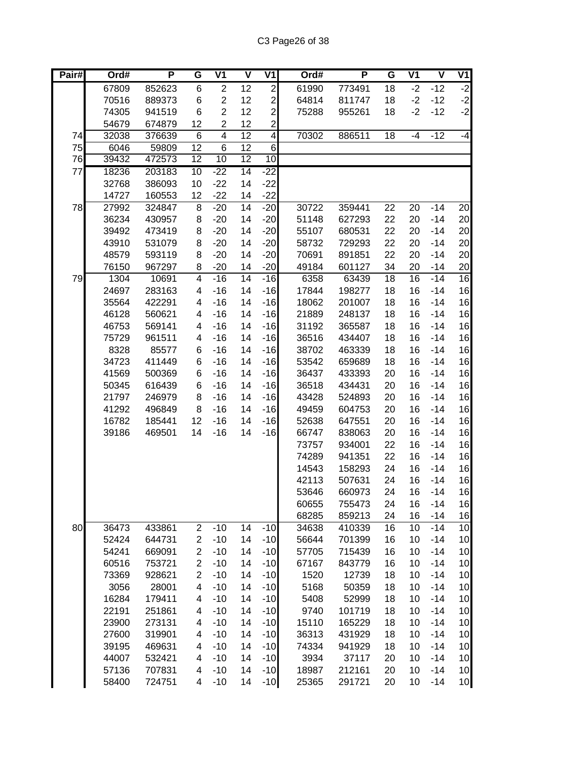| Pair# | Ord#           | P                | G                       | V <sub>1</sub>  | $\overline{\mathsf{v}}$ | V1                      | Ord#          | P               | G        | V <sub>1</sub> | $\overline{\mathtt{v}}$ | V1              |
|-------|----------------|------------------|-------------------------|-----------------|-------------------------|-------------------------|---------------|-----------------|----------|----------------|-------------------------|-----------------|
|       | 67809          | 852623           | 6                       | $\overline{2}$  | 12                      | $\overline{2}$          | 61990         | 773491          | 18       | $-2$           | $-12$                   | $-2$            |
|       | 70516          | 889373           | 6                       | $\overline{c}$  | 12                      | $\mathbf{2}$            | 64814         | 811747          | 18       | $-2$           | $-12$                   | $-2$            |
|       | 74305          | 941519           | 6                       | $\overline{2}$  | 12                      | $\mathbf{2}$            | 75288         | 955261          | 18       | $-2$           | $-12$                   | $-2$            |
|       | 54679          | 674879           | 12                      | $\overline{2}$  | 12                      | $\mathbf{2}$            |               |                 |          |                |                         |                 |
| 74    | 32038          | 376639           | $6\phantom{1}6$         | 4               | 12                      | $\overline{\mathbf{r}}$ | 70302         | 886511          | 18       | $-4$           | $-12$                   | $-4$            |
| 75    | 6046           | 59809            | 12                      | $\overline{6}$  | 12                      | $\overline{6}$          |               |                 |          |                |                         |                 |
| 76    | 39432          | 472573           | $\overline{12}$         | $\overline{10}$ | $\overline{12}$         | $\overline{10}$         |               |                 |          |                |                         |                 |
| 77    | 18236          | 203183           | 10                      | $-22$           | $\overline{14}$         | $-22$                   |               |                 |          |                |                         |                 |
|       | 32768          | 386093           | 10                      | $-22$           | 14                      | $-22$                   |               |                 |          |                |                         |                 |
|       | 14727          | 160553           | 12                      | $-22$           | 14                      | $-22$                   |               |                 |          |                |                         |                 |
| 78    | 27992          | 324847           | 8                       | $-20$           | 14                      | $-20$                   | 30722         | 359441          | 22       | 20             | $-14$                   | 20              |
|       | 36234          | 430957           | 8                       | $-20$           | 14                      | $-20$                   | 51148         | 627293          | 22       | 20             | $-14$                   | 20              |
|       | 39492          | 473419           | 8                       | $-20$           | 14                      | $-20$                   | 55107         | 680531          | 22       | 20             | $-14$                   | 20              |
|       | 43910          | 531079           | 8                       | $-20$           | 14                      | $-20$                   | 58732         | 729293          | 22       | 20             | $-14$                   | 20              |
|       | 48579          | 593119           | 8                       | $-20$           | 14                      | $-20$                   | 70691         | 891851          | 22       | 20             | $-14$                   | 20              |
|       | 76150          | 967297           | 8                       | $-20$           | 14                      | $-20$                   | 49184         | 601127          | 34       | 20             | $-14$                   | 20              |
| 79    | 1304           | 10691            | $\overline{4}$          | $-16$           | 14                      | $-16$                   | 6358          | 63439           | 18       | 16             | $-14$                   | 16              |
|       | 24697          | 283163           | 4                       | $-16$           | 14                      | $-16$                   | 17844         | 198277          | 18       | 16             | $-14$                   | 16              |
|       | 35564          | 422291           | 4                       | $-16$           | 14                      | $-16$                   | 18062         | 201007          | 18       | 16             | $-14$                   | 16              |
|       | 46128          | 560621           | $\overline{\mathbf{4}}$ | $-16$           | 14                      | $-16$                   | 21889         | 248137          | 18       | 16             | $-14$                   | 16              |
|       | 46753          | 569141           | 4                       | $-16$           | 14                      | $-16$                   | 31192         | 365587          | 18       | 16             | $-14$                   | 16              |
|       | 75729          | 961511           | 4                       | $-16$           | 14                      | $-16$                   | 36516         | 434407          | 18       | 16             | $-14$                   | 16              |
|       | 8328           | 85577            | 6                       | $-16$           | 14                      | $-16$                   | 38702         | 463339          | 18       | 16             | $-14$                   | 16              |
|       | 34723          | 411449           | 6                       | $-16$           | 14                      | $-16$                   | 53542         | 659689          | 18       | 16             | $-14$                   | 16              |
|       | 41569          | 500369           | 6                       | $-16$           | 14                      | $-16$                   | 36437         | 433393          | 20       | 16             | $-14$                   | 16              |
|       | 50345          | 616439           | 6                       | $-16$           | 14                      | $-16$                   | 36518         | 434431          | 20       | 16             | $-14$                   | 16              |
|       | 21797          | 246979           | 8                       | $-16$           | 14                      | $-16$                   | 43428         | 524893          | 20       | 16             | $-14$                   | 16              |
|       | 41292          | 496849           | 8                       | $-16$           | 14                      | $-16$                   | 49459         | 604753          | 20       | 16             | $-14$                   | 16              |
|       | 16782          | 185441           | 12                      | $-16$           | 14                      | $-16$                   | 52638         | 647551          | 20       | 16             | $-14$                   | 16              |
|       | 39186          | 469501           | 14                      | $-16$           | 14                      | $-16$                   | 66747         | 838063          | 20       | 16             | $-14$                   | 16              |
|       |                |                  |                         |                 |                         |                         | 73757         | 934001          | 22       | 16             | $-14$                   | 16              |
|       |                |                  |                         |                 |                         |                         | 74289         | 941351          | 22       | 16             | $-14$                   | 16              |
|       |                |                  |                         |                 |                         |                         | 14543         | 158293          | 24       | 16             | $-14$                   | 16              |
|       |                |                  |                         |                 |                         |                         | 42113         | 507631          | 24       | 16             | $-14$                   | 16              |
|       |                |                  |                         |                 |                         |                         | 53646         | 660973          | 24       | 16             | $-14$                   | 16              |
|       |                |                  |                         |                 |                         |                         | 60655         | 755473          | 24       | 16             | $-14$                   | 16              |
|       |                |                  |                         |                 |                         |                         | 68285         | 859213          | 24       | 16             | $-14$                   | 16              |
| 80    | 36473          | 433861           | $\overline{2}$          | $-10$           | 14                      | $-10$                   | 34638         | 410339          | 16       | 10             | $-14$                   | 10              |
|       | 52424          | 644731           | $\overline{c}$          | $-10$           | 14                      | $-10$                   | 56644         | 701399          | 16       | 10             | $-14$                   | 10              |
|       | 54241          | 669091           | $\overline{c}$          | $-10$           | 14                      | $-10$                   | 57705         | 715439          | 16       | 10             | $-14$                   | 10              |
|       | 60516          | 753721           | $\overline{c}$          | $-10$           | 14                      | $-10$                   | 67167         | 843779          | 16       | 10             | $-14$                   | 10 <sub>1</sub> |
|       | 73369          | 928621           | $\overline{c}$          | $-10$           | 14                      | $-10$                   | 1520          | 12739           | 18       | 10             | $-14$                   | 10              |
|       | 3056           | 28001            | 4                       | $-10$           | 14                      | $-10$                   | 5168          | 50359           | 18       | 10             | $-14$                   | 10              |
|       | 16284          | 179411           | 4                       | $-10$           | 14                      | $-10$                   | 5408          | 52999           | 18       | 10             | $-14$                   | 10              |
|       | 22191          | 251861           | 4                       | $-10$           | 14                      | $-10$                   | 9740          | 101719          | 18       | 10             | $-14$                   | 10              |
|       | 23900          | 273131           | 4                       | $-10$           | 14                      | $-10$                   | 15110         | 165229          | 18       | 10             | $-14$                   | 10              |
|       | 27600          | 319901           | 4                       | $-10$           | 14                      | $-10$                   | 36313         | 431929          | 18       | 10             | $-14$                   | 10              |
|       | 39195<br>44007 | 469631           | 4<br>4                  | $-10$<br>$-10$  | 14<br>14                | $-10$<br>$-10$          | 74334<br>3934 | 941929          | 18       | 10<br>10       | $-14$<br>$-14$          | 10<br>10        |
|       | 57136          | 532421<br>707831 | 4                       | $-10$           | 14                      | $-10$                   | 18987         | 37117<br>212161 | 20<br>20 | 10             | $-14$                   | 10              |
|       | 58400          | 724751           | 4                       | $-10$           | 14                      | $-10$                   | 25365         | 291721          | 20       | 10             | $-14$                   | 10              |
|       |                |                  |                         |                 |                         |                         |               |                 |          |                |                         |                 |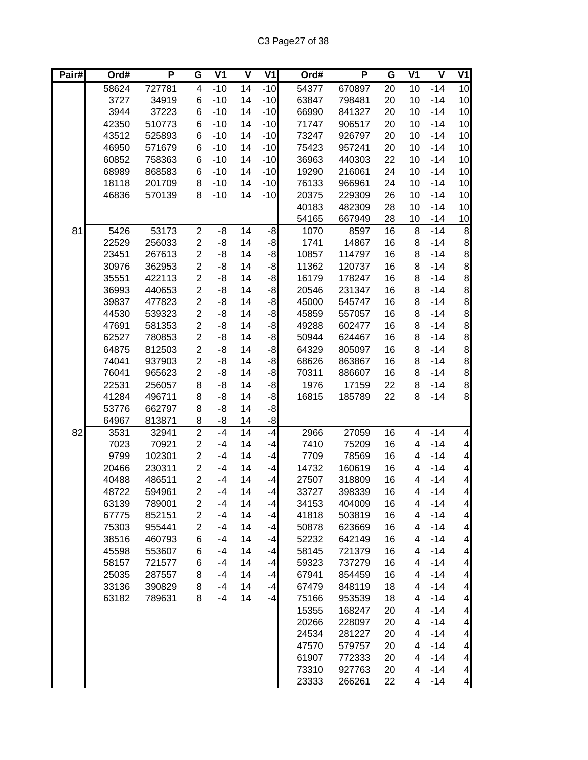C3 Page27 of 38

| Pair# | Ord#  | P      | G                       | $\overline{\mathsf{V1}}$ | $\overline{\mathsf{v}}$ | V1    | Ord#  | P      | G  | $\overline{\mathsf{V}}$ 1 | $\overline{\mathsf{V}}$ | V1                       |
|-------|-------|--------|-------------------------|--------------------------|-------------------------|-------|-------|--------|----|---------------------------|-------------------------|--------------------------|
|       | 58624 | 727781 | $\overline{\mathbf{4}}$ | $-10$                    | 14                      | $-10$ | 54377 | 670897 | 20 | 10                        | $-14$                   | 10                       |
|       | 3727  | 34919  | 6                       | $-10$                    | 14                      | $-10$ | 63847 | 798481 | 20 | 10                        | $-14$                   | 10                       |
|       | 3944  | 37223  | 6                       | $-10$                    | 14                      | $-10$ | 66990 | 841327 | 20 | 10                        | $-14$                   | 10                       |
|       | 42350 | 510773 | 6                       | $-10$                    | 14                      | $-10$ | 71747 | 906517 | 20 | 10                        | $-14$                   | 10                       |
|       | 43512 | 525893 | 6                       | $-10$                    | 14                      | $-10$ | 73247 | 926797 | 20 | 10                        | $-14$                   | 10                       |
|       | 46950 | 571679 | 6                       | $-10$                    | 14                      | $-10$ | 75423 | 957241 | 20 | 10                        | $-14$                   | 10                       |
|       | 60852 | 758363 | 6                       | $-10$                    | 14                      | $-10$ | 36963 | 440303 | 22 | 10                        | $-14$                   | 10                       |
|       | 68989 | 868583 | 6                       | $-10$                    | 14                      | $-10$ | 19290 | 216061 | 24 | 10                        | $-14$                   | 10                       |
|       | 18118 | 201709 | 8                       | $-10$                    | 14                      | $-10$ | 76133 | 966961 | 24 | 10                        | $-14$                   | 10                       |
|       | 46836 | 570139 | 8                       | $-10$                    | 14                      | $-10$ | 20375 | 229309 | 26 | 10                        | $-14$                   | 10                       |
|       |       |        |                         |                          |                         |       | 40183 | 482309 | 28 | 10                        | $-14$                   | 10                       |
|       |       |        |                         |                          |                         |       | 54165 | 667949 | 28 | 10                        | $-14$                   | 10                       |
| 81    | 5426  | 53173  | $\overline{2}$          | -8                       | 14                      | $-8$  | 1070  | 8597   | 16 | 8                         | $-14$                   | 8                        |
|       | 22529 | 256033 | $\overline{2}$          | -8                       | 14                      | $-8$  | 1741  | 14867  | 16 | 8                         | $-14$                   | $\bf{8}$                 |
|       | 23451 | 267613 | $\overline{2}$          | -8                       | 14                      | $-8$  | 10857 | 114797 | 16 | 8                         | $-14$                   | $\bf{8}$                 |
|       | 30976 | 362953 | $\overline{2}$          | -8                       | 14                      | $-8$  | 11362 | 120737 | 16 | 8                         | $-14$                   | $\bf{8}$                 |
|       | 35551 | 422113 | $\overline{c}$          | -8                       | 14                      | $-8$  | 16179 | 178247 | 16 | 8                         | $-14$                   | $\bf{8}$                 |
|       | 36993 | 440653 | $\overline{c}$          | -8                       | 14                      | $-8$  | 20546 | 231347 | 16 | 8                         | $-14$                   | $\bf{8}$                 |
|       | 39837 | 477823 | $\overline{\mathbf{c}}$ | -8                       | 14                      | $-8$  | 45000 | 545747 | 16 | 8                         | $-14$                   | $\mathbf{8}$             |
|       | 44530 | 539323 | $\overline{c}$          | -8                       | 14                      | $-8$  | 45859 | 557057 | 16 | 8                         | $-14$                   | $\bf{8}$                 |
|       | 47691 | 581353 | $\overline{c}$          | -8                       | 14                      | $-8$  | 49288 | 602477 | 16 | 8                         | $-14$                   | 8                        |
|       | 62527 | 780853 | $\overline{2}$          | -8                       | 14                      | $-8$  | 50944 | 624467 | 16 | 8                         | $-14$                   | 8                        |
|       | 64875 | 812503 | $\overline{2}$          | -8                       | 14                      | $-8$  | 64329 | 805097 | 16 | 8                         | $-14$                   | 8                        |
|       | 74041 | 937903 | $\overline{2}$          | -8                       | 14                      | $-8$  | 68626 | 863867 | 16 | 8                         | $-14$                   | 8                        |
|       | 76041 | 965623 | $\overline{c}$          | -8                       | 14                      | $-8$  | 70311 | 886607 | 16 | 8                         | $-14$                   | 8                        |
|       | 22531 | 256057 | 8                       | -8                       | 14                      | $-8$  | 1976  | 17159  | 22 | 8                         | $-14$                   | $\bf{8}$                 |
|       | 41284 | 496711 | 8                       | -8                       | 14                      | $-8$  | 16815 | 185789 | 22 | 8                         | $-14$                   | $\bf{8}$                 |
|       | 53776 | 662797 | 8                       | -8                       | 14                      | $-8$  |       |        |    |                           |                         |                          |
|       | 64967 | 813871 | 8                       | -8                       | 14                      | $-8$  |       |        |    |                           |                         |                          |
| 82    | 3531  | 32941  | $\overline{2}$          | $-4$                     | 14                      | $-4$  | 2966  | 27059  | 16 | 4                         | $-14$                   | $\vert 4 \vert$          |
|       | 7023  | 70921  | $\overline{2}$          | $-4$                     | 14                      | $-4$  | 7410  | 75209  | 16 | 4                         | $-14$                   | $\overline{4}$           |
|       | 9799  | 102301 | $\overline{2}$          | $-4$                     | 14                      | $-4$  | 7709  | 78569  | 16 | 4                         | $-14$                   | $\vert 4 \vert$          |
|       | 20466 | 230311 | $\overline{c}$          | $-4$                     | 14                      | $-4$  | 14732 | 160619 | 16 | 4                         | $-14$                   | $\overline{\mathbf{4}}$  |
|       | 40488 | 486511 | $\overline{2}$          | $-4$                     | 14                      | $-4$  | 27507 | 318809 | 16 | 4                         | $-14$                   | $\overline{4}$           |
|       | 48722 | 594961 | $\overline{2}$          | $-4$                     | 14                      | $-4$  | 33727 | 398339 | 16 | 4                         | $-14$                   | $\overline{4}$           |
|       | 63139 | 789001 | 2                       | $-4$                     | 14                      | $-4$  | 34153 | 404009 | 16 | 4                         | $-14$                   | $\vert 4 \vert$          |
|       | 67775 | 852151 | $\overline{c}$          | $-4$                     | 14                      | $-4$  | 41818 | 503819 | 16 | 4                         | $-14$                   | $\overline{4}$           |
|       | 75303 | 955441 | $\overline{c}$          | $-4$                     | 14                      | $-4$  | 50878 | 623669 | 16 | 4                         | $-14$                   | $\overline{\mathbf{4}}$  |
|       | 38516 | 460793 | 6                       | $-4$                     | 14                      | $-4$  | 52232 | 642149 | 16 | 4                         | $-14$                   | $\overline{\mathbf{4}}$  |
|       | 45598 | 553607 | 6                       | $-4$                     | 14                      | $-4$  | 58145 | 721379 | 16 | 4                         | $-14$                   | 4                        |
|       | 58157 | 721577 | 6                       | $-4$                     | 14                      | $-4$  | 59323 | 737279 | 16 | 4                         | $-14$                   | $\overline{\mathbf{4}}$  |
|       | 25035 | 287557 | 8                       | $-4$                     | 14                      | $-4$  | 67941 | 854459 | 16 | 4                         | $-14$                   | 4                        |
|       | 33136 | 390829 | 8                       | $-4$                     | 14                      | $-4$  | 67479 | 848119 | 18 | 4                         | $-14$                   | 4                        |
|       | 63182 | 789631 | 8                       | $-4$                     | 14                      | $-4$  | 75166 | 953539 | 18 | 4                         | $-14$                   | $\overline{\mathcal{L}}$ |
|       |       |        |                         |                          |                         |       | 15355 | 168247 | 20 | 4                         | $-14$                   | $\overline{\mathcal{L}}$ |
|       |       |        |                         |                          |                         |       | 20266 | 228097 | 20 | 4                         | $-14$                   | $\overline{\mathbf{4}}$  |
|       |       |        |                         |                          |                         |       | 24534 | 281227 | 20 | 4                         | $-14$                   | $\overline{\mathbf{4}}$  |
|       |       |        |                         |                          |                         |       | 47570 | 579757 | 20 | 4                         | $-14$                   | 4                        |
|       |       |        |                         |                          |                         |       | 61907 | 772333 | 20 | 4                         | $-14$                   | $\overline{4}$           |
|       |       |        |                         |                          |                         |       | 73310 | 927763 | 20 | 4                         | $-14$                   | $\overline{4}$           |
|       |       |        |                         |                          |                         |       | 23333 | 266261 | 22 | 4                         | $-14$                   | $\overline{4}$           |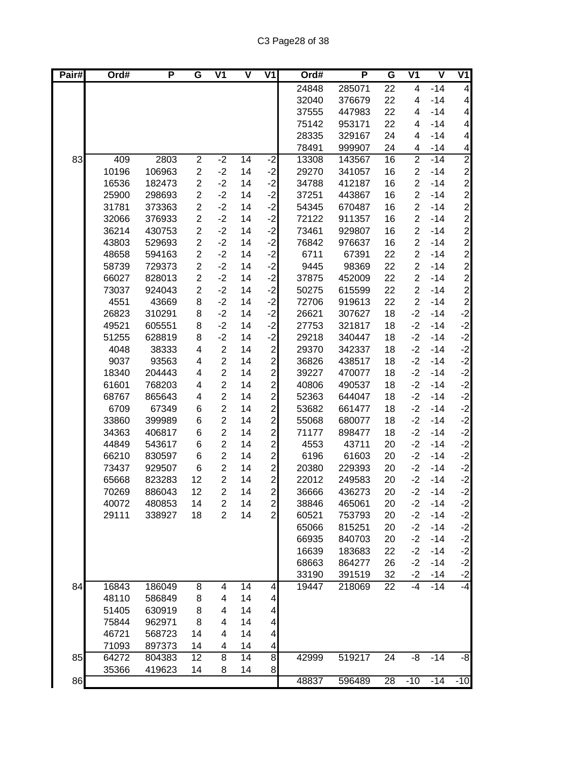| Pair# | Ord#  | P      | G               | $\overline{\mathsf{V}}$ 1 | $\overline{\mathsf{v}}$ | V <sub>1</sub>           | Ord#           | P                | G               | V <sub>1</sub> | $\overline{\mathsf{v}}$ | V1                       |
|-------|-------|--------|-----------------|---------------------------|-------------------------|--------------------------|----------------|------------------|-----------------|----------------|-------------------------|--------------------------|
|       |       |        |                 |                           |                         |                          | 24848          | 285071           | 22              | 4              | $-14$                   | $\overline{4}$           |
|       |       |        |                 |                           |                         |                          | 32040          | 376679           | 22              | 4              | $-14$                   | $\overline{\mathcal{A}}$ |
|       |       |        |                 |                           |                         |                          | 37555          | 447983           | 22              | 4              | $-14$                   | $\overline{4}$           |
|       |       |        |                 |                           |                         |                          | 75142          | 953171           | 22              | 4              | $-14$                   | $\overline{4}$           |
|       |       |        |                 |                           |                         |                          | 28335          | 329167           | 24              | 4              | $-14$                   | $\vert 4 \vert$          |
|       |       |        |                 |                           |                         |                          | 78491          | 999907           | 24              | 4              | $-14$                   | $\vert 4 \vert$          |
| 83    | 409   | 2803   | $\overline{c}$  | $-2$                      | 14                      | $-2$                     | 13308          | 143567           | 16              | $\overline{2}$ | $-14$                   | $\overline{c}$           |
|       | 10196 | 106963 | $\overline{c}$  | $-2$                      | 14                      | $-2$                     | 29270          | 341057           | 16              | $\overline{2}$ | $-14$                   | $\mathbf{2}$             |
|       | 16536 | 182473 | $\overline{c}$  | $-2$                      | 14                      | $-2$                     | 34788          | 412187           | 16              | $\overline{2}$ | $-14$                   | $\mathbf{2}$             |
|       | 25900 | 298693 | $\overline{2}$  | $-2$                      | 14                      | $-2$                     | 37251          | 443867           | 16              | $\overline{2}$ | $-14$                   | $\mathbf{2}$             |
|       | 31781 | 373363 | $\overline{2}$  | $-2$                      | 14                      | $-2$                     | 54345          | 670487           | 16              | $\overline{c}$ | $-14$                   |                          |
|       | 32066 | 376933 | $\overline{2}$  | $-2$                      | 14                      | $-2$                     | 72122          | 911357           | 16              | $\overline{c}$ | $-14$                   |                          |
|       | 36214 | 430753 | $\overline{2}$  | $-2$                      | 14                      | $-2$                     | 73461          | 929807           | 16              | $\overline{2}$ | $-14$                   | 222222                   |
|       | 43803 | 529693 | $\overline{2}$  | $-2$                      | 14                      | $-2$                     | 76842          | 976637           | 16              | $\overline{2}$ | $-14$                   |                          |
|       | 48658 | 594163 | $\overline{2}$  | $-2$                      | 14                      | $-2$                     | 6711           | 67391            | 22              | $\overline{2}$ | $-14$                   |                          |
|       | 58739 | 729373 | $\overline{2}$  | $-2$                      | 14                      | $-2$                     | 9445           | 98369            | 22              | $\overline{2}$ | $-14$                   |                          |
|       | 66027 | 828013 | $\overline{c}$  | $-2$                      | 14                      | $-2$                     | 37875          | 452009           | 22              | $\overline{2}$ | $-14$                   |                          |
|       | 73037 | 924043 | $\overline{c}$  | $-2$                      | 14                      | $-2$                     | 50275          | 615599           | 22              | $\overline{2}$ | $-14$                   | $\overline{c}$           |
|       | 4551  | 43669  | 8               | $-2$                      | 14                      | $-2$                     | 72706          | 919613           | 22              | $\overline{2}$ | $-14$                   | $\overline{c}$           |
|       | 26823 | 310291 | 8               | $-2$                      | 14                      | $-2$                     | 26621          | 307627           | 18              | $-2$           | $-14$                   | $-2$                     |
|       | 49521 | 605551 | 8               | $-2$                      | 14                      | $-2$                     | 27753          | 321817           | 18              | $-2$           | $-14$                   | $-2$                     |
|       | 51255 | 628819 | 8               | $-2$                      | 14                      | $-2$                     | 29218          | 340447           | 18              | $-2$           | $-14$                   | $-2$                     |
|       | 4048  | 38333  | 4               | $\overline{c}$            | 14                      | $\mathbf{z}$             | 29370          | 342337           | 18              | $-2$           | $-14$                   | $-2$                     |
|       | 9037  | 93563  | 4               | $\overline{c}$            | 14                      | $\mathbf{2}$             | 36826          | 438517           | 18              | $-2$           | $-14$                   | $-2$                     |
|       | 18340 | 204443 | 4               | $\overline{2}$            | 14                      | $\overline{2}$           | 39227          | 470077           | 18              | $-2$           | $-14$                   | $-2$                     |
|       | 61601 | 768203 | 4               | $\overline{2}$            | 14                      | $\mathbf{2}$             | 40806          | 490537           | 18              | $-2$           | $-14$                   | $-2$                     |
|       | 68767 | 865643 | 4               | $\overline{2}$            | 14                      | $\mathbf{2}$             | 52363          | 644047           | 18              | $-2$           | $-14$                   | $-2$                     |
|       | 6709  | 67349  | $6\phantom{1}6$ | $\overline{2}$            | 14                      | $\mathbf{2}$             | 53682          | 661477           | 18              | $-2$           | $-14$                   | $-2$                     |
|       | 33860 | 399989 | 6               | $\overline{2}$            | 14                      | $\mathbf{2}$             | 55068          | 680077           | 18              | $-2$           | $-14$                   | $-2$                     |
|       | 34363 | 406817 | 6               | $\overline{c}$            | 14                      | $\overline{c}$           | 71177          | 898477           | 18              | $-2$           | $-14$                   | $-2$                     |
|       | 44849 | 543617 | 6               | $\overline{2}$            | 14                      | $\mathbf{z}$             | 4553           | 43711            | 20              | $-2$           | $-14$                   | $-2$                     |
|       | 66210 | 830597 | 6               | $\overline{c}$            | 14                      | $\mathbf{2}$             | 6196           | 61603            | 20              | $-2$           | $-14$                   | $-2$                     |
|       | 73437 | 929507 | 6               | $\overline{2}$            | 14                      | $\mathbf{z}$             | 20380          | 229393           | 20              | $-2$           | $-14$                   | $-2$                     |
|       | 65668 | 823283 | 12              | $\overline{c}$            | 14                      | $\mathbf{z}$             | 22012          | 249583           | 20              | $-2$           | $-14$                   | $-2$                     |
|       | 70269 | 886043 | 12              | $\overline{2}$            | 14                      | $\overline{c}$           | 36666          | 436273           | 20              | $-2$           | $-14$                   | $-2$                     |
|       | 40072 | 480853 | 14              | $\boldsymbol{2}$          | 14                      | $\mathbf{2}$             | 38846          | 465061           | 20              | $-2$           | $-14$                   | $-2$                     |
|       | 29111 | 338927 | 18              | $\overline{2}$            | 14                      | $\mathbf{2}$             | 60521          | 753793           | 20              | $-2$           | $-14$                   | $-2$                     |
|       |       |        |                 |                           |                         |                          | 65066          | 815251           | 20              | $-2$<br>$-2$   | $-14$<br>$-14$          | $-2$                     |
|       |       |        |                 |                           |                         |                          | 66935<br>16639 | 840703<br>183683 | 20<br>22        | $-2$           | $-14$                   | $-2$<br>$-2$             |
|       |       |        |                 |                           |                         |                          | 68663          | 864277           | 26              | $-2$           | $-14$                   | $-2$                     |
|       |       |        |                 |                           |                         |                          | 33190          | 391519           | 32              | $-2$           | $-14$                   | $-2$                     |
| 84    | 16843 | 186049 | 8               | 4                         | 14                      | 4                        | 19447          | 218069           | 22              | $-4$           | $-14$                   | $-4$                     |
|       | 48110 | 586849 | 8               | 4                         | 14                      | 4                        |                |                  |                 |                |                         |                          |
|       | 51405 | 630919 | 8               | 4                         | 14                      | $\overline{\mathbf{4}}$  |                |                  |                 |                |                         |                          |
|       | 75844 | 962971 | 8               | 4                         | 14                      | 4                        |                |                  |                 |                |                         |                          |
|       | 46721 | 568723 | 14              | 4                         | 14                      | $\overline{\mathbf{4}}$  |                |                  |                 |                |                         |                          |
|       | 71093 | 897373 | 14              | 4                         | 14                      | $\overline{\mathcal{A}}$ |                |                  |                 |                |                         |                          |
| 85    | 64272 | 804383 | 12              | 8                         | 14                      | 8                        | 42999          | 519217           | 24              | -8             | $-14$                   | $-8$                     |
|       | 35366 | 419623 | 14              | 8                         | 14                      | 8                        |                |                  |                 |                |                         |                          |
| 86    |       |        |                 |                           |                         |                          | 48837          | 596489           | $\overline{28}$ | $-10$          | $-14$                   | $-10$                    |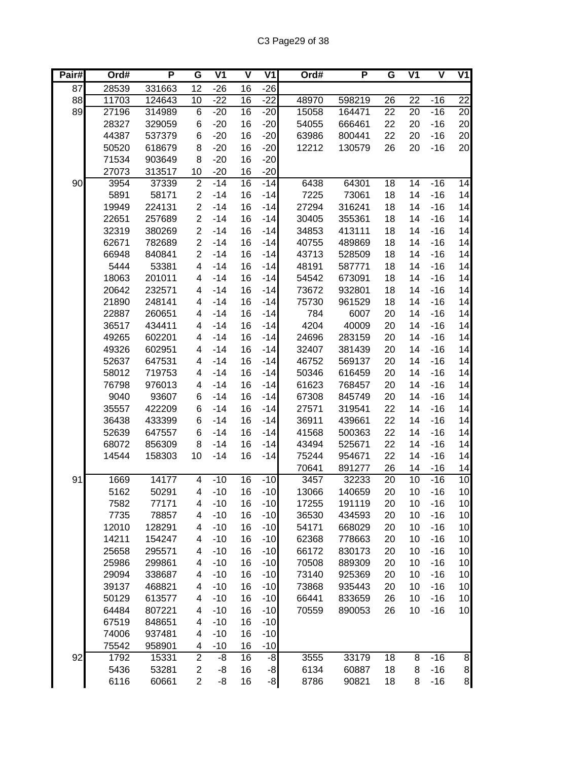| Pair# | Ord#  | P      | G                       | V <sub>1</sub> | $\overline{\mathsf{v}}$ | V <sub>1</sub> | Ord#  | P      | G  | V <sub>1</sub>  | $\overline{\mathtt{v}}$ | V <sub>1</sub>  |
|-------|-------|--------|-------------------------|----------------|-------------------------|----------------|-------|--------|----|-----------------|-------------------------|-----------------|
| 87    | 28539 | 331663 | 12                      | $-26$          | 16                      | $-26$          |       |        |    |                 |                         |                 |
| 88    | 11703 | 124643 | 10                      | $-22$          | 16                      | $-22$          | 48970 | 598219 | 26 | $\overline{22}$ | $-16$                   | $\overline{22}$ |
| 89    | 27196 | 314989 | 6                       | $-20$          | 16                      | $-20$          | 15058 | 164471 | 22 | 20              | $-16$                   | $\overline{20}$ |
|       | 28327 | 329059 | 6                       | $-20$          | 16                      | $-20$          | 54055 | 666461 | 22 | 20              | $-16$                   | 20              |
|       | 44387 | 537379 | 6                       | $-20$          | 16                      | $-20$          | 63986 | 800441 | 22 | 20              | $-16$                   | 20              |
|       | 50520 | 618679 | 8                       | $-20$          | 16                      | $-20$          | 12212 | 130579 | 26 | 20              | $-16$                   | 20              |
|       | 71534 | 903649 | 8                       | $-20$          | 16                      | $-20$          |       |        |    |                 |                         |                 |
|       | 27073 | 313517 | 10                      | $-20$          | 16                      | $-20$          |       |        |    |                 |                         |                 |
| 90    | 3954  | 37339  | $\overline{2}$          | $-14$          | 16                      | $-14$          | 6438  | 64301  | 18 | 14              | $-16$                   | 14              |
|       | 5891  | 58171  | $\overline{c}$          | $-14$          | 16                      | $-14$          | 7225  | 73061  | 18 | 14              | $-16$                   | 14              |
|       | 19949 | 224131 | $\overline{c}$          | $-14$          | 16                      | $-14$          | 27294 | 316241 | 18 | 14              | $-16$                   | 14              |
|       | 22651 | 257689 | $\overline{c}$          | $-14$          | 16                      | $-14$          | 30405 | 355361 | 18 | 14              | $-16$                   | 14              |
|       | 32319 | 380269 | $\overline{c}$          | $-14$          | 16                      | $-14$          | 34853 | 413111 | 18 | 14              | $-16$                   | 14              |
|       | 62671 | 782689 | $\overline{2}$          | $-14$          | 16                      | $-14$          | 40755 | 489869 | 18 | 14              | $-16$                   | 14              |
|       | 66948 | 840841 | $\overline{2}$          | $-14$          | 16                      | $-14$          | 43713 | 528509 | 18 | 14              | $-16$                   | 14              |
|       | 5444  | 53381  | 4                       | $-14$          | 16                      | $-14$          | 48191 | 587771 | 18 | 14              | $-16$                   | 14              |
|       | 18063 | 201011 | 4                       | $-14$          | 16                      | $-14$          | 54542 | 673091 | 18 | 14              | $-16$                   | 14              |
|       | 20642 | 232571 | 4                       | $-14$          | 16                      | $-14$          | 73672 | 932801 | 18 | 14              | $-16$                   | 14              |
|       | 21890 | 248141 | 4                       | $-14$          | 16                      | $-14$          | 75730 | 961529 | 18 | 14              | $-16$                   | 14              |
|       | 22887 | 260651 | 4                       | $-14$          | 16                      | $-14$          | 784   | 6007   | 20 | 14              | $-16$                   | 14              |
|       | 36517 | 434411 | 4                       | $-14$          | 16                      | $-14$          | 4204  | 40009  | 20 | 14              | $-16$                   | 14              |
|       | 49265 | 602201 | 4                       | $-14$          | 16                      | $-14$          | 24696 | 283159 | 20 | 14              | $-16$                   | 14              |
|       | 49326 | 602951 | 4                       | $-14$          | 16                      | $-14$          | 32407 | 381439 | 20 | 14              | $-16$                   | 14              |
|       | 52637 | 647531 | 4                       | $-14$          | 16                      | $-14$          | 46752 | 569137 | 20 | 14              | $-16$                   | 14              |
|       | 58012 | 719753 | 4                       | $-14$          | 16                      | $-14$          | 50346 | 616459 | 20 | 14              | $-16$                   | 14              |
|       | 76798 | 976013 | 4                       | $-14$          | 16                      | $-14$          | 61623 | 768457 | 20 | 14              | $-16$                   | 14              |
|       | 9040  | 93607  | 6                       | $-14$          | 16                      | $-14$          | 67308 | 845749 | 20 | 14              | $-16$                   | 14              |
|       | 35557 | 422209 | 6                       | $-14$          | 16                      | $-14$          | 27571 | 319541 | 22 | 14              | $-16$                   | 14              |
|       | 36438 | 433399 | 6                       | $-14$          | 16                      | $-14$          | 36911 | 439661 | 22 | 14              | $-16$                   | 14              |
|       | 52639 | 647557 | 6                       | $-14$          | 16                      | $-14$          | 41568 | 500363 | 22 | 14              | $-16$                   | 14              |
|       | 68072 | 856309 | 8                       | $-14$          | 16                      | $-14$          | 43494 | 525671 | 22 | 14              | $-16$                   | 14              |
|       | 14544 | 158303 | 10                      | $-14$          | 16                      | $-14$          | 75244 | 954671 | 22 | 14              | $-16$                   | 14              |
|       |       |        |                         |                |                         |                | 70641 | 891277 | 26 | 14              | $-16$                   | 14              |
| 91    | 1669  | 14177  | 4                       | $-10$          | 16                      | $-10$          | 3457  | 32233  | 20 | 10              | $-16$                   | 10              |
|       | 5162  | 50291  | 4                       | $-10$          | 16                      | $-10$          | 13066 | 140659 | 20 | 10              | $-16$                   | 10              |
|       | 7582  | 77171  | 4                       | $-10$          | 16                      | $-10$          | 17255 | 191119 | 20 | 10              | $-16$                   | 10              |
|       | 7735  | 78857  | 4                       | $-10$          | 16                      | $-10$          | 36530 | 434593 | 20 | 10              | $-16$                   | 10              |
|       | 12010 | 128291 | 4                       | $-10$          | 16                      | $-10$          | 54171 | 668029 | 20 | 10              | $-16$                   | 10              |
|       | 14211 | 154247 | $\overline{\mathbf{4}}$ | $-10$          | 16                      | $-10$          | 62368 | 778663 | 20 | 10              | $-16$                   | 10              |
|       | 25658 | 295571 | 4                       | $-10$          | 16                      | $-10$          | 66172 | 830173 | 20 | 10              | $-16$                   | 10              |
|       | 25986 | 299861 | 4                       | $-10$          | 16                      | $-10$          | 70508 | 889309 | 20 | 10              | $-16$                   | 10              |
|       | 29094 | 338687 | 4                       | $-10$          | 16                      | $-10$          | 73140 | 925369 | 20 | 10              | $-16$                   | 10              |
|       | 39137 | 468821 | 4                       | $-10$          | 16                      | $-10$          | 73868 | 935443 | 20 | 10              | $-16$                   | 10              |
|       | 50129 | 613577 | 4                       | $-10$          | 16                      | $-10$          | 66441 | 833659 | 26 | 10              | $-16$                   | 10              |
|       | 64484 | 807221 | 4                       | $-10$          | 16                      | $-10$          | 70559 | 890053 | 26 | 10              | $-16$                   | 10              |
|       | 67519 | 848651 | 4                       | $-10$          | 16                      | $-10$          |       |        |    |                 |                         |                 |
|       | 74006 | 937481 | 4                       | $-10$          | 16                      | $-10$          |       |        |    |                 |                         |                 |
|       | 75542 | 958901 | 4                       | $-10$          | 16                      | $-10$          |       |        |    |                 |                         |                 |
| 92    | 1792  | 15331  | $\overline{2}$          | -8             | 16                      | -8             | 3555  | 33179  | 18 | 8               | $-16$                   | 8               |
|       | 5436  | 53281  | $\overline{c}$          | -8             | 16                      | $-8$           | 6134  | 60887  | 18 | 8               | $-16$                   | 8               |
|       | 6116  | 60661  | $\overline{c}$          | -8             | 16                      | $-8$           | 8786  | 90821  | 18 | 8               | $-16$                   | 8 <sup>1</sup>  |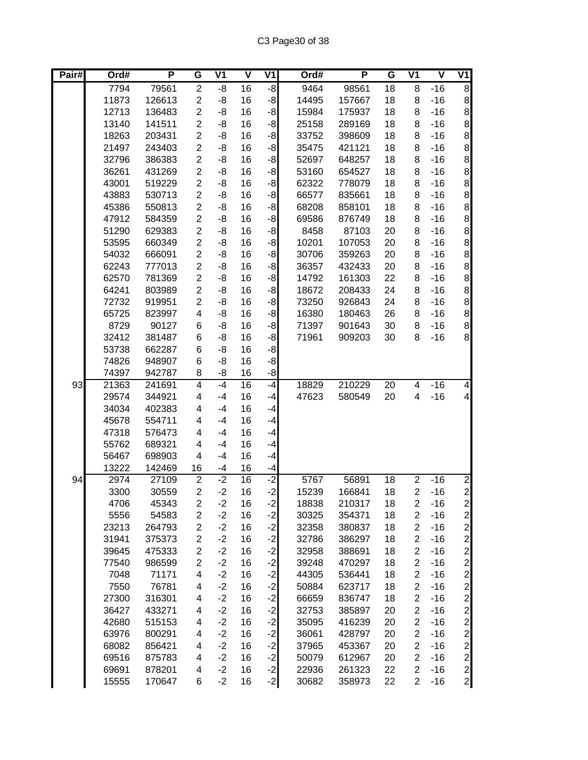C3 Page30 of 38

| Pair# | Ord#           | P                | G                                         | V <sub>1</sub> | $\overline{\mathsf{V}}$ | $\overline{\mathsf{V1}}$ | Ord#           | P                | G        | $\overline{\mathsf{V}}$ 1        | $\overline{\mathsf{v}}$ | V <sub>1</sub>           |
|-------|----------------|------------------|-------------------------------------------|----------------|-------------------------|--------------------------|----------------|------------------|----------|----------------------------------|-------------------------|--------------------------|
|       | 7794           | 79561            | $\overline{2}$                            | -8             | 16                      | $-8$                     | 9464           | 98561            | 18       | 8                                | $-16$                   | 8                        |
|       | 11873          | 126613           | $\overline{2}$                            | -8             | 16                      | $-8$                     | 14495          | 157667           | 18       | 8                                | $-16$                   | $\bf{8}$                 |
|       | 12713          | 136483           | $\overline{2}$                            | -8             | 16                      | $-8$                     | 15984          | 175937           | 18       | 8                                | $-16$                   | $\bf{8}$                 |
|       | 13140          | 141511           | $\overline{c}$                            | -8             | 16                      | $-8$                     | 25158          | 289169           | 18       | 8                                | $-16$                   | $\bf{8}$                 |
|       | 18263          | 203431           | $\overline{2}$                            | -8             | 16                      | $-8$                     | 33752          | 398609           | 18       | 8                                | $-16$                   | $\bf{8}$                 |
|       | 21497          | 243403           | $\overline{2}$                            | -8             | 16                      | $-8$                     | 35475          | 421121           | 18       | 8                                | $-16$                   | $\bf{8}$                 |
|       | 32796          | 386383           | $\overline{2}$                            | -8             | 16                      | -8                       | 52697          | 648257           | 18       | 8                                | $-16$                   | 8                        |
|       | 36261          | 431269           | $\overline{c}$                            | -8             | 16                      | $-8$                     | 53160          | 654527           | 18       | 8                                | $-16$                   | 8                        |
|       | 43001          | 519229           | $\overline{2}$                            | -8             | 16                      | $-8$                     | 62322          | 778079           | 18       | 8                                | $-16$                   | 8                        |
|       | 43883          | 530713           | $\overline{2}$                            | -8             | 16                      | $-8$                     | 66577          | 835661           | 18       | 8                                | $-16$                   | 8                        |
|       | 45386          | 550813           | $\overline{2}$                            | -8             | 16                      | $-8$                     | 68208          | 858101           | 18       | 8                                | $-16$                   | 8                        |
|       | 47912          | 584359           | $\overline{c}$                            | -8             | 16                      | $-8$                     | 69586          | 876749           | 18       | 8                                | $-16$                   | 8                        |
|       | 51290          | 629383           | $\overline{2}$                            | -8             | 16                      | $-8$                     | 8458           | 87103            | 20       | 8                                | $-16$                   | 8                        |
|       | 53595          | 660349           | $\overline{c}$                            | -8             | 16                      | $-8$                     | 10201          | 107053           | 20       | 8                                | $-16$                   | 8                        |
|       | 54032          | 666091           | $\overline{2}$                            | -8             | 16                      | $-8$                     | 30706          | 359263           | 20       | 8                                | $-16$                   | 8                        |
|       | 62243          | 777013           | $\overline{2}$                            | -8             | 16                      | $-8$                     | 36357          | 432433           | 20       | 8                                | $-16$                   | 8                        |
|       | 62570          | 781369           | $\overline{2}$                            | -8             | 16                      | $-8$                     | 14792          | 161303           | 22       | 8                                | $-16$                   | $\bf{8}$                 |
|       | 64241          | 803989           | $\overline{2}$                            | -8             | 16                      | $-8$                     | 18672          | 208433           | 24       | 8                                | $-16$                   | $\bf{8}$                 |
|       | 72732          | 919951           | $\overline{2}$                            | -8             | 16                      | $-8$                     | 73250          | 926843           | 24       | 8                                | $-16$                   | $\bf{8}$                 |
|       | 65725          | 823997           | 4                                         | -8             | 16                      | $-8$                     | 16380          | 180463           | 26       | 8                                | $-16$                   | $\bf{8}$                 |
|       | 8729           | 90127            | 6                                         | -8             | 16                      | $-8$                     | 71397          | 901643           | 30       | 8                                | $-16$                   | $\bf{8}$                 |
|       | 32412          | 381487           | 6                                         | -8             | 16                      | $-8$                     | 71961          | 909203           | 30       | 8                                | $-16$                   | $\bf{8}$                 |
|       | 53738          | 662287           | 6                                         | -8             | 16                      | $-8$                     |                |                  |          |                                  |                         |                          |
|       | 74826          | 948907           | 6                                         | -8             | 16                      | $-8$                     |                |                  |          |                                  |                         |                          |
|       | 74397          | 942787           | 8                                         | -8             | 16                      | $-8$                     |                |                  |          |                                  |                         |                          |
| 93    | 21363          | 241691           | $\overline{\mathbf{4}}$                   | $-4$           | 16                      | -4                       | 18829          | 210229           | 20       | 4                                | $-16$                   | $\overline{\mathcal{A}}$ |
|       | 29574          | 344921           | 4                                         | $-4$           | 16                      | $-4$                     | 47623          | 580549           | 20       | 4                                | $-16$                   | $\overline{\mathbf{4}}$  |
|       | 34034          | 402383           | 4                                         | $-4$           | 16                      | $-4$                     |                |                  |          |                                  |                         |                          |
|       | 45678          | 554711           | 4                                         | $-4$           | 16                      | $-4$                     |                |                  |          |                                  |                         |                          |
|       | 47318          | 576473           | 4                                         | $-4$           | 16                      | $-4$                     |                |                  |          |                                  |                         |                          |
|       | 55762          | 689321           | 4                                         | $-4$           | 16                      | $-4$                     |                |                  |          |                                  |                         |                          |
|       | 56467          | 698903           | $\overline{4}$                            | $-4$           | 16                      | $-4$                     |                |                  |          |                                  |                         |                          |
|       | 13222          | 142469           | 16                                        | $-4$           | 16                      | $-4$                     |                |                  |          |                                  |                         |                          |
| 94    | 2974           | 27109            | $\overline{2}$                            | $-2$           | 16                      | ۱J.                      | 5767           | 56891            | 18       | $\overline{2}$                   | $-16$                   | $\mathbf{2}$             |
|       | 3300           | 30559            | $\overline{2}$                            | $-2$           | 16                      | $-2$                     | 15239          | 166841           | 18       | $\overline{2}$                   | $-16$                   | $\overline{2}$           |
|       | 4706           | 45343            | $\overline{c}$                            | $-2$           | 16                      | $-2$                     | 18838          | 210317           | 18       | $\overline{2}$                   | $-16$                   | $\mathbf{2}$             |
|       | 5556           | 54583            | $\overline{c}$                            | $-2$           | 16                      | $-2$                     | 30325          | 354371           | 18       | $\overline{2}$                   | $-16$                   | $\overline{2}$           |
|       | 23213          | 264793           | $\overline{c}$                            | $-2$           | 16                      | $-2$                     | 32358          | 380837           | 18       | $\overline{2}$                   | $-16$                   | $\overline{c}$           |
|       | 31941          | 375373           | $\overline{c}$                            | $-2$           | 16                      | $-2$                     | 32786          | 386297           | 18       | $\overline{2}$                   | $-16$                   | 20000                    |
|       | 39645          | 475333           | $\overline{c}$                            | $-2$           | 16                      | $-2$                     | 32958          | 388691           | 18       | $\overline{2}$                   | $-16$                   |                          |
|       | 77540          | 986599           | $\overline{2}$<br>$\overline{\mathbf{4}}$ | $-2$           | 16                      | $-2$                     | 39248          | 470297           | 18       | $\overline{2}$                   | $-16$                   |                          |
|       | 7048           | 71171            |                                           | $-2$           | 16                      | $-2$                     | 44305          | 536441           | 18       | $\overline{c}$                   | $-16$                   |                          |
|       | 7550           | 76781            | $\overline{\mathbf{4}}$                   | $-2$           | 16                      | $-2$                     | 50884          | 623717           | 18       | $\overline{2}$                   | $-16$                   |                          |
|       | 27300          | 316301<br>433271 | $\overline{\mathbf{4}}$<br>4              | $-2$           | 16                      | $-2$                     | 66659          | 836747           | 18       | $\overline{c}$                   | $-16$                   | 2 2 2 2 2 2 2 2 2 2      |
|       | 36427          |                  | 4                                         | $-2$           | 16                      | $-2$                     | 32753          | 385897           | 20       | $\overline{c}$<br>$\overline{2}$ | $-16$<br>$-16$          |                          |
|       | 42680          | 515153           | 4                                         | $-2$<br>$-2$   | 16                      | $-2$<br>$-2$             | 35095          | 416239           | 20       | $\overline{2}$                   | $-16$                   |                          |
|       | 63976<br>68082 | 800291<br>856421 | 4                                         | $-2$           | 16<br>16                | $-2$                     | 36061<br>37965 | 428797<br>453367 | 20<br>20 | $\overline{c}$                   | $-16$                   |                          |
|       | 69516          | 875783           | 4                                         | $-2$           | 16                      | $-2$                     | 50079          | 612967           | 20       | $\overline{c}$                   | $-16$                   |                          |
|       | 69691          | 878201           | 4                                         | $-2$           | 16                      | $-2$                     | 22936          | 261323           | 22       | $\overline{c}$                   | $-16$                   |                          |
|       | 15555          | 170647           | 6                                         | $-2$           | 16                      | $-2$                     | 30682          | 358973           | 22       | $\overline{2}$                   | $-16$                   |                          |
|       |                |                  |                                           |                |                         |                          |                |                  |          |                                  |                         |                          |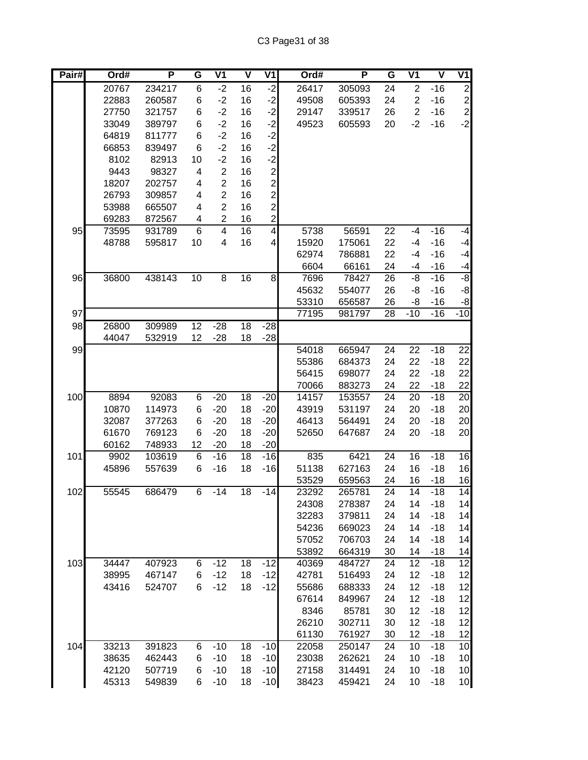| Pair# | Ord#  | P      | G               | $\overline{\mathsf{V1}}$ | $\overline{\mathsf{v}}$ | $\overline{\mathsf{V1}}$ | Ord#  | P      | G               | V <sub>1</sub> | $\overline{\mathsf{v}}$ | $\overline{V1}$ |
|-------|-------|--------|-----------------|--------------------------|-------------------------|--------------------------|-------|--------|-----------------|----------------|-------------------------|-----------------|
|       | 20767 | 234217 | 6               | $-2$                     | 16                      | ż.                       | 26417 | 305093 | 24              | $\overline{2}$ | $-16$                   | $\overline{c}$  |
|       | 22883 | 260587 | 6               | $-2$                     | 16                      | $-2$                     | 49508 | 605393 | 24              | $\overline{2}$ | $-16$                   | $\overline{c}$  |
|       | 27750 | 321757 | 6               | $-2$                     | 16                      | $-2$                     | 29147 | 339517 | 26              | $\overline{2}$ | $-16$                   | $\overline{c}$  |
|       | 33049 | 389797 | 6               | $-2$                     | 16                      | $-2$                     | 49523 | 605593 | 20              | $-2$           | $-16$                   | $-2$            |
|       | 64819 | 811777 | 6               | $-2$                     | 16                      | $-2$                     |       |        |                 |                |                         |                 |
|       | 66853 | 839497 | 6               | $-2$                     | 16                      | $-2$                     |       |        |                 |                |                         |                 |
|       | 8102  | 82913  | 10              | $-2$                     | 16                      | $-2$                     |       |        |                 |                |                         |                 |
|       | 9443  | 98327  | 4               | $\overline{c}$           | 16                      | $\overline{c}$           |       |        |                 |                |                         |                 |
|       | 18207 | 202757 | 4               | $\overline{c}$           | 16                      | $\frac{2}{2}$            |       |        |                 |                |                         |                 |
|       | 26793 | 309857 | 4               | $\overline{2}$           | 16                      |                          |       |        |                 |                |                         |                 |
|       | 53988 | 665507 | 4               | $\overline{c}$           | 16                      | $\overline{c}$           |       |        |                 |                |                         |                 |
|       | 69283 | 872567 | 4               | $\overline{c}$           | 16                      | $\overline{a}$           |       |        |                 |                |                         |                 |
| 95    | 73595 | 931789 | $\overline{6}$  | 4                        | 16                      | $\overline{4}$           | 5738  | 56591  | 22              | $-4$           | $-16$                   | $-4$            |
|       | 48788 | 595817 | 10              | 4                        | 16                      | $\overline{4}$           | 15920 | 175061 | 22              | $-4$           | $-16$                   | $-4$            |
|       |       |        |                 |                          |                         |                          | 62974 | 786881 | 22              | $-4$           | $-16$                   | $-4$            |
|       |       |        |                 |                          |                         |                          | 6604  | 66161  | 24              | -4             | $-16$                   | -4              |
| 96    | 36800 | 438143 | 10              | $\overline{8}$           | $\overline{16}$         | 8                        | 7696  | 78427  | $\overline{26}$ | -8             | $-16$                   | -8              |
|       |       |        |                 |                          |                         |                          | 45632 | 554077 | 26              | -8             | $-16$                   | $-8$            |
|       |       |        |                 |                          |                         |                          | 53310 | 656587 | 26              | -8             | $-16$                   | $-8$            |
| 97    |       |        |                 |                          |                         |                          | 77195 | 981797 | $\overline{28}$ | $-10$          | $-16$                   | $-10$           |
| 98    | 26800 | 309989 | $\overline{12}$ | $-28$                    | 18                      | $-28$                    |       |        |                 |                |                         |                 |
|       | 44047 | 532919 | 12              | $-28$                    | 18                      | $-28$                    |       |        |                 |                |                         |                 |
| 99    |       |        |                 |                          |                         |                          | 54018 | 665947 | $\overline{24}$ | 22             | $-18$                   | $\overline{22}$ |
|       |       |        |                 |                          |                         |                          | 55386 | 684373 | 24              | 22             | $-18$                   | 22              |
|       |       |        |                 |                          |                         |                          | 56415 | 698077 | 24              | 22             | $-18$                   | 22              |
|       |       |        |                 |                          |                         |                          | 70066 | 883273 | 24              | 22             | $-18$                   | 22              |
| 100   | 8894  | 92083  | 6               | $-20$                    | 18                      | $-20$                    | 14157 | 153557 | 24              | 20             | $-18$                   | $\overline{20}$ |
|       | 10870 | 114973 | 6               | $-20$                    | 18                      | $-20$                    | 43919 | 531197 | 24              | 20             | $-18$                   | 20              |
|       | 32087 | 377263 | 6               | $-20$                    | 18                      | $-20$                    | 46413 | 564491 | 24              | 20             | $-18$                   | 20              |
|       | 61670 | 769123 | 6               | $-20$                    | 18                      | $-20$                    | 52650 | 647687 | 24              | 20             | $-18$                   | 20              |
|       | 60162 | 748933 | 12              | $-20$                    | 18                      | $-20$                    |       |        |                 |                |                         |                 |
| 101   | 9902  | 103619 | $\overline{6}$  | $-16$                    | 18                      | $-16$                    | 835   | 6421   | $\overline{24}$ | 16             | $-18$                   | $\overline{16}$ |
|       | 45896 | 557639 | 6               | $-16$                    | 18                      | $-16$                    | 51138 | 627163 | 24              | 16             | $-18$                   | 16              |
|       |       |        |                 |                          |                         |                          | 53529 | 659563 | 24              | 16             | $-18$                   | 16              |
| 102   | 55545 | 686479 | 6               | $-14$                    | 18                      | $-14$                    | 23292 | 265781 | 24              | 14             | $-18$                   | $\overline{14}$ |
|       |       |        |                 |                          |                         |                          | 24308 | 278387 | 24              | 14             | $-18$                   | 14              |
|       |       |        |                 |                          |                         |                          | 32283 | 379811 | 24              | 14             | $-18$                   | 14              |
|       |       |        |                 |                          |                         |                          | 54236 | 669023 | 24              | 14             | $-18$                   | 14              |
|       |       |        |                 |                          |                         |                          | 57052 | 706703 | 24              | 14             | $-18$                   | 14              |
|       |       |        |                 |                          |                         |                          | 53892 | 664319 | 30              | 14             | $-18$                   | 14              |
| 103   | 34447 | 407923 | 6               | $-12$                    | 18                      | $-12$                    | 40369 | 484727 | 24              | 12             | $-18$                   | $\overline{12}$ |
|       | 38995 | 467147 | 6               | $-12$                    | 18                      | $-12$                    | 42781 | 516493 | 24              | 12             | $-18$                   | 12              |
|       | 43416 | 524707 | 6               | $-12$                    | 18                      | $-12$                    | 55686 | 688333 | 24              | 12             | $-18$                   | 12              |
|       |       |        |                 |                          |                         |                          | 67614 | 849967 | 24              | 12             | $-18$                   | 12              |
|       |       |        |                 |                          |                         |                          | 8346  | 85781  | 30              | 12             | $-18$                   | 12              |
|       |       |        |                 |                          |                         |                          | 26210 | 302711 | 30              | 12             | $-18$                   | 12              |
|       |       |        |                 |                          |                         |                          | 61130 | 761927 | 30              | 12             | $-18$                   | 12              |
| 104   | 33213 | 391823 | 6               | $-10$                    | 18                      | $-10$                    | 22058 | 250147 | 24              | 10             | $-18$                   | 10              |
|       | 38635 | 462443 | 6               | $-10$                    | 18                      | $-10$                    | 23038 | 262621 | 24              | 10             | $-18$                   | 10              |
|       | 42120 | 507719 | 6               | $-10$                    | 18                      | $-10$                    | 27158 | 314491 | 24              | 10             | $-18$                   | 10              |
|       | 45313 | 549839 | 6               | $-10$                    | 18                      | $-10$                    | 38423 | 459421 | 24              | 10             | $-18$                   | 10              |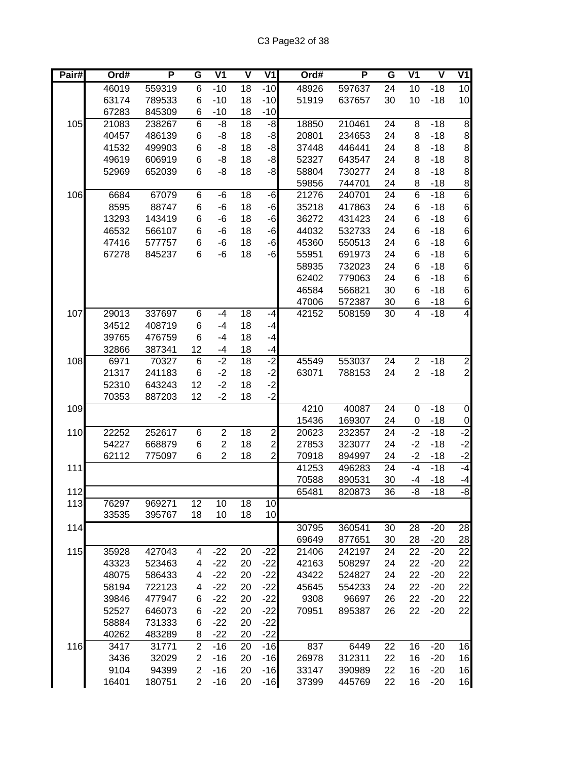| Pair# | Ord#  | P      | G              | $\overline{\mathsf{V1}}$ | $\overline{\mathsf{v}}$ | V1             | Ord#  | P      | G  | V <sub>1</sub>  | $\overline{\mathsf{v}}$ | V1               |
|-------|-------|--------|----------------|--------------------------|-------------------------|----------------|-------|--------|----|-----------------|-------------------------|------------------|
|       | 46019 | 559319 | 6              | $-10$                    | 18                      | $-10$          | 48926 | 597637 | 24 | $\overline{10}$ | $-18$                   | 10               |
|       | 63174 | 789533 | 6              | $-10$                    | 18                      | $-10$          | 51919 | 637657 | 30 | 10              | $-18$                   | 10               |
|       | 67283 | 845309 | 6              | $-10$                    | 18                      | $-10$          |       |        |    |                 |                         |                  |
| 105   | 21083 | 238267 | 6              | -8                       | 18                      | $-8$           | 18850 | 210461 | 24 | 8               | $-18$                   | $\infty$         |
|       | 40457 | 486139 | 6              | -8                       | 18                      | $-8$           | 20801 | 234653 | 24 | 8               | $-18$                   | $\bf{8}$         |
|       | 41532 | 499903 | 6              | -8                       | 18                      | $-8$           | 37448 | 446441 | 24 | 8               | $-18$                   | $\bf{8}$         |
|       | 49619 | 606919 | 6              | -8                       | 18                      | $-8$           | 52327 | 643547 | 24 | 8               | $-18$                   | $\bf{8}$         |
|       | 52969 | 652039 | 6              | -8                       | 18                      | $-8$           | 58804 | 730277 | 24 | 8               | $-18$                   | $\bf 8$          |
|       |       |        |                |                          |                         |                | 59856 | 744701 | 24 | 8               | $-18$                   | $\overline{8}$   |
| 106   | 6684  | 67079  | 6              | $-6$                     | 18                      | $-6$           | 21276 | 240701 | 24 | 6               | $-18$                   | 6                |
|       | 8595  | 88747  | 6              | -6                       | 18                      | $-6$           | 35218 | 417863 | 24 | 6               | $-18$                   | $6 \overline{}$  |
|       | 13293 | 143419 | 6              | -6                       | 18                      | $-6$           | 36272 | 431423 | 24 | 6               | $-18$                   | $\boldsymbol{6}$ |
|       | 46532 | 566107 | 6              | -6                       | 18                      | -6             | 44032 | 532733 | 24 | 6               | $-18$                   | $\boldsymbol{6}$ |
|       | 47416 | 577757 | 6              | -6                       | 18                      | $-6$           | 45360 | 550513 | 24 | 6               | $-18$                   | $\boldsymbol{6}$ |
|       | 67278 | 845237 | 6              | -6                       | 18                      | $-6$           | 55951 | 691973 | 24 | 6               | $-18$                   | $\boldsymbol{6}$ |
|       |       |        |                |                          |                         |                | 58935 | 732023 | 24 | 6               | $-18$                   | $6 \overline{}$  |
|       |       |        |                |                          |                         |                | 62402 | 779063 | 24 | 6               | $-18$                   | $6 \overline{}$  |
|       |       |        |                |                          |                         |                | 46584 | 566821 | 30 | 6               | $-18$                   | $6 \overline{6}$ |
|       |       |        |                |                          |                         |                | 47006 | 572387 | 30 | 6               | $-18$                   | 6                |
| 107   | 29013 | 337697 | $\overline{6}$ | $-4$                     | $\overline{18}$         | $-4$           | 42152 | 508159 | 30 | 4               | $-18$                   | $\overline{4}$   |
|       | 34512 | 408719 | 6              | $-4$                     | 18                      | $-4$           |       |        |    |                 |                         |                  |
|       | 39765 | 476759 | 6              | $-4$                     | 18                      | $-4$           |       |        |    |                 |                         |                  |
|       | 32866 | 387341 | 12             | $-4$                     | 18                      | $-4$           |       |        |    |                 |                         |                  |
| 108   | 6971  | 70327  | 6              | $-2$                     | 18                      | د.<br>د        | 45549 | 553037 | 24 | $\overline{2}$  | $-18$                   | $\overline{2}$   |
|       | 21317 | 241183 | 6              | $-2$                     | 18                      | $-2$           | 63071 | 788153 | 24 | $\overline{2}$  | $-18$                   | $\overline{2}$   |
|       | 52310 | 643243 | 12             | $-2$                     | 18                      | $-2$           |       |        |    |                 |                         |                  |
|       | 70353 | 887203 | 12             | $-2$                     | 18                      | $-2$           |       |        |    |                 |                         |                  |
| 109   |       |        |                |                          |                         |                | 4210  | 40087  | 24 | 0               | $-18$                   | $\overline{0}$   |
|       |       |        |                |                          |                         |                | 15436 | 169307 | 24 | 0               | $-18$                   | $\frac{0}{-2}$   |
| 110   | 22252 | 252617 | 6              | $\overline{2}$           | 18                      | $\overline{2}$ | 20623 | 232357 | 24 | $-2$            | $-18$                   |                  |
|       | 54227 | 668879 | 6              | $\overline{2}$           | 18                      | $\overline{2}$ | 27853 | 323077 | 24 | $-2$            | $-18$                   | $-2$             |
|       | 62112 | 775097 | 6              | $\overline{c}$           | 18                      | $\overline{2}$ | 70918 | 894997 | 24 | $-2$            | $-18$                   | $-2$             |
| 111   |       |        |                |                          |                         |                | 41253 | 496283 | 24 | $-4$            | $-18$                   | $-4$             |
|       |       |        |                |                          |                         |                | 70588 | 890531 | 30 | $-4$            | $-18$                   | $-4$             |
| 112   |       |        |                |                          |                         |                | 65481 | 820873 | 36 | -8              | $-18$                   | -8               |
| 113   | 76297 | 969271 | 12             | 10                       | 18                      | 10             |       |        |    |                 |                         |                  |
|       | 33535 | 395767 | 18             | 10                       | 18                      | 10             |       |        |    |                 |                         |                  |
| 114   |       |        |                |                          |                         |                | 30795 | 360541 | 30 | 28              | $-20$                   | 28               |
|       |       |        |                |                          |                         |                | 69649 | 877651 | 30 | 28              | $-20$                   | 28               |
| 115   | 35928 | 427043 | 4              | $-22$                    | 20                      | $-22$          | 21406 | 242197 | 24 | 22              | $-20$                   | $\overline{22}$  |
|       | 43323 | 523463 | 4              | $-22$                    | 20                      | $-22$          | 42163 | 508297 | 24 | 22              | $-20$                   | 22               |
|       | 48075 | 586433 | 4              | $-22$                    | 20                      | $-22$          | 43422 | 524827 | 24 | 22              | $-20$                   | 22               |
|       | 58194 | 722123 | 4              | $-22$                    | 20                      | $-22$          | 45645 | 554233 | 24 | 22              | $-20$                   | 22               |
|       | 39846 | 477947 | 6              | $-22$                    | 20                      | $-22$          | 9308  | 96697  | 26 | 22              | $-20$                   | 22               |
|       | 52527 | 646073 | 6              | $-22$                    | 20                      | $-22$          | 70951 | 895387 | 26 | 22              | $-20$                   | 22               |
|       | 58884 | 731333 | 6              | $-22$                    | 20                      | $-22$          |       |        |    |                 |                         |                  |
|       | 40262 | 483289 | 8              | $-22$                    | 20                      | $-22$          |       |        |    |                 |                         |                  |
| 116   | 3417  | 31771  | $\overline{2}$ | $-16$                    | 20                      | $-16$          | 837   | 6449   | 22 | 16              | $-20$                   | 16               |
|       | 3436  | 32029  | $\overline{2}$ | $-16$                    | 20                      | $-16$          | 26978 | 312311 | 22 | 16              | $-20$                   | 16               |
|       | 9104  | 94399  | $\overline{2}$ | $-16$                    | 20                      | $-16$          | 33147 | 390989 | 22 | 16              | $-20$                   | 16               |
|       | 16401 | 180751 | $\overline{2}$ | $-16$                    | 20                      | $-16$          | 37399 | 445769 | 22 | 16              | $-20$                   | 16               |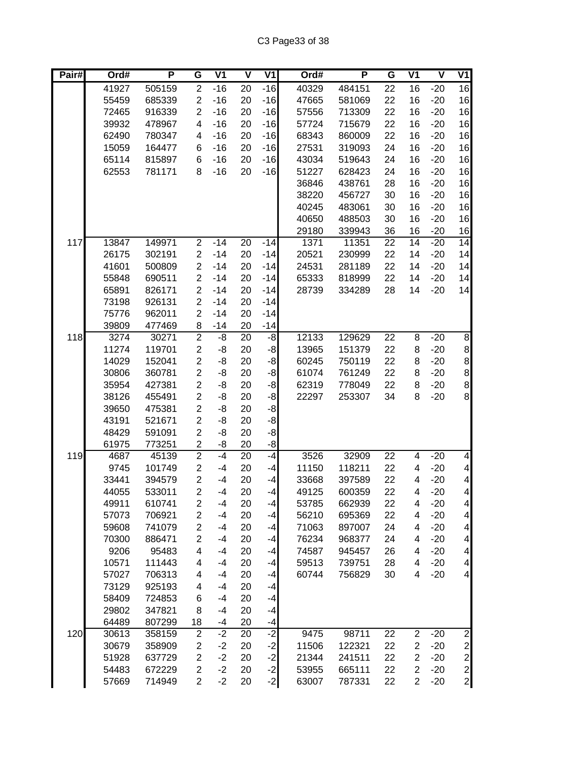| Pair# | Ord#  | P      | G                       | $\overline{\mathsf{V1}}$ | $\overline{\mathsf{v}}$ | V1    | Ord#  | P      | G  | V <sub>1</sub> | $\overline{\mathsf{v}}$ | V1                                    |
|-------|-------|--------|-------------------------|--------------------------|-------------------------|-------|-------|--------|----|----------------|-------------------------|---------------------------------------|
|       | 41927 | 505159 | $\overline{2}$          | $-16$                    | 20                      | $-16$ | 40329 | 484151 | 22 | 16             | $-20$                   | $\overline{16}$                       |
|       | 55459 | 685339 | $\overline{2}$          | $-16$                    | 20                      | $-16$ | 47665 | 581069 | 22 | 16             | $-20$                   | 16                                    |
|       | 72465 | 916339 | $\overline{c}$          | $-16$                    | 20                      | $-16$ | 57556 | 713309 | 22 | 16             | $-20$                   | 16                                    |
|       | 39932 | 478967 | 4                       | $-16$                    | 20                      | $-16$ | 57724 | 715679 | 22 | 16             | $-20$                   | 16                                    |
|       | 62490 | 780347 | 4                       | $-16$                    | 20                      | $-16$ | 68343 | 860009 | 22 | 16             | $-20$                   | 16                                    |
|       | 15059 | 164477 | 6                       | $-16$                    | 20                      | $-16$ | 27531 | 319093 | 24 | 16             | $-20$                   | 16                                    |
|       | 65114 | 815897 | 6                       | $-16$                    | 20                      | $-16$ | 43034 | 519643 | 24 | 16             | $-20$                   | 16                                    |
|       | 62553 | 781171 | 8                       | $-16$                    | 20                      | $-16$ | 51227 | 628423 | 24 | 16             | $-20$                   | 16                                    |
|       |       |        |                         |                          |                         |       | 36846 | 438761 | 28 | 16             | $-20$                   | 16                                    |
|       |       |        |                         |                          |                         |       | 38220 | 456727 | 30 | 16             | $-20$                   | 16                                    |
|       |       |        |                         |                          |                         |       | 40245 | 483061 | 30 | 16             | $-20$                   | 16                                    |
|       |       |        |                         |                          |                         |       | 40650 | 488503 | 30 | 16             | $-20$                   | 16                                    |
|       |       |        |                         |                          |                         |       | 29180 | 339943 | 36 | 16             | $-20$                   | 16                                    |
| 117   | 13847 | 149971 | $\overline{2}$          | $-14$                    | 20                      | $-14$ | 1371  | 11351  | 22 | 14             | $-20$                   | $\overline{14}$                       |
|       | 26175 | 302191 | $\overline{2}$          | $-14$                    | 20                      | $-14$ | 20521 | 230999 | 22 | 14             | $-20$                   | 14                                    |
|       | 41601 | 500809 | $\overline{2}$          | $-14$                    | 20                      | $-14$ | 24531 | 281189 | 22 | 14             | $-20$                   | 14                                    |
|       | 55848 | 690511 | $\overline{2}$          | $-14$                    | 20                      | $-14$ | 65333 | 818999 | 22 | 14             | $-20$                   | 14                                    |
|       | 65891 | 826171 | $\overline{2}$          | $-14$                    | 20                      | $-14$ | 28739 | 334289 | 28 | 14             | $-20$                   | 14                                    |
|       | 73198 | 926131 | $\overline{2}$          | $-14$                    | 20                      | $-14$ |       |        |    |                |                         |                                       |
|       | 75776 | 962011 | $\overline{2}$          | $-14$                    | 20                      | $-14$ |       |        |    |                |                         |                                       |
|       | 39809 | 477469 | 8                       | $-14$                    | 20                      | $-14$ |       |        |    |                |                         |                                       |
| 118   | 3274  | 30271  | $\overline{2}$          | -8                       | $\overline{20}$         | $-8$  | 12133 | 129629 | 22 | 8              | $-20$                   | $\infty$                              |
|       | 11274 | 119701 | $\overline{c}$          | -8                       | 20                      | $-8$  | 13965 | 151379 | 22 | 8              | $-20$                   | 8                                     |
|       | 14029 | 152041 | $\overline{c}$          | -8                       | 20                      | $-8$  | 60245 | 750119 | 22 | 8              | $-20$                   | 8                                     |
|       | 30806 | 360781 | $\overline{2}$          | -8                       | 20                      | $-8$  | 61074 | 761249 | 22 | 8              | $-20$                   | 8                                     |
|       | 35954 | 427381 | $\overline{c}$          | -8                       | 20                      | $-8$  | 62319 | 778049 | 22 | 8              | $-20$                   | 8                                     |
|       | 38126 | 455491 | $\overline{2}$          | -8                       | 20                      | $-8$  | 22297 | 253307 | 34 | 8              | $-20$                   | 8                                     |
|       | 39650 | 475381 | 2                       | -8                       | 20                      | $-8$  |       |        |    |                |                         |                                       |
|       | 43191 | 521671 | $\overline{2}$          | -8                       | 20                      | $-8$  |       |        |    |                |                         |                                       |
|       | 48429 | 591091 | $\overline{c}$          | -8                       | 20                      | $-8$  |       |        |    |                |                         |                                       |
|       | 61975 | 773251 | $\overline{c}$          | -8                       | 20                      | $-8$  |       |        |    |                |                         |                                       |
| 119   | 4687  | 45139  | $\overline{2}$          | $-4$                     | 20                      | $-4$  | 3526  | 32909  | 22 | $\overline{4}$ | $-20$                   | $\overline{\mathcal{A}}$              |
|       | 9745  | 101749 | $\overline{2}$          | $-4$                     | 20                      | $-4$  | 11150 | 118211 | 22 | 4              | $-20$                   | $\overline{\mathcal{A}}$              |
|       | 33441 | 394579 | 2                       | $-4$                     | 20                      | $-4$  | 33668 | 397589 | 22 | 4              | $-20$                   | $\overline{\mathcal{A}}$              |
|       | 44055 | 533011 | $\overline{2}$          | $-4$                     | 20                      | $-4$  | 49125 | 600359 | 22 | 4              | $-20$                   | $\overline{4}$                        |
|       | 49911 | 610741 | 2                       | $-4$                     | 20                      | $-4$  | 53785 | 662939 | 22 | 4              | $-20$                   | 4                                     |
|       | 57073 | 706921 | $\overline{c}$          | $-4$                     | 20                      | $-4$  | 56210 | 695369 | 22 | 4              | $-20$                   | $\vert 4 \vert$                       |
|       | 59608 | 741079 | $\overline{\mathbf{c}}$ | $-4$                     | 20                      | $-4$  | 71063 | 897007 | 24 | 4              | $-20$                   | $\overline{\mathcal{A}}$              |
|       | 70300 | 886471 | $\overline{c}$          | $-4$                     | 20                      | $-4$  | 76234 | 968377 | 24 | 4              | $-20$                   | 4                                     |
|       | 9206  | 95483  | 4                       | $-4$                     | 20                      | $-4$  | 74587 | 945457 | 26 | 4              | $-20$                   | $\overline{\mathcal{A}}$              |
|       | 10571 | 111443 | 4                       | $-4$                     | 20                      | $-4$  | 59513 | 739751 | 28 | 4              | $-20$                   | $\overline{\mathbf{4}}$               |
|       | 57027 | 706313 | 4                       | $-4$                     | 20                      | $-4$  | 60744 | 756829 | 30 | 4              | $-20$                   | $\overline{\mathbf{4}}$               |
|       | 73129 | 925193 | 4                       | $-4$                     | 20                      | $-4$  |       |        |    |                |                         |                                       |
|       | 58409 | 724853 | 6                       | $-4$                     | 20                      | $-4$  |       |        |    |                |                         |                                       |
|       | 29802 | 347821 | 8                       | $-4$                     | 20                      | $-4$  |       |        |    |                |                         |                                       |
|       | 64489 | 807299 | 18                      | $-4$                     | 20                      | $-4$  |       |        |    |                |                         |                                       |
| 120   | 30613 | 358159 | $\overline{2}$          | $-2$                     | 20                      | $-2$  | 9475  | 98711  | 22 | $\overline{2}$ | $-20$                   | $\overline{\mathbf{c}}$               |
|       | 30679 | 358909 | $\mathbf 2$             | $-2$                     | 20                      | $-2$  | 11506 | 122321 | 22 | $\overline{c}$ | $-20$                   | $\begin{array}{c} 2 \\ 2 \end{array}$ |
|       | 51928 | 637729 | $\overline{c}$          | $-2$                     | 20                      | $-2$  | 21344 | 241511 | 22 | $\overline{c}$ | $-20$                   |                                       |
|       | 54483 | 672229 | $\overline{2}$          | $-2$                     | 20                      | $-2$  | 53955 | 665111 | 22 | $\overline{2}$ | $-20$                   |                                       |
|       | 57669 | 714949 | $\overline{c}$          | $-2$                     | 20                      | $-2$  | 63007 | 787331 | 22 | $\overline{2}$ | $-20$                   | $2\vert$                              |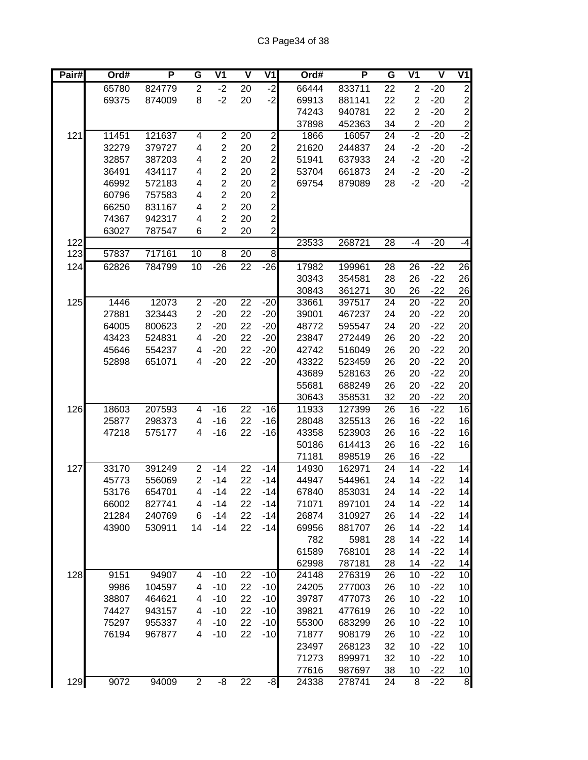| Pair# | Ord#  | P      | G               | V <sub>1</sub> | $\overline{\mathtt{v}}$ | V1             | Ord#  | P      | G               | V <sub>1</sub>  | $\overline{\mathtt{v}}$ | $\overline{V1}$ |
|-------|-------|--------|-----------------|----------------|-------------------------|----------------|-------|--------|-----------------|-----------------|-------------------------|-----------------|
|       | 65780 | 824779 | $\overline{2}$  | $-2$           | 20                      | $-2$           | 66444 | 833711 | 22              | $\overline{2}$  | $-20$                   | $\overline{2}$  |
|       | 69375 | 874009 | 8               | $-2$           | 20                      | $-2$           | 69913 | 881141 | 22              | $\overline{2}$  | $-20$                   | $\mathbf{2}$    |
|       |       |        |                 |                |                         |                | 74243 | 940781 | 22              | $\overline{2}$  | $-20$                   | $\mathbf{2}$    |
|       |       |        |                 |                |                         |                | 37898 | 452363 | 34              | $\mathbf 2$     | $-20$                   | $\overline{2}$  |
| 121   | 11451 | 121637 | 4               | $\overline{2}$ | 20                      | $\overline{c}$ | 1866  | 16057  | 24              | $-2$            | $-20$                   | $-2$            |
|       | 32279 | 379727 | 4               | $\overline{2}$ | 20                      | $\mathbf{z}$   | 21620 | 244837 | 24              | $-2$            | $-20$                   | $-2$            |
|       | 32857 | 387203 | 4               | $\overline{2}$ | 20                      | $\overline{2}$ | 51941 | 637933 | 24              | $-2$            | $-20$                   | $-2$            |
|       | 36491 | 434117 | 4               | $\overline{2}$ | 20                      | $\mathbf{2}$   | 53704 | 661873 | 24              | $-2$            | $-20$                   | $-2$            |
|       | 46992 | 572183 | 4               | $\overline{2}$ | 20                      | $\mathbf{2}$   | 69754 | 879089 | 28              | $-2$            | $-20$                   | $-2$            |
|       | 60796 | 757583 | 4               | $\overline{2}$ | 20                      | $\overline{c}$ |       |        |                 |                 |                         |                 |
|       | 66250 | 831167 | 4               | $\overline{2}$ | 20                      | $\frac{2}{2}$  |       |        |                 |                 |                         |                 |
|       | 74367 | 942317 | 4               | $\overline{2}$ | 20                      |                |       |        |                 |                 |                         |                 |
|       | 63027 | 787547 | 6               | $\overline{2}$ | 20                      | $\overline{2}$ |       |        |                 |                 |                         |                 |
| 122   |       |        |                 |                |                         |                | 23533 | 268721 | 28              | $-4$            | $-20$                   | $-4$            |
| 123   | 57837 | 717161 | $\overline{10}$ | $\overline{8}$ | $\overline{20}$         | 8              |       |        |                 |                 |                         |                 |
| 124   | 62826 | 784799 | 10              | $-26$          | $\overline{22}$         | $-26$          | 17982 | 199961 | $\overline{28}$ | $\overline{26}$ | $-22$                   | 26              |
|       |       |        |                 |                |                         |                | 30343 | 354581 | 28              | 26              | $-22$                   | 26              |
|       |       |        |                 |                |                         |                | 30843 | 361271 | 30              | 26              | $-22$                   | 26              |
| 125   | 1446  | 12073  | $\overline{2}$  | $-20$          | 22                      | $-20$          | 33661 | 397517 | 24              | 20              | $-22$                   | $\overline{20}$ |
|       | 27881 | 323443 | $\overline{2}$  | $-20$          | 22                      | $-20$          | 39001 | 467237 | 24              | 20              | $-22$                   | 20              |
|       | 64005 | 800623 | $\overline{2}$  | $-20$          | 22                      | $-20$          | 48772 | 595547 | 24              | 20              | $-22$                   | 20              |
|       | 43423 | 524831 | 4               | $-20$          | 22                      | $-20$          | 23847 | 272449 | 26              | 20              | $-22$                   | 20              |
|       | 45646 | 554237 | 4               | $-20$          | 22                      | $-20$          | 42742 | 516049 | 26              | 20              | $-22$                   | 20              |
|       | 52898 | 651071 | 4               | $-20$          | 22                      | $-20$          | 43322 | 523459 | 26              | 20              | $-22$                   | 20              |
|       |       |        |                 |                |                         |                | 43689 | 528163 | 26              | 20              | $-22$                   | 20              |
|       |       |        |                 |                |                         |                | 55681 | 688249 | 26              | 20              | $-22$                   | 20              |
|       |       |        |                 |                |                         |                | 30643 | 358531 | 32              | 20              | $-22$                   | 20              |
| 126   | 18603 | 207593 | 4               | $-16$          | 22                      | $-16$          | 11933 | 127399 | 26              | 16              | $-22$                   | $\overline{16}$ |
|       | 25877 | 298373 | 4               | $-16$          | 22                      | $-16$          | 28048 | 325513 | 26              | 16              | $-22$                   | 16              |
|       | 47218 | 575177 | 4               | $-16$          | 22                      | $-16$          | 43358 | 523903 | 26              | 16              | $-22$                   | 16              |
|       |       |        |                 |                |                         |                | 50186 | 614413 | 26              | 16              | $-22$                   | 16              |
|       |       |        |                 |                |                         |                | 71181 | 898519 | 26              | 16              | $-22$                   |                 |
| 127   | 33170 | 391249 | $\overline{2}$  | $-14$          | 22                      | $-14$          | 14930 | 162971 | 24              | 14              | $-22$                   | 14              |
|       | 45773 | 556069 | $\overline{2}$  | $-14$          | 22                      | $-14$          | 44947 | 544961 | 24              | 14              | $-22$                   | 14              |
|       | 53176 | 654701 | 4               | $-14$          | 22                      | $-14$          | 67840 | 853031 | 24              | 14              | $-22$                   | 14              |
|       | 66002 | 827741 | 4               | $-14$          | 22                      | $-14$          | 71071 | 897101 | 24              | 14              | $-22$                   | 14              |
|       | 21284 | 240769 | 6               | $-14$          | 22                      | $-14$          | 26874 | 310927 | 26              | 14              | $-22$                   | 14              |
|       | 43900 | 530911 | 14              | $-14$          | 22                      | $-14$          | 69956 | 881707 | 26              | 14              | $-22$                   | 14              |
|       |       |        |                 |                |                         |                | 782   | 5981   | 28              | 14              | $-22$                   | 14              |
|       |       |        |                 |                |                         |                | 61589 | 768101 | 28              | 14              | $-22$                   | 14              |
|       |       |        |                 |                |                         |                | 62998 | 787181 | 28              | 14              | $-22$                   | 14              |
| 128   | 9151  | 94907  | 4               | $-10$          | 22                      | $-10$          | 24148 | 276319 | 26              | 10              | $-22$                   | 10              |
|       | 9986  | 104597 | 4               | $-10$          | 22                      | $-10$          | 24205 | 277003 | 26              | 10              | $-22$                   | 10              |
|       | 38807 | 464621 | 4               | $-10$          | 22                      | $-10$          | 39787 | 477073 | 26              | 10              | $-22$                   | 10              |
|       | 74427 | 943157 | 4               | $-10$          | 22                      | $-10$          | 39821 | 477619 | 26              | 10              | $-22$                   | 10              |
|       | 75297 | 955337 | 4               | $-10$          | 22                      | $-10$          | 55300 | 683299 | 26              | 10              | $-22$                   | 10              |
|       | 76194 | 967877 | 4               | $-10$          | 22                      | $-10$          | 71877 | 908179 | 26              | 10              | $-22$                   | 10              |
|       |       |        |                 |                |                         |                | 23497 | 268123 | 32              | 10              | $-22$                   | 10              |
|       |       |        |                 |                |                         |                | 71273 | 899971 | 32              | 10              | $-22$                   | 10              |
|       |       |        |                 |                |                         |                | 77616 | 987697 | 38              | 10              | $-22$                   | 10              |
| 129   | 9072  | 94009  | $\overline{2}$  | -8             | 22                      | $-8$           | 24338 | 278741 | 24              | 8               | $-22$                   | $\infty$        |
|       |       |        |                 |                |                         |                |       |        |                 |                 |                         |                 |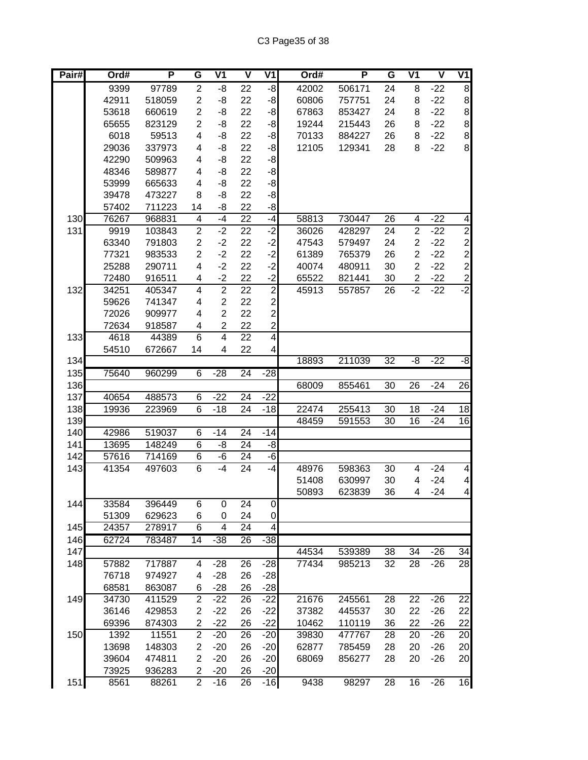| Pair# | Ord#  | P      | G              | V <sub>1</sub> | ۷               | V1                                    | Ord#  | P      | G               | $\overline{\mathsf{V}}$ 1 | V     | V1                      |
|-------|-------|--------|----------------|----------------|-----------------|---------------------------------------|-------|--------|-----------------|---------------------------|-------|-------------------------|
|       | 9399  | 97789  | $\overline{2}$ | -8             | 22              | $-8$                                  | 42002 | 506171 | 24              | 8                         | $-22$ | 8                       |
|       | 42911 | 518059 | $\overline{2}$ | -8             | 22              | $-8$                                  | 60806 | 757751 | 24              | 8                         | $-22$ | $\bf{8}$                |
|       | 53618 | 660619 | $\overline{2}$ | -8             | 22              | $-8$                                  | 67863 | 853427 | 24              | 8                         | $-22$ | $\bf{8}$                |
|       | 65655 | 823129 | $\overline{2}$ | -8             | 22              | $-8$                                  | 19244 | 215443 | 26              | 8                         | $-22$ | $\bf 8$                 |
|       | 6018  | 59513  | 4              | -8             | 22              | $-8$                                  | 70133 | 884227 | 26              | 8                         | $-22$ | $\bf{8}$                |
|       | 29036 | 337973 | 4              | -8             | 22              | $-8$                                  | 12105 | 129341 | 28              | 8                         | $-22$ | $\bf{8}$                |
|       | 42290 | 509963 | 4              | -8             | 22              | $-8$                                  |       |        |                 |                           |       |                         |
|       | 48346 | 589877 | 4              | -8             | 22              | $-8$                                  |       |        |                 |                           |       |                         |
|       | 53999 | 665633 | 4              | -8             | 22              | $-8$                                  |       |        |                 |                           |       |                         |
|       | 39478 | 473227 | 8              | -8             | 22              | $-8$                                  |       |        |                 |                           |       |                         |
|       | 57402 | 711223 | 14             | -8             | 22              | $-8$                                  |       |        |                 |                           |       |                         |
| 130   | 76267 | 968831 | 4              | $-4$           | 22              | $-4$                                  | 58813 | 730447 | 26              | 4                         | $-22$ | 4                       |
| 131   | 9919  | 103843 | $\overline{2}$ | $-2$           | 22              | ۱J.                                   | 36026 | 428297 | 24              | $\overline{2}$            | $-22$ | $\overline{2}$          |
|       | 63340 | 791803 | $\overline{2}$ | $-2$           | 22              | $-2$                                  | 47543 | 579497 | 24              | 2                         | $-22$ | $\mathbf{2}$            |
|       | 77321 | 983533 | $\overline{c}$ | $-2$           | 22              | $-2$                                  | 61389 | 765379 | 26              | 2                         | $-22$ | $\mathbf{2}$            |
|       | 25288 | 290711 | 4              | $-2$           | 22              | $-2$                                  | 40074 | 480911 | 30              | $\overline{2}$            | $-22$ | $\overline{c}$          |
|       | 72480 | 916511 | 4              | $-2$           | 22              | $-2$                                  | 65522 | 821441 | 30              | $\overline{2}$            | $-22$ | $\overline{\mathbf{c}}$ |
| 132   | 34251 | 405347 | $\overline{4}$ | $\overline{2}$ | 22              | $\overline{c}$                        | 45913 | 557857 | 26              | $-2$                      | $-22$ | -2                      |
|       | 59626 | 741347 | 4              | $\overline{2}$ | 22              |                                       |       |        |                 |                           |       |                         |
|       | 72026 | 909977 | 4              | $\overline{2}$ | 22              | $\begin{array}{c} 2 \\ 2 \end{array}$ |       |        |                 |                           |       |                         |
|       | 72634 | 918587 | 4              | $\overline{2}$ | 22              |                                       |       |        |                 |                           |       |                         |
| 133   | 4618  | 44389  | $\overline{6}$ | 4              | 22              | $\overline{4}$                        |       |        |                 |                           |       |                         |
|       | 54510 | 672667 | 14             | 4              | 22              | $\overline{4}$                        |       |        |                 |                           |       |                         |
| 134   |       |        |                |                |                 |                                       | 18893 | 211039 | $\overline{32}$ | -8                        | $-22$ | -8                      |
| 135   | 75640 | 960299 | 6              | $-28$          | $\overline{24}$ | $-28$                                 |       |        |                 |                           |       |                         |
| 136   |       |        |                |                |                 |                                       | 68009 | 855461 | 30              | 26                        | $-24$ | $\overline{26}$         |
| 137   | 40654 | 488573 | 6              | $-22$          | 24              | $-22$                                 |       |        |                 |                           |       |                         |
| 138   | 19936 | 223969 | 6              | $-18$          | 24              | $-18$                                 | 22474 | 255413 | 30              | 18                        | $-24$ | 18                      |
| 139   |       |        |                |                |                 |                                       | 48459 | 591553 | 30              | 16                        | $-24$ | 16                      |
| 140   | 42986 | 519037 | 6              | $-14$          | 24              | $-14$                                 |       |        |                 |                           |       |                         |
| 141   | 13695 | 148249 | 6              | -8             | 24              | $-8$                                  |       |        |                 |                           |       |                         |
| 142   | 57616 | 714169 | 6              | -6             | 24              | $-6$                                  |       |        |                 |                           |       |                         |
| 143   | 41354 | 497603 | $\overline{6}$ | $-4$           | 24              | $-4$                                  | 48976 | 598363 | 30              | 4                         | $-24$ | $\overline{4}$          |
|       |       |        |                |                |                 |                                       | 51408 | 630997 | 30              | 4                         | $-24$ | $\overline{4}$          |
|       |       |        |                |                |                 |                                       | 50893 | 623839 | 36              | 4                         | $-24$ | $\overline{4}$          |
| 144   | 33584 | 396449 | 6              | 0              | 24              | $\overline{0}$                        |       |        |                 |                           |       |                         |
|       | 51309 | 629623 | 6              | 0              | 24              | $\overline{0}$                        |       |        |                 |                           |       |                         |
| 145   | 24357 | 278917 | $\overline{6}$ | $\overline{4}$ | 24              | 4                                     |       |        |                 |                           |       |                         |
| 146   | 62724 | 783487 | 14             | $-38$          | 26              | $-38$                                 |       |        |                 |                           |       |                         |
| 147   |       |        |                |                |                 |                                       | 44534 | 539389 | 38              | 34                        | $-26$ | 34                      |
| 148   | 57882 | 717887 | 4              | $-28$          | 26              | $-28$                                 | 77434 | 985213 | 32              | 28                        | $-26$ | $\overline{28}$         |
|       | 76718 | 974927 | 4              | $-28$          | 26              | $-28$                                 |       |        |                 |                           |       |                         |
|       | 68581 | 863087 | 6              | $-28$          | 26              | $-28$                                 |       |        |                 |                           |       |                         |
| 149   | 34730 | 411529 | $\overline{2}$ | $-22$          | 26              | $-22$                                 | 21676 | 245561 | 28              | 22                        | $-26$ | 22                      |
|       | 36146 | 429853 | $\overline{c}$ | $-22$          | 26              | $-22$                                 | 37382 | 445537 | 30              | 22                        | $-26$ | 22                      |
|       | 69396 | 874303 | $\overline{2}$ | $-22$          | 26              | $-22$                                 | 10462 | 110119 | 36              | 22                        | $-26$ | 22                      |
| 150   | 1392  | 11551  | $\overline{2}$ | $-20$          | 26              | $-20$                                 | 39830 | 477767 | 28              | 20                        | $-26$ | 20                      |
|       | 13698 | 148303 | $\overline{c}$ | $-20$          | 26              | $-20$                                 | 62877 | 785459 | 28              | 20                        | $-26$ | 20                      |
|       | 39604 | 474811 | $\overline{2}$ | $-20$          | 26              | $-20$                                 | 68069 | 856277 | 28              | 20                        | $-26$ | 20                      |
|       | 73925 | 936283 | $\overline{2}$ | $-20$          | 26              | $-20$                                 |       |        |                 |                           |       |                         |
| 151   | 8561  | 88261  | $\overline{2}$ | $-16$          | 26              | $-16$                                 | 9438  | 98297  | 28              | 16                        | $-26$ | 16                      |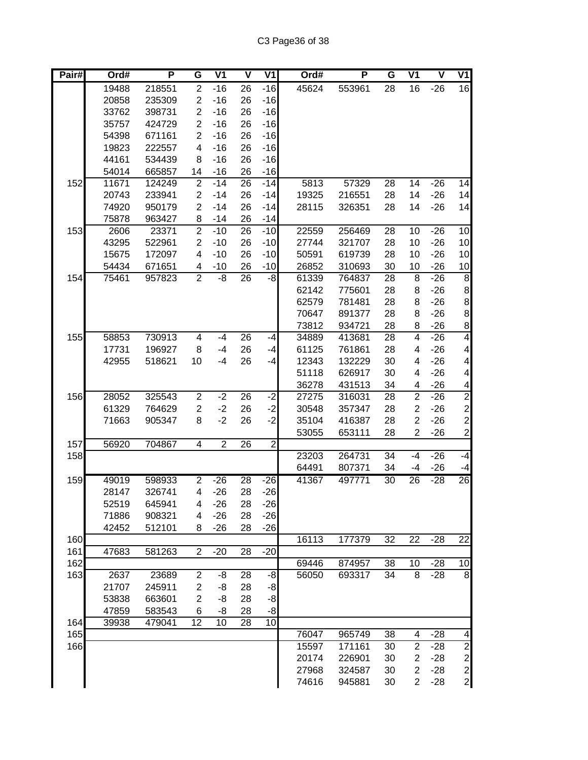| Pair# | Ord#  | P      | G                       | V <sub>1</sub> | $\overline{\mathsf{v}}$ | $\overline{\mathsf{V}}$ 1 | Ord#  | P      | G               | V <sub>1</sub>  | $\overline{\mathsf{v}}$ | $\overline{V1}$         |
|-------|-------|--------|-------------------------|----------------|-------------------------|---------------------------|-------|--------|-----------------|-----------------|-------------------------|-------------------------|
|       | 19488 | 218551 | $\overline{2}$          | $-16$          | 26                      | $-16$                     | 45624 | 553961 | 28              | 16              | $-26$                   | 16                      |
|       | 20858 | 235309 | $\overline{2}$          | $-16$          | 26                      | $-16$                     |       |        |                 |                 |                         |                         |
|       | 33762 | 398731 | $\overline{2}$          | $-16$          | 26                      | $-16$                     |       |        |                 |                 |                         |                         |
|       | 35757 | 424729 | $\overline{2}$          | $-16$          | 26                      | $-16$                     |       |        |                 |                 |                         |                         |
|       | 54398 | 671161 | $\overline{2}$          | $-16$          | 26                      | $-16$                     |       |        |                 |                 |                         |                         |
|       | 19823 | 222557 | 4                       | $-16$          | 26                      | $-16$                     |       |        |                 |                 |                         |                         |
|       | 44161 | 534439 | 8                       | $-16$          | 26                      | $-16$                     |       |        |                 |                 |                         |                         |
|       | 54014 | 665857 | 14                      | $-16$          | 26                      | $-16$                     |       |        |                 |                 |                         |                         |
| 152   | 11671 | 124249 | $\overline{2}$          | $-14$          | 26                      | $-14$                     | 5813  | 57329  | 28              | 14              | $-26$                   | 14                      |
|       | 20743 | 233941 | $\overline{\mathbf{c}}$ | $-14$          | 26                      | $-14$                     | 19325 | 216551 | 28              | 14              | $-26$                   | 14                      |
|       | 74920 | 950179 | $\overline{2}$          | $-14$          | 26                      | $-14$                     | 28115 | 326351 | 28              | 14              | $-26$                   | 14                      |
|       | 75878 | 963427 | 8                       | $-14$          | 26                      | $-14$                     |       |        |                 |                 |                         |                         |
| 153   | 2606  | 23371  | $\overline{2}$          | $-10$          | 26                      | $-10$                     | 22559 | 256469 | 28              | 10              | $-26$                   | 10                      |
|       | 43295 | 522961 | $\overline{2}$          | $-10$          | 26                      | $-10$                     | 27744 | 321707 | 28              | 10              | $-26$                   | 10                      |
|       | 15675 | 172097 | 4                       | $-10$          | 26                      | $-10$                     | 50591 | 619739 | 28              | 10              | $-26$                   | 10                      |
|       | 54434 | 671651 | 4                       | $-10$          | 26                      | $-10$                     | 26852 | 310693 | 30              | 10              | $-26$                   | 10                      |
| 154   | 75461 | 957823 | $\overline{2}$          | $-\frac{8}{3}$ | 26                      | $-8$                      | 61339 | 764837 | 28              | 8               | $-26$                   | 8                       |
|       |       |        |                         |                |                         |                           | 62142 | 775601 | 28              | 8               | $-26$                   | $\bf{8}$                |
|       |       |        |                         |                |                         |                           | 62579 | 781481 | 28              | 8               | $-26$                   | $\bf{8}$                |
|       |       |        |                         |                |                         |                           | 70647 | 891377 | 28              | 8               | $-26$                   | $\bf{8}$                |
|       |       |        |                         |                |                         |                           | 73812 | 934721 | 28              | 8               | $-26$                   | $\bf{8}$                |
| 155   | 58853 | 730913 | 4                       | $-4$           | 26                      | $-4$                      | 34889 | 413681 | 28              | 4               | $-26$                   | $\overline{\mathbf{r}}$ |
|       | 17731 | 196927 | 8                       | $-4$           | 26                      | $-4$                      | 61125 | 761861 | 28              | 4               | $-26$                   | $\vert 4 \vert$         |
|       | 42955 | 518621 | 10                      | $-4$           | 26                      | $-4$                      | 12343 | 132229 | 30              | 4               | $-26$                   | $\overline{4}$          |
|       |       |        |                         |                |                         |                           | 51118 | 626917 | 30              | 4               | $-26$                   | $\vert 4 \vert$         |
|       |       |        |                         |                |                         |                           | 36278 | 431513 | 34              | 4               | $-26$                   | $\overline{4}$          |
| 156   | 28052 | 325543 | $\overline{2}$          | $-2$           | 26                      | $-2$                      | 27275 | 316031 | 28              | $\overline{2}$  | $-26$                   |                         |
|       | 61329 | 764629 | $\overline{c}$          | $-2$           | 26                      | $-2$                      | 30548 | 357347 | 28              | $\overline{2}$  | $-26$                   |                         |
|       | 71663 | 905347 | 8                       | $-2$           | 26                      | $-2$                      | 35104 | 416387 | 28              | $\overline{c}$  | $-26$                   | $\frac{1}{2}$           |
|       |       |        |                         |                |                         |                           | 53055 | 653111 | 28              | $\overline{2}$  | $-26$                   | $\overline{2}$          |
| 157   | 56920 | 704867 | $\overline{\mathbf{4}}$ | $\sqrt{2}$     | 26                      | $\overline{2}$            |       |        |                 |                 |                         |                         |
| 158   |       |        |                         |                |                         |                           | 23203 | 264731 | 34              | $-4$            | $-26$                   | $-4$                    |
|       |       |        |                         |                |                         |                           | 64491 | 807371 | 34              | $-4$            | $-26$                   | $-4$                    |
| 159   | 49019 | 598933 | $\overline{2}$          | $-26$          | $\overline{28}$         | $-26$                     | 41367 | 497771 | $\overline{30}$ | $\overline{26}$ | $-28$                   | 26                      |
|       | 28147 | 326741 | 4                       | $-26$          | 28                      | $-26$                     |       |        |                 |                 |                         |                         |
|       | 52519 | 645941 | 4                       | $-26$          | 28                      | $-26$                     |       |        |                 |                 |                         |                         |
|       | 71886 | 908321 | 4                       | $-26$          | 28                      | $-26$                     |       |        |                 |                 |                         |                         |
|       | 42452 | 512101 | 8                       | $-26$          | 28                      | $-26$                     |       |        |                 |                 |                         |                         |
| 160   |       |        |                         |                |                         |                           | 16113 | 177379 | 32              | 22              | $-28$                   | 22                      |
| 161   | 47683 | 581263 | $\overline{2}$          | $-20$          | 28                      | $-20$                     |       |        |                 |                 |                         |                         |
| 162   |       |        |                         |                |                         |                           | 69446 | 874957 | 38              | 10              | $-28$                   | 10                      |
| 163   | 2637  | 23689  | $\overline{2}$          | -8             | 28                      | $-8$                      | 56050 | 693317 | 34              | 8               | $-28$                   | œ.                      |
|       | 21707 | 245911 | $\overline{2}$          | -8             | 28                      | $-8$                      |       |        |                 |                 |                         |                         |
|       | 53838 | 663601 | $\overline{2}$          | -8             | 28                      | $-8$                      |       |        |                 |                 |                         |                         |
|       | 47859 | 583543 | 6                       | -8             | 28                      | $-8$                      |       |        |                 |                 |                         |                         |
| 164   | 39938 | 479041 | 12                      | 10             | 28                      | 10                        |       |        |                 |                 |                         |                         |
| 165   |       |        |                         |                |                         |                           | 76047 | 965749 | 38              | 4               | $-28$                   | 4                       |
| 166   |       |        |                         |                |                         |                           | 15597 | 171161 | 30              | $\overline{2}$  | $-28$                   | $\overline{2}$          |
|       |       |        |                         |                |                         |                           | 20174 | 226901 | 30              | 2               | $-28$                   | $\mathbf{2}$            |
|       |       |        |                         |                |                         |                           | 27968 | 324587 | 30              | 2               | $-28$                   | $\mathbf{2}$            |
|       |       |        |                         |                |                         |                           | 74616 | 945881 | 30              | $\mathbf{2}$    | $-28$                   | $\mathbf{2}$            |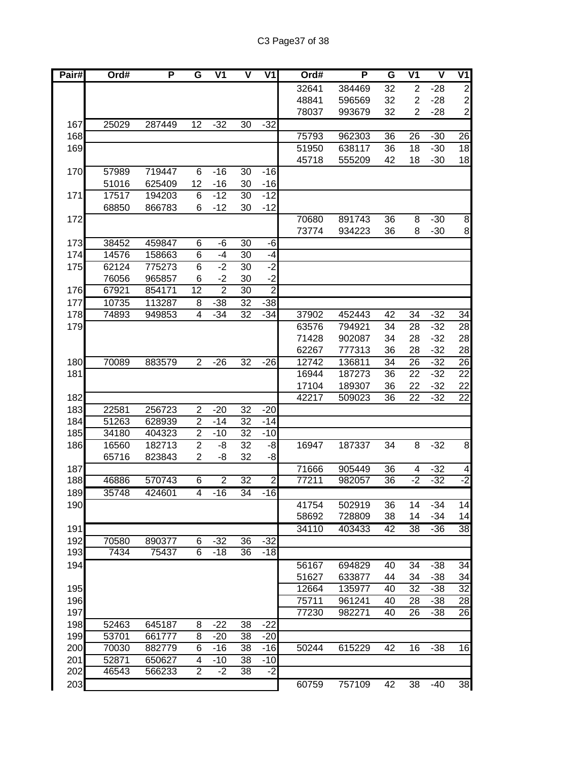| Pair# | Ord#  | P      | G               | V <sub>1</sub> | $\overline{\mathsf{v}}$ | V <sub>1</sub> | Ord#  | P      | G               | V <sub>1</sub> | $\overline{\mathtt{v}}$ | V1                       |
|-------|-------|--------|-----------------|----------------|-------------------------|----------------|-------|--------|-----------------|----------------|-------------------------|--------------------------|
|       |       |        |                 |                |                         |                | 32641 | 384469 | 32              | $\overline{2}$ | $-28$                   | $\overline{c}$           |
|       |       |        |                 |                |                         |                | 48841 | 596569 | 32              | $\overline{c}$ | $-28$                   | $\overline{\mathbf{c}}$  |
|       |       |        |                 |                |                         |                | 78037 | 993679 | 32              | $\overline{2}$ | $-28$                   | $\overline{2}$           |
| 167   | 25029 | 287449 | $\overline{12}$ | $-32$          | 30                      | $-32$          |       |        |                 |                |                         |                          |
| 168   |       |        |                 |                |                         |                | 75793 | 962303 | 36              | 26             | $-30$                   | 26                       |
| 169   |       |        |                 |                |                         |                | 51950 | 638117 | $\overline{36}$ | 18             | $-30$                   | 18                       |
|       |       |        |                 |                |                         |                | 45718 | 555209 | 42              | 18             | $-30$                   | 18                       |
| 170   | 57989 | 719447 | 6               | $-16$          | 30                      | $-16$          |       |        |                 |                |                         |                          |
|       | 51016 | 625409 | 12              | $-16$          | 30                      | $-16$          |       |        |                 |                |                         |                          |
| 171   | 17517 | 194203 | 6               | $-12$          | 30                      | $-12$          |       |        |                 |                |                         |                          |
|       | 68850 | 866783 | 6               | $-12$          | 30                      | $-12$          |       |        |                 |                |                         |                          |
| 172   |       |        |                 |                |                         |                | 70680 | 891743 | 36              | 8              | $-30$                   | 8                        |
|       |       |        |                 |                |                         |                | 73774 | 934223 | 36              | 8              | $-30$                   | 8                        |
| 173   | 38452 | 459847 | 6               | -6             | 30                      | -6             |       |        |                 |                |                         |                          |
| 174   | 14576 | 158663 | 6               | $-4$           | 30                      | $-4$           |       |        |                 |                |                         |                          |
| 175   | 62124 | 775273 | $\overline{6}$  | $-2$           | 30                      | $-2$           |       |        |                 |                |                         |                          |
|       | 76056 | 965857 | 6               | $-2$           | 30                      | $-2$           |       |        |                 |                |                         |                          |
| 176   | 67921 | 854171 | $\overline{12}$ | $\overline{2}$ | 30                      | $\overline{2}$ |       |        |                 |                |                         |                          |
| 177   | 10735 | 113287 | 8               | $-38$          | $\overline{32}$         | $-38$          |       |        |                 |                |                         |                          |
| 178   | 74893 | 949853 | 4               | $-34$          | 32                      | $-34$          | 37902 | 452443 | 42              | 34             | $-32$                   | 34                       |
| 179   |       |        |                 |                |                         |                | 63576 | 794921 | 34              | 28             | $-32$                   | 28                       |
|       |       |        |                 |                |                         |                | 71428 | 902087 | 34              | 28             | $-32$                   | 28                       |
|       |       |        |                 |                |                         |                | 62267 | 777313 | 36              | 28             | $-32$                   | 28                       |
| 180   | 70089 | 883579 | $\overline{2}$  | $-26$          | 32                      | $-26$          | 12742 | 136811 | 34              | 26             | $-32$                   | 26                       |
| 181   |       |        |                 |                |                         |                | 16944 | 187273 | 36              | 22             | $-32$                   | $\overline{22}$          |
|       |       |        |                 |                |                         |                | 17104 | 189307 | 36              | 22             | $-32$                   | 22                       |
| 182   |       |        |                 |                |                         |                | 42217 | 509023 | 36              | 22             | $-32$                   | 22                       |
| 183   | 22581 | 256723 | $\overline{c}$  | $-20$          | 32                      | $-20$          |       |        |                 |                |                         |                          |
| 184   | 51263 | 628939 | $\overline{2}$  | $-14$          | 32                      | $-14$          |       |        |                 |                |                         |                          |
| 185   | 34180 | 404323 | $\overline{c}$  | $-10$          | 32                      | $-10$          |       |        |                 |                |                         |                          |
| 186   | 16560 | 182713 | $\overline{2}$  | -8             | 32                      | $-8$           | 16947 | 187337 | 34              | 8              | $-32$                   | 8                        |
|       | 65716 | 823843 | $\overline{2}$  | -8             | 32                      | -8             |       |        |                 |                |                         |                          |
| 187   |       |        |                 |                |                         |                | 71666 | 905449 | $\overline{36}$ | 4              | $-32$                   | $\overline{\mathcal{A}}$ |
| 188   | 46886 | 570743 | $\overline{6}$  | $\overline{2}$ | $\overline{32}$         | $\overline{2}$ | 77211 | 982057 | 36              | $-2$           | $-32$                   | $-2$                     |
| 189   | 35748 | 424601 | $\overline{4}$  | $-16$          | $\overline{34}$         | $-16$          |       |        |                 |                |                         |                          |
| 190   |       |        |                 |                |                         |                | 41754 | 502919 | 36              | 14             | $-34$                   | 14                       |
|       |       |        |                 |                |                         |                | 58692 | 728809 | 38              | 14             | $-34$                   | 14                       |
| 191   |       |        |                 |                |                         |                | 34110 | 403433 | 42              | 38             | $-36$                   | 38                       |
| 192   | 70580 | 890377 | 6               | $-32$          | 36                      | $-32$          |       |        |                 |                |                         |                          |
| 193   | 7434  | 75437  | $\overline{6}$  | $-18$          | $\overline{36}$         | $-18$          |       |        |                 |                |                         |                          |
| 194   |       |        |                 |                |                         |                | 56167 | 694829 | 40              | 34             | $-38$                   | 34                       |
|       |       |        |                 |                |                         |                | 51627 | 633877 | 44              | 34             | $-38$                   | 34                       |
| 195   |       |        |                 |                |                         |                | 12664 | 135977 | 40              | 32             | $-38$                   | 32                       |
| 196   |       |        |                 |                |                         |                | 75711 | 961241 | 40              | 28             | $-38$                   | 28                       |
| 197   |       |        |                 |                |                         |                | 77230 | 982271 | 40              | 26             | $-38$                   | 26                       |
| 198   | 52463 | 645187 | 8               | $-22$          | 38                      | $-22$          |       |        |                 |                |                         |                          |
| 199   | 53701 | 661777 | 8               | $-20$          | 38                      | $-20$          |       |        |                 |                |                         |                          |
| 200   | 70030 | 882779 | 6               | $-16$          | 38                      | $-16$          | 50244 | 615229 | 42              | 16             | $-38$                   | 16                       |
| 201   | 52871 | 650627 | 4               | $-10$          | 38                      | $-10$          |       |        |                 |                |                         |                          |
| 202   | 46543 | 566233 | $\overline{2}$  | $-2$           | 38                      | $-2$           |       |        |                 |                |                         |                          |
| 203   |       |        |                 |                |                         |                | 60759 | 757109 | 42              | 38             | $-40$                   | 38                       |